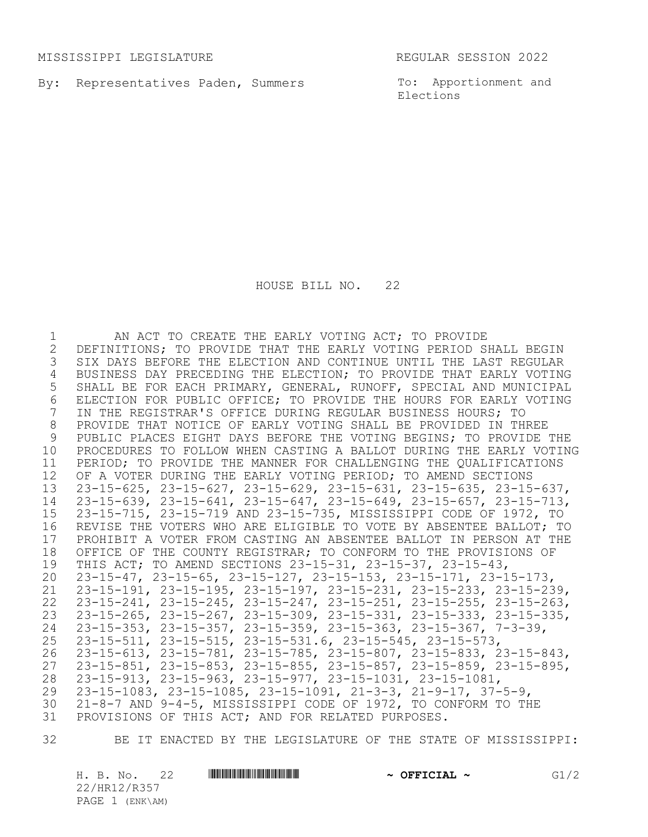MISSISSIPPI LEGISLATURE REGULAR SESSION 2022

By: Representatives Paden, Summers

To: Apportionment and Elections

HOUSE BILL NO. 22

 AN ACT TO CREATE THE EARLY VOTING ACT; TO PROVIDE 2 DEFINITIONS; TO PROVIDE THAT THE EARLY VOTING PERIOD SHALL BEGIN<br>3 SIX DAYS BEFORE THE ELECTION AND CONTINUE UNTIL THE LAST REGULAR SIX DAYS BEFORE THE ELECTION AND CONTINUE UNTIL THE LAST REGULAR BUSINESS DAY PRECEDING THE ELECTION; TO PROVIDE THAT EARLY VOTING SHALL BE FOR EACH PRIMARY, GENERAL, RUNOFF, SPECIAL AND MUNICIPAL 6 ELECTION FOR PUBLIC OFFICE; TO PROVIDE THE HOURS FOR EARLY VOTING<br>7 IN THE REGISTRAR'S OFFICE DURING REGULAR BUSINESS HOURS; TO IN THE REGISTRAR'S OFFICE DURING REGULAR BUSINESS HOURS; TO PROVIDE THAT NOTICE OF EARLY VOTING SHALL BE PROVIDED IN THREE 9 PUBLIC PLACES EIGHT DAYS BEFORE THE VOTING BEGINS; TO PROVIDE THE PROCEDURES TO FOLLOW WHEN CASTING A BALLOT DURING THE EARLY VOTING PERIOD; TO PROVIDE THE MANNER FOR CHALLENGING THE QUALIFICATIONS OF A VOTER DURING THE EARLY VOTING PERIOD; TO AMEND SECTIONS 23-15-625, 23-15-627, 23-15-629, 23-15-631, 23-15-635, 23-15-637, 23-15-639, 23-15-641, 23-15-647, 23-15-649, 23-15-657, 23-15-713, 23-15-715, 23-15-719 AND 23-15-735, MISSISSIPPI CODE OF 1972, TO REVISE THE VOTERS WHO ARE ELIGIBLE TO VOTE BY ABSENTEE BALLOT; TO 17 PROHIBIT A VOTER FROM CASTING AN ABSENTEE BALLOT IN PERSON AT THE 18 OFFICE OF THE COUNTY REGISTRAR; TO CONFORM TO THE PROVISIONS OF OFFICE OF THE COUNTY REGISTRAR; TO CONFORM TO THE PROVISIONS OF THIS ACT; TO AMEND SECTIONS 23-15-31, 23-15-37, 23-15-43, 23-15-47, 23-15-65, 23-15-127, 23-15-153, 23-15-171, 23-15-173, 23-15-191, 23-15-195, 23-15-197, 23-15-231, 23-15-233, 23-15-239, 23-15-241, 23-15-245, 23-15-247, 23-15-251, 23-15-255, 23-15-263, 23-15-265, 23-15-267, 23-15-309, 23-15-331, 23-15-333, 23-15-335, 23-15-353, 23-15-357, 23-15-359, 23-15-363, 23-15-367, 7-3-39, 23-15-511, 23-15-515, 23-15-531.6, 23-15-545, 23-15-573, 23-15-613, 23-15-781, 23-15-785, 23-15-807, 23-15-833, 23-15-843, 23-15-851, 23-15-853, 23-15-855, 23-15-857, 23-15-859, 23-15-895, 23-15-913, 23-15-963, 23-15-977, 23-15-1031, 23-15-1081, 23-15-1083, 23-15-1085, 23-15-1091, 21-3-3, 21-9-17, 37-5-9, 21-8-7 AND 9-4-5, MISSISSIPPI CODE OF 1972, TO CONFORM TO THE PROVISIONS OF THIS ACT; AND FOR RELATED PURPOSES.

BE IT ENACTED BY THE LEGISLATURE OF THE STATE OF MISSISSIPPI:

H. B. No. 22 **HRING CONSTRUCTED A OFFICIAL ~** G1/2 22/HR12/R357 PAGE 1 (ENK\AM)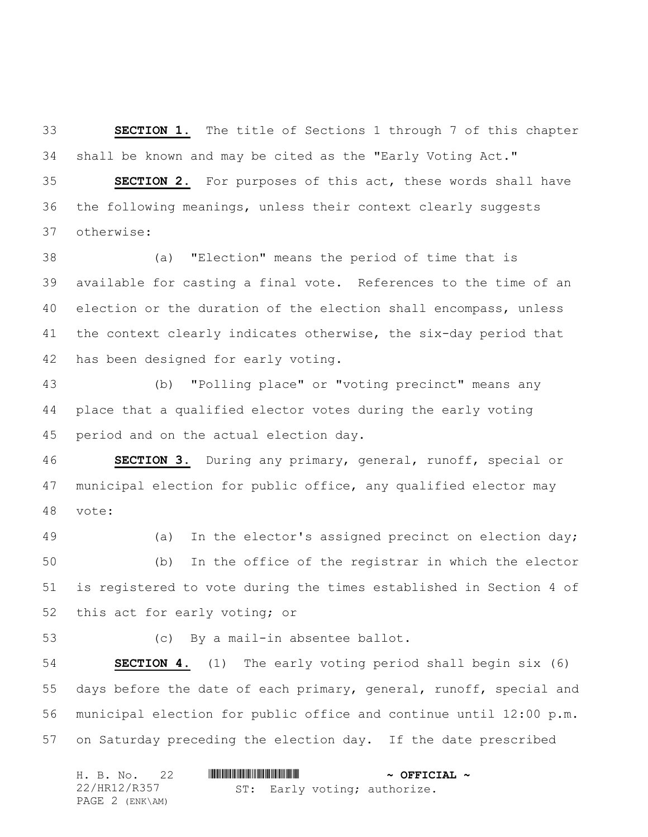**SECTION 1.** The title of Sections 1 through 7 of this chapter shall be known and may be cited as the "Early Voting Act."

 **SECTION 2.** For purposes of this act, these words shall have the following meanings, unless their context clearly suggests otherwise:

 (a) "Election" means the period of time that is available for casting a final vote. References to the time of an election or the duration of the election shall encompass, unless the context clearly indicates otherwise, the six-day period that has been designed for early voting.

 (b) "Polling place" or "voting precinct" means any place that a qualified elector votes during the early voting period and on the actual election day.

 **SECTION 3.** During any primary, general, runoff, special or municipal election for public office, any qualified elector may vote:

 (a) In the elector's assigned precinct on election day; (b) In the office of the registrar in which the elector is registered to vote during the times established in Section 4 of this act for early voting; or

(c) By a mail-in absentee ballot.

 **SECTION 4.** (1) The early voting period shall begin six (6) days before the date of each primary, general, runoff, special and municipal election for public office and continue until 12:00 p.m. on Saturday preceding the election day. If the date prescribed

| H. B. No. 22    |  | $\sim$ OFFICIAL $\sim$ |                              |  |
|-----------------|--|------------------------|------------------------------|--|
| 22/HR12/R357    |  |                        | ST: Early voting; authorize. |  |
| PAGE 2 (ENK\AM) |  |                        |                              |  |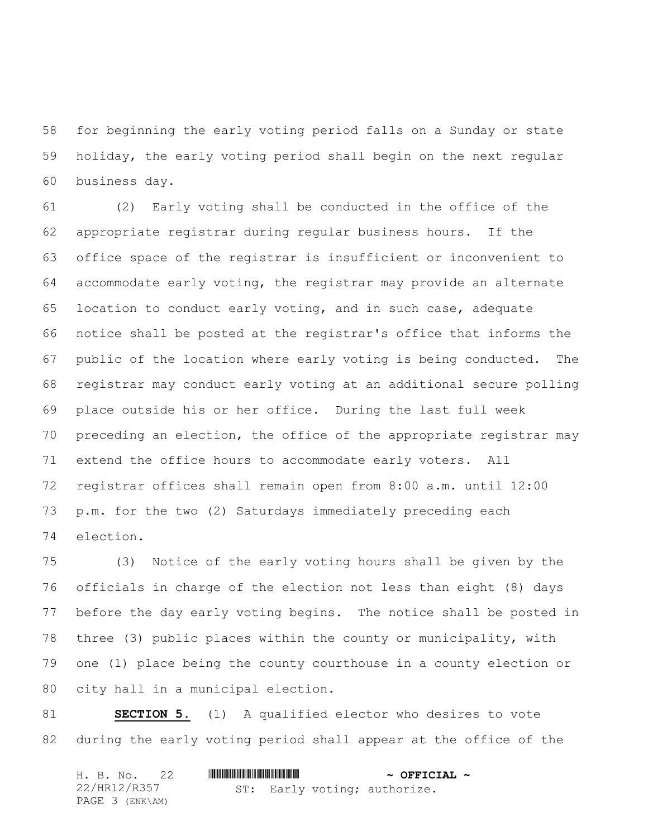for beginning the early voting period falls on a Sunday or state holiday, the early voting period shall begin on the next regular business day.

 (2) Early voting shall be conducted in the office of the appropriate registrar during regular business hours. If the office space of the registrar is insufficient or inconvenient to accommodate early voting, the registrar may provide an alternate location to conduct early voting, and in such case, adequate notice shall be posted at the registrar's office that informs the public of the location where early voting is being conducted. The registrar may conduct early voting at an additional secure polling place outside his or her office. During the last full week preceding an election, the office of the appropriate registrar may extend the office hours to accommodate early voters. All registrar offices shall remain open from 8:00 a.m. until 12:00 p.m. for the two (2) Saturdays immediately preceding each election.

 (3) Notice of the early voting hours shall be given by the officials in charge of the election not less than eight (8) days before the day early voting begins. The notice shall be posted in three (3) public places within the county or municipality, with one (1) place being the county courthouse in a county election or city hall in a municipal election.

 **SECTION 5.** (1) A qualified elector who desires to vote during the early voting period shall appear at the office of the

| H. B. No. 22    |                              | $\sim$ OFFICIAL $\sim$ |
|-----------------|------------------------------|------------------------|
| 22/HR12/R357    | ST: Early voting; authorize. |                        |
| PAGE 3 (ENK\AM) |                              |                        |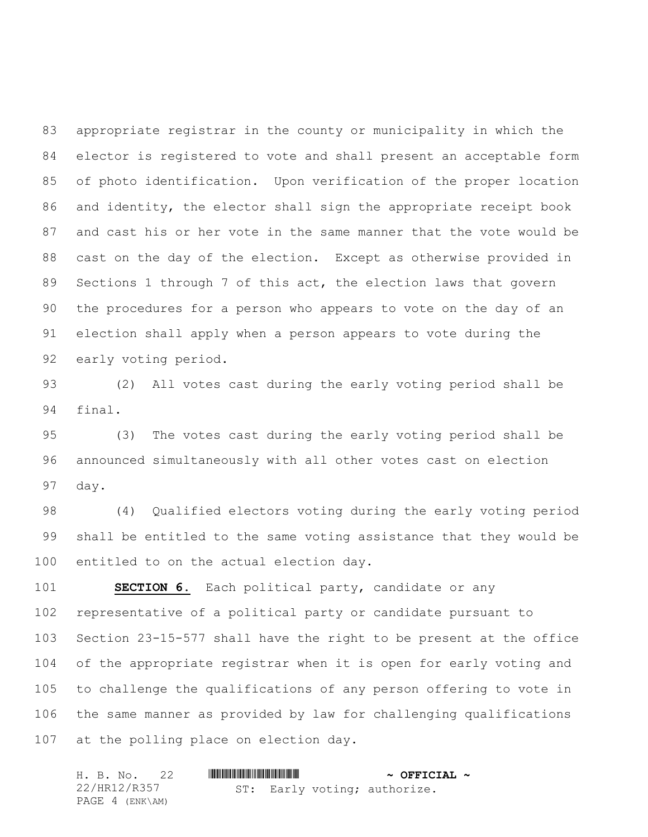appropriate registrar in the county or municipality in which the elector is registered to vote and shall present an acceptable form of photo identification. Upon verification of the proper location and identity, the elector shall sign the appropriate receipt book and cast his or her vote in the same manner that the vote would be cast on the day of the election. Except as otherwise provided in Sections 1 through 7 of this act, the election laws that govern the procedures for a person who appears to vote on the day of an election shall apply when a person appears to vote during the early voting period.

 (2) All votes cast during the early voting period shall be final.

 (3) The votes cast during the early voting period shall be announced simultaneously with all other votes cast on election day.

 (4) Qualified electors voting during the early voting period shall be entitled to the same voting assistance that they would be entitled to on the actual election day.

 **SECTION 6.** Each political party, candidate or any representative of a political party or candidate pursuant to Section 23-15-577 shall have the right to be present at the office of the appropriate registrar when it is open for early voting and to challenge the qualifications of any person offering to vote in the same manner as provided by law for challenging qualifications at the polling place on election day.

|  |                 | H. B. No. 22 |  | $\sim$ OFFICIAL $\sim$ |                              |  |
|--|-----------------|--------------|--|------------------------|------------------------------|--|
|  | 22/HR12/R357    |              |  |                        | ST: Early voting; authorize. |  |
|  | PAGE 4 (ENK\AM) |              |  |                        |                              |  |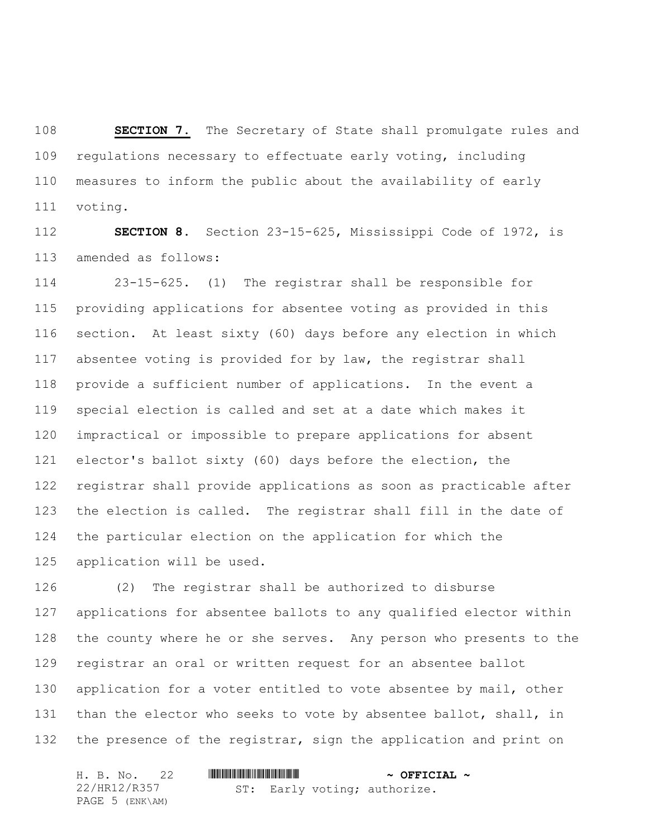**SECTION 7.** The Secretary of State shall promulgate rules and regulations necessary to effectuate early voting, including measures to inform the public about the availability of early voting.

 **SECTION 8.** Section 23-15-625, Mississippi Code of 1972, is amended as follows:

 23-15-625. (1) The registrar shall be responsible for providing applications for absentee voting as provided in this section. At least sixty (60) days before any election in which absentee voting is provided for by law, the registrar shall provide a sufficient number of applications. In the event a special election is called and set at a date which makes it impractical or impossible to prepare applications for absent elector's ballot sixty (60) days before the election, the registrar shall provide applications as soon as practicable after the election is called.The registrar shall fill in the date of the particular election on the application for which the application will be used.

 (2) The registrar shall be authorized to disburse applications for absentee ballots to any qualified elector within the county where he or she serves. Any person who presents to the registrar an oral or written request for an absentee ballot 130 application for a voter entitled to vote absentee by mail, other than the elector who seeks to vote by absentee ballot, shall, in 132 the presence of the registrar, sign the application and print on

|  |                 | H. B. No. 22 |  | $\sim$ OFFICIAL $\sim$ |                              |  |
|--|-----------------|--------------|--|------------------------|------------------------------|--|
|  | 22/HR12/R357    |              |  |                        | ST: Early voting; authorize. |  |
|  | PAGE 5 (ENK\AM) |              |  |                        |                              |  |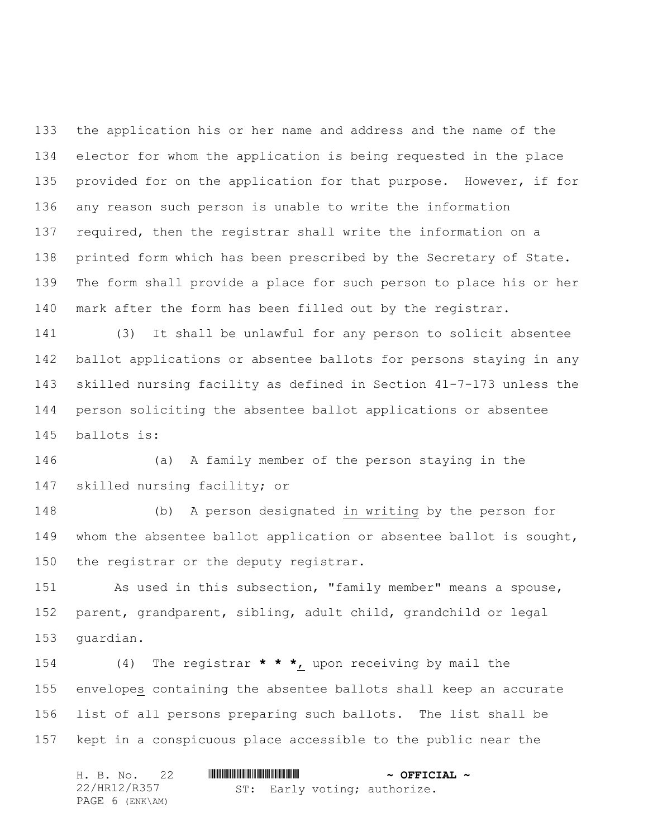the application his or her name and address and the name of the elector for whom the application is being requested in the place 135 provided for on the application for that purpose. However, if for any reason such person is unable to write the information required, then the registrar shall write the information on a printed form which has been prescribed by the Secretary of State. The form shall provide a place for such person to place his or her mark after the form has been filled out by the registrar.

 (3) It shall be unlawful for any person to solicit absentee ballot applications or absentee ballots for persons staying in any skilled nursing facility as defined in Section 41-7-173 unless the person soliciting the absentee ballot applications or absentee ballots is:

 (a) A family member of the person staying in the skilled nursing facility; or

 (b) A person designated in writing by the person for whom the absentee ballot application or absentee ballot is sought, 150 the registrar or the deputy registrar.

 As used in this subsection, "family member" means a spouse, parent, grandparent, sibling, adult child, grandchild or legal guardian.

 (4) The registrar **\* \* \***, upon receiving by mail the envelopes containing the absentee ballots shall keep an accurate list of all persons preparing such ballots. The list shall be kept in a conspicuous place accessible to the public near the

|  |                 | H. B. No. 22 |  | $\sim$ OFFICIAL $\sim$ |                              |  |
|--|-----------------|--------------|--|------------------------|------------------------------|--|
|  | 22/HR12/R357    |              |  |                        | ST: Early voting; authorize. |  |
|  | PAGE 6 (ENK\AM) |              |  |                        |                              |  |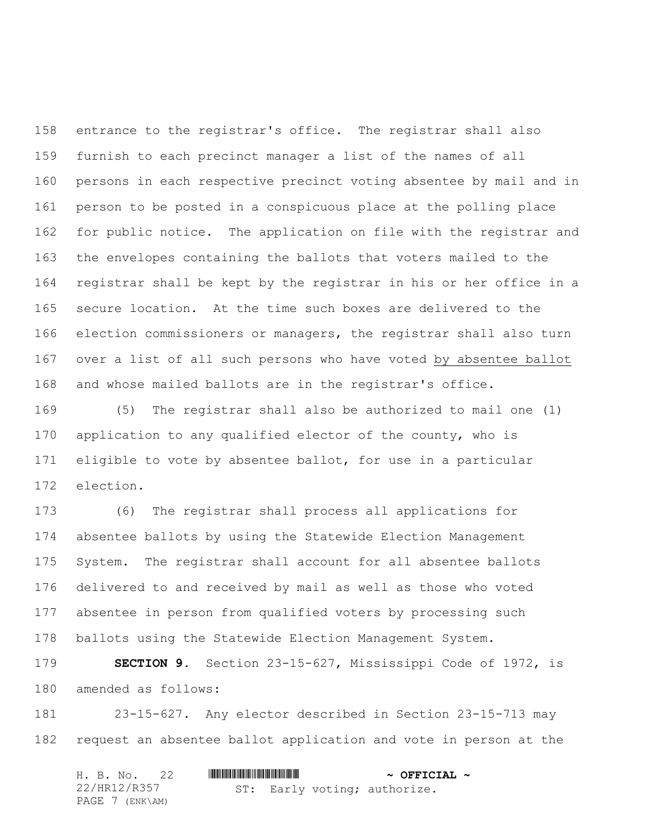entrance to the registrar's office. The registrar shall also furnish to each precinct manager a list of the names of all persons in each respective precinct voting absentee by mail and in person to be posted in a conspicuous place at the polling place for public notice. The application on file with the registrar and the envelopes containing the ballots that voters mailed to the registrar shall be kept by the registrar in his or her office in a secure location. At the time such boxes are delivered to the election commissioners or managers, the registrar shall also turn over a list of all such persons who have voted by absentee ballot and whose mailed ballots are in the registrar's office.

 (5) The registrar shall also be authorized to mail one (1) application to any qualified elector of the county, who is eligible to vote by absentee ballot, for use in a particular election.

 (6) The registrar shall process all applications for absentee ballots by using the Statewide Election Management System. The registrar shall account for all absentee ballots delivered to and received by mail as well as those who voted absentee in person from qualified voters by processing such ballots using the Statewide Election Management System.

 **SECTION 9.** Section 23-15-627, Mississippi Code of 1972, is amended as follows:

 23-15-627. Any elector described in Section 23-15-713 may request an absentee ballot application and vote in person at the

|  |                 | H. B. No. 22 |  | $\sim$ OFFICIAL $\sim$ |                              |  |
|--|-----------------|--------------|--|------------------------|------------------------------|--|
|  | 22/HR12/R357    |              |  |                        | ST: Early voting; authorize. |  |
|  | PAGE 7 (ENK\AM) |              |  |                        |                              |  |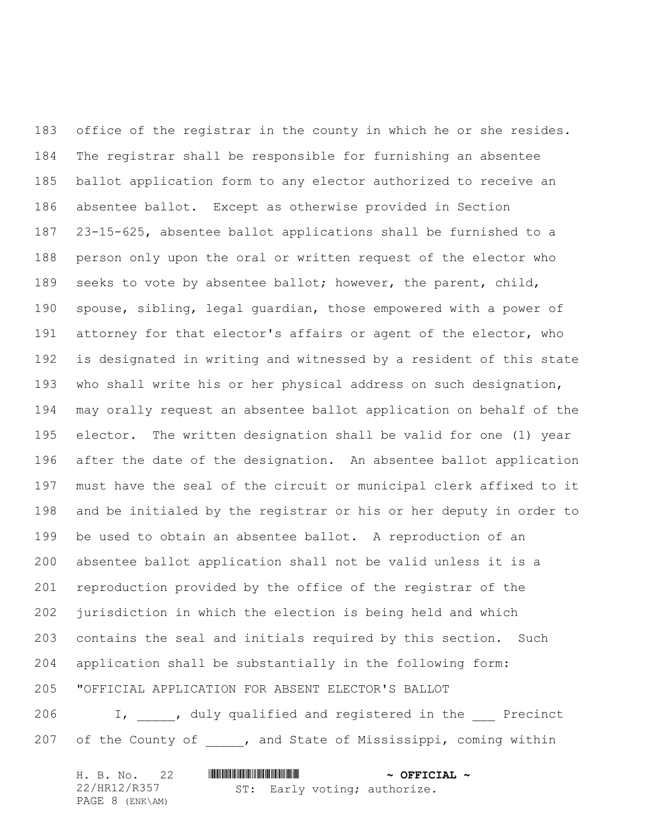office of the registrar in the county in which he or she resides. The registrar shall be responsible for furnishing an absentee ballot application form to any elector authorized to receive an absentee ballot. Except as otherwise provided in Section 23-15-625, absentee ballot applications shall be furnished to a person only upon the oral or written request of the elector who seeks to vote by absentee ballot; however, the parent, child, spouse, sibling, legal guardian, those empowered with a power of 191 attorney for that elector's affairs or agent of the elector, who is designated in writing and witnessed by a resident of this state who shall write his or her physical address on such designation, may orally request an absentee ballot application on behalf of the elector. The written designation shall be valid for one (1) year after the date of the designation. An absentee ballot application must have the seal of the circuit or municipal clerk affixed to it and be initialed by the registrar or his or her deputy in order to be used to obtain an absentee ballot. A reproduction of an absentee ballot application shall not be valid unless it is a reproduction provided by the office of the registrar of the jurisdiction in which the election is being held and which contains the seal and initials required by this section. Such application shall be substantially in the following form: "OFFICIAL APPLICATION FOR ABSENT ELECTOR'S BALLOT 206 I, duly qualified and registered in the Precinct

207 of the County of , and State of Mississippi, coming within

| H. B. No. 22      |  | $\sim$ OFFICIAL $\sim$ |                              |  |
|-------------------|--|------------------------|------------------------------|--|
| 22/HR12/R357      |  |                        | ST: Early voting; authorize. |  |
| PAGE $8$ (ENK\AM) |  |                        |                              |  |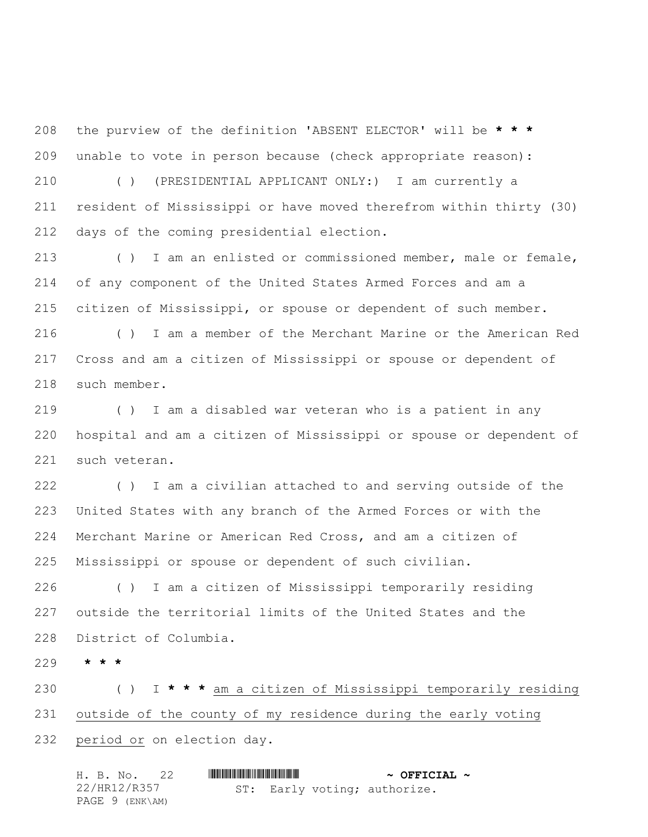the purview of the definition 'ABSENT ELECTOR' will be **\* \* \*** unable to vote in person because (check appropriate reason): ( ) (PRESIDENTIAL APPLICANT ONLY:) I am currently a resident of Mississippi or have moved therefrom within thirty (30) days of the coming presidential election.

 ( ) I am an enlisted or commissioned member, male or female, of any component of the United States Armed Forces and am a citizen of Mississippi, or spouse or dependent of such member. ( ) I am a member of the Merchant Marine or the American Red Cross and am a citizen of Mississippi or spouse or dependent of such member.

 ( ) I am a disabled war veteran who is a patient in any hospital and am a citizen of Mississippi or spouse or dependent of such veteran.

 ( ) I am a civilian attached to and serving outside of the United States with any branch of the Armed Forces or with the Merchant Marine or American Red Cross, and am a citizen of Mississippi or spouse or dependent of such civilian.

 ( ) I am a citizen of Mississippi temporarily residing outside the territorial limits of the United States and the District of Columbia.

**\* \* \***

 ( ) I **\* \* \*** am a citizen of Mississippi temporarily residing outside of the county of my residence during the early voting period or on election day.

| H. B. No. 22    |  | $\sim$ OFFICIAL $\sim$ |                              |  |
|-----------------|--|------------------------|------------------------------|--|
| 22/HR12/R357    |  |                        | ST: Early voting; authorize. |  |
| PAGE 9 (ENK\AM) |  |                        |                              |  |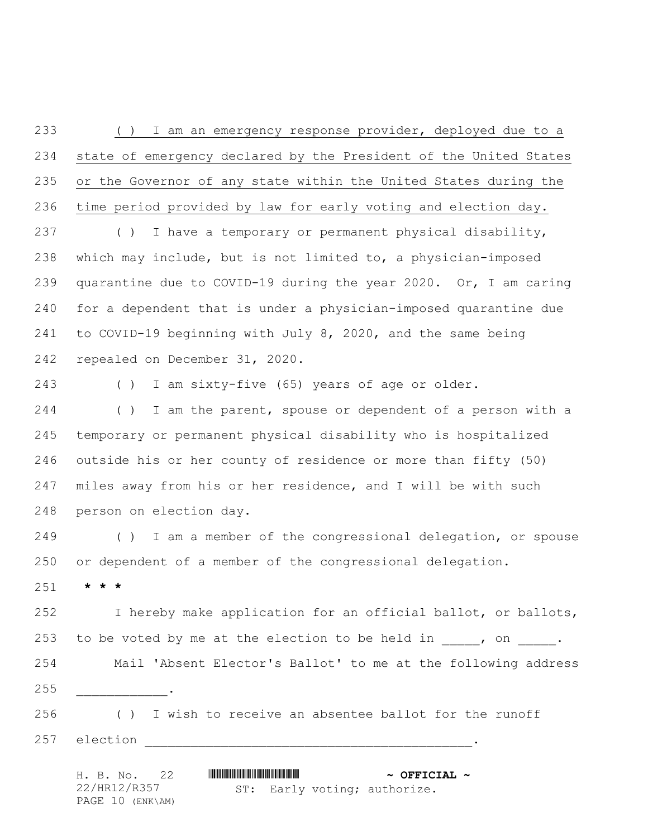( ) I am an emergency response provider, deployed due to a state of emergency declared by the President of the United States or the Governor of any state within the United States during the time period provided by law for early voting and election day.

 ( ) I have a temporary or permanent physical disability, which may include, but is not limited to, a physician-imposed quarantine due to COVID-19 during the year 2020. Or, I am caring for a dependent that is under a physician-imposed quarantine due to COVID-19 beginning with July 8, 2020, and the same being repealed on December 31, 2020.

( ) I am sixty-five (65) years of age or older.

244 () I am the parent, spouse or dependent of a person with a temporary or permanent physical disability who is hospitalized outside his or her county of residence or more than fifty (50) miles away from his or her residence, and I will be with such person on election day.

 ( ) I am a member of the congressional delegation, or spouse or dependent of a member of the congressional delegation.

**\* \* \***

 I hereby make application for an official ballot, or ballots, 253 to be voted by me at the election to be held in  $\frac{1}{\sqrt{2}}$ , on  $\frac{1}{\sqrt{2}}$ . Mail 'Absent Elector's Ballot' to me at the following address \_\_\_\_\_\_\_\_\_\_\_\_.

 ( ) I wish to receive an absentee ballot for the runoff 257 election \_\_\_\_\_\_\_\_

H. B. No. 22 \*HR12/R357\* **~ OFFICIAL ~** 22/HR12/R357 PAGE 10 (ENK\AM) ST: Early voting; authorize.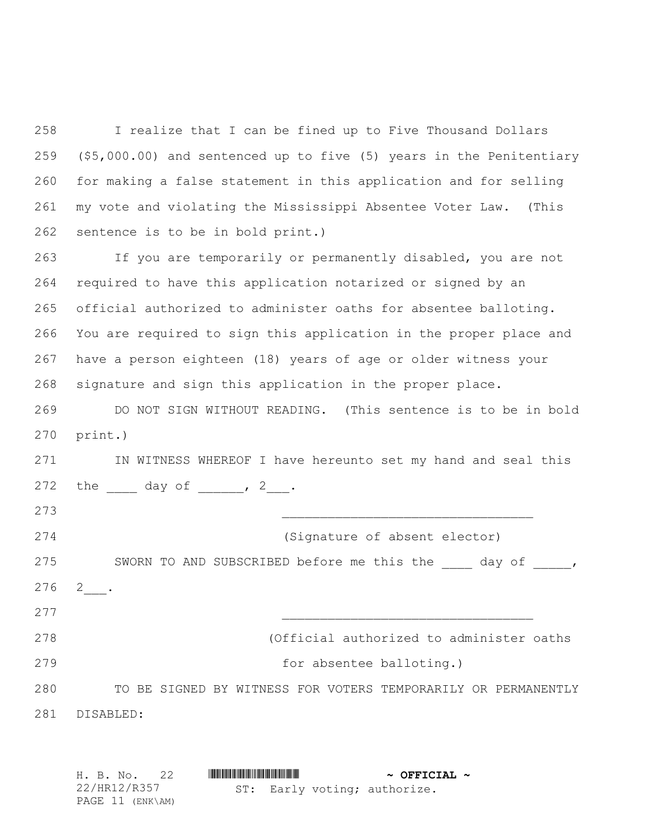I realize that I can be fined up to Five Thousand Dollars (\$5,000.00) and sentenced up to five (5) years in the Penitentiary for making a false statement in this application and for selling my vote and violating the Mississippi Absentee Voter Law. (This sentence is to be in bold print.)

 If you are temporarily or permanently disabled, you are not required to have this application notarized or signed by an official authorized to administer oaths for absentee balloting. You are required to sign this application in the proper place and have a person eighteen (18) years of age or older witness your signature and sign this application in the proper place.

 DO NOT SIGN WITHOUT READING. (This sentence is to be in bold print.)

 IN WITNESS WHEREOF I have hereunto set my hand and seal this 272 the  $\frac{1}{2}$  day of  $\frac{1}{2}$ ,  $\frac{2}{2}$ .

273 \_\_\_\_\_\_\_\_\_\_\_\_\_\_\_\_\_\_\_\_\_\_\_\_\_\_\_\_\_\_\_\_\_ 274 (Signature of absent elector) 275 SWORN TO AND SUBSCRIBED before me this the \_\_\_\_ day of \_\_\_\_\_,  $2$   $\_\_$ . (Official authorized to administer oaths **for absentee balloting.**) TO BE SIGNED BY WITNESS FOR VOTERS TEMPORARILY OR PERMANENTLY DISABLED:

| H. B. No. 22     |  |  | $\sim$ OFFICIAL $\sim$ |                              |  |
|------------------|--|--|------------------------|------------------------------|--|
| 22/HR12/R357     |  |  |                        | ST: Early voting; authorize. |  |
| PAGE 11 (ENK\AM) |  |  |                        |                              |  |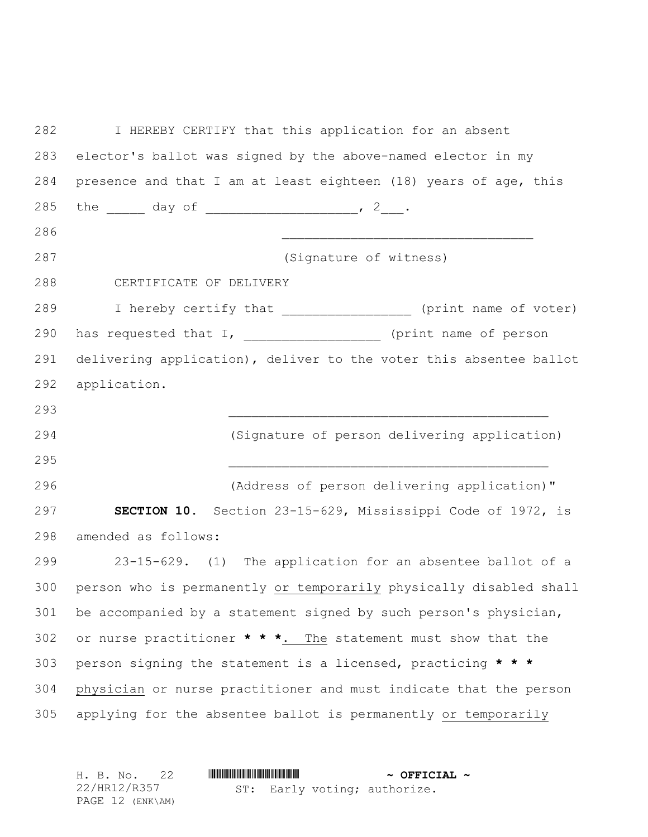| 282 | I HEREBY CERTIFY that this application for an absent               |  |  |  |  |  |  |
|-----|--------------------------------------------------------------------|--|--|--|--|--|--|
| 283 | elector's ballot was signed by the above-named elector in my       |  |  |  |  |  |  |
| 284 | presence and that I am at least eighteen (18) years of age, this   |  |  |  |  |  |  |
| 285 | the $\frac{1}{2}$ day of $\frac{1}{2}$ .                           |  |  |  |  |  |  |
| 286 |                                                                    |  |  |  |  |  |  |
| 287 | (Signature of witness)                                             |  |  |  |  |  |  |
| 288 | CERTIFICATE OF DELIVERY                                            |  |  |  |  |  |  |
| 289 | I hereby certify that __________________ (print name of voter)     |  |  |  |  |  |  |
| 290 | has requested that I, ____________________ (print name of person   |  |  |  |  |  |  |
| 291 | delivering application), deliver to the voter this absentee ballot |  |  |  |  |  |  |
| 292 | application.                                                       |  |  |  |  |  |  |
| 293 |                                                                    |  |  |  |  |  |  |
| 294 | (Signature of person delivering application)                       |  |  |  |  |  |  |
| 295 |                                                                    |  |  |  |  |  |  |
| 296 | (Address of person delivering application)"                        |  |  |  |  |  |  |
| 297 | SECTION 10. Section 23-15-629, Mississippi Code of 1972, is        |  |  |  |  |  |  |
| 298 | amended as follows:                                                |  |  |  |  |  |  |
| 299 | 23-15-629. (1) The application for an absentee ballot of a         |  |  |  |  |  |  |
| 300 | person who is permanently or temporarily physically disabled shall |  |  |  |  |  |  |
| 301 | be accompanied by a statement signed by such person's physician,   |  |  |  |  |  |  |
| 302 | or nurse practitioner * * *. The statement must show that the      |  |  |  |  |  |  |
| 303 | person signing the statement is a licensed, practicing * * *       |  |  |  |  |  |  |
| 304 | physician or nurse practitioner and must indicate that the person  |  |  |  |  |  |  |
| 305 | applying for the absentee ballot is permanently or temporarily     |  |  |  |  |  |  |
|     |                                                                    |  |  |  |  |  |  |

|  | H. B. No. 22     |  |  | $\sim$ OFFICIAL $\sim$ |                              |  |
|--|------------------|--|--|------------------------|------------------------------|--|
|  | 22/HR12/R357     |  |  |                        | ST: Early voting; authorize. |  |
|  | PAGE 12 (ENK\AM) |  |  |                        |                              |  |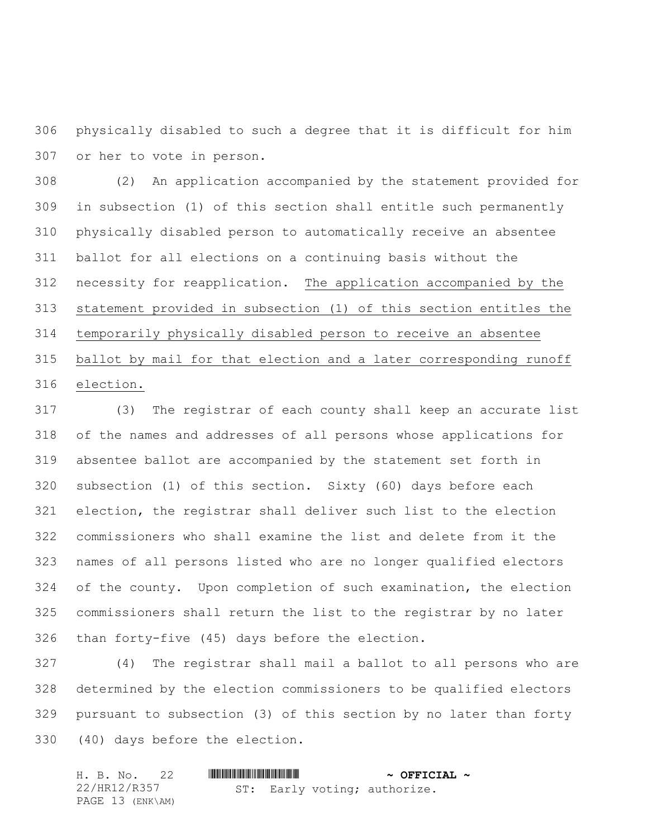physically disabled to such a degree that it is difficult for him or her to vote in person.

 (2) An application accompanied by the statement provided for in subsection (1) of this section shall entitle such permanently physically disabled person to automatically receive an absentee ballot for all elections on a continuing basis without the necessity for reapplication. The application accompanied by the statement provided in subsection (1) of this section entitles the temporarily physically disabled person to receive an absentee ballot by mail for that election and a later corresponding runoff election.

 (3) The registrar of each county shall keep an accurate list of the names and addresses of all persons whose applications for absentee ballot are accompanied by the statement set forth in subsection (1) of this section. Sixty (60) days before each election, the registrar shall deliver such list to the election commissioners who shall examine the list and delete from it the names of all persons listed who are no longer qualified electors of the county. Upon completion of such examination, the election commissioners shall return the list to the registrar by no later than forty-five (45) days before the election.

 (4) The registrar shall mail a ballot to all persons who are determined by the election commissioners to be qualified electors pursuant to subsection (3) of this section by no later than forty (40) days before the election.

| H. B. No. 22     |                              | $\sim$ OFFICIAL $\sim$ |
|------------------|------------------------------|------------------------|
| 22/HR12/R357     | ST: Early voting; authorize. |                        |
| PAGE 13 (ENK\AM) |                              |                        |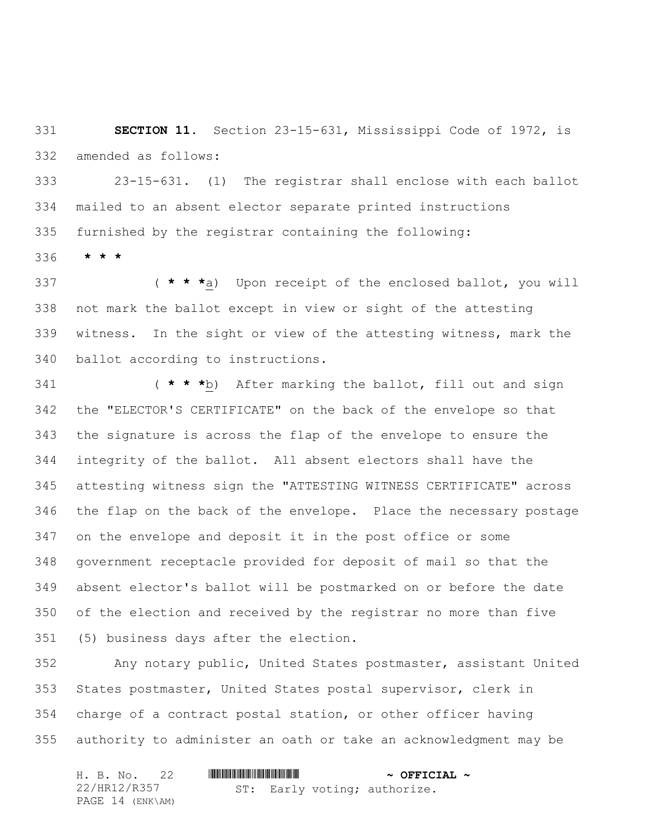**SECTION 11.** Section 23-15-631, Mississippi Code of 1972, is amended as follows:

 23-15-631. (1) The registrar shall enclose with each ballot mailed to an absent elector separate printed instructions furnished by the registrar containing the following:

**\* \* \***

 ( **\* \* \***a) Upon receipt of the enclosed ballot, you will not mark the ballot except in view or sight of the attesting witness. In the sight or view of the attesting witness, mark the ballot according to instructions.

 ( **\* \* \***b) After marking the ballot, fill out and sign the "ELECTOR'S CERTIFICATE" on the back of the envelope so that the signature is across the flap of the envelope to ensure the integrity of the ballot. All absent electors shall have the attesting witness sign the "ATTESTING WITNESS CERTIFICATE" across the flap on the back of the envelope. Place the necessary postage on the envelope and deposit it in the post office or some government receptacle provided for deposit of mail so that the absent elector's ballot will be postmarked on or before the date of the election and received by the registrar no more than five (5) business days after the election.

 Any notary public, United States postmaster, assistant United States postmaster, United States postal supervisor, clerk in charge of a contract postal station, or other officer having authority to administer an oath or take an acknowledgment may be

|  | H. B. No. 22     |  | $\sim$ OFFICIAL $\sim$ |                              |  |
|--|------------------|--|------------------------|------------------------------|--|
|  | 22/HR12/R357     |  |                        | ST: Early voting; authorize. |  |
|  | PAGE 14 (ENK\AM) |  |                        |                              |  |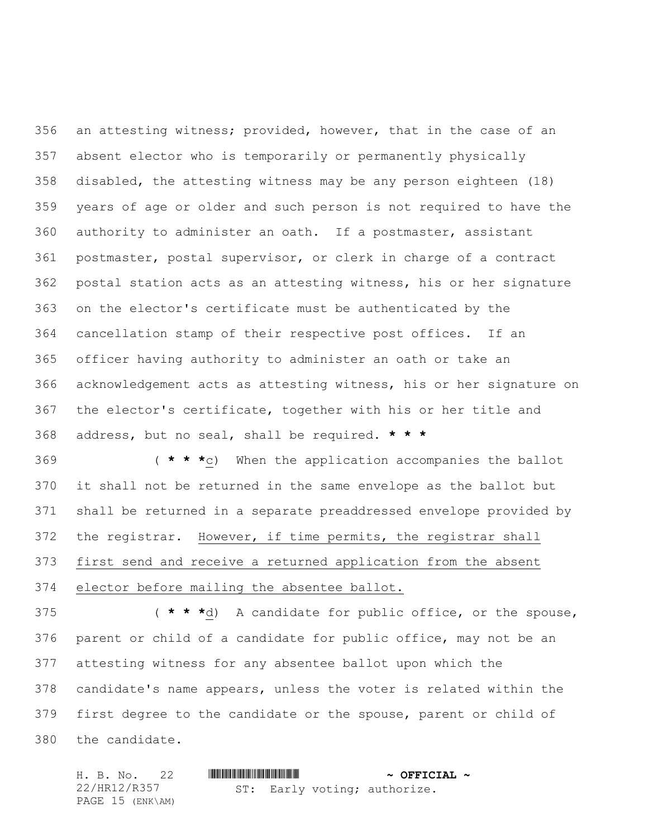an attesting witness; provided, however, that in the case of an absent elector who is temporarily or permanently physically disabled, the attesting witness may be any person eighteen (18) years of age or older and such person is not required to have the authority to administer an oath. If a postmaster, assistant postmaster, postal supervisor, or clerk in charge of a contract postal station acts as an attesting witness, his or her signature on the elector's certificate must be authenticated by the cancellation stamp of their respective post offices. If an officer having authority to administer an oath or take an acknowledgement acts as attesting witness, his or her signature on the elector's certificate, together with his or her title and address, but no seal, shall be required. **\* \* \***

 ( **\* \* \***c) When the application accompanies the ballot it shall not be returned in the same envelope as the ballot but shall be returned in a separate preaddressed envelope provided by the registrar. However, if time permits, the registrar shall first send and receive a returned application from the absent elector before mailing the absentee ballot.

 ( **\* \* \***d) A candidate for public office, or the spouse, parent or child of a candidate for public office, may not be an attesting witness for any absentee ballot upon which the candidate's name appears, unless the voter is related within the first degree to the candidate or the spouse, parent or child of the candidate.

H. B. No. 22 \*HR12/R357\* **~ OFFICIAL ~** 22/HR12/R357 PAGE 15 (ENK\AM) ST: Early voting; authorize.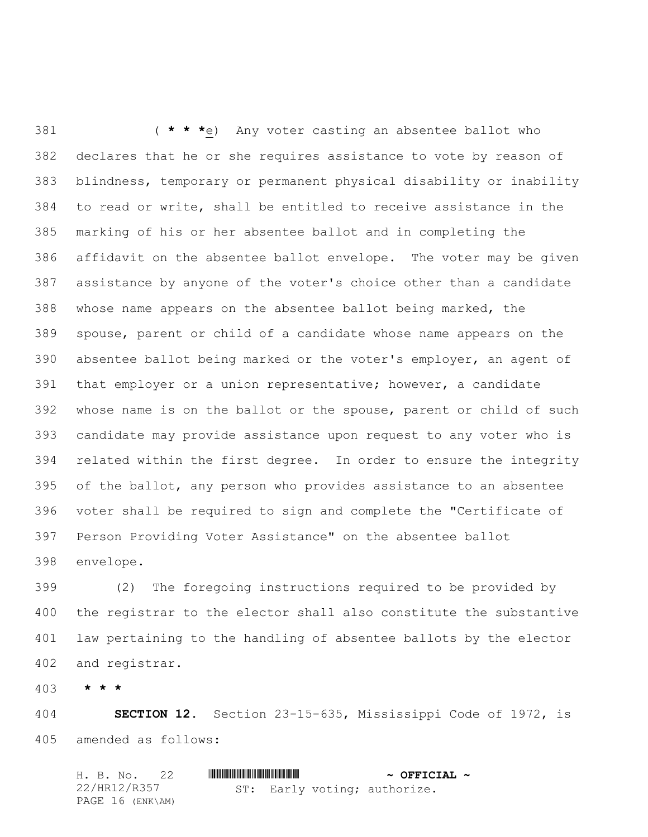( **\* \* \***e) Any voter casting an absentee ballot who declares that he or she requires assistance to vote by reason of blindness, temporary or permanent physical disability or inability to read or write, shall be entitled to receive assistance in the marking of his or her absentee ballot and in completing the affidavit on the absentee ballot envelope. The voter may be given assistance by anyone of the voter's choice other than a candidate whose name appears on the absentee ballot being marked, the spouse, parent or child of a candidate whose name appears on the absentee ballot being marked or the voter's employer, an agent of that employer or a union representative; however, a candidate whose name is on the ballot or the spouse, parent or child of such candidate may provide assistance upon request to any voter who is related within the first degree. In order to ensure the integrity of the ballot, any person who provides assistance to an absentee voter shall be required to sign and complete the "Certificate of Person Providing Voter Assistance" on the absentee ballot envelope.

 (2) The foregoing instructions required to be provided by the registrar to the elector shall also constitute the substantive law pertaining to the handling of absentee ballots by the elector and registrar.

**\* \* \***

 **SECTION 12.** Section 23-15-635, Mississippi Code of 1972, is amended as follows:

| H. B. No. 22     |  |  | $\sim$ OFFICIAL $\sim$       |  |
|------------------|--|--|------------------------------|--|
| 22/HR12/R357     |  |  | ST: Early voting; authorize. |  |
| PAGE 16 (ENK\AM) |  |  |                              |  |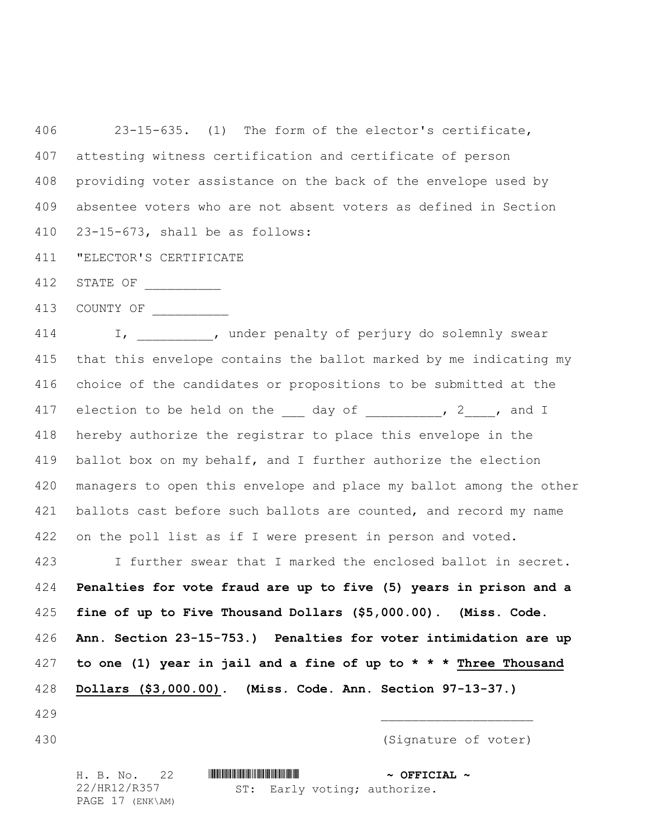23-15-635. (1) The form of the elector's certificate, attesting witness certification and certificate of person providing voter assistance on the back of the envelope used by absentee voters who are not absent voters as defined in Section 23-15-673, shall be as follows:

"ELECTOR'S CERTIFICATE

STATE OF \_\_\_\_\_\_\_\_\_\_

413 COUNTY OF

414 I, ander penalty of perjury do solemnly swear that this envelope contains the ballot marked by me indicating my choice of the candidates or propositions to be submitted at the 417 election to be held on the day of the set of the cand I hereby authorize the registrar to place this envelope in the ballot box on my behalf, and I further authorize the election managers to open this envelope and place my ballot among the other 421 ballots cast before such ballots are counted, and record my name 422 on the poll list as if I were present in person and voted.

 I further swear that I marked the enclosed ballot in secret. **Penalties for vote fraud are up to five (5) years in prison and a fine of up to Five Thousand Dollars (\$5,000.00). (Miss. Code. Ann. Section 23-15-753.) Penalties for voter intimidation are up to one (1) year in jail and a fine of up to \* \* \* Three Thousand Dollars (\$3,000.00). (Miss. Code. Ann. Section 97-13-37.)**

- \_\_\_\_\_\_\_\_\_\_\_\_\_\_\_\_\_\_\_\_
- 

(Signature of voter)

H. B. No. 22 \*HR12/R357\* **~ OFFICIAL ~** 22/HR12/R357 PAGE 17 (ENK\AM)

ST: Early voting; authorize.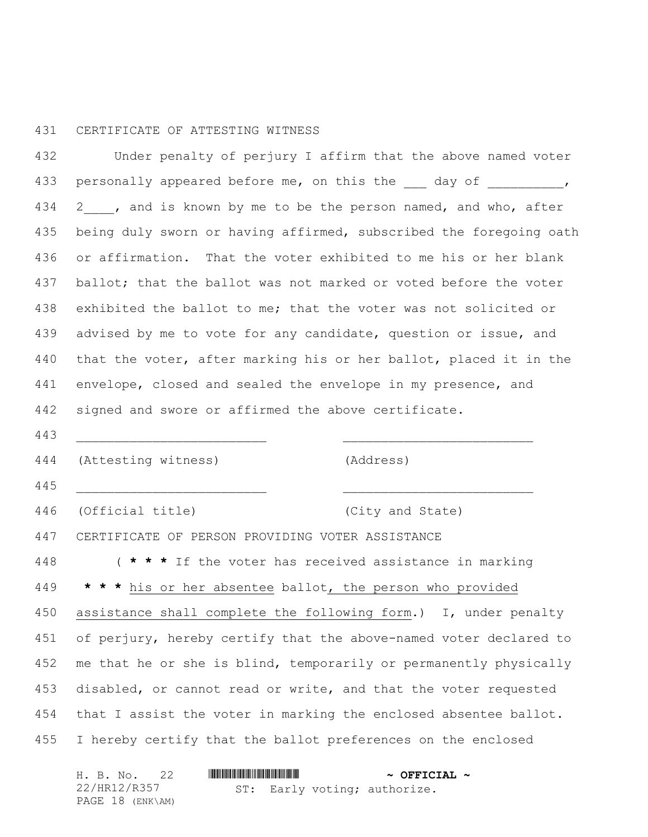## CERTIFICATE OF ATTESTING WITNESS

 Under penalty of perjury I affirm that the above named voter 433 personally appeared before me, on this the day of  $\sim$ , 434 2 , and is known by me to be the person named, and who, after being duly sworn or having affirmed, subscribed the foregoing oath or affirmation. That the voter exhibited to me his or her blank 437 ballot; that the ballot was not marked or voted before the voter exhibited the ballot to me; that the voter was not solicited or 439 advised by me to vote for any candidate, question or issue, and that the voter, after marking his or her ballot, placed it in the envelope, closed and sealed the envelope in my presence, and signed and swore or affirmed the above certificate.

 \_\_\_\_\_\_\_\_\_\_\_\_\_\_\_\_\_\_\_\_\_\_\_\_\_ \_\_\_\_\_\_\_\_\_\_\_\_\_\_\_\_\_\_\_\_\_\_\_\_\_ (Attesting witness) (Address) \_\_\_\_\_\_\_\_\_\_\_\_\_\_\_\_\_\_\_\_\_\_\_\_\_ \_\_\_\_\_\_\_\_\_\_\_\_\_\_\_\_\_\_\_\_\_\_\_\_\_ (Official title) (City and State) CERTIFICATE OF PERSON PROVIDING VOTER ASSISTANCE ( **\* \* \*** If the voter has received assistance in marking **\* \* \*** his or her absentee ballot, the person who provided assistance shall complete the following form.) I, under penalty of perjury, hereby certify that the above-named voter declared to 452 me that he or she is blind, temporarily or permanently physically disabled, or cannot read or write, and that the voter requested that I assist the voter in marking the enclosed absentee ballot. I hereby certify that the ballot preferences on the enclosed

|  | H. B. No. 22     |  |  | $\sim$ OFFICIAL $\sim$       |  |
|--|------------------|--|--|------------------------------|--|
|  | 22/HR12/R357     |  |  | ST: Early voting; authorize. |  |
|  | PAGE 18 (ENK\AM) |  |  |                              |  |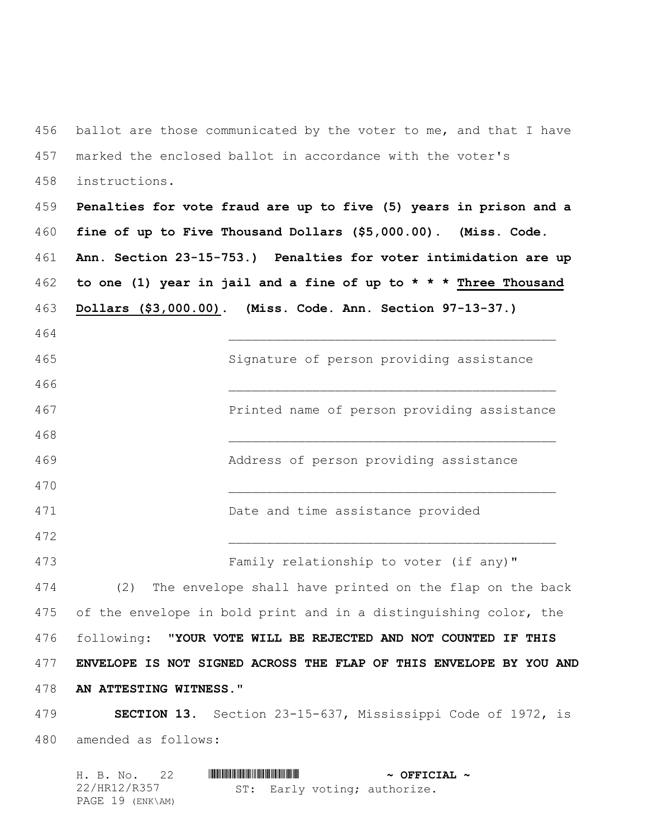456 ballot are those communicated by the voter to me, and that I have marked the enclosed ballot in accordance with the voter's instructions.

 **Penalties for vote fraud are up to five (5) years in prison and a fine of up to Five Thousand Dollars (\$5,000.00). (Miss. Code. Ann. Section 23-15-753.) Penalties for voter intimidation are up to one (1) year in jail and a fine of up to \* \* \* Three Thousand Dollars (\$3,000.00). (Miss. Code. Ann. Section 97-13-37.)**

 \_\_\_\_\_\_\_\_\_\_\_\_\_\_\_\_\_\_\_\_\_\_\_\_\_\_\_\_\_\_\_\_\_\_\_\_\_\_\_\_\_\_\_ Signature of person providing assistance \_\_\_\_\_\_\_\_\_\_\_\_\_\_\_\_\_\_\_\_\_\_\_\_\_\_\_\_\_\_\_\_\_\_\_\_\_\_\_\_\_\_\_ Printed name of person providing assistance \_\_\_\_\_\_\_\_\_\_\_\_\_\_\_\_\_\_\_\_\_\_\_\_\_\_\_\_\_\_\_\_\_\_\_\_\_\_\_\_\_\_\_ Address of person providing assistance \_\_\_\_\_\_\_\_\_\_\_\_\_\_\_\_\_\_\_\_\_\_\_\_\_\_\_\_\_\_\_\_\_\_\_\_\_\_\_\_\_\_\_ Date and time assistance provided \_\_\_\_\_\_\_\_\_\_\_\_\_\_\_\_\_\_\_\_\_\_\_\_\_\_\_\_\_\_\_\_\_\_\_\_\_\_\_\_\_\_\_ Family relationship to voter (if any)" (2) The envelope shall have printed on the flap on the back of the envelope in bold print and in a distinguishing color, the following: "**YOUR VOTE WILL BE REJECTED AND NOT COUNTED IF THIS ENVELOPE IS NOT SIGNED ACROSS THE FLAP OF THIS ENVELOPE BY YOU AND AN ATTESTING WITNESS.**" **SECTION 13.** Section 23-15-637, Mississippi Code of 1972, is

amended as follows:

|              | H. B. No. 22     |  | $\sim$ OFFICIAL $\sim$       |  |
|--------------|------------------|--|------------------------------|--|
| 22/HR12/R357 |                  |  | ST: Early voting; authorize. |  |
|              | PAGE 19 (ENK\AM) |  |                              |  |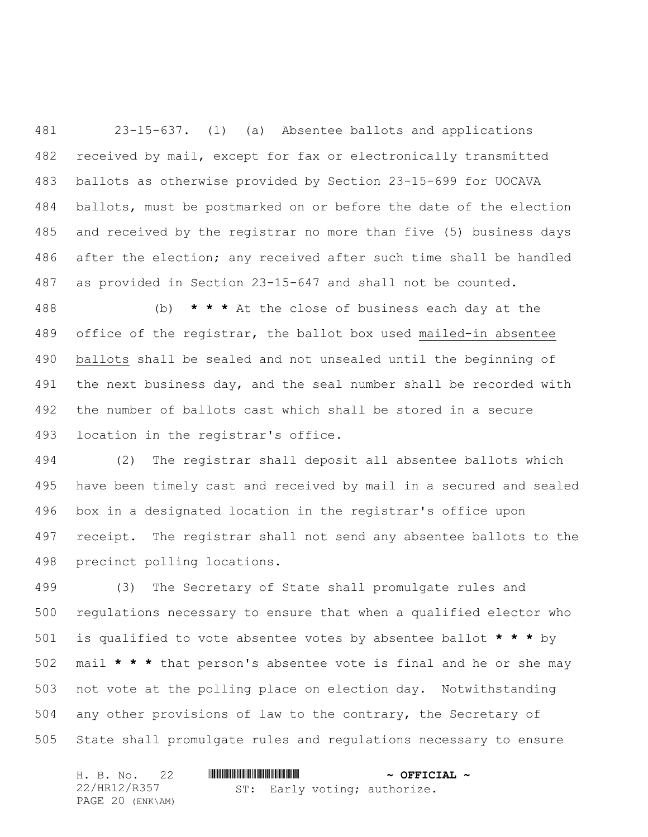23-15-637. (1) (a) Absentee ballots and applications received by mail, except for fax or electronically transmitted ballots as otherwise provided by Section 23-15-699 for UOCAVA ballots, must be postmarked on or before the date of the election and received by the registrar no more than five (5) business days after the election; any received after such time shall be handled as provided in Section 23-15-647 and shall not be counted.

 (b) **\* \* \*** At the close of business each day at the office of the registrar, the ballot box used mailed-in absentee ballots shall be sealed and not unsealed until the beginning of the next business day, and the seal number shall be recorded with the number of ballots cast which shall be stored in a secure location in the registrar's office.

 (2) The registrar shall deposit all absentee ballots which have been timely cast and received by mail in a secured and sealed box in a designated location in the registrar's office upon receipt. The registrar shall not send any absentee ballots to the precinct polling locations.

 (3) The Secretary of State shall promulgate rules and regulations necessary to ensure that when a qualified elector who is qualified to vote absentee votes by absentee ballot **\* \* \*** by mail **\* \* \*** that person's absentee vote is final and he or she may not vote at the polling place on election day. Notwithstanding any other provisions of law to the contrary, the Secretary of State shall promulgate rules and regulations necessary to ensure

|  | H. B. No. 22     |  |  | $\sim$ OFFICIAL $\sim$ |                              |  |
|--|------------------|--|--|------------------------|------------------------------|--|
|  | 22/HR12/R357     |  |  |                        | ST: Early voting; authorize. |  |
|  | PAGE 20 (ENK\AM) |  |  |                        |                              |  |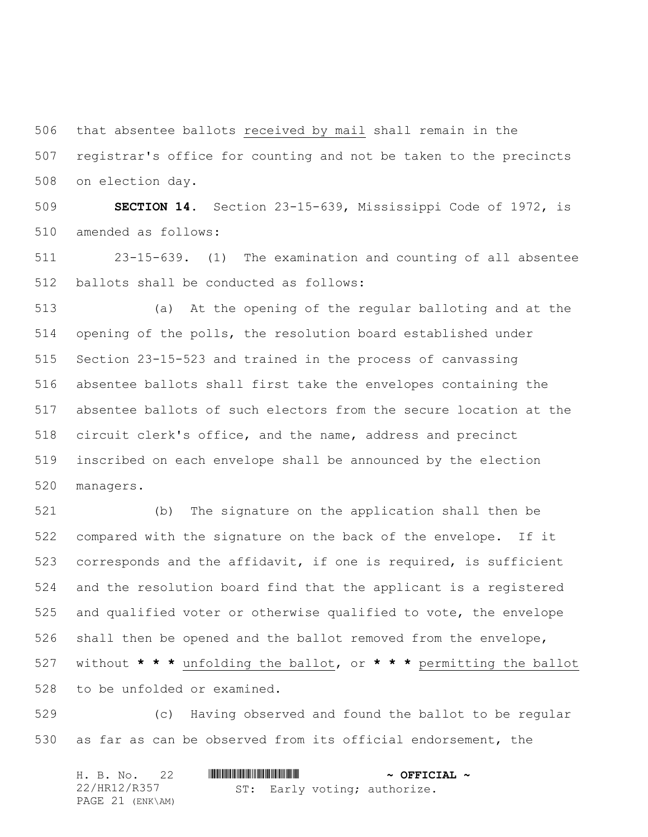that absentee ballots received by mail shall remain in the registrar's office for counting and not be taken to the precincts on election day.

 **SECTION 14.** Section 23-15-639, Mississippi Code of 1972, is amended as follows:

 23-15-639. (1) The examination and counting of all absentee ballots shall be conducted as follows:

 (a) At the opening of the regular balloting and at the opening of the polls, the resolution board established under Section 23-15-523 and trained in the process of canvassing absentee ballots shall first take the envelopes containing the absentee ballots of such electors from the secure location at the circuit clerk's office, and the name, address and precinct inscribed on each envelope shall be announced by the election managers.

 (b) The signature on the application shall then be compared with the signature on the back of the envelope. If it corresponds and the affidavit, if one is required, is sufficient and the resolution board find that the applicant is a registered and qualified voter or otherwise qualified to vote, the envelope shall then be opened and the ballot removed from the envelope, without **\* \* \*** unfolding the ballot, or **\* \* \*** permitting the ballot to be unfolded or examined.

 (c) Having observed and found the ballot to be regular as far as can be observed from its official endorsement, the

| H. B. No. 22     |  |  | $\sim$ OFFICIAL $\sim$       |  |
|------------------|--|--|------------------------------|--|
| 22/HR12/R357     |  |  | ST: Early voting; authorize. |  |
| PAGE 21 (ENK\AM) |  |  |                              |  |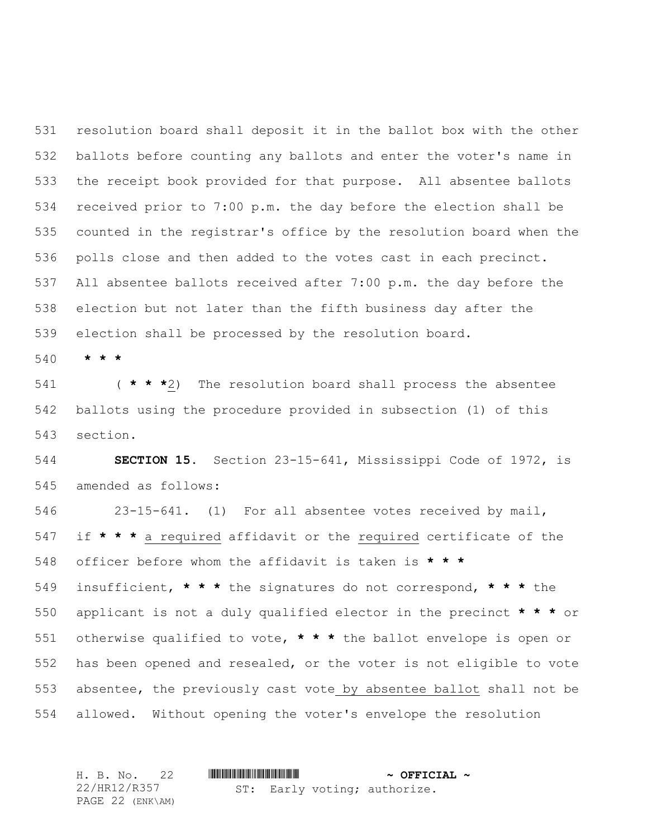resolution board shall deposit it in the ballot box with the other ballots before counting any ballots and enter the voter's name in the receipt book provided for that purpose. All absentee ballots received prior to 7:00 p.m. the day before the election shall be counted in the registrar's office by the resolution board when the polls close and then added to the votes cast in each precinct. All absentee ballots received after 7:00 p.m. the day before the election but not later than the fifth business day after the election shall be processed by the resolution board.

**\* \* \***

 ( **\* \* \***2) The resolution board shall process the absentee ballots using the procedure provided in subsection (1) of this section.

 **SECTION 15.** Section 23-15-641, Mississippi Code of 1972, is amended as follows:

 23-15-641. (1) For all absentee votes received by mail, if **\* \* \*** a required affidavit or the required certificate of the officer before whom the affidavit is taken is **\* \* \***

 insufficient, **\* \* \*** the signatures do not correspond, **\* \* \*** the applicant is not a duly qualified elector in the precinct **\* \* \*** or otherwise qualified to vote, **\* \* \*** the ballot envelope is open or has been opened and resealed, or the voter is not eligible to vote absentee, the previously cast vote by absentee ballot shall not be allowed. Without opening the voter's envelope the resolution

H. B. No. 22 \*HR12/R357\* **~ OFFICIAL ~** 22/HR12/R357 PAGE 22 (ENK\AM) ST: Early voting; authorize.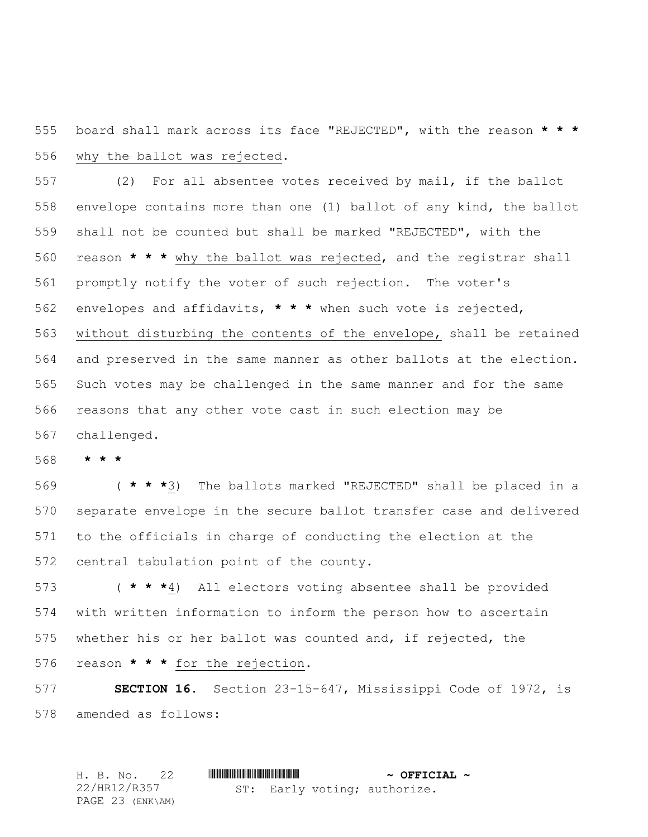board shall mark across its face "REJECTED", with the reason **\* \* \*** why the ballot was rejected.

 (2) For all absentee votes received by mail, if the ballot envelope contains more than one (1) ballot of any kind, the ballot shall not be counted but shall be marked "REJECTED", with the reason **\* \* \*** why the ballot was rejected, and the registrar shall promptly notify the voter of such rejection. The voter's envelopes and affidavits, **\* \* \*** when such vote is rejected, without disturbing the contents of the envelope, shall be retained and preserved in the same manner as other ballots at the election. Such votes may be challenged in the same manner and for the same reasons that any other vote cast in such election may be challenged.

**\* \* \***

 ( **\* \* \***3) The ballots marked "REJECTED" shall be placed in a separate envelope in the secure ballot transfer case and delivered to the officials in charge of conducting the election at the central tabulation point of the county.

 ( **\* \* \***4) All electors voting absentee shall be provided with written information to inform the person how to ascertain whether his or her ballot was counted and, if rejected, the reason **\* \* \*** for the rejection.

 **SECTION 16.** Section 23-15-647, Mississippi Code of 1972, is amended as follows:

H. B. No. 22 \*HR12/R357\* **~ OFFICIAL ~** 22/HR12/R357 PAGE 23 (ENK\AM) ST: Early voting; authorize.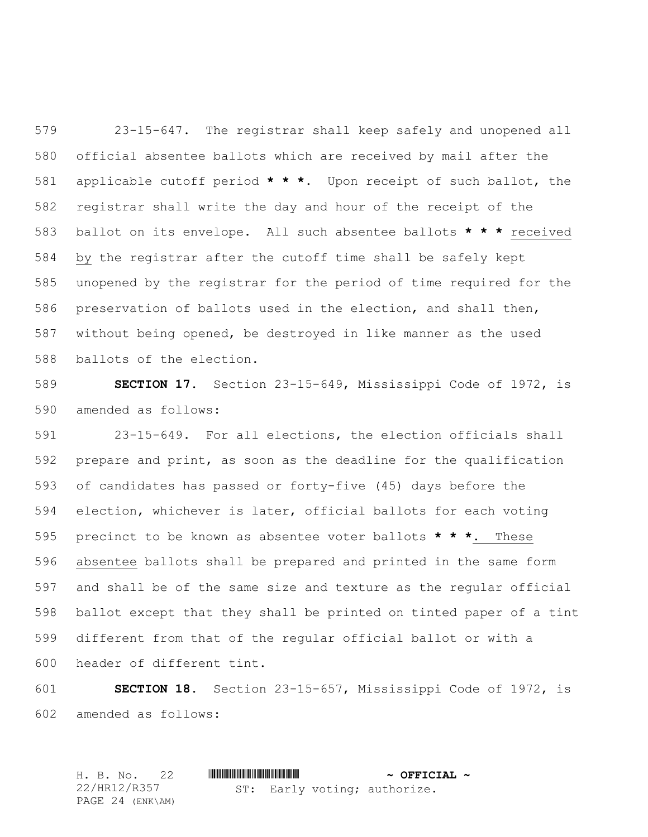23-15-647. The registrar shall keep safely and unopened all official absentee ballots which are received by mail after the applicable cutoff period **\* \* \***. Upon receipt of such ballot, the registrar shall write the day and hour of the receipt of the ballot on its envelope. All such absentee ballots **\* \* \*** received by the registrar after the cutoff time shall be safely kept unopened by the registrar for the period of time required for the preservation of ballots used in the election, and shall then, without being opened, be destroyed in like manner as the used ballots of the election.

 **SECTION 17.** Section 23-15-649, Mississippi Code of 1972, is amended as follows:

 23-15-649. For all elections, the election officials shall prepare and print, as soon as the deadline for the qualification of candidates has passed or forty-five (45) days before the election, whichever is later, official ballots for each voting precinct to be known as absentee voter ballots **\* \* \***. These absentee ballots shall be prepared and printed in the same form and shall be of the same size and texture as the regular official ballot except that they shall be printed on tinted paper of a tint different from that of the regular official ballot or with a header of different tint.

 **SECTION 18.** Section 23-15-657, Mississippi Code of 1972, is amended as follows:

H. B. No. 22 \*HR12/R357\* **~ OFFICIAL ~** 22/HR12/R357 PAGE 24 (ENK\AM) ST: Early voting; authorize.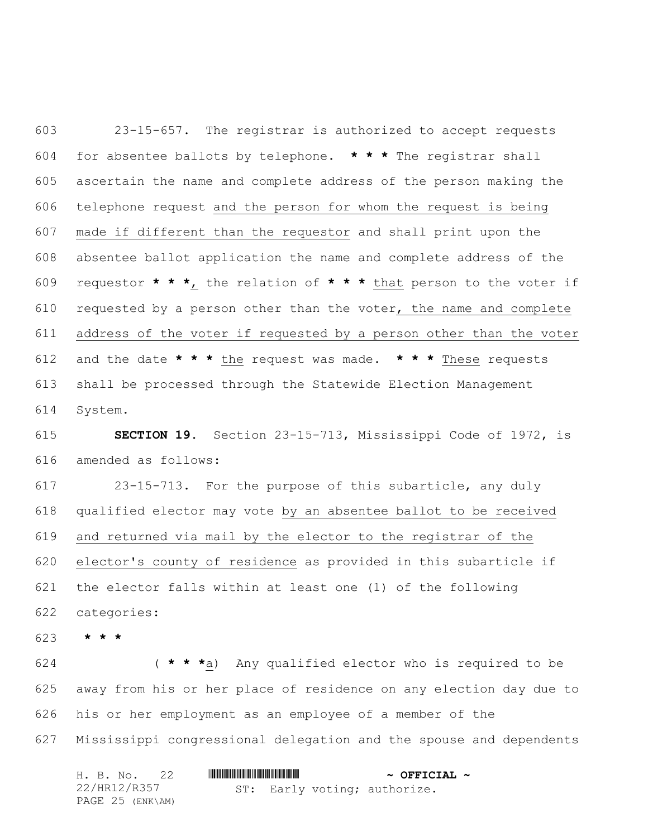23-15-657. The registrar is authorized to accept requests for absentee ballots by telephone. **\* \* \*** The registrar shall ascertain the name and complete address of the person making the telephone request and the person for whom the request is being made if different than the requestor and shall print upon the absentee ballot application the name and complete address of the requestor **\* \* \***, the relation of **\* \* \*** that person to the voter if requested by a person other than the voter, the name and complete address of the voter if requested by a person other than the voter and the date **\* \* \*** the request was made. **\* \* \*** These requests shall be processed through the Statewide Election Management System.

 **SECTION 19.** Section 23-15-713, Mississippi Code of 1972, is amended as follows:

 23-15-713. For the purpose of this subarticle, any duly qualified elector may vote by an absentee ballot to be received and returned via mail by the elector to the registrar of the elector's county of residence as provided in this subarticle if the elector falls within at least one (1) of the following categories:

**\* \* \***

 ( **\* \* \***a) Any qualified elector who is required to be away from his or her place of residence on any election day due to his or her employment as an employee of a member of the Mississippi congressional delegation and the spouse and dependents

|  | H. B. No. 22     |  |  | $\sim$ OFFICIAL $\sim$       |  |
|--|------------------|--|--|------------------------------|--|
|  | 22/HR12/R357     |  |  | ST: Early voting; authorize. |  |
|  | PAGE 25 (ENK\AM) |  |  |                              |  |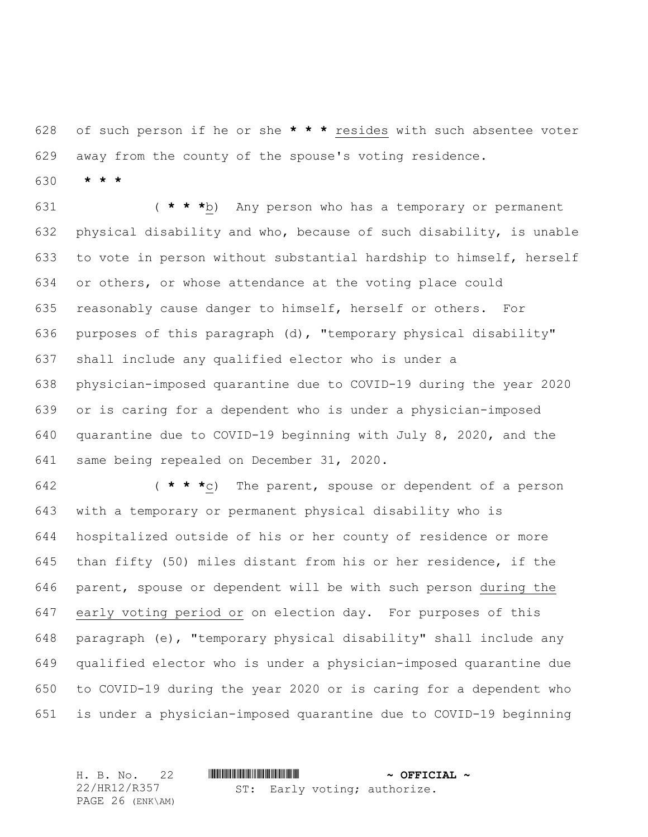of such person if he or she **\* \* \*** resides with such absentee voter away from the county of the spouse's voting residence.

**\* \* \***

 ( **\* \* \***b) Any person who has a temporary or permanent physical disability and who, because of such disability, is unable to vote in person without substantial hardship to himself, herself or others, or whose attendance at the voting place could reasonably cause danger to himself, herself or others. For purposes of this paragraph (d), "temporary physical disability" shall include any qualified elector who is under a physician-imposed quarantine due to COVID-19 during the year 2020 or is caring for a dependent who is under a physician-imposed quarantine due to COVID-19 beginning with July 8, 2020, and the same being repealed on December 31, 2020.

 ( **\* \* \***c) The parent, spouse or dependent of a person with a temporary or permanent physical disability who is hospitalized outside of his or her county of residence or more than fifty (50) miles distant from his or her residence, if the parent, spouse or dependent will be with such person during the early voting period or on election day. For purposes of this paragraph (e), "temporary physical disability" shall include any qualified elector who is under a physician-imposed quarantine due to COVID-19 during the year 2020 or is caring for a dependent who is under a physician-imposed quarantine due to COVID-19 beginning

H. B. No. 22 \*HR12/R357\* **~ OFFICIAL ~** 22/HR12/R357 PAGE 26 (ENK\AM) ST: Early voting; authorize.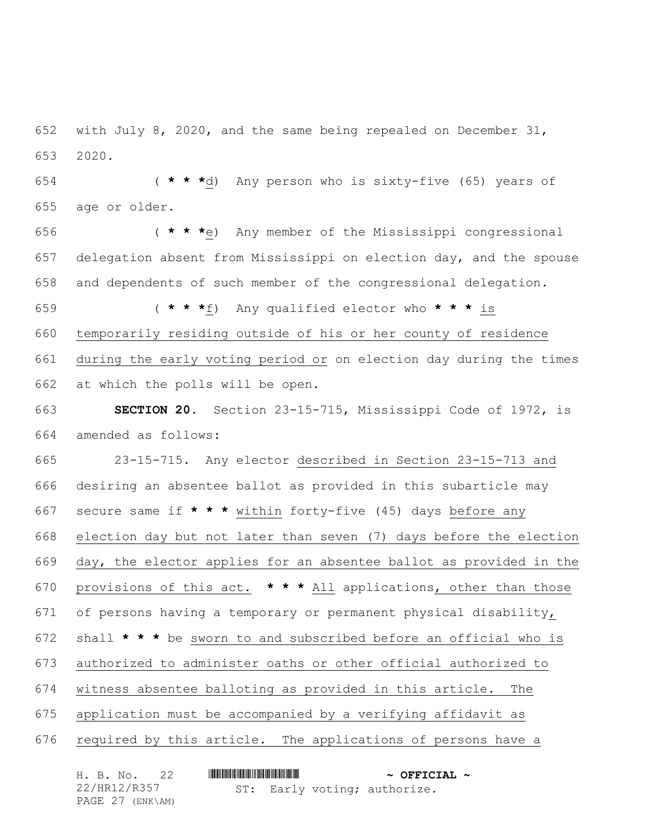with July 8, 2020, and the same being repealed on December 31, 2020.

 ( **\* \* \***d) Any person who is sixty-five (65) years of age or older.

 ( **\* \* \***e) Any member of the Mississippi congressional delegation absent from Mississippi on election day, and the spouse and dependents of such member of the congressional delegation.

 ( **\* \* \***f) Any qualified elector who **\* \* \*** is temporarily residing outside of his or her county of residence during the early voting period or on election day during the times at which the polls will be open.

 **SECTION 20.** Section 23-15-715, Mississippi Code of 1972, is amended as follows:

 23-15-715. Any elector described in Section 23-15-713 and desiring an absentee ballot as provided in this subarticle may secure same if **\* \* \*** within forty-five (45) days before any election day but not later than seven (7) days before the election day, the elector applies for an absentee ballot as provided in the provisions of this act. **\* \* \*** All applications, other than those of persons having a temporary or permanent physical disability, shall **\* \* \*** be sworn to and subscribed before an official who is authorized to administer oaths or other official authorized to witness absentee balloting as provided in this article. The application must be accompanied by a verifying affidavit as required by this article. The applications of persons have a

| H. B. No.    |                  |  |  |                              |  | $\sim$ OFFICIAL $\sim$ |  |  |
|--------------|------------------|--|--|------------------------------|--|------------------------|--|--|
| 22/HR12/R357 |                  |  |  | ST: Early voting; authorize. |  |                        |  |  |
|              | PAGE 27 (ENK\AM) |  |  |                              |  |                        |  |  |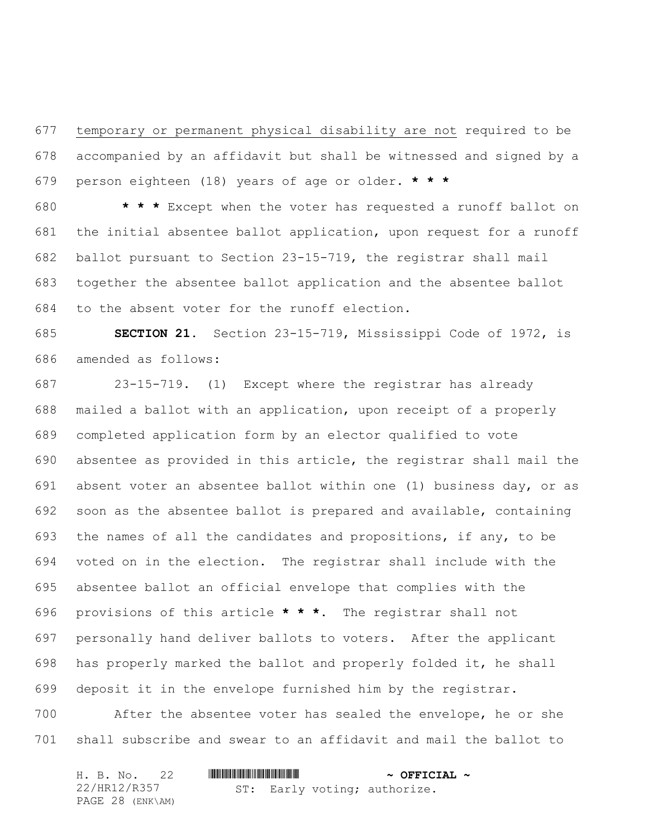temporary or permanent physical disability are not required to be accompanied by an affidavit but shall be witnessed and signed by a person eighteen (18) years of age or older. **\* \* \***

 **\* \* \*** Except when the voter has requested a runoff ballot on the initial absentee ballot application, upon request for a runoff ballot pursuant to Section 23-15-719, the registrar shall mail together the absentee ballot application and the absentee ballot to the absent voter for the runoff election.

 **SECTION 21.** Section 23-15-719, Mississippi Code of 1972, is amended as follows:

 23-15-719. (1) Except where the registrar has already mailed a ballot with an application, upon receipt of a properly completed application form by an elector qualified to vote absentee as provided in this article, the registrar shall mail the absent voter an absentee ballot within one (1) business day, or as soon as the absentee ballot is prepared and available, containing the names of all the candidates and propositions, if any, to be voted on in the election. The registrar shall include with the absentee ballot an official envelope that complies with the provisions of this article **\* \* \***. The registrar shall not personally hand deliver ballots to voters. After the applicant has properly marked the ballot and properly folded it, he shall deposit it in the envelope furnished him by the registrar.

 After the absentee voter has sealed the envelope, he or she shall subscribe and swear to an affidavit and mail the ballot to

|  | H. B. No. 22     |  |  |  | $\sim$ OFFICIAL $\sim$       |  |  |
|--|------------------|--|--|--|------------------------------|--|--|
|  | 22/HR12/R357     |  |  |  | ST: Early voting; authorize. |  |  |
|  | PAGE 28 (ENK\AM) |  |  |  |                              |  |  |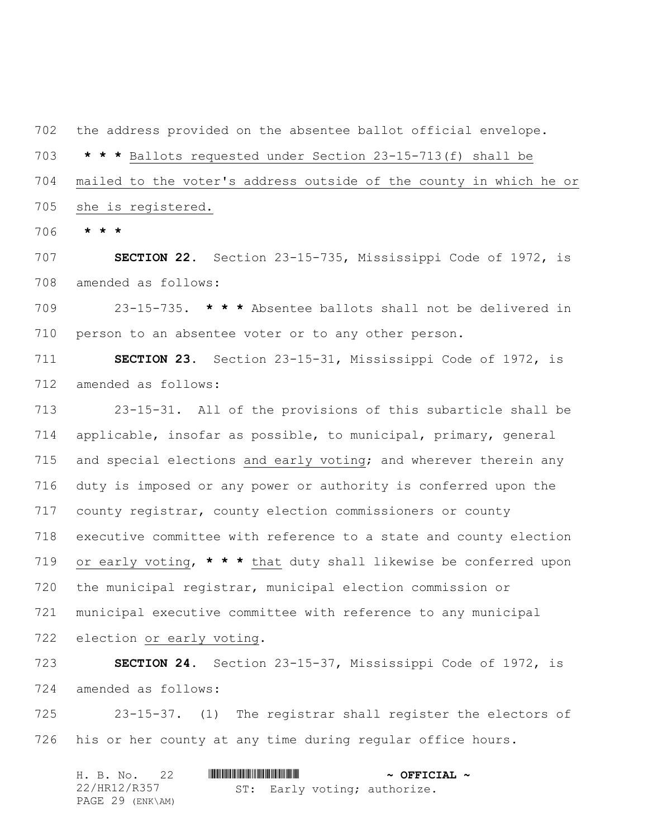the address provided on the absentee ballot official envelope.

 **\* \* \*** Ballots requested under Section 23-15-713(f) shall be mailed to the voter's address outside of the county in which he or she is registered.

**\* \* \***

 **SECTION 22.** Section 23-15-735, Mississippi Code of 1972, is amended as follows:

 23-15-735. **\* \* \*** Absentee ballots shall not be delivered in person to an absentee voter or to any other person.

 **SECTION 23.** Section 23-15-31, Mississippi Code of 1972, is amended as follows:

 23-15-31. All of the provisions of this subarticle shall be applicable, insofar as possible, to municipal, primary, general 715 and special elections and early voting; and wherever therein any duty is imposed or any power or authority is conferred upon the county registrar, county election commissioners or county executive committee with reference to a state and county election or early voting, **\* \* \*** that duty shall likewise be conferred upon the municipal registrar, municipal election commission or municipal executive committee with reference to any municipal election or early voting.

 **SECTION 24.** Section 23-15-37, Mississippi Code of 1972, is amended as follows:

 23-15-37. (1) The registrar shall register the electors of his or her county at any time during regular office hours.

| H. B. No. 22     |  |  | $\sim$ OFFICIAL $\sim$       |  |
|------------------|--|--|------------------------------|--|
| 22/HR12/R357     |  |  | ST: Early voting; authorize. |  |
| PAGE 29 (ENK\AM) |  |  |                              |  |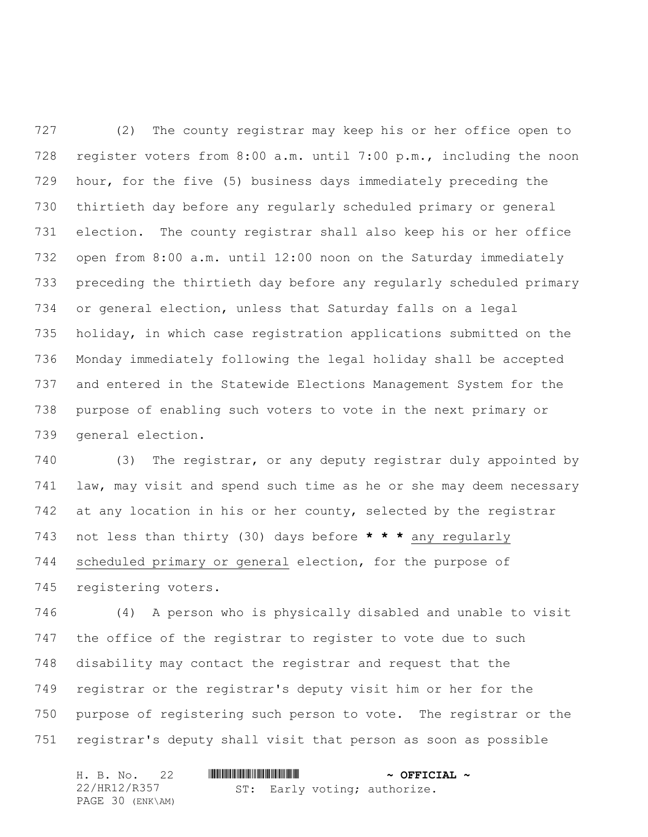(2) The county registrar may keep his or her office open to register voters from 8:00 a.m. until 7:00 p.m., including the noon hour, for the five (5) business days immediately preceding the thirtieth day before any regularly scheduled primary or general election. The county registrar shall also keep his or her office open from 8:00 a.m. until 12:00 noon on the Saturday immediately preceding the thirtieth day before any regularly scheduled primary or general election, unless that Saturday falls on a legal holiday, in which case registration applications submitted on the Monday immediately following the legal holiday shall be accepted and entered in the Statewide Elections Management System for the purpose of enabling such voters to vote in the next primary or general election.

 (3) The registrar, or any deputy registrar duly appointed by law, may visit and spend such time as he or she may deem necessary 742 at any location in his or her county, selected by the registrar not less than thirty (30) days before **\* \* \*** any regularly scheduled primary or general election, for the purpose of registering voters.

 (4) A person who is physically disabled and unable to visit the office of the registrar to register to vote due to such disability may contact the registrar and request that the registrar or the registrar's deputy visit him or her for the purpose of registering such person to vote. The registrar or the registrar's deputy shall visit that person as soon as possible

|  | H. B. No. 22     |  |  |  | $\sim$ OFFICIAL $\sim$ |                              |  |
|--|------------------|--|--|--|------------------------|------------------------------|--|
|  | 22/HR12/R357     |  |  |  |                        | ST: Early voting; authorize. |  |
|  | PAGE 30 (ENK\AM) |  |  |  |                        |                              |  |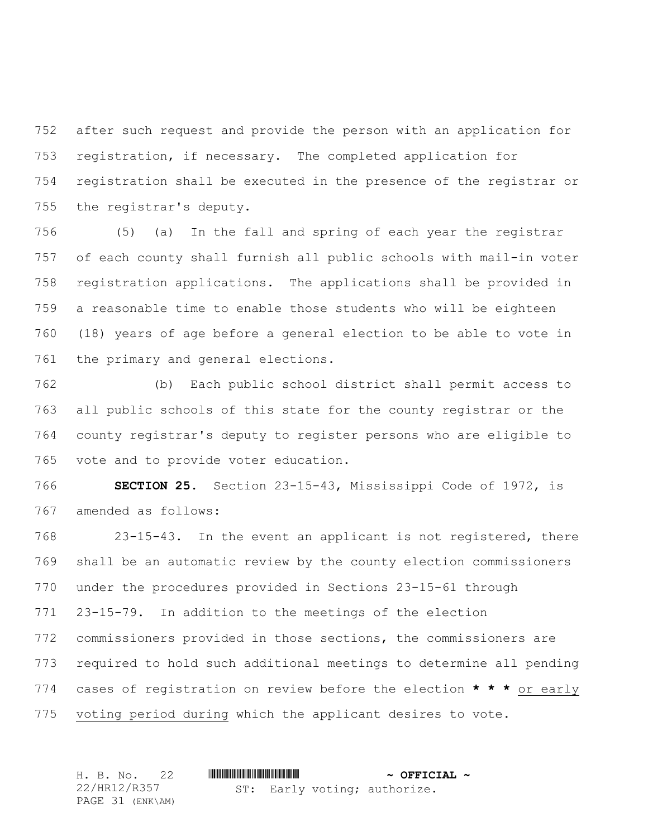after such request and provide the person with an application for registration, if necessary. The completed application for registration shall be executed in the presence of the registrar or the registrar's deputy.

 (5) (a) In the fall and spring of each year the registrar of each county shall furnish all public schools with mail-in voter registration applications. The applications shall be provided in a reasonable time to enable those students who will be eighteen (18) years of age before a general election to be able to vote in the primary and general elections.

 (b) Each public school district shall permit access to all public schools of this state for the county registrar or the county registrar's deputy to register persons who are eligible to vote and to provide voter education.

 **SECTION 25.** Section 23-15-43, Mississippi Code of 1972, is amended as follows:

 23-15-43. In the event an applicant is not registered, there shall be an automatic review by the county election commissioners under the procedures provided in Sections 23-15-61 through 23-15-79. In addition to the meetings of the election commissioners provided in those sections, the commissioners are required to hold such additional meetings to determine all pending cases of registration on review before the election **\* \* \*** or early voting period during which the applicant desires to vote.

|  | H. B. No. 22     |  | $\sim$ OFFICIAL $\sim$       |  |
|--|------------------|--|------------------------------|--|
|  | 22/HR12/R357     |  | ST: Early voting; authorize. |  |
|  | PAGE 31 (ENK\AM) |  |                              |  |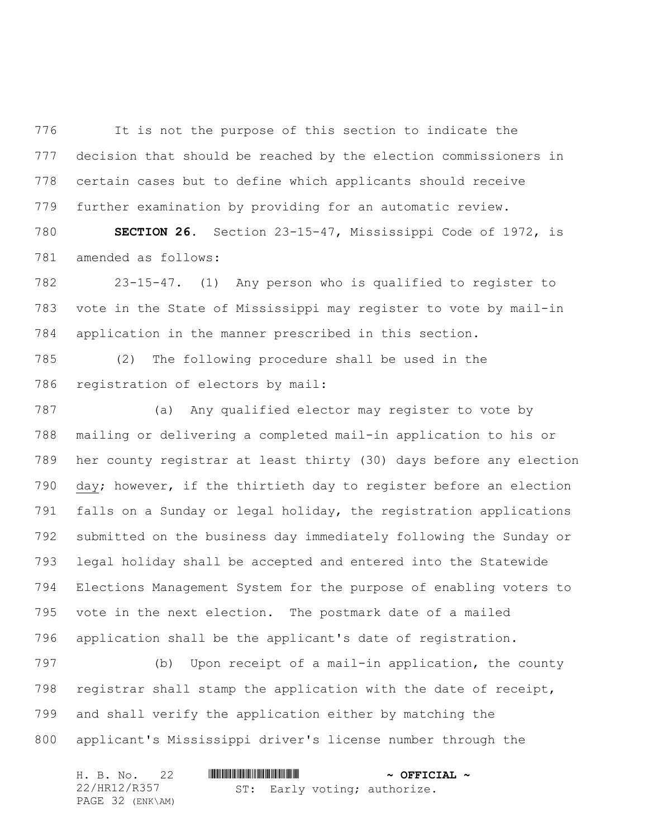It is not the purpose of this section to indicate the decision that should be reached by the election commissioners in certain cases but to define which applicants should receive further examination by providing for an automatic review.

 **SECTION 26.** Section 23-15-47, Mississippi Code of 1972, is amended as follows:

 23-15-47. (1) Any person who is qualified to register to vote in the State of Mississippi may register to vote by mail-in application in the manner prescribed in this section.

 (2) The following procedure shall be used in the registration of electors by mail:

 (a) Any qualified elector may register to vote by mailing or delivering a completed mail-in application to his or her county registrar at least thirty (30) days before any election day; however, if the thirtieth day to register before an election falls on a Sunday or legal holiday, the registration applications submitted on the business day immediately following the Sunday or legal holiday shall be accepted and entered into the Statewide Elections Management System for the purpose of enabling voters to vote in the next election. The postmark date of a mailed application shall be the applicant's date of registration.

 (b) Upon receipt of a mail-in application, the county registrar shall stamp the application with the date of receipt, and shall verify the application either by matching the applicant's Mississippi driver's license number through the

| H. B. No. 22     |                              | $\sim$ OFFICIAL $\sim$ |
|------------------|------------------------------|------------------------|
| 22/HR12/R357     | ST: Early voting; authorize. |                        |
| PAGE 32 (ENK\AM) |                              |                        |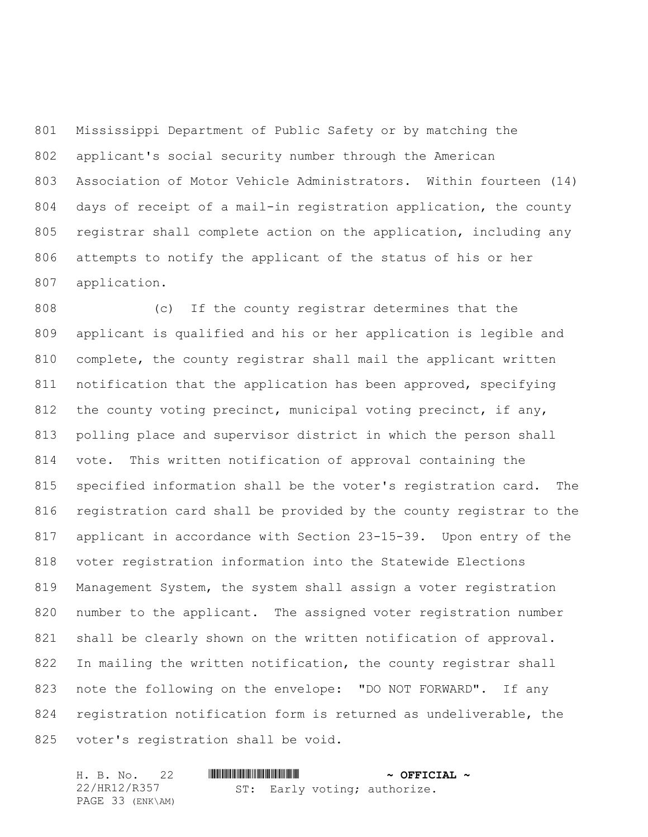Mississippi Department of Public Safety or by matching the applicant's social security number through the American Association of Motor Vehicle Administrators. Within fourteen (14) days of receipt of a mail-in registration application, the county registrar shall complete action on the application, including any attempts to notify the applicant of the status of his or her application.

 (c) If the county registrar determines that the applicant is qualified and his or her application is legible and complete, the county registrar shall mail the applicant written notification that the application has been approved, specifying 812 the county voting precinct, municipal voting precinct, if any, polling place and supervisor district in which the person shall vote. This written notification of approval containing the specified information shall be the voter's registration card. The registration card shall be provided by the county registrar to the applicant in accordance with Section 23-15-39. Upon entry of the voter registration information into the Statewide Elections Management System, the system shall assign a voter registration 820 number to the applicant. The assigned voter registration number shall be clearly shown on the written notification of approval. 822 In mailing the written notification, the county registrar shall note the following on the envelope: "DO NOT FORWARD". If any registration notification form is returned as undeliverable, the voter's registration shall be void.

|  | H. B. No. 22     |  |  |  | $\sim$ OFFICIAL $\sim$ |                              |  |
|--|------------------|--|--|--|------------------------|------------------------------|--|
|  | 22/HR12/R357     |  |  |  |                        | ST: Early voting; authorize. |  |
|  | PAGE 33 (ENK\AM) |  |  |  |                        |                              |  |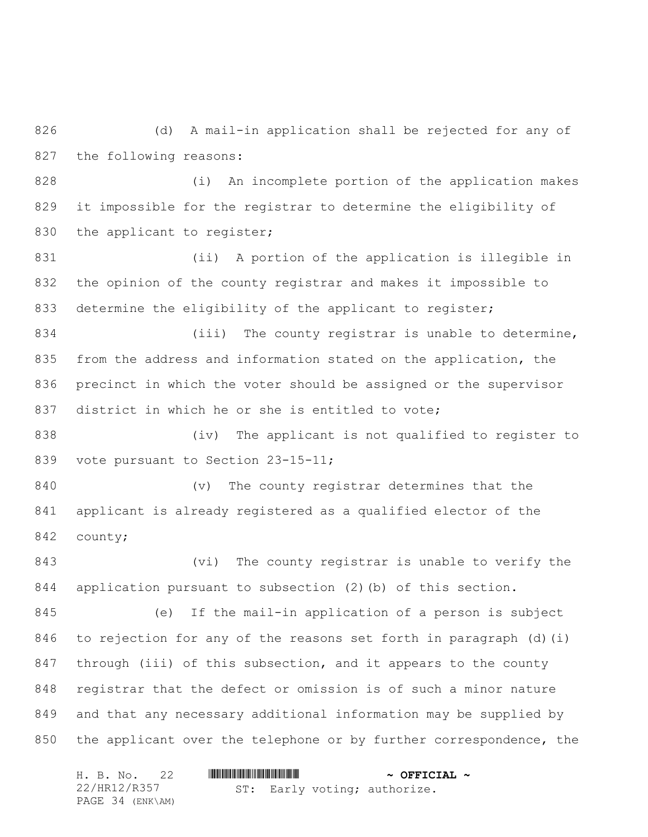(d) A mail-in application shall be rejected for any of the following reasons:

 (i) An incomplete portion of the application makes it impossible for the registrar to determine the eligibility of 830 the applicant to register;

 (ii) A portion of the application is illegible in the opinion of the county registrar and makes it impossible to 833 determine the eligibility of the applicant to register;

834 (iii) The county registrar is unable to determine, from the address and information stated on the application, the precinct in which the voter should be assigned or the supervisor district in which he or she is entitled to vote;

 (iv) The applicant is not qualified to register to 839 vote pursuant to Section 23-15-11;

 (v) The county registrar determines that the applicant is already registered as a qualified elector of the county;

 (vi) The county registrar is unable to verify the application pursuant to subsection (2)(b) of this section.

 (e) If the mail-in application of a person is subject to rejection for any of the reasons set forth in paragraph (d)(i) 847 through (iii) of this subsection, and it appears to the county registrar that the defect or omission is of such a minor nature and that any necessary additional information may be supplied by 850 the applicant over the telephone or by further correspondence, the

| H. B. No. 22     |  |  |  | $\sim$ OFFICIAL $\sim$       |  |
|------------------|--|--|--|------------------------------|--|
| 22/HR12/R357     |  |  |  | ST: Early voting; authorize. |  |
| PAGE 34 (ENK\AM) |  |  |  |                              |  |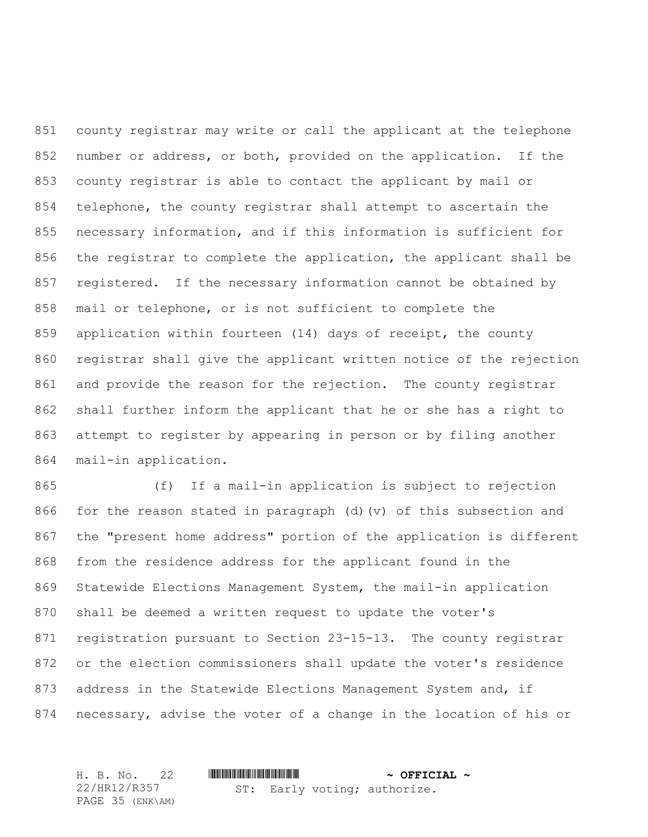county registrar may write or call the applicant at the telephone number or address, or both, provided on the application. If the county registrar is able to contact the applicant by mail or telephone, the county registrar shall attempt to ascertain the necessary information, and if this information is sufficient for the registrar to complete the application, the applicant shall be registered. If the necessary information cannot be obtained by mail or telephone, or is not sufficient to complete the application within fourteen (14) days of receipt, the county registrar shall give the applicant written notice of the rejection and provide the reason for the rejection. The county registrar shall further inform the applicant that he or she has a right to attempt to register by appearing in person or by filing another mail-in application.

 (f) If a mail-in application is subject to rejection for the reason stated in paragraph (d)(v) of this subsection and the "present home address" portion of the application is different from the residence address for the applicant found in the Statewide Elections Management System, the mail-in application shall be deemed a written request to update the voter's registration pursuant to Section 23-15-13. The county registrar or the election commissioners shall update the voter's residence address in the Statewide Elections Management System and, if necessary, advise the voter of a change in the location of his or

H. B. No. 22 \*HR12/R357\* **~ OFFICIAL ~** 22/HR12/R357 PAGE 35 (ENK\AM) ST: Early voting; authorize.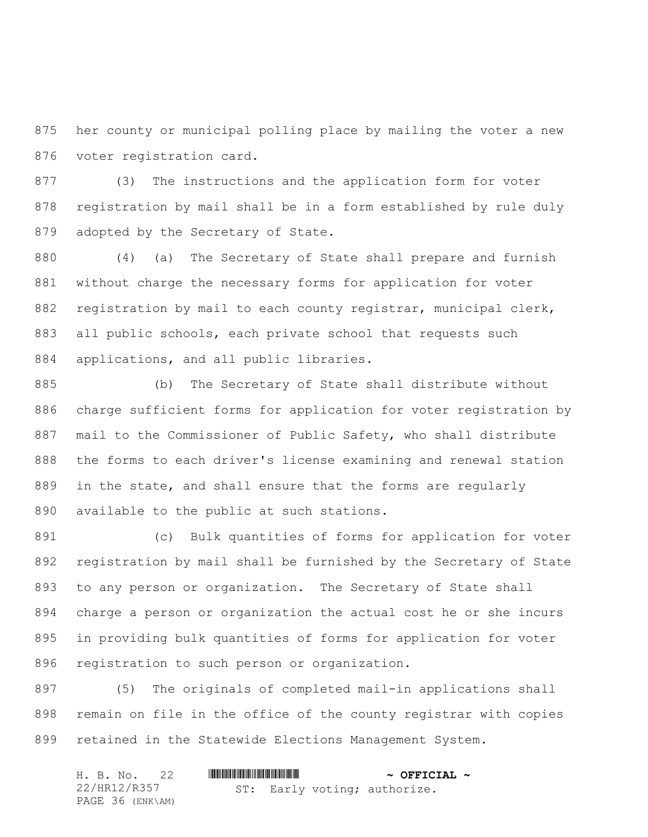her county or municipal polling place by mailing the voter a new voter registration card.

 (3) The instructions and the application form for voter registration by mail shall be in a form established by rule duly adopted by the Secretary of State.

 (4) (a) The Secretary of State shall prepare and furnish without charge the necessary forms for application for voter 882 registration by mail to each county registrar, municipal clerk, 883 all public schools, each private school that requests such applications, and all public libraries.

 (b) The Secretary of State shall distribute without charge sufficient forms for application for voter registration by mail to the Commissioner of Public Safety, who shall distribute the forms to each driver's license examining and renewal station in the state, and shall ensure that the forms are regularly available to the public at such stations.

 (c) Bulk quantities of forms for application for voter registration by mail shall be furnished by the Secretary of State to any person or organization. The Secretary of State shall charge a person or organization the actual cost he or she incurs in providing bulk quantities of forms for application for voter registration to such person or organization.

 (5) The originals of completed mail-in applications shall remain on file in the office of the county registrar with copies retained in the Statewide Elections Management System.

| H. B. No. 22     |                              | $\sim$ OFFICIAL $\sim$ |
|------------------|------------------------------|------------------------|
| 22/HR12/R357     | ST: Early voting; authorize. |                        |
| PAGE 36 (ENK\AM) |                              |                        |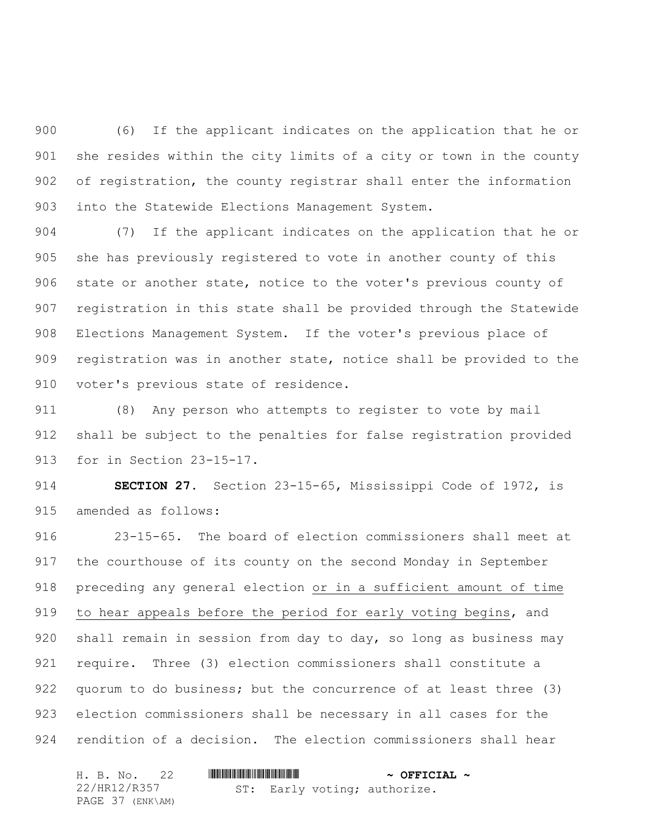(6) If the applicant indicates on the application that he or she resides within the city limits of a city or town in the county of registration, the county registrar shall enter the information into the Statewide Elections Management System.

 (7) If the applicant indicates on the application that he or she has previously registered to vote in another county of this state or another state, notice to the voter's previous county of registration in this state shall be provided through the Statewide Elections Management System. If the voter's previous place of registration was in another state, notice shall be provided to the voter's previous state of residence.

 (8) Any person who attempts to register to vote by mail shall be subject to the penalties for false registration provided for in Section 23-15-17.

 **SECTION 27.** Section 23-15-65, Mississippi Code of 1972, is amended as follows:

 23-15-65. The board of election commissioners shall meet at the courthouse of its county on the second Monday in September preceding any general election or in a sufficient amount of time to hear appeals before the period for early voting begins, and shall remain in session from day to day, so long as business may require. Three (3) election commissioners shall constitute a quorum to do business; but the concurrence of at least three (3) election commissioners shall be necessary in all cases for the rendition of a decision. The election commissioners shall hear

| H. B. No. 22     |  | $\sim$ OFFICIAL $\sim$ |                              |  |
|------------------|--|------------------------|------------------------------|--|
| 22/HR12/R357     |  |                        | ST: Early voting; authorize. |  |
| PAGE 37 (ENK\AM) |  |                        |                              |  |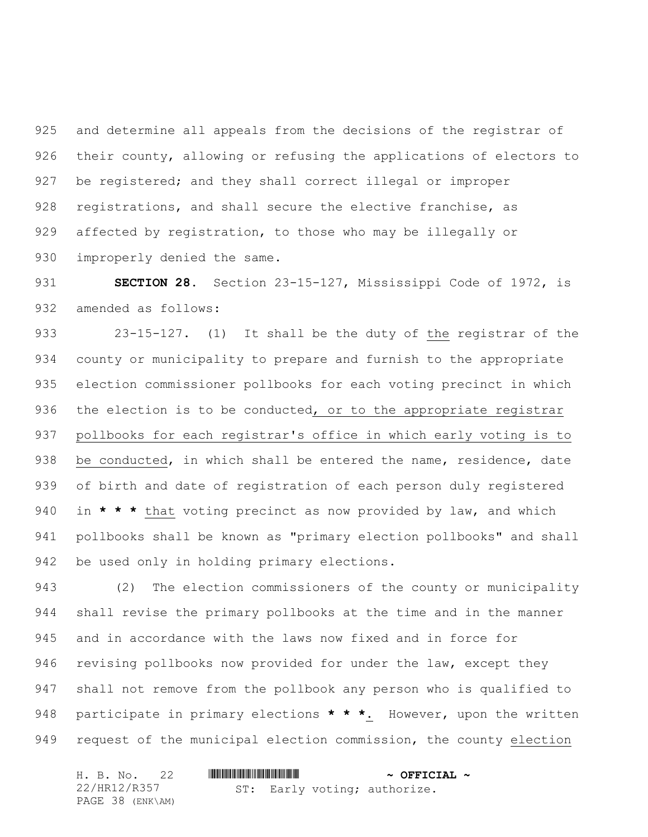and determine all appeals from the decisions of the registrar of their county, allowing or refusing the applications of electors to be registered; and they shall correct illegal or improper registrations, and shall secure the elective franchise, as affected by registration, to those who may be illegally or 930 improperly denied the same.

 **SECTION 28.** Section 23-15-127, Mississippi Code of 1972, is amended as follows:

933 23-15-127. (1) It shall be the duty of the registrar of the county or municipality to prepare and furnish to the appropriate election commissioner pollbooks for each voting precinct in which 936 the election is to be conducted, or to the appropriate registrar pollbooks for each registrar's office in which early voting is to 938 be conducted, in which shall be entered the name, residence, date of birth and date of registration of each person duly registered in **\* \* \*** that voting precinct as now provided by law, and which pollbooks shall be known as "primary election pollbooks" and shall be used only in holding primary elections.

 (2) The election commissioners of the county or municipality shall revise the primary pollbooks at the time and in the manner and in accordance with the laws now fixed and in force for 946 revising pollbooks now provided for under the law, except they shall not remove from the pollbook any person who is qualified to participate in primary elections **\* \* \***. However, upon the written request of the municipal election commission, the county election

|  | H. B. No. 22     |  |  | $\sim$ OFFICIAL $\sim$       |  |
|--|------------------|--|--|------------------------------|--|
|  | 22/HR12/R357     |  |  | ST: Early voting; authorize. |  |
|  | PAGE 38 (ENK\AM) |  |  |                              |  |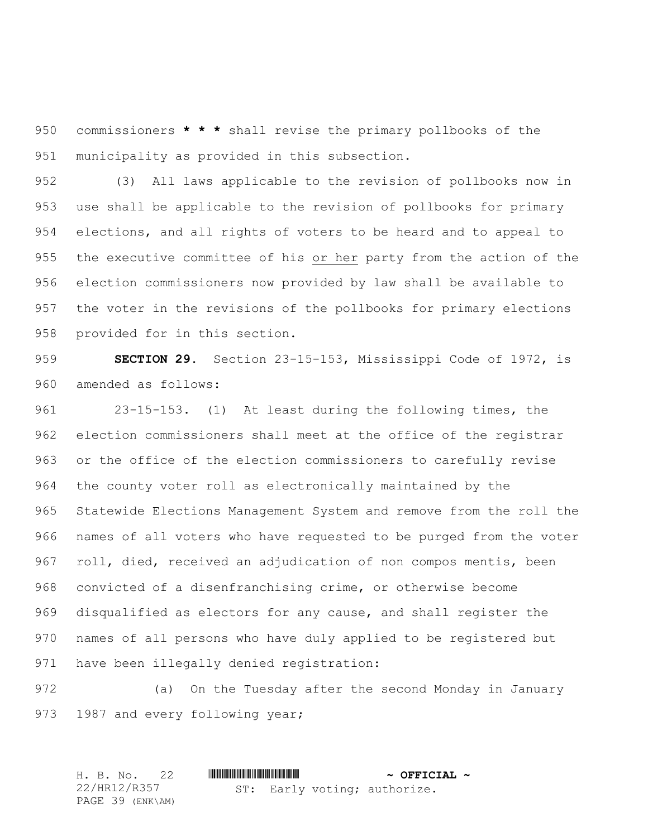commissioners **\* \* \*** shall revise the primary pollbooks of the municipality as provided in this subsection.

 (3) All laws applicable to the revision of pollbooks now in use shall be applicable to the revision of pollbooks for primary elections, and all rights of voters to be heard and to appeal to the executive committee of his or her party from the action of the election commissioners now provided by law shall be available to the voter in the revisions of the pollbooks for primary elections provided for in this section.

 **SECTION 29.** Section 23-15-153, Mississippi Code of 1972, is amended as follows:

 23-15-153. (1) At least during the following times, the election commissioners shall meet at the office of the registrar or the office of the election commissioners to carefully revise the county voter roll as electronically maintained by the Statewide Elections Management System and remove from the roll the names of all voters who have requested to be purged from the voter roll, died, received an adjudication of non compos mentis, been convicted of a disenfranchising crime, or otherwise become disqualified as electors for any cause, and shall register the names of all persons who have duly applied to be registered but have been illegally denied registration:

 (a) On the Tuesday after the second Monday in January 973 1987 and every following year;

|  | H. B. No. 22     |  |  |  | $\sim$ OFFICIAL $\sim$       |  |
|--|------------------|--|--|--|------------------------------|--|
|  | 22/HR12/R357     |  |  |  | ST: Early voting; authorize. |  |
|  | PAGE 39 (ENK\AM) |  |  |  |                              |  |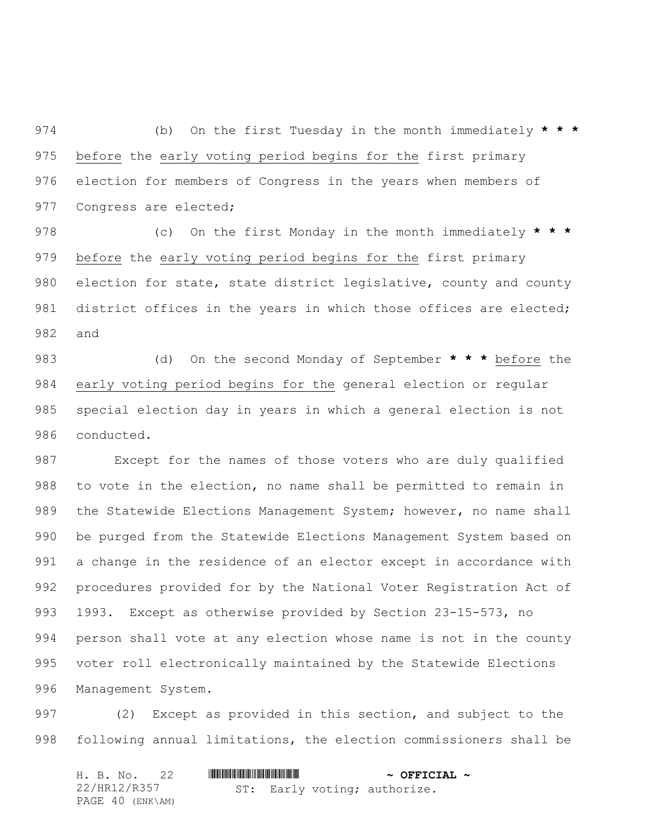(b) On the first Tuesday in the month immediately **\* \* \*** before the early voting period begins for the first primary election for members of Congress in the years when members of 977 Congress are elected;

 (c) On the first Monday in the month immediately **\* \* \*** before the early voting period begins for the first primary 980 election for state, state district legislative, county and county 981 district offices in the years in which those offices are elected; and

 (d) On the second Monday of September **\* \* \*** before the early voting period begins for the general election or regular special election day in years in which a general election is not conducted.

 Except for the names of those voters who are duly qualified to vote in the election, no name shall be permitted to remain in 989 the Statewide Elections Management System; however, no name shall be purged from the Statewide Elections Management System based on a change in the residence of an elector except in accordance with procedures provided for by the National Voter Registration Act of 1993. Except as otherwise provided by Section 23-15-573, no person shall vote at any election whose name is not in the county voter roll electronically maintained by the Statewide Elections Management System.

 (2) Except as provided in this section, and subject to the following annual limitations, the election commissioners shall be

| H. B. No. 22     |  | $\sim$ OFFICIAL $\sim$ |                              |  |
|------------------|--|------------------------|------------------------------|--|
| 22/HR12/R357     |  |                        | ST: Early voting; authorize. |  |
| PAGE 40 (ENK\AM) |  |                        |                              |  |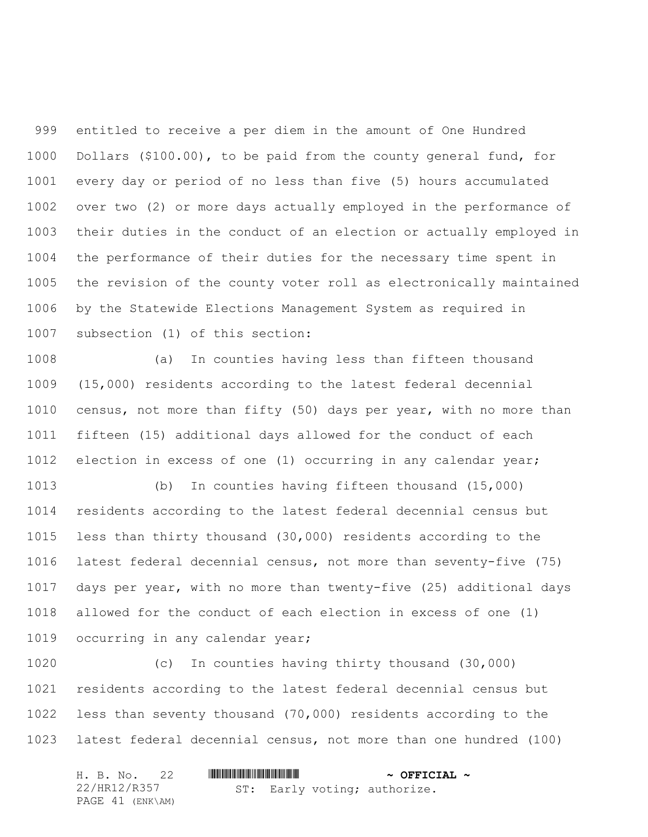entitled to receive a per diem in the amount of One Hundred Dollars (\$100.00), to be paid from the county general fund, for every day or period of no less than five (5) hours accumulated over two (2) or more days actually employed in the performance of their duties in the conduct of an election or actually employed in the performance of their duties for the necessary time spent in the revision of the county voter roll as electronically maintained by the Statewide Elections Management System as required in subsection (1) of this section:

 (a) In counties having less than fifteen thousand (15,000) residents according to the latest federal decennial census, not more than fifty (50) days per year, with no more than fifteen (15) additional days allowed for the conduct of each election in excess of one (1) occurring in any calendar year;

 (b) In counties having fifteen thousand (15,000) residents according to the latest federal decennial census but less than thirty thousand (30,000) residents according to the latest federal decennial census, not more than seventy-five (75) days per year, with no more than twenty-five (25) additional days allowed for the conduct of each election in excess of one (1) 1019 occurring in any calendar year;

 (c) In counties having thirty thousand (30,000) residents according to the latest federal decennial census but less than seventy thousand (70,000) residents according to the latest federal decennial census, not more than one hundred (100)

| H. B. No. 22     |  | $\sim$ OFFICIAL $\sim$ |                              |  |
|------------------|--|------------------------|------------------------------|--|
| 22/HR12/R357     |  |                        | ST: Early voting; authorize. |  |
| PAGE 41 (ENK\AM) |  |                        |                              |  |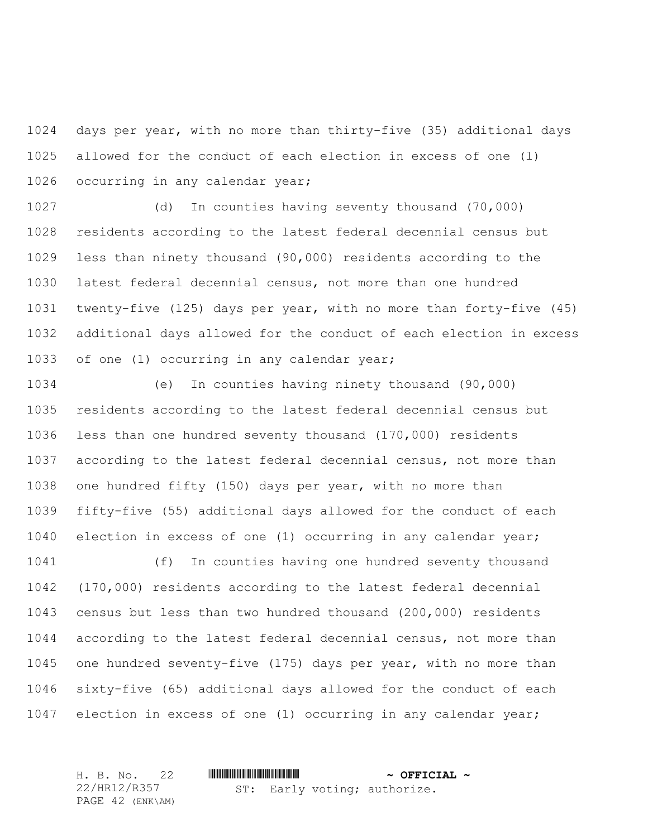days per year, with no more than thirty-five (35) additional days allowed for the conduct of each election in excess of one (l) occurring in any calendar year;

 (d) In counties having seventy thousand (70,000) residents according to the latest federal decennial census but less than ninety thousand (90,000) residents according to the latest federal decennial census, not more than one hundred twenty-five (125) days per year, with no more than forty-five (45) additional days allowed for the conduct of each election in excess of one (1) occurring in any calendar year;

 (e) In counties having ninety thousand (90,000) residents according to the latest federal decennial census but less than one hundred seventy thousand (170,000) residents according to the latest federal decennial census, not more than one hundred fifty (150) days per year, with no more than fifty-five (55) additional days allowed for the conduct of each election in excess of one (1) occurring in any calendar year; (f) In counties having one hundred seventy thousand

 (170,000) residents according to the latest federal decennial census but less than two hundred thousand (200,000) residents according to the latest federal decennial census, not more than one hundred seventy-five (175) days per year, with no more than sixty-five (65) additional days allowed for the conduct of each election in excess of one (1) occurring in any calendar year;

H. B. No. 22 \*HR12/R357\* **~ OFFICIAL ~** 22/HR12/R357 PAGE 42 (ENK\AM) ST: Early voting; authorize.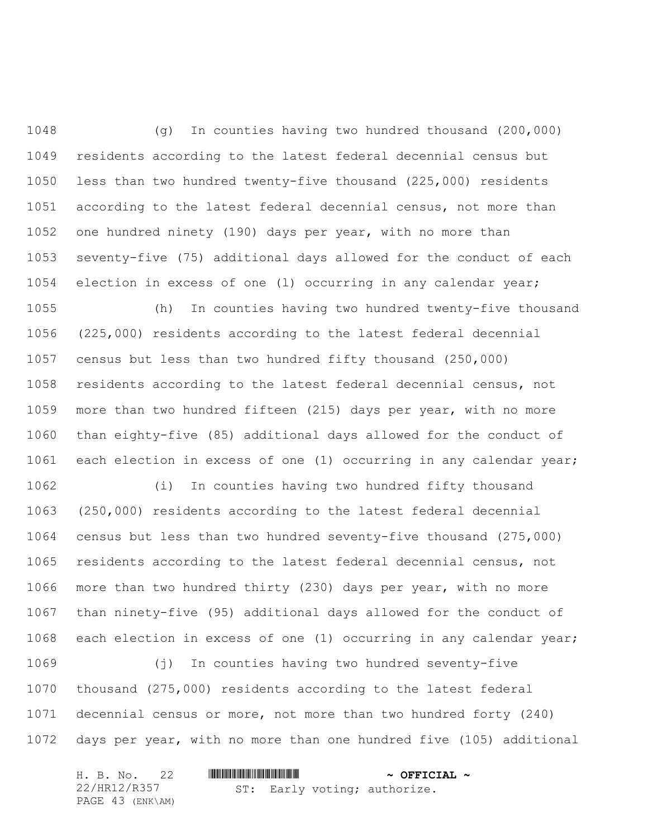(g) In counties having two hundred thousand (200,000) residents according to the latest federal decennial census but less than two hundred twenty-five thousand (225,000) residents according to the latest federal decennial census, not more than one hundred ninety (190) days per year, with no more than seventy-five (75) additional days allowed for the conduct of each election in excess of one (l) occurring in any calendar year;

 (h) In counties having two hundred twenty-five thousand (225,000) residents according to the latest federal decennial census but less than two hundred fifty thousand (250,000) residents according to the latest federal decennial census, not more than two hundred fifteen (215) days per year, with no more than eighty-five (85) additional days allowed for the conduct of each election in excess of one (1) occurring in any calendar year;

 (i) In counties having two hundred fifty thousand (250,000) residents according to the latest federal decennial census but less than two hundred seventy-five thousand (275,000) residents according to the latest federal decennial census, not more than two hundred thirty (230) days per year, with no more than ninety-five (95) additional days allowed for the conduct of each election in excess of one (1) occurring in any calendar year;

 (j) In counties having two hundred seventy-five thousand (275,000) residents according to the latest federal decennial census or more, not more than two hundred forty (240) days per year, with no more than one hundred five (105) additional

| H. B. No. 22     |                              | $\sim$ OFFICIAL $\sim$ |
|------------------|------------------------------|------------------------|
| 22/HR12/R357     | ST: Early voting; authorize. |                        |
| PAGE 43 (ENK\AM) |                              |                        |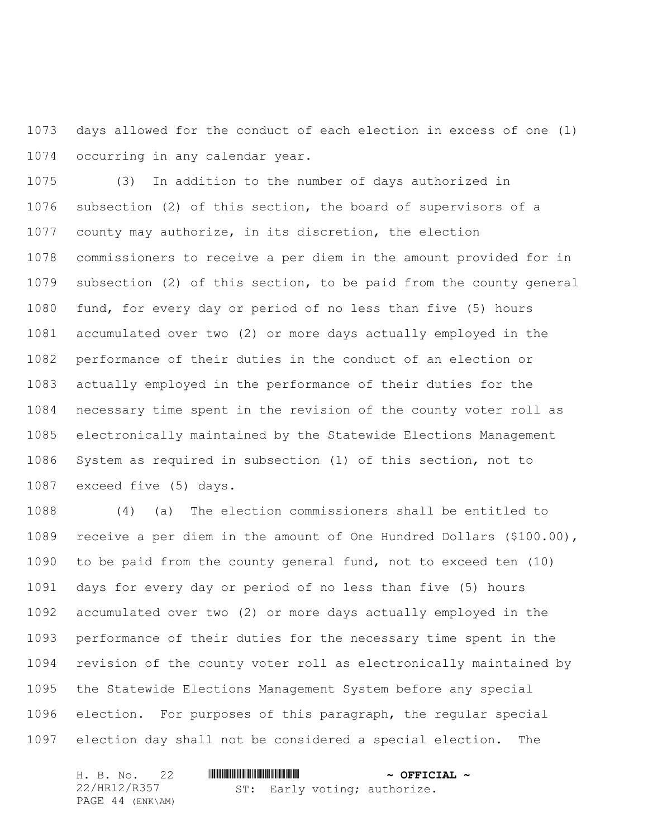days allowed for the conduct of each election in excess of one (l) occurring in any calendar year.

 (3) In addition to the number of days authorized in subsection (2) of this section, the board of supervisors of a county may authorize, in its discretion, the election commissioners to receive a per diem in the amount provided for in subsection (2) of this section, to be paid from the county general fund, for every day or period of no less than five (5) hours accumulated over two (2) or more days actually employed in the performance of their duties in the conduct of an election or actually employed in the performance of their duties for the necessary time spent in the revision of the county voter roll as electronically maintained by the Statewide Elections Management System as required in subsection (1) of this section, not to exceed five (5) days.

 (4) (a) The election commissioners shall be entitled to receive a per diem in the amount of One Hundred Dollars (\$100.00), to be paid from the county general fund, not to exceed ten (10) days for every day or period of no less than five (5) hours accumulated over two (2) or more days actually employed in the performance of their duties for the necessary time spent in the revision of the county voter roll as electronically maintained by the Statewide Elections Management System before any special election. For purposes of this paragraph, the regular special election day shall not be considered a special election. The

| H. B. No. 22     |                              | $\sim$ OFFICIAL $\sim$ |
|------------------|------------------------------|------------------------|
| 22/HR12/R357     | ST: Early voting; authorize. |                        |
| PAGE 44 (ENK\AM) |                              |                        |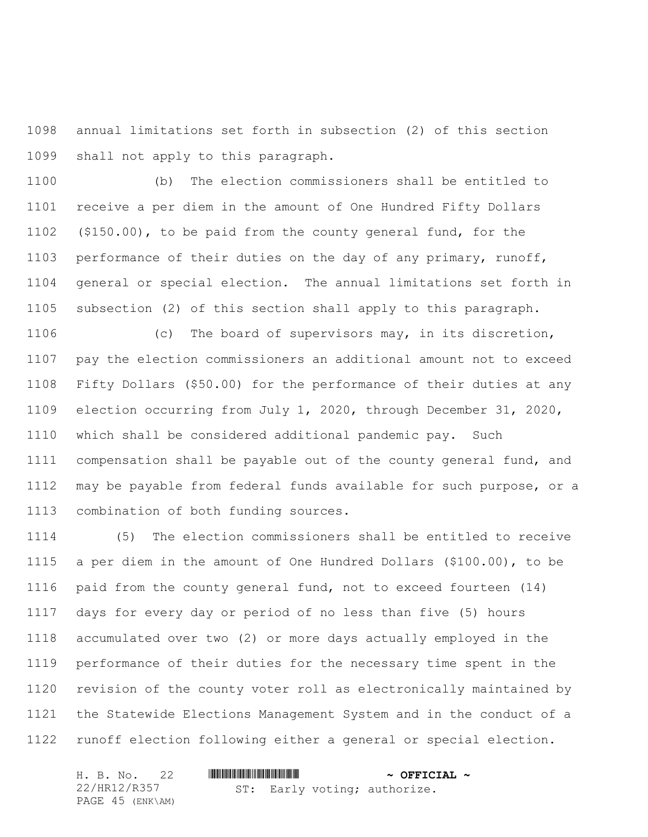annual limitations set forth in subsection (2) of this section shall not apply to this paragraph.

 (b) The election commissioners shall be entitled to receive a per diem in the amount of One Hundred Fifty Dollars (\$150.00), to be paid from the county general fund, for the performance of their duties on the day of any primary, runoff, general or special election. The annual limitations set forth in subsection (2) of this section shall apply to this paragraph.

 (c) The board of supervisors may, in its discretion, pay the election commissioners an additional amount not to exceed Fifty Dollars (\$50.00) for the performance of their duties at any election occurring from July 1, 2020, through December 31, 2020, which shall be considered additional pandemic pay. Such compensation shall be payable out of the county general fund, and may be payable from federal funds available for such purpose, or a combination of both funding sources.

 (5) The election commissioners shall be entitled to receive a per diem in the amount of One Hundred Dollars (\$100.00), to be paid from the county general fund, not to exceed fourteen (14) days for every day or period of no less than five (5) hours accumulated over two (2) or more days actually employed in the performance of their duties for the necessary time spent in the revision of the county voter roll as electronically maintained by the Statewide Elections Management System and in the conduct of a runoff election following either a general or special election.

| H. B. No. 22     |  | $\sim$ OFFICIAL $\sim$ |                              |  |
|------------------|--|------------------------|------------------------------|--|
| 22/HR12/R357     |  |                        | ST: Early voting; authorize. |  |
| PAGE 45 (ENK\AM) |  |                        |                              |  |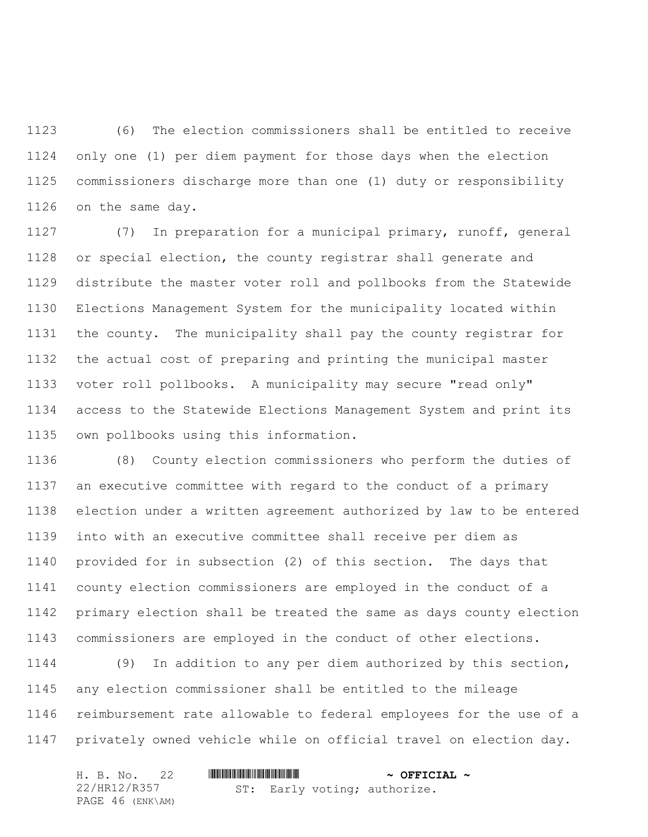(6) The election commissioners shall be entitled to receive only one (1) per diem payment for those days when the election commissioners discharge more than one (1) duty or responsibility on the same day.

 (7) In preparation for a municipal primary, runoff, general or special election, the county registrar shall generate and distribute the master voter roll and pollbooks from the Statewide Elections Management System for the municipality located within the county. The municipality shall pay the county registrar for the actual cost of preparing and printing the municipal master voter roll pollbooks. A municipality may secure "read only" access to the Statewide Elections Management System and print its own pollbooks using this information.

 (8) County election commissioners who perform the duties of an executive committee with regard to the conduct of a primary election under a written agreement authorized by law to be entered into with an executive committee shall receive per diem as provided for in subsection (2) of this section. The days that county election commissioners are employed in the conduct of a primary election shall be treated the same as days county election commissioners are employed in the conduct of other elections.

 (9) In addition to any per diem authorized by this section, any election commissioner shall be entitled to the mileage reimbursement rate allowable to federal employees for the use of a privately owned vehicle while on official travel on election day.

| H. B. No. 22     |                              | $\sim$ OFFICIAL $\sim$ |
|------------------|------------------------------|------------------------|
| 22/HR12/R357     | ST: Early voting; authorize. |                        |
| PAGE 46 (ENK\AM) |                              |                        |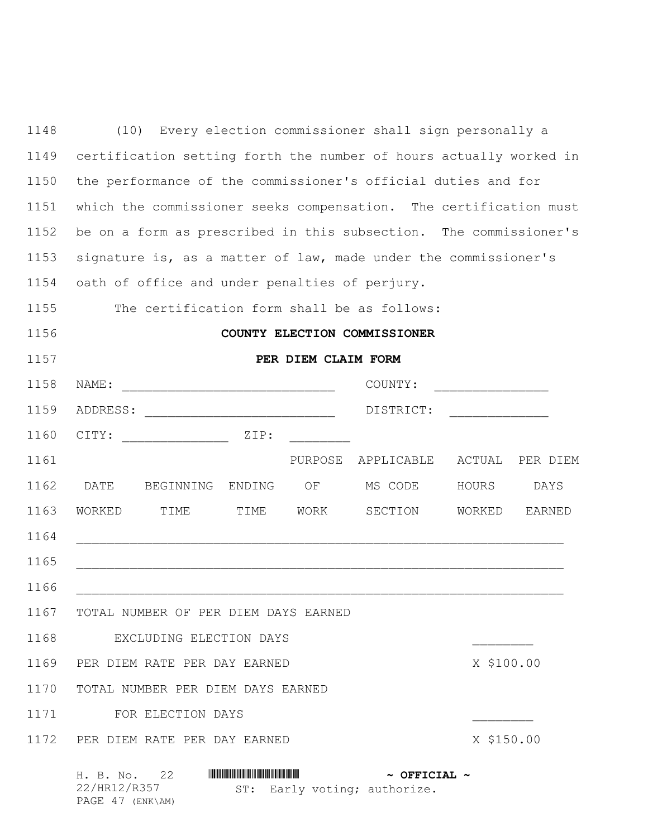| 1148 | Every election commissioner shall sign personally a<br>(10)                            |  |  |  |  |  |  |  |
|------|----------------------------------------------------------------------------------------|--|--|--|--|--|--|--|
| 1149 | certification setting forth the number of hours actually worked in                     |  |  |  |  |  |  |  |
| 1150 | the performance of the commissioner's official duties and for                          |  |  |  |  |  |  |  |
| 1151 | which the commissioner seeks compensation. The certification must                      |  |  |  |  |  |  |  |
| 1152 | be on a form as prescribed in this subsection. The commissioner's                      |  |  |  |  |  |  |  |
| 1153 | signature is, as a matter of law, made under the commissioner's                        |  |  |  |  |  |  |  |
| 1154 | oath of office and under penalties of perjury.                                         |  |  |  |  |  |  |  |
| 1155 | The certification form shall be as follows:                                            |  |  |  |  |  |  |  |
| 1156 | COUNTY ELECTION COMMISSIONER                                                           |  |  |  |  |  |  |  |
| 1157 | PER DIEM CLAIM FORM                                                                    |  |  |  |  |  |  |  |
| 1158 | NAME:<br>COUNTY:                                                                       |  |  |  |  |  |  |  |
| 1159 | DISTRICT:                                                                              |  |  |  |  |  |  |  |
| 1160 | ZIP:<br>CITY:                                                                          |  |  |  |  |  |  |  |
| 1161 | ACTUAL<br>PURPOSE<br>APPLICABLE<br>PER DIEM                                            |  |  |  |  |  |  |  |
| 1162 | DATE<br>BEGINNING ENDING<br>MS CODE<br>ΟF<br>HOURS<br>DAYS                             |  |  |  |  |  |  |  |
| 1163 | WORK<br>SECTION<br>WORKED<br>TIME<br>TIME<br>WORKED<br><b>EARNED</b>                   |  |  |  |  |  |  |  |
| 1164 |                                                                                        |  |  |  |  |  |  |  |
| 1165 |                                                                                        |  |  |  |  |  |  |  |
| 1166 |                                                                                        |  |  |  |  |  |  |  |
|      | 1167 TOTAL NUMBER OF PER DIEM DAYS EARNED                                              |  |  |  |  |  |  |  |
| 1168 | EXCLUDING ELECTION DAYS                                                                |  |  |  |  |  |  |  |
| 1169 | PER DIEM RATE PER DAY EARNED<br>X \$100.00                                             |  |  |  |  |  |  |  |
| 1170 | TOTAL NUMBER PER DIEM DAYS EARNED                                                      |  |  |  |  |  |  |  |
| 1171 | FOR ELECTION DAYS                                                                      |  |  |  |  |  |  |  |
| 1172 | PER DIEM RATE PER DAY EARNED<br>X \$150.00                                             |  |  |  |  |  |  |  |
|      | H. B. No. 22<br>$\sim$ OFFICIAL $\sim$<br>22/HR12/R357<br>ST: Early voting; authorize. |  |  |  |  |  |  |  |

PAGE 47 (ENK\AM)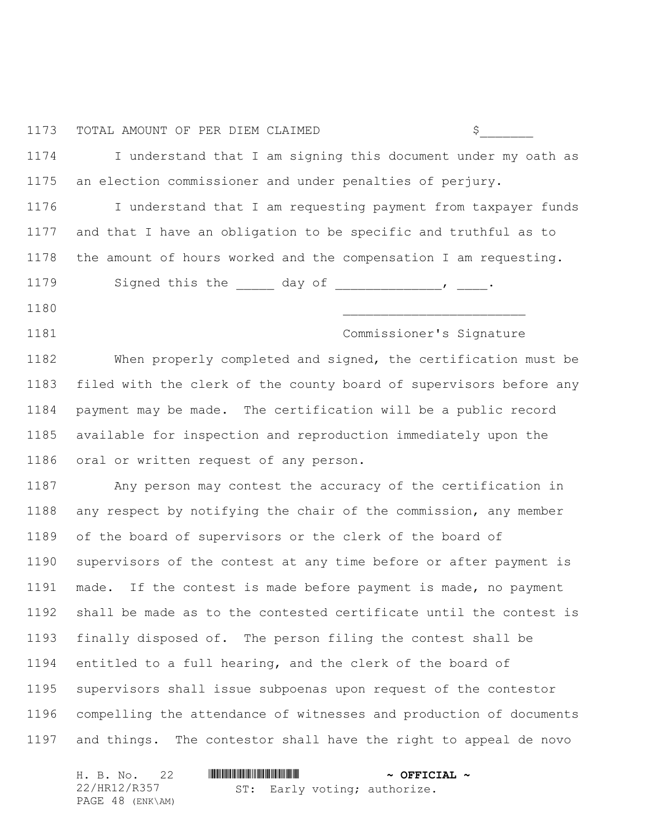## TOTAL AMOUNT OF PER DIEM CLAIMED \$\_\_\_\_\_\_\_

 I understand that I am signing this document under my oath as an election commissioner and under penalties of perjury.

 I understand that I am requesting payment from taxpayer funds and that I have an obligation to be specific and truthful as to the amount of hours worked and the compensation I am requesting.

1179 Signed this the \_\_\_\_\_ day of \_\_\_\_\_\_\_\_\_\_\_\_\_\_\_, \_\_\_\_.

- \_\_\_\_\_\_\_\_\_\_\_\_\_\_\_\_\_\_\_\_\_\_\_\_
- Commissioner's Signature

 When properly completed and signed, the certification must be filed with the clerk of the county board of supervisors before any payment may be made. The certification will be a public record available for inspection and reproduction immediately upon the oral or written request of any person.

 Any person may contest the accuracy of the certification in any respect by notifying the chair of the commission, any member of the board of supervisors or the clerk of the board of supervisors of the contest at any time before or after payment is made. If the contest is made before payment is made, no payment shall be made as to the contested certificate until the contest is finally disposed of. The person filing the contest shall be entitled to a full hearing, and the clerk of the board of supervisors shall issue subpoenas upon request of the contestor compelling the attendance of witnesses and production of documents and things. The contestor shall have the right to appeal de novo

|              | H. B. No. 22     |  | $\sim$ OFFICIAL $\sim$ |                              |  |
|--------------|------------------|--|------------------------|------------------------------|--|
| 22/HR12/R357 |                  |  |                        | ST: Early voting; authorize. |  |
|              | PAGE 48 (ENK\AM) |  |                        |                              |  |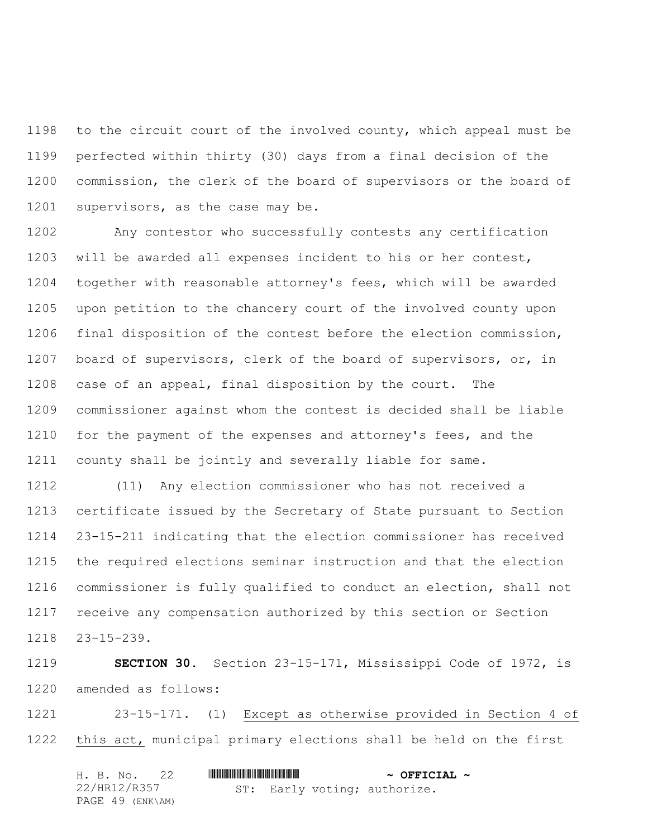to the circuit court of the involved county, which appeal must be perfected within thirty (30) days from a final decision of the commission, the clerk of the board of supervisors or the board of 1201 supervisors, as the case may be.

 Any contestor who successfully contests any certification will be awarded all expenses incident to his or her contest, together with reasonable attorney's fees, which will be awarded upon petition to the chancery court of the involved county upon final disposition of the contest before the election commission, board of supervisors, clerk of the board of supervisors, or, in case of an appeal, final disposition by the court. The commissioner against whom the contest is decided shall be liable for the payment of the expenses and attorney's fees, and the county shall be jointly and severally liable for same.

 (11) Any election commissioner who has not received a certificate issued by the Secretary of State pursuant to Section 23-15-211 indicating that the election commissioner has received the required elections seminar instruction and that the election commissioner is fully qualified to conduct an election, shall not receive any compensation authorized by this section or Section 23-15-239.

 **SECTION 30.** Section 23-15-171, Mississippi Code of 1972, is amended as follows:

 23-15-171. (1) Except as otherwise provided in Section 4 of this act, municipal primary elections shall be held on the first

|  | H. B. No. 22     |  |  |  | $\sim$ OFFICIAL $\sim$       |  |
|--|------------------|--|--|--|------------------------------|--|
|  | 22/HR12/R357     |  |  |  | ST: Early voting; authorize. |  |
|  | PAGE 49 (ENK\AM) |  |  |  |                              |  |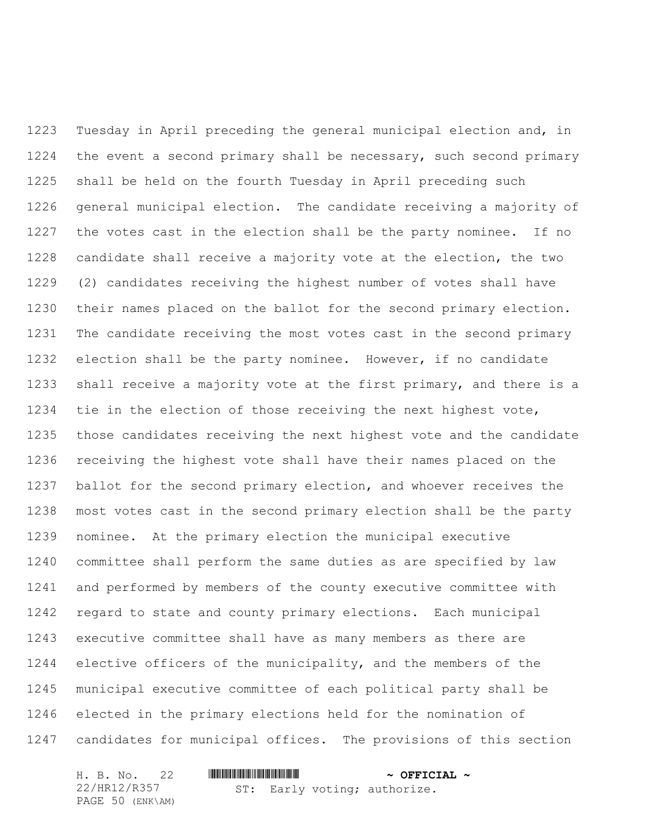Tuesday in April preceding the general municipal election and, in the event a second primary shall be necessary, such second primary shall be held on the fourth Tuesday in April preceding such general municipal election. The candidate receiving a majority of the votes cast in the election shall be the party nominee. If no candidate shall receive a majority vote at the election, the two (2) candidates receiving the highest number of votes shall have their names placed on the ballot for the second primary election. The candidate receiving the most votes cast in the second primary election shall be the party nominee. However, if no candidate shall receive a majority vote at the first primary, and there is a tie in the election of those receiving the next highest vote, those candidates receiving the next highest vote and the candidate receiving the highest vote shall have their names placed on the ballot for the second primary election, and whoever receives the most votes cast in the second primary election shall be the party nominee. At the primary election the municipal executive committee shall perform the same duties as are specified by law and performed by members of the county executive committee with regard to state and county primary elections. Each municipal executive committee shall have as many members as there are elective officers of the municipality, and the members of the municipal executive committee of each political party shall be elected in the primary elections held for the nomination of candidates for municipal offices. The provisions of this section

| H. B. No. 22     |  | $\sim$ OFFICIAL $\sim$       |  |
|------------------|--|------------------------------|--|
| 22/HR12/R357     |  | ST: Early voting; authorize. |  |
| PAGE 50 (ENK\AM) |  |                              |  |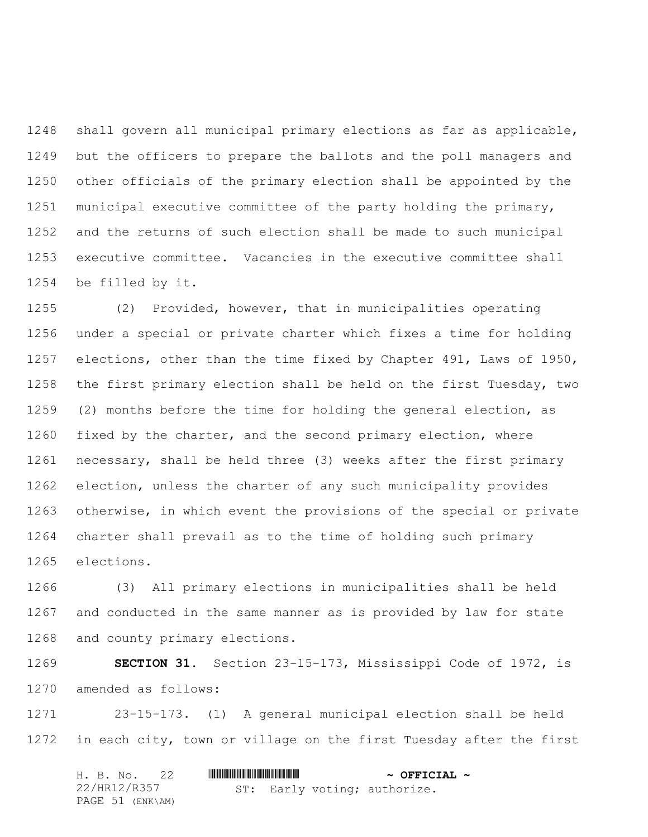shall govern all municipal primary elections as far as applicable, but the officers to prepare the ballots and the poll managers and other officials of the primary election shall be appointed by the municipal executive committee of the party holding the primary, and the returns of such election shall be made to such municipal executive committee. Vacancies in the executive committee shall be filled by it.

 (2) Provided, however, that in municipalities operating under a special or private charter which fixes a time for holding elections, other than the time fixed by Chapter 491, Laws of 1950, the first primary election shall be held on the first Tuesday, two (2) months before the time for holding the general election, as fixed by the charter, and the second primary election, where necessary, shall be held three (3) weeks after the first primary election, unless the charter of any such municipality provides otherwise, in which event the provisions of the special or private charter shall prevail as to the time of holding such primary elections.

 (3) All primary elections in municipalities shall be held and conducted in the same manner as is provided by law for state and county primary elections.

 **SECTION 31.** Section 23-15-173, Mississippi Code of 1972, is amended as follows:

 23-15-173. (1) A general municipal election shall be held in each city, town or village on the first Tuesday after the first

|              | H. B. No. 22     |  | $\sim$ OFFICIAL $\sim$       |  |
|--------------|------------------|--|------------------------------|--|
| 22/HR12/R357 |                  |  | ST: Early voting; authorize. |  |
|              | PAGE 51 (ENK\AM) |  |                              |  |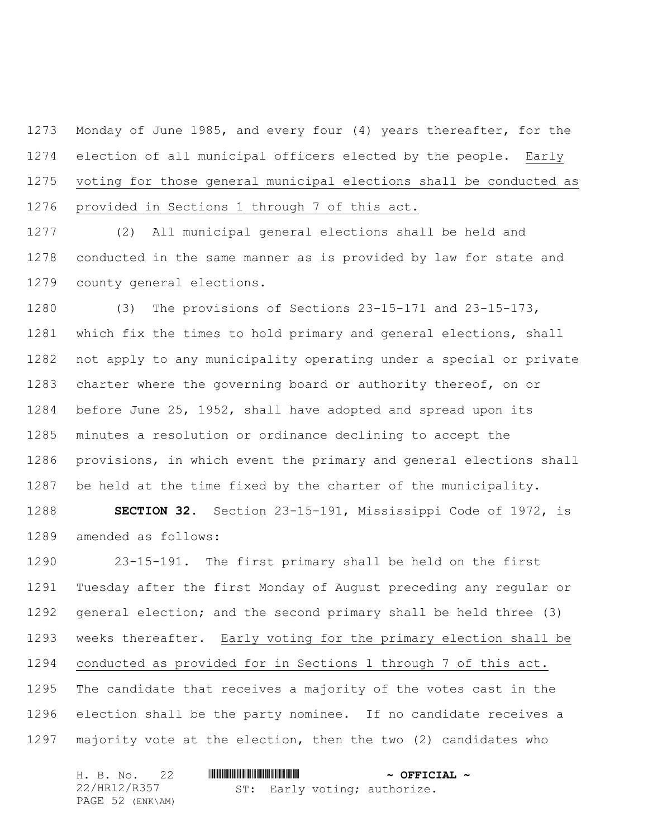Monday of June 1985, and every four (4) years thereafter, for the election of all municipal officers elected by the people. Early voting for those general municipal elections shall be conducted as provided in Sections 1 through 7 of this act.

 (2) All municipal general elections shall be held and conducted in the same manner as is provided by law for state and county general elections.

 (3) The provisions of Sections 23-15-171 and 23-15-173, which fix the times to hold primary and general elections, shall not apply to any municipality operating under a special or private charter where the governing board or authority thereof, on or before June 25, 1952, shall have adopted and spread upon its minutes a resolution or ordinance declining to accept the provisions, in which event the primary and general elections shall be held at the time fixed by the charter of the municipality.

 **SECTION 32.** Section 23-15-191, Mississippi Code of 1972, is amended as follows:

 23-15-191. The first primary shall be held on the first Tuesday after the first Monday of August preceding any regular or general election; and the second primary shall be held three (3) weeks thereafter. Early voting for the primary election shall be conducted as provided for in Sections 1 through 7 of this act. The candidate that receives a majority of the votes cast in the election shall be the party nominee. If no candidate receives a majority vote at the election, then the two (2) candidates who

| H. B. No. 22     |                              | $\sim$ OFFICIAL $\sim$ |
|------------------|------------------------------|------------------------|
| 22/HR12/R357     | ST: Early voting; authorize. |                        |
| PAGE 52 (ENK\AM) |                              |                        |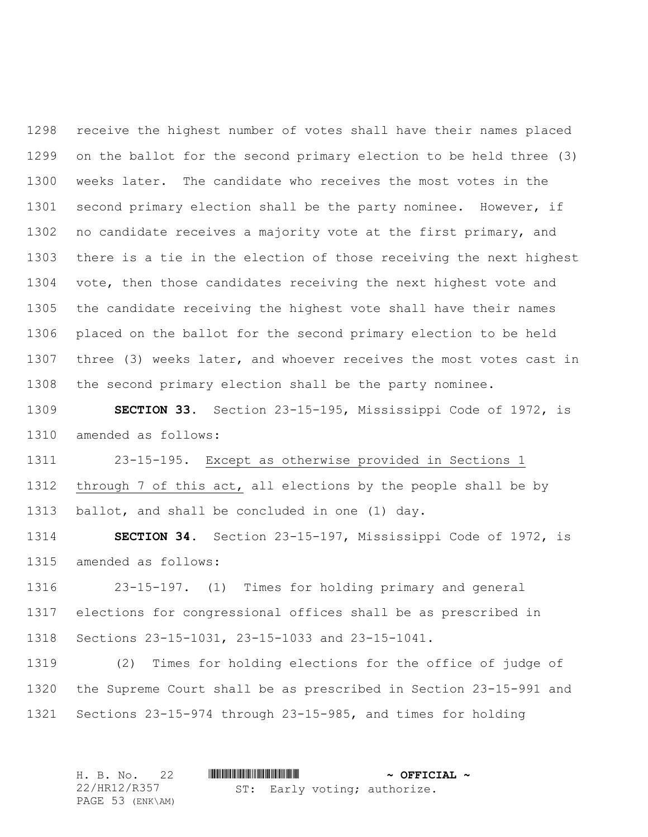receive the highest number of votes shall have their names placed on the ballot for the second primary election to be held three (3) weeks later. The candidate who receives the most votes in the second primary election shall be the party nominee. However, if no candidate receives a majority vote at the first primary, and there is a tie in the election of those receiving the next highest 1304 vote, then those candidates receiving the next highest vote and the candidate receiving the highest vote shall have their names placed on the ballot for the second primary election to be held three (3) weeks later, and whoever receives the most votes cast in the second primary election shall be the party nominee.

 **SECTION 33.** Section 23-15-195, Mississippi Code of 1972, is amended as follows:

 23-15-195. Except as otherwise provided in Sections 1 through 7 of this act, all elections by the people shall be by ballot, and shall be concluded in one (1) day.

 **SECTION 34.** Section 23-15-197, Mississippi Code of 1972, is amended as follows:

 23-15-197. (1) Times for holding primary and general elections for congressional offices shall be as prescribed in Sections 23-15-1031, 23-15-1033 and 23-15-1041.

 (2) Times for holding elections for the office of judge of the Supreme Court shall be as prescribed in Section 23-15-991 and Sections 23-15-974 through 23-15-985, and times for holding

| H. B. No. 22     |                              | $\sim$ OFFICIAL $\sim$ |
|------------------|------------------------------|------------------------|
| 22/HR12/R357     | ST: Early voting; authorize. |                        |
| PAGE 53 (ENK\AM) |                              |                        |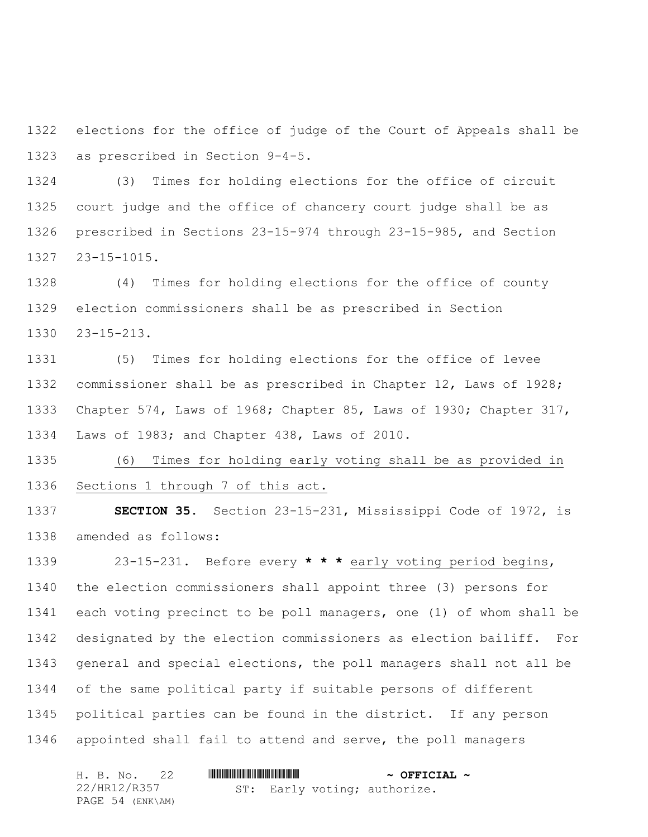elections for the office of judge of the Court of Appeals shall be as prescribed in Section 9-4-5.

 (3) Times for holding elections for the office of circuit court judge and the office of chancery court judge shall be as prescribed in Sections 23-15-974 through 23-15-985, and Section 23-15-1015.

 (4) Times for holding elections for the office of county election commissioners shall be as prescribed in Section 23-15-213.

 (5) Times for holding elections for the office of levee commissioner shall be as prescribed in Chapter 12, Laws of 1928; Chapter 574, Laws of 1968; Chapter 85, Laws of 1930; Chapter 317, Laws of 1983; and Chapter 438, Laws of 2010.

 (6) Times for holding early voting shall be as provided in Sections 1 through 7 of this act.

 **SECTION 35.** Section 23-15-231, Mississippi Code of 1972, is amended as follows:

 23-15-231. Before every **\* \* \*** early voting period begins, the election commissioners shall appoint three (3) persons for each voting precinct to be poll managers, one (1) of whom shall be designated by the election commissioners as election bailiff. For general and special elections, the poll managers shall not all be of the same political party if suitable persons of different political parties can be found in the district. If any person appointed shall fail to attend and serve, the poll managers

| H. B. No. 22     |                              | $\sim$ OFFICIAL $\sim$ |
|------------------|------------------------------|------------------------|
| 22/HR12/R357     | ST: Early voting; authorize. |                        |
| PAGE 54 (ENK\AM) |                              |                        |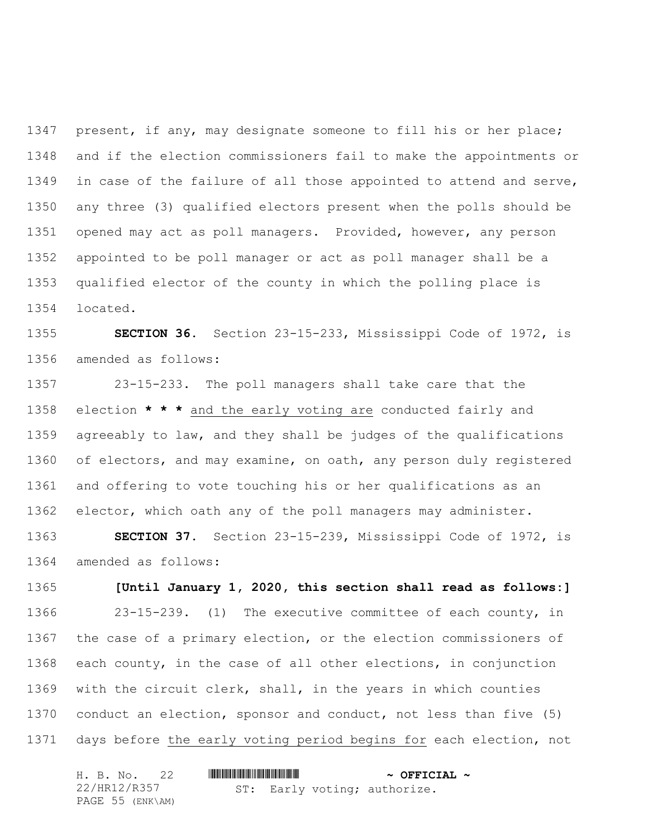1347 present, if any, may designate someone to fill his or her place; and if the election commissioners fail to make the appointments or in case of the failure of all those appointed to attend and serve, any three (3) qualified electors present when the polls should be opened may act as poll managers. Provided, however, any person appointed to be poll manager or act as poll manager shall be a qualified elector of the county in which the polling place is located.

 **SECTION 36.** Section 23-15-233, Mississippi Code of 1972, is amended as follows:

 23-15-233. The poll managers shall take care that the election **\* \* \*** and the early voting are conducted fairly and agreeably to law, and they shall be judges of the qualifications of electors, and may examine, on oath, any person duly registered and offering to vote touching his or her qualifications as an elector, which oath any of the poll managers may administer.

 **SECTION 37.** Section 23-15-239, Mississippi Code of 1972, is amended as follows:

 **[Until January 1, 2020, this section shall read as follows:]** 23-15-239. (1) The executive committee of each county, in the case of a primary election, or the election commissioners of each county, in the case of all other elections, in conjunction with the circuit clerk, shall, in the years in which counties conduct an election, sponsor and conduct, not less than five (5) days before the early voting period begins for each election, not

| H. B. No. 22     |  |  | $\sim$ OFFICIAL $\sim$       |  |
|------------------|--|--|------------------------------|--|
| 22/HR12/R357     |  |  | ST: Early voting; authorize. |  |
| PAGE 55 (ENK\AM) |  |  |                              |  |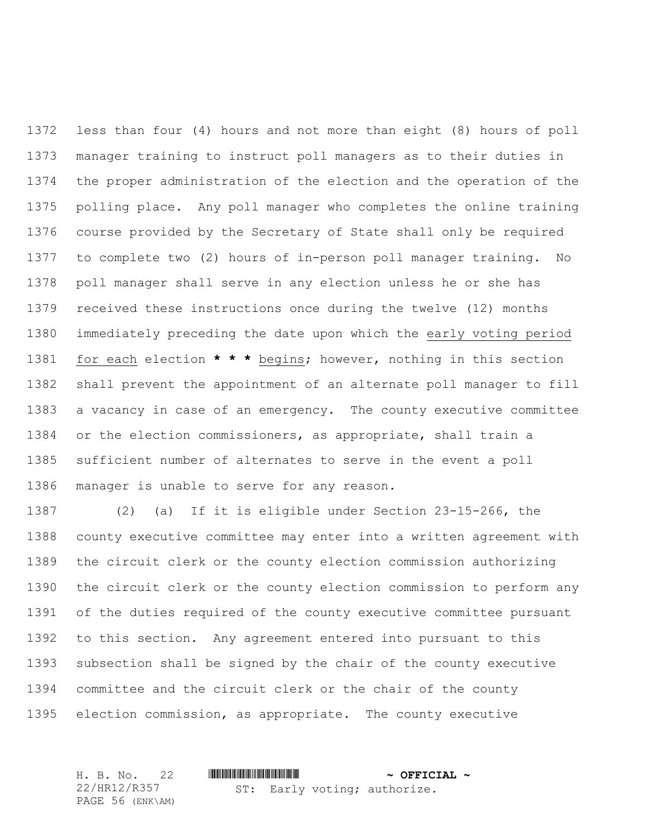less than four (4) hours and not more than eight (8) hours of poll manager training to instruct poll managers as to their duties in the proper administration of the election and the operation of the polling place. Any poll manager who completes the online training course provided by the Secretary of State shall only be required to complete two (2) hours of in-person poll manager training. No poll manager shall serve in any election unless he or she has received these instructions once during the twelve (12) months immediately preceding the date upon which the early voting period for each election **\* \* \*** begins; however, nothing in this section shall prevent the appointment of an alternate poll manager to fill a vacancy in case of an emergency. The county executive committee or the election commissioners, as appropriate, shall train a sufficient number of alternates to serve in the event a poll manager is unable to serve for any reason.

 (2) (a) If it is eligible under Section 23-15-266, the county executive committee may enter into a written agreement with the circuit clerk or the county election commission authorizing the circuit clerk or the county election commission to perform any of the duties required of the county executive committee pursuant to this section. Any agreement entered into pursuant to this subsection shall be signed by the chair of the county executive committee and the circuit clerk or the chair of the county election commission, as appropriate. The county executive

H. B. No. 22 \*HR12/R357\* **~ OFFICIAL ~** 22/HR12/R357 PAGE 56 (ENK\AM) ST: Early voting; authorize.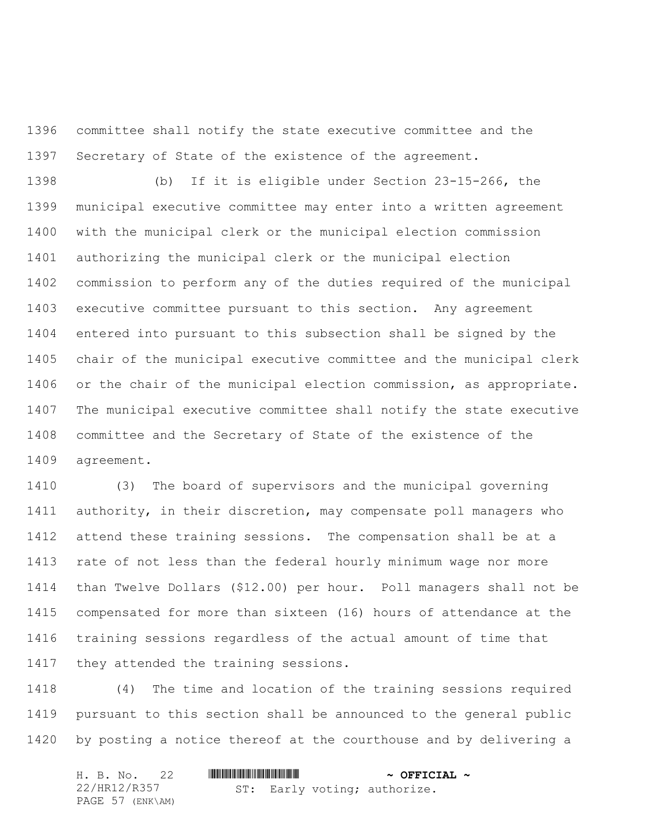committee shall notify the state executive committee and the Secretary of State of the existence of the agreement.

 (b) If it is eligible under Section 23-15-266, the municipal executive committee may enter into a written agreement with the municipal clerk or the municipal election commission authorizing the municipal clerk or the municipal election commission to perform any of the duties required of the municipal executive committee pursuant to this section. Any agreement entered into pursuant to this subsection shall be signed by the chair of the municipal executive committee and the municipal clerk or the chair of the municipal election commission, as appropriate. The municipal executive committee shall notify the state executive committee and the Secretary of State of the existence of the agreement.

 (3) The board of supervisors and the municipal governing authority, in their discretion, may compensate poll managers who attend these training sessions. The compensation shall be at a rate of not less than the federal hourly minimum wage nor more than Twelve Dollars (\$12.00) per hour. Poll managers shall not be compensated for more than sixteen (16) hours of attendance at the training sessions regardless of the actual amount of time that 1417 they attended the training sessions.

 (4) The time and location of the training sessions required pursuant to this section shall be announced to the general public by posting a notice thereof at the courthouse and by delivering a

|  | H. B. No. 22     |  |  | $\sim$ OFFICIAL $\sim$       |  |
|--|------------------|--|--|------------------------------|--|
|  | 22/HR12/R357     |  |  | ST: Early voting; authorize. |  |
|  | PAGE 57 (ENK\AM) |  |  |                              |  |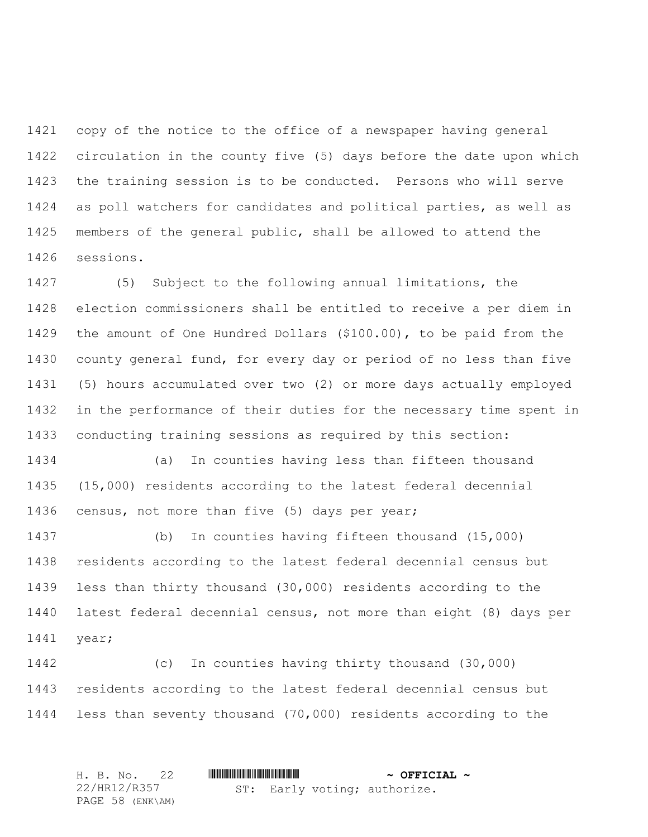copy of the notice to the office of a newspaper having general circulation in the county five (5) days before the date upon which the training session is to be conducted. Persons who will serve as poll watchers for candidates and political parties, as well as members of the general public, shall be allowed to attend the sessions.

 (5) Subject to the following annual limitations, the election commissioners shall be entitled to receive a per diem in the amount of One Hundred Dollars (\$100.00), to be paid from the county general fund, for every day or period of no less than five (5) hours accumulated over two (2) or more days actually employed in the performance of their duties for the necessary time spent in conducting training sessions as required by this section:

 (a) In counties having less than fifteen thousand (15,000) residents according to the latest federal decennial census, not more than five (5) days per year;

 (b) In counties having fifteen thousand (15,000) residents according to the latest federal decennial census but less than thirty thousand (30,000) residents according to the latest federal decennial census, not more than eight (8) days per year;

 (c) In counties having thirty thousand (30,000) residents according to the latest federal decennial census but less than seventy thousand (70,000) residents according to the

H. B. No. 22 \*HR12/R357\* **~ OFFICIAL ~** 22/HR12/R357 PAGE 58 (ENK\AM) ST: Early voting; authorize.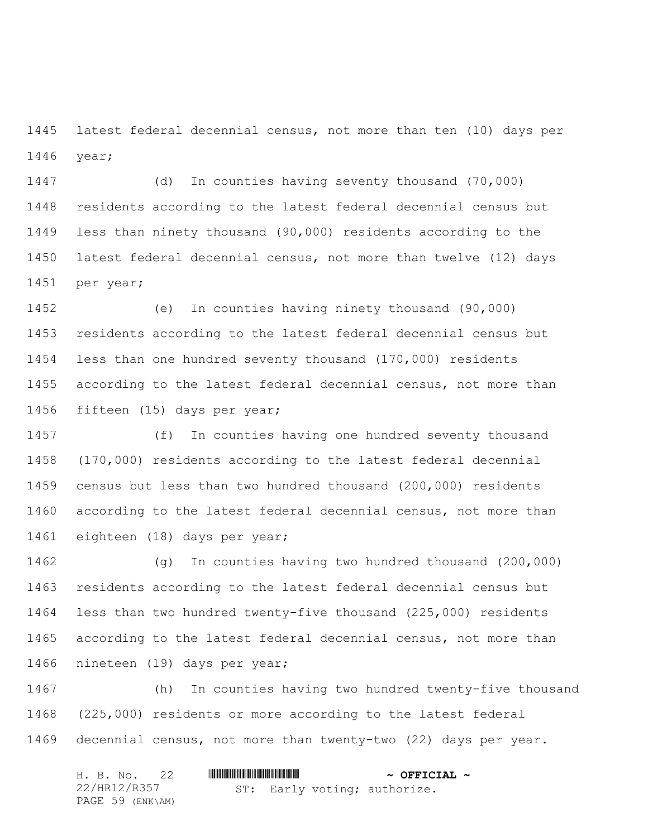latest federal decennial census, not more than ten (10) days per year;

 (d) In counties having seventy thousand (70,000) residents according to the latest federal decennial census but less than ninety thousand (90,000) residents according to the latest federal decennial census, not more than twelve (12) days per year;

 (e) In counties having ninety thousand (90,000) residents according to the latest federal decennial census but less than one hundred seventy thousand (170,000) residents according to the latest federal decennial census, not more than fifteen (15) days per year;

 (f) In counties having one hundred seventy thousand (170,000) residents according to the latest federal decennial census but less than two hundred thousand (200,000) residents according to the latest federal decennial census, not more than eighteen (18) days per year;

 (g) In counties having two hundred thousand (200,000) residents according to the latest federal decennial census but less than two hundred twenty-five thousand (225,000) residents according to the latest federal decennial census, not more than nineteen (19) days per year;

 (h) In counties having two hundred twenty-five thousand (225,000) residents or more according to the latest federal decennial census, not more than twenty-two (22) days per year.

|  | H. B. No. 22     |  |  |  | $\sim$ OFFICIAL $\sim$       |  |
|--|------------------|--|--|--|------------------------------|--|
|  | 22/HR12/R357     |  |  |  | ST: Early voting; authorize. |  |
|  | PAGE 59 (ENK\AM) |  |  |  |                              |  |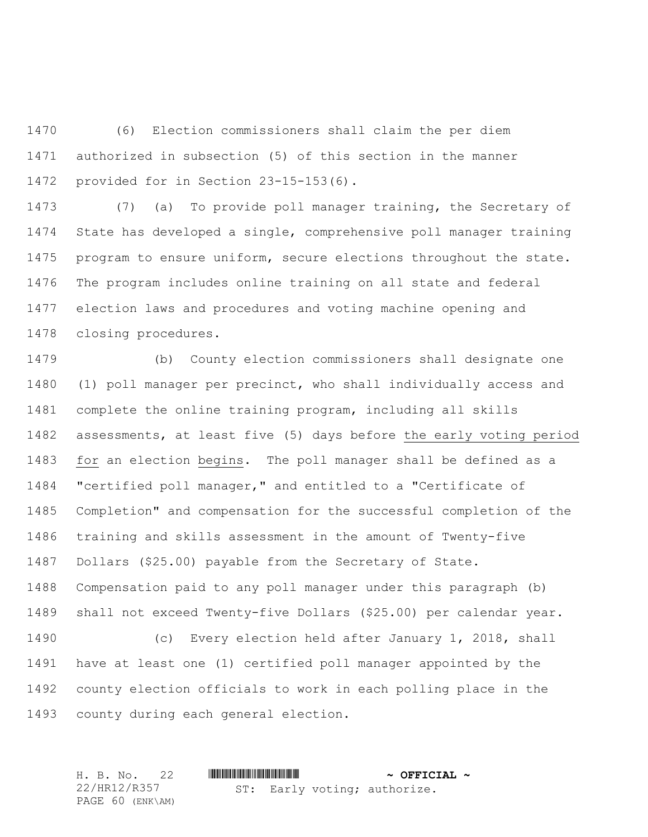(6) Election commissioners shall claim the per diem authorized in subsection (5) of this section in the manner provided for in Section 23-15-153(6).

 (7) (a) To provide poll manager training, the Secretary of State has developed a single, comprehensive poll manager training program to ensure uniform, secure elections throughout the state. The program includes online training on all state and federal election laws and procedures and voting machine opening and closing procedures.

 (b) County election commissioners shall designate one (1) poll manager per precinct, who shall individually access and complete the online training program, including all skills assessments, at least five (5) days before the early voting period for an election begins. The poll manager shall be defined as a "certified poll manager," and entitled to a "Certificate of Completion" and compensation for the successful completion of the training and skills assessment in the amount of Twenty-five Dollars (\$25.00) payable from the Secretary of State. Compensation paid to any poll manager under this paragraph (b) shall not exceed Twenty-five Dollars (\$25.00) per calendar year. (c) Every election held after January 1, 2018, shall have at least one (1) certified poll manager appointed by the county election officials to work in each polling place in the county during each general election.

H. B. No. 22 \*HR12/R357\* **~ OFFICIAL ~** 22/HR12/R357 PAGE 60 (ENK\AM) ST: Early voting; authorize.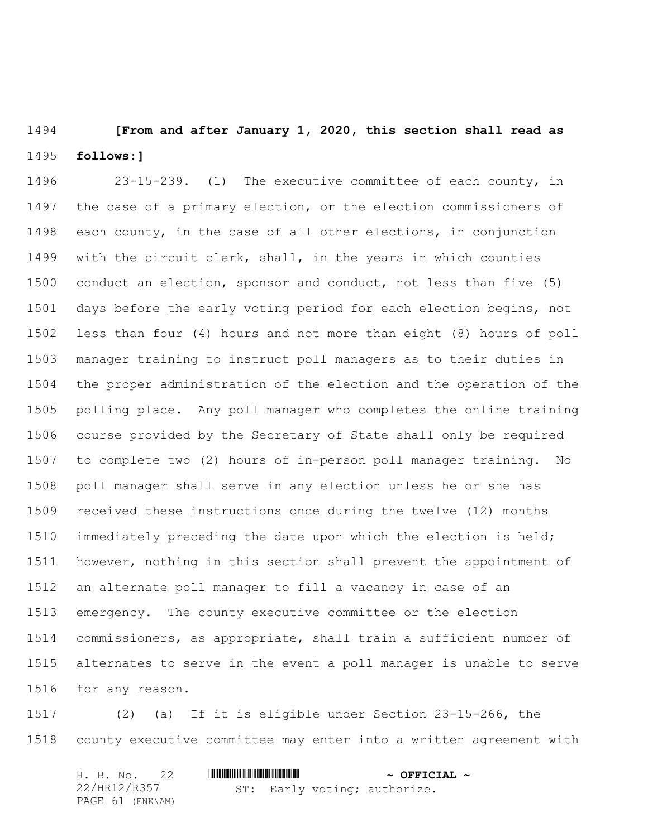**[From and after January 1, 2020, this section shall read as follows:]**

 23-15-239. (1) The executive committee of each county, in the case of a primary election, or the election commissioners of each county, in the case of all other elections, in conjunction with the circuit clerk, shall, in the years in which counties conduct an election, sponsor and conduct, not less than five (5) days before the early voting period for each election begins, not less than four (4) hours and not more than eight (8) hours of poll manager training to instruct poll managers as to their duties in the proper administration of the election and the operation of the polling place. Any poll manager who completes the online training course provided by the Secretary of State shall only be required to complete two (2) hours of in-person poll manager training. No poll manager shall serve in any election unless he or she has received these instructions once during the twelve (12) months immediately preceding the date upon which the election is held; however, nothing in this section shall prevent the appointment of an alternate poll manager to fill a vacancy in case of an emergency. The county executive committee or the election commissioners, as appropriate, shall train a sufficient number of alternates to serve in the event a poll manager is unable to serve for any reason.

 (2) (a) If it is eligible under Section 23-15-266, the county executive committee may enter into a written agreement with

| H. B. No. 22     |  |  | $\sim$ OFFICIAL $\sim$       |  |
|------------------|--|--|------------------------------|--|
| 22/HR12/R357     |  |  | ST: Early voting; authorize. |  |
| PAGE 61 (ENK\AM) |  |  |                              |  |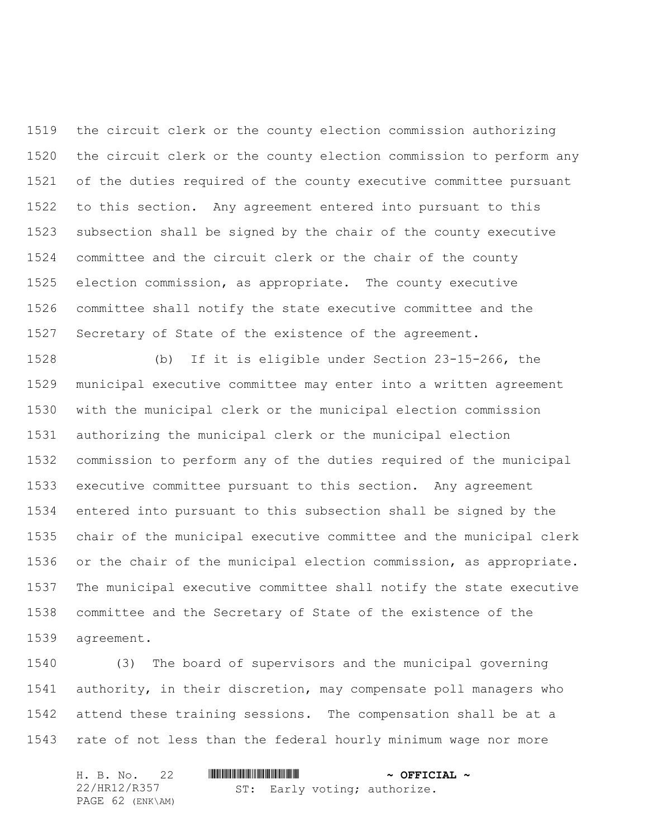the circuit clerk or the county election commission authorizing the circuit clerk or the county election commission to perform any of the duties required of the county executive committee pursuant to this section. Any agreement entered into pursuant to this subsection shall be signed by the chair of the county executive committee and the circuit clerk or the chair of the county election commission, as appropriate. The county executive committee shall notify the state executive committee and the Secretary of State of the existence of the agreement.

 (b) If it is eligible under Section 23-15-266, the municipal executive committee may enter into a written agreement with the municipal clerk or the municipal election commission authorizing the municipal clerk or the municipal election commission to perform any of the duties required of the municipal executive committee pursuant to this section. Any agreement entered into pursuant to this subsection shall be signed by the chair of the municipal executive committee and the municipal clerk or the chair of the municipal election commission, as appropriate. The municipal executive committee shall notify the state executive committee and the Secretary of State of the existence of the agreement.

 (3) The board of supervisors and the municipal governing authority, in their discretion, may compensate poll managers who attend these training sessions. The compensation shall be at a rate of not less than the federal hourly minimum wage nor more

|  |              | H. B. No. 22     |  |  |  | $\sim$ OFFICIAL $\sim$       |  |
|--|--------------|------------------|--|--|--|------------------------------|--|
|  | 22/HR12/R357 |                  |  |  |  | ST: Early voting; authorize. |  |
|  |              | PAGE 62 (ENK\AM) |  |  |  |                              |  |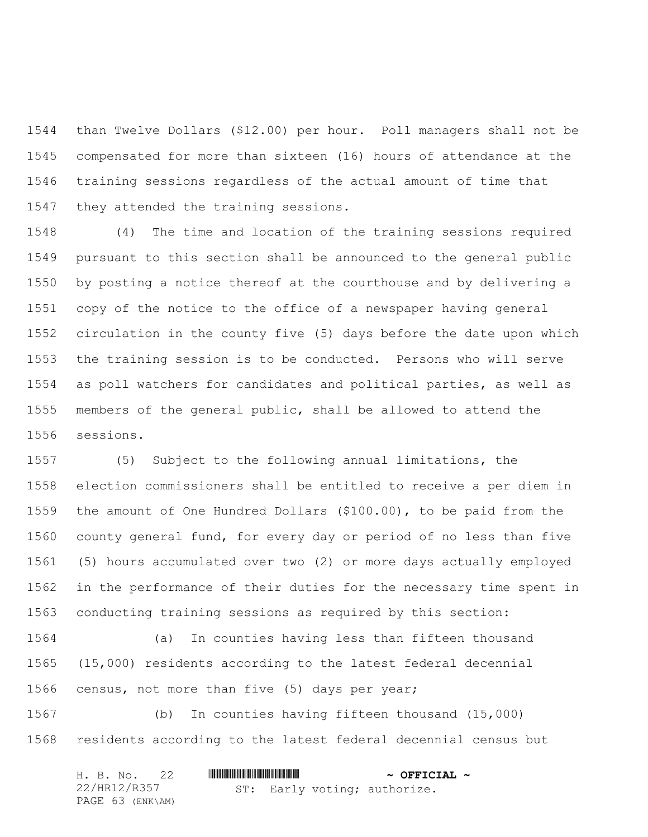than Twelve Dollars (\$12.00) per hour. Poll managers shall not be compensated for more than sixteen (16) hours of attendance at the training sessions regardless of the actual amount of time that they attended the training sessions.

 (4) The time and location of the training sessions required pursuant to this section shall be announced to the general public by posting a notice thereof at the courthouse and by delivering a copy of the notice to the office of a newspaper having general circulation in the county five (5) days before the date upon which the training session is to be conducted. Persons who will serve as poll watchers for candidates and political parties, as well as members of the general public, shall be allowed to attend the sessions.

 (5) Subject to the following annual limitations, the election commissioners shall be entitled to receive a per diem in the amount of One Hundred Dollars (\$100.00), to be paid from the county general fund, for every day or period of no less than five (5) hours accumulated over two (2) or more days actually employed in the performance of their duties for the necessary time spent in conducting training sessions as required by this section:

 (a) In counties having less than fifteen thousand (15,000) residents according to the latest federal decennial census, not more than five (5) days per year;

 (b) In counties having fifteen thousand (15,000) residents according to the latest federal decennial census but

| H. B. No. 22     |  |  | $\sim$ OFFICIAL $\sim$       |  |
|------------------|--|--|------------------------------|--|
| 22/HR12/R357     |  |  | ST: Early voting; authorize. |  |
| PAGE 63 (ENK\AM) |  |  |                              |  |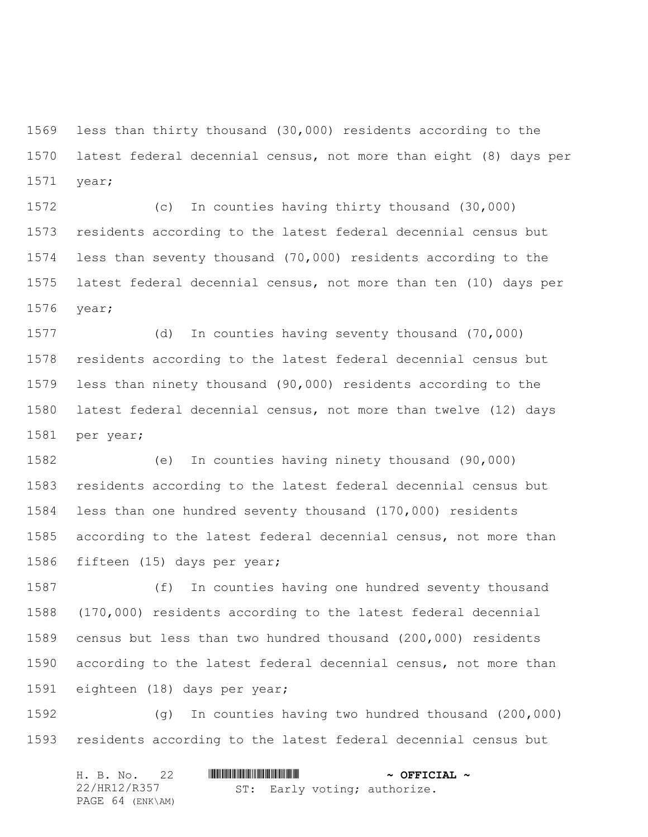less than thirty thousand (30,000) residents according to the latest federal decennial census, not more than eight (8) days per year;

 (c) In counties having thirty thousand (30,000) residents according to the latest federal decennial census but less than seventy thousand (70,000) residents according to the latest federal decennial census, not more than ten (10) days per year;

 (d) In counties having seventy thousand (70,000) residents according to the latest federal decennial census but less than ninety thousand (90,000) residents according to the latest federal decennial census, not more than twelve (12) days per year;

 (e) In counties having ninety thousand (90,000) residents according to the latest federal decennial census but less than one hundred seventy thousand (170,000) residents according to the latest federal decennial census, not more than fifteen (15) days per year;

 (f) In counties having one hundred seventy thousand (170,000) residents according to the latest federal decennial census but less than two hundred thousand (200,000) residents according to the latest federal decennial census, not more than eighteen (18) days per year;

 (g) In counties having two hundred thousand (200,000) residents according to the latest federal decennial census but

| H. B. No. 22     |  | $\sim$ OFFICIAL $\sim$       |  |
|------------------|--|------------------------------|--|
| 22/HR12/R357     |  | ST: Early voting; authorize. |  |
| PAGE 64 (ENK\AM) |  |                              |  |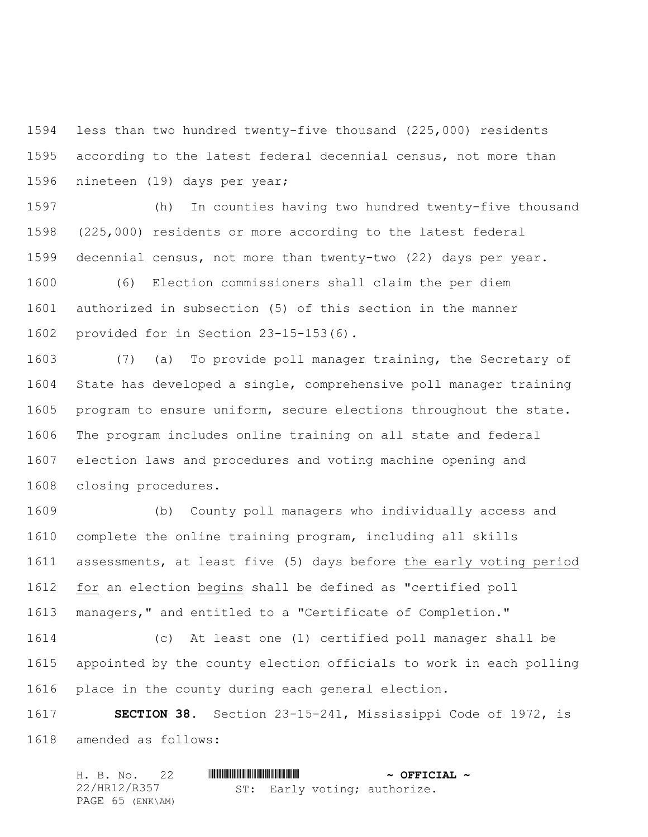less than two hundred twenty-five thousand (225,000) residents according to the latest federal decennial census, not more than nineteen (19) days per year;

 (h) In counties having two hundred twenty-five thousand (225,000) residents or more according to the latest federal decennial census, not more than twenty-two (22) days per year.

 (6) Election commissioners shall claim the per diem authorized in subsection (5) of this section in the manner provided for in Section 23-15-153(6).

 (7) (a) To provide poll manager training, the Secretary of State has developed a single, comprehensive poll manager training program to ensure uniform, secure elections throughout the state. The program includes online training on all state and federal election laws and procedures and voting machine opening and closing procedures.

 (b) County poll managers who individually access and complete the online training program, including all skills assessments, at least five (5) days before the early voting period for an election begins shall be defined as "certified poll managers," and entitled to a "Certificate of Completion."

 (c) At least one (1) certified poll manager shall be appointed by the county election officials to work in each polling place in the county during each general election.

 **SECTION 38.** Section 23-15-241, Mississippi Code of 1972, is amended as follows:

|  | H. B. No. 22     |  | $\sim$ OFFICIAL $\sim$       |  |
|--|------------------|--|------------------------------|--|
|  | 22/HR12/R357     |  | ST: Early voting; authorize. |  |
|  | PAGE 65 (ENK\AM) |  |                              |  |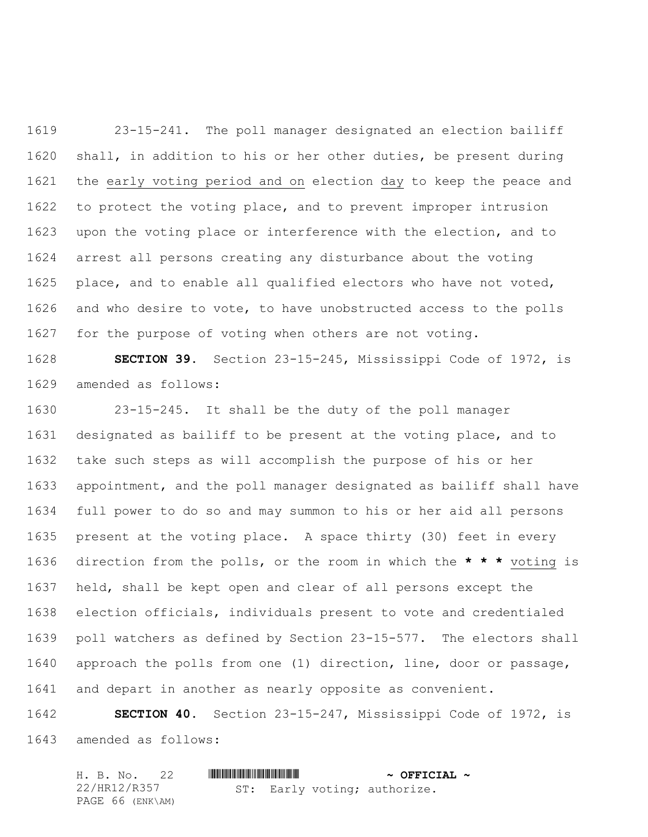23-15-241. The poll manager designated an election bailiff shall, in addition to his or her other duties, be present during the early voting period and on election day to keep the peace and to protect the voting place, and to prevent improper intrusion upon the voting place or interference with the election, and to arrest all persons creating any disturbance about the voting 1625 place, and to enable all qualified electors who have not voted, 1626 and who desire to vote, to have unobstructed access to the polls for the purpose of voting when others are not voting.

 **SECTION 39.** Section 23-15-245, Mississippi Code of 1972, is amended as follows:

 23-15-245. It shall be the duty of the poll manager designated as bailiff to be present at the voting place, and to take such steps as will accomplish the purpose of his or her appointment, and the poll manager designated as bailiff shall have full power to do so and may summon to his or her aid all persons present at the voting place. A space thirty (30) feet in every direction from the polls, or the room in which the **\* \* \*** voting is held, shall be kept open and clear of all persons except the election officials, individuals present to vote and credentialed poll watchers as defined by Section 23-15-577. The electors shall approach the polls from one (1) direction, line, door or passage, and depart in another as nearly opposite as convenient.

 **SECTION 40.** Section 23-15-247, Mississippi Code of 1972, is amended as follows:

|  | H. B. No. 22     |  |  | $\sim$ OFFICIAL $\sim$       |  |
|--|------------------|--|--|------------------------------|--|
|  | 22/HR12/R357     |  |  | ST: Early voting; authorize. |  |
|  | PAGE 66 (ENK\AM) |  |  |                              |  |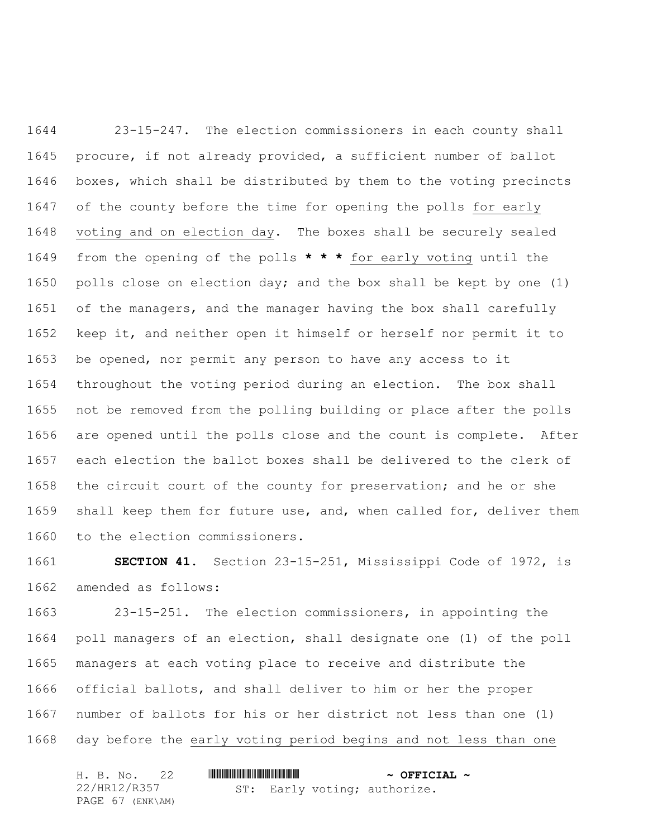23-15-247. The election commissioners in each county shall procure, if not already provided, a sufficient number of ballot boxes, which shall be distributed by them to the voting precincts of the county before the time for opening the polls for early voting and on election day. The boxes shall be securely sealed from the opening of the polls **\* \* \*** for early voting until the polls close on election day; and the box shall be kept by one (1) of the managers, and the manager having the box shall carefully keep it, and neither open it himself or herself nor permit it to be opened, nor permit any person to have any access to it throughout the voting period during an election. The box shall not be removed from the polling building or place after the polls are opened until the polls close and the count is complete. After each election the ballot boxes shall be delivered to the clerk of the circuit court of the county for preservation; and he or she shall keep them for future use, and, when called for, deliver them to the election commissioners.

 **SECTION 41.** Section 23-15-251, Mississippi Code of 1972, is amended as follows:

 23-15-251. The election commissioners, in appointing the poll managers of an election, shall designate one (1) of the poll managers at each voting place to receive and distribute the official ballots, and shall deliver to him or her the proper number of ballots for his or her district not less than one (1) day before the early voting period begins and not less than one

|              |  | H. B. No. 22     |  | $\sim$ OFFICIAL $\sim$       |  |
|--------------|--|------------------|--|------------------------------|--|
| 22/HR12/R357 |  |                  |  | ST: Early voting; authorize. |  |
|              |  | PAGE 67 (ENK\AM) |  |                              |  |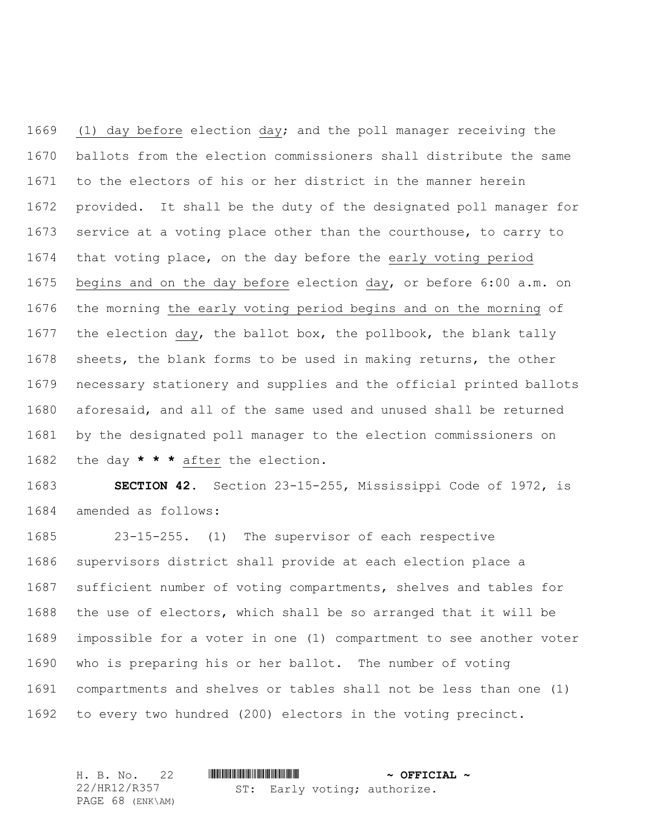(1) day before election day; and the poll manager receiving the ballots from the election commissioners shall distribute the same to the electors of his or her district in the manner herein provided. It shall be the duty of the designated poll manager for service at a voting place other than the courthouse, to carry to that voting place, on the day before the early voting period begins and on the day before election day, or before 6:00 a.m. on the morning the early voting period begins and on the morning of the election day, the ballot box, the pollbook, the blank tally sheets, the blank forms to be used in making returns, the other necessary stationery and supplies and the official printed ballots aforesaid, and all of the same used and unused shall be returned by the designated poll manager to the election commissioners on the day **\* \* \*** after the election.

 **SECTION 42.** Section 23-15-255, Mississippi Code of 1972, is amended as follows:

 23-15-255. (1) The supervisor of each respective supervisors district shall provide at each election place a sufficient number of voting compartments, shelves and tables for the use of electors, which shall be so arranged that it will be impossible for a voter in one (1) compartment to see another voter who is preparing his or her ballot. The number of voting compartments and shelves or tables shall not be less than one (1) to every two hundred (200) electors in the voting precinct.

| H. B. No. 22     |  | $\sim$ OFFICIAL $\sim$       |  |
|------------------|--|------------------------------|--|
| 22/HR12/R357     |  | ST: Early voting; authorize. |  |
| PAGE 68 (ENK\AM) |  |                              |  |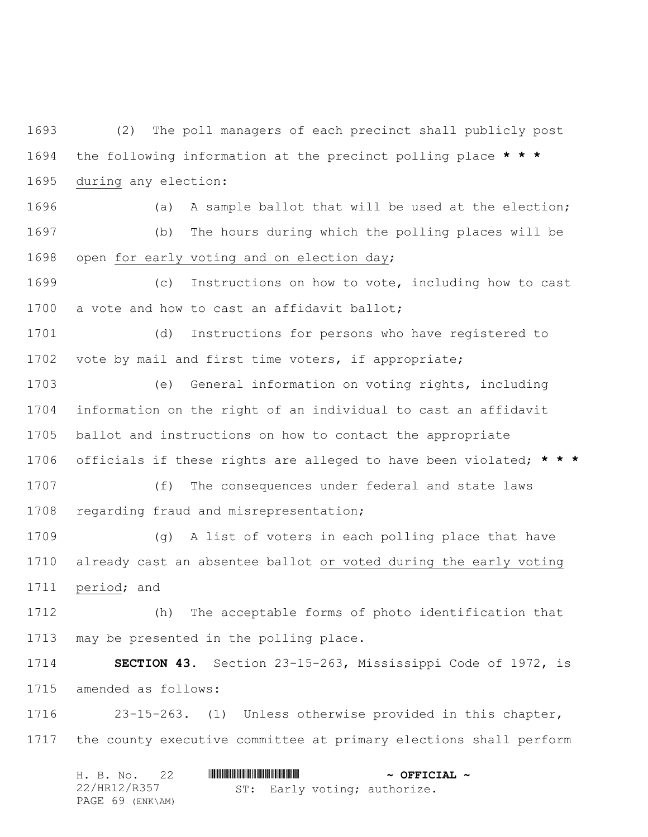(2) The poll managers of each precinct shall publicly post the following information at the precinct polling place **\* \* \*** during any election:

 (a) A sample ballot that will be used at the election; (b) The hours during which the polling places will be open for early voting and on election day;

 (c) Instructions on how to vote, including how to cast 1700 a vote and how to cast an affidavit ballot;

 (d) Instructions for persons who have registered to vote by mail and first time voters, if appropriate;

 (e) General information on voting rights, including information on the right of an individual to cast an affidavit ballot and instructions on how to contact the appropriate officials if these rights are alleged to have been violated; **\* \* \***

 (f) The consequences under federal and state laws regarding fraud and misrepresentation;

1709 (g) A list of voters in each polling place that have already cast an absentee ballot or voted during the early voting period; and

 (h) The acceptable forms of photo identification that may be presented in the polling place.

 **SECTION 43.** Section 23-15-263, Mississippi Code of 1972, is amended as follows:

 23-15-263. (1) Unless otherwise provided in this chapter, the county executive committee at primary elections shall perform

| H. B. No. 22     |  | $\sim$ OFFICIAL $\sim$       |
|------------------|--|------------------------------|
| 22/HR12/R357     |  | ST: Early voting; authorize. |
| PAGE 69 (ENK\AM) |  |                              |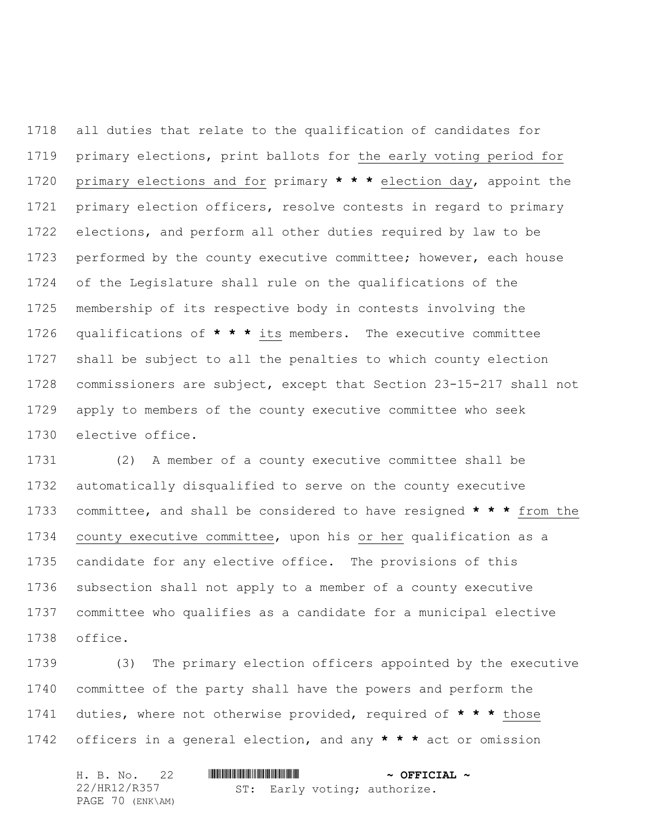all duties that relate to the qualification of candidates for primary elections, print ballots for the early voting period for primary elections and for primary **\* \* \*** election day, appoint the primary election officers, resolve contests in regard to primary elections, and perform all other duties required by law to be performed by the county executive committee; however, each house of the Legislature shall rule on the qualifications of the membership of its respective body in contests involving the qualifications of **\* \* \*** its members. The executive committee shall be subject to all the penalties to which county election commissioners are subject, except that Section 23-15-217 shall not apply to members of the county executive committee who seek elective office.

 (2) A member of a county executive committee shall be automatically disqualified to serve on the county executive committee, and shall be considered to have resigned **\* \* \*** from the county executive committee, upon his or her qualification as a candidate for any elective office. The provisions of this subsection shall not apply to a member of a county executive committee who qualifies as a candidate for a municipal elective office.

 (3) The primary election officers appointed by the executive committee of the party shall have the powers and perform the duties, where not otherwise provided, required of **\* \* \*** those officers in a general election, and any **\* \* \*** act or omission

| H. B. No. 22     |  |  | $\sim$ OFFICIAL $\sim$       |  |
|------------------|--|--|------------------------------|--|
| 22/HR12/R357     |  |  | ST: Early voting; authorize. |  |
| PAGE 70 (ENK\AM) |  |  |                              |  |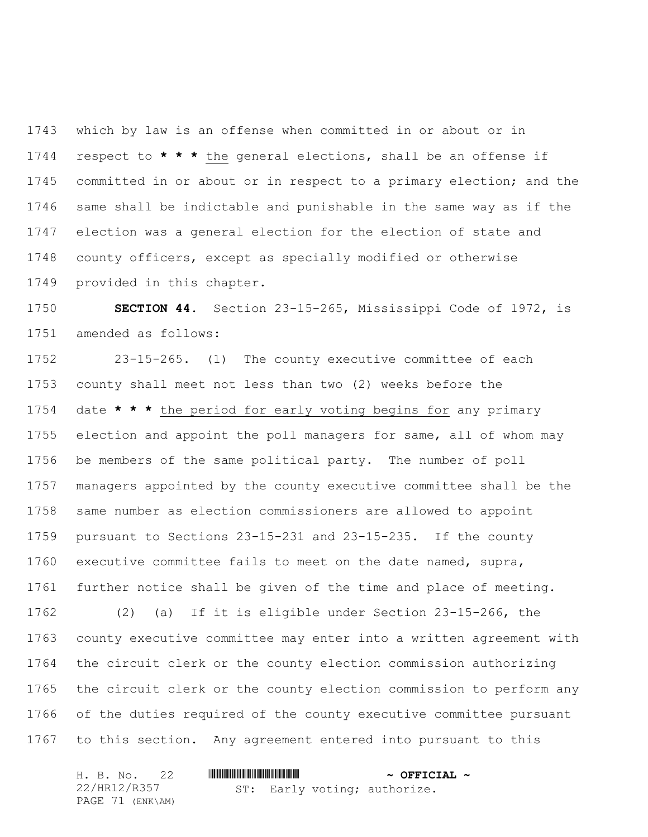which by law is an offense when committed in or about or in respect to **\* \* \*** the general elections, shall be an offense if committed in or about or in respect to a primary election; and the same shall be indictable and punishable in the same way as if the election was a general election for the election of state and county officers, except as specially modified or otherwise provided in this chapter.

 **SECTION 44.** Section 23-15-265, Mississippi Code of 1972, is amended as follows:

 23-15-265. (1) The county executive committee of each county shall meet not less than two (2) weeks before the date **\* \* \*** the period for early voting begins for any primary election and appoint the poll managers for same, all of whom may be members of the same political party. The number of poll managers appointed by the county executive committee shall be the same number as election commissioners are allowed to appoint pursuant to Sections 23-15-231 and 23-15-235. If the county executive committee fails to meet on the date named, supra, further notice shall be given of the time and place of meeting. (2) (a) If it is eligible under Section 23-15-266, the county executive committee may enter into a written agreement with the circuit clerk or the county election commission authorizing the circuit clerk or the county election commission to perform any of the duties required of the county executive committee pursuant to this section. Any agreement entered into pursuant to this

|  | H. B. No. 22     |  |  | $\sim$ OFFICIAL $\sim$       |  |
|--|------------------|--|--|------------------------------|--|
|  | 22/HR12/R357     |  |  | ST: Early voting; authorize. |  |
|  | PAGE 71 (ENK\AM) |  |  |                              |  |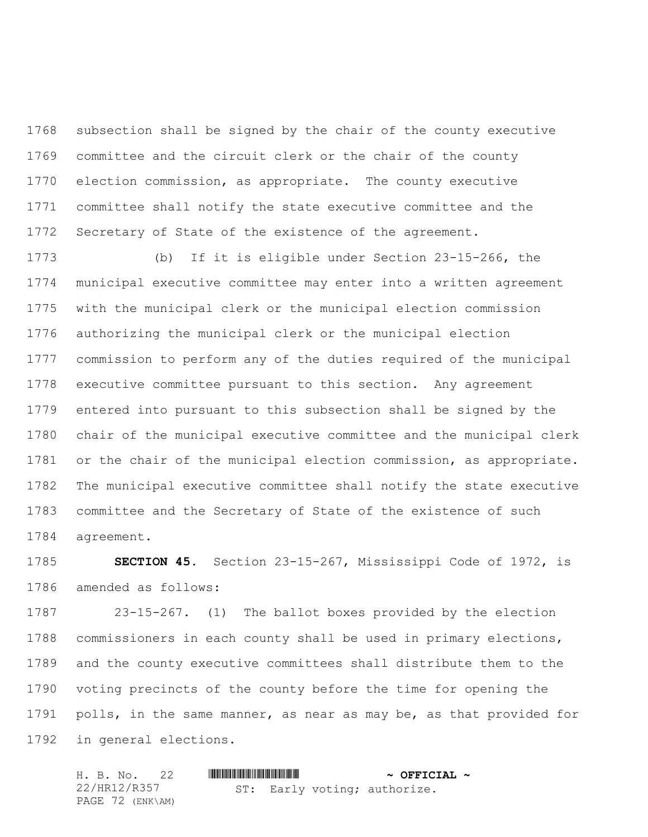subsection shall be signed by the chair of the county executive committee and the circuit clerk or the chair of the county election commission, as appropriate. The county executive committee shall notify the state executive committee and the Secretary of State of the existence of the agreement.

 (b) If it is eligible under Section 23-15-266, the municipal executive committee may enter into a written agreement with the municipal clerk or the municipal election commission authorizing the municipal clerk or the municipal election commission to perform any of the duties required of the municipal executive committee pursuant to this section. Any agreement entered into pursuant to this subsection shall be signed by the chair of the municipal executive committee and the municipal clerk or the chair of the municipal election commission, as appropriate. The municipal executive committee shall notify the state executive committee and the Secretary of State of the existence of such agreement.

 **SECTION 45.** Section 23-15-267, Mississippi Code of 1972, is amended as follows:

 23-15-267. (1) The ballot boxes provided by the election commissioners in each county shall be used in primary elections, and the county executive committees shall distribute them to the voting precincts of the county before the time for opening the polls, in the same manner, as near as may be, as that provided for in general elections.

|  | H. B. No. 22     |  | $\sim$ OFFICIAL $\sim$       |  |
|--|------------------|--|------------------------------|--|
|  | 22/HR12/R357     |  | ST: Early voting; authorize. |  |
|  | PAGE 72 (ENK\AM) |  |                              |  |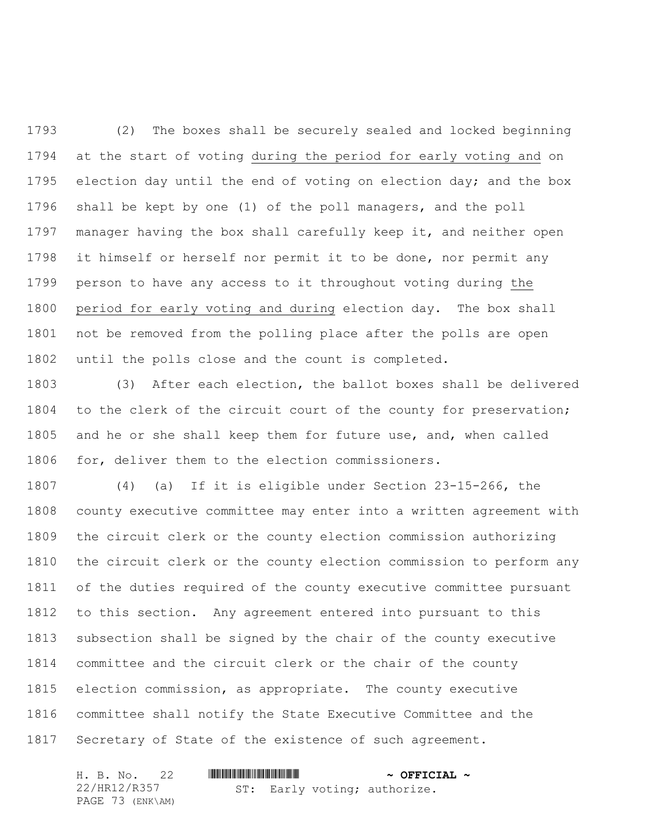(2) The boxes shall be securely sealed and locked beginning at the start of voting during the period for early voting and on 1795 election day until the end of voting on election day; and the box shall be kept by one (1) of the poll managers, and the poll manager having the box shall carefully keep it, and neither open it himself or herself nor permit it to be done, nor permit any person to have any access to it throughout voting during the period for early voting and during election day. The box shall not be removed from the polling place after the polls are open until the polls close and the count is completed.

 (3) After each election, the ballot boxes shall be delivered 1804 to the clerk of the circuit court of the county for preservation; and he or she shall keep them for future use, and, when called for, deliver them to the election commissioners.

 (4) (a) If it is eligible under Section 23-15-266, the county executive committee may enter into a written agreement with the circuit clerk or the county election commission authorizing the circuit clerk or the county election commission to perform any of the duties required of the county executive committee pursuant to this section. Any agreement entered into pursuant to this subsection shall be signed by the chair of the county executive committee and the circuit clerk or the chair of the county election commission, as appropriate. The county executive committee shall notify the State Executive Committee and the Secretary of State of the existence of such agreement.

| H. B. No. 22     |                              | $\sim$ OFFICIAL $\sim$ |
|------------------|------------------------------|------------------------|
| 22/HR12/R357     | ST: Early voting; authorize. |                        |
| PAGE 73 (ENK\AM) |                              |                        |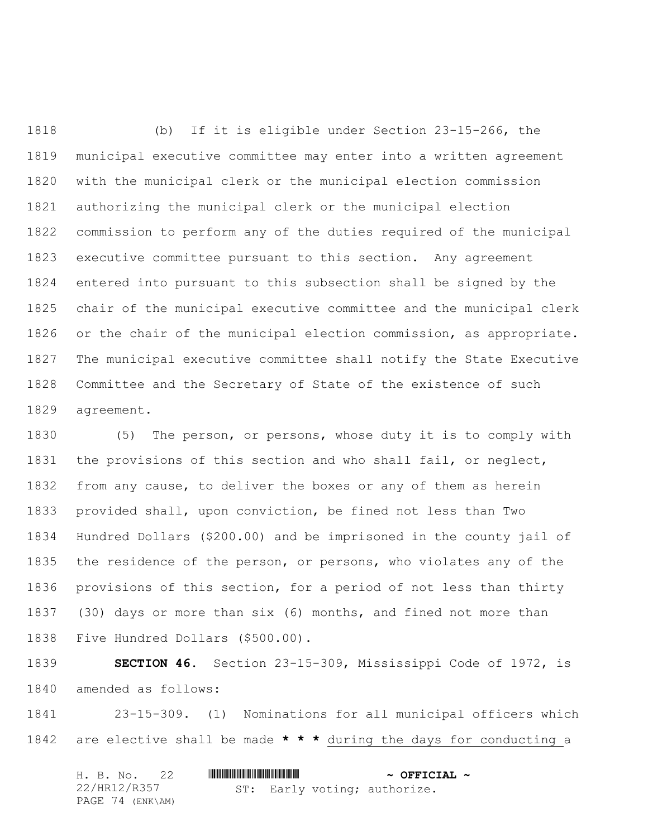(b) If it is eligible under Section 23-15-266, the municipal executive committee may enter into a written agreement with the municipal clerk or the municipal election commission authorizing the municipal clerk or the municipal election commission to perform any of the duties required of the municipal executive committee pursuant to this section. Any agreement entered into pursuant to this subsection shall be signed by the chair of the municipal executive committee and the municipal clerk or the chair of the municipal election commission, as appropriate. The municipal executive committee shall notify the State Executive Committee and the Secretary of State of the existence of such agreement.

 (5) The person, or persons, whose duty it is to comply with the provisions of this section and who shall fail, or neglect, from any cause, to deliver the boxes or any of them as herein provided shall, upon conviction, be fined not less than Two Hundred Dollars (\$200.00) and be imprisoned in the county jail of the residence of the person, or persons, who violates any of the provisions of this section, for a period of not less than thirty (30) days or more than six (6) months, and fined not more than Five Hundred Dollars (\$500.00).

 **SECTION 46.** Section 23-15-309, Mississippi Code of 1972, is amended as follows:

 23-15-309. (1) Nominations for all municipal officers which are elective shall be made **\* \* \*** during the days for conducting a

|  | H. B. No. 22     |  |  | $\sim$ OFFICIAL $\sim$       |  |
|--|------------------|--|--|------------------------------|--|
|  | 22/HR12/R357     |  |  | ST: Early voting; authorize. |  |
|  | PAGE 74 (ENK\AM) |  |  |                              |  |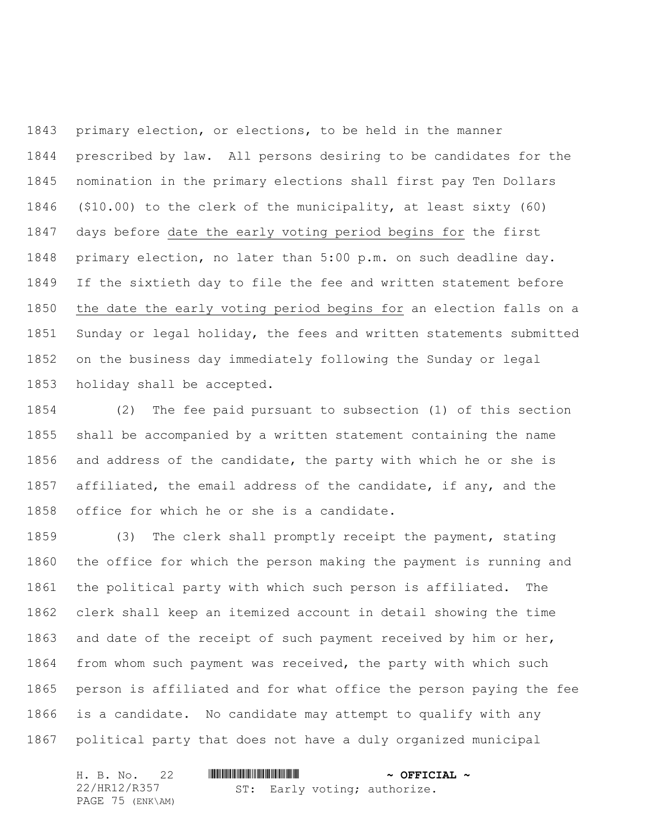primary election, or elections, to be held in the manner prescribed by law. All persons desiring to be candidates for the nomination in the primary elections shall first pay Ten Dollars (\$10.00) to the clerk of the municipality, at least sixty (60) days before date the early voting period begins for the first primary election, no later than 5:00 p.m. on such deadline day. If the sixtieth day to file the fee and written statement before the date the early voting period begins for an election falls on a Sunday or legal holiday, the fees and written statements submitted on the business day immediately following the Sunday or legal holiday shall be accepted.

 (2) The fee paid pursuant to subsection (1) of this section shall be accompanied by a written statement containing the name and address of the candidate, the party with which he or she is 1857 affiliated, the email address of the candidate, if any, and the office for which he or she is a candidate.

 (3) The clerk shall promptly receipt the payment, stating the office for which the person making the payment is running and the political party with which such person is affiliated. The clerk shall keep an itemized account in detail showing the time and date of the receipt of such payment received by him or her, from whom such payment was received, the party with which such person is affiliated and for what office the person paying the fee is a candidate. No candidate may attempt to qualify with any political party that does not have a duly organized municipal

| H. B. No. 22     |                              | $\sim$ OFFICIAL $\sim$ |
|------------------|------------------------------|------------------------|
| 22/HR12/R357     | ST: Early voting; authorize. |                        |
| PAGE 75 (ENK\AM) |                              |                        |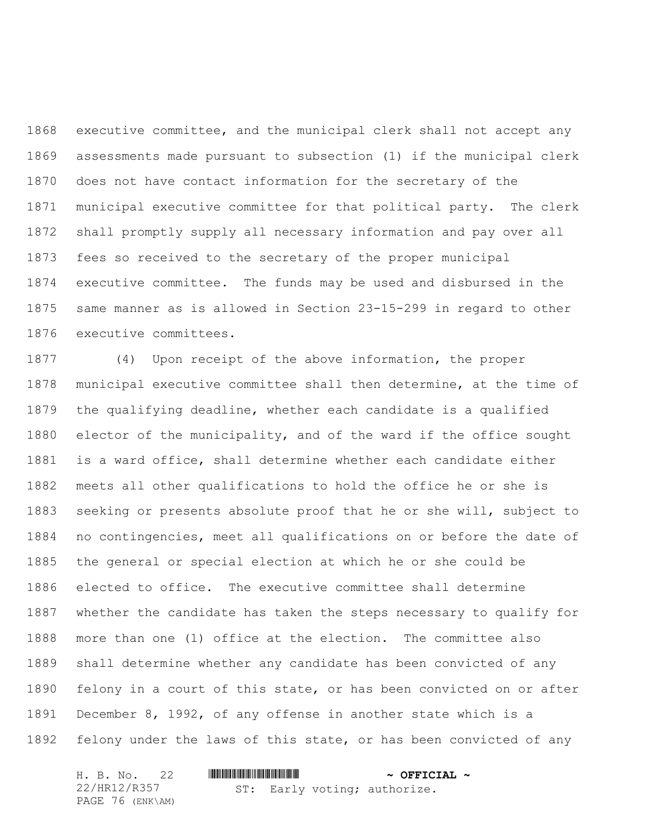executive committee, and the municipal clerk shall not accept any assessments made pursuant to subsection (1) if the municipal clerk does not have contact information for the secretary of the municipal executive committee for that political party. The clerk shall promptly supply all necessary information and pay over all fees so received to the secretary of the proper municipal executive committee. The funds may be used and disbursed in the same manner as is allowed in Section 23-15-299 in regard to other executive committees.

 (4) Upon receipt of the above information, the proper municipal executive committee shall then determine, at the time of the qualifying deadline, whether each candidate is a qualified elector of the municipality, and of the ward if the office sought is a ward office, shall determine whether each candidate either meets all other qualifications to hold the office he or she is seeking or presents absolute proof that he or she will, subject to no contingencies, meet all qualifications on or before the date of the general or special election at which he or she could be elected to office. The executive committee shall determine whether the candidate has taken the steps necessary to qualify for more than one (1) office at the election. The committee also shall determine whether any candidate has been convicted of any felony in a court of this state, or has been convicted on or after December 8, 1992, of any offense in another state which is a felony under the laws of this state, or has been convicted of any

| H. B. No. 22     |                              | $\sim$ OFFICIAL $\sim$ |
|------------------|------------------------------|------------------------|
| 22/HR12/R357     | ST: Early voting; authorize. |                        |
| PAGE 76 (ENK\AM) |                              |                        |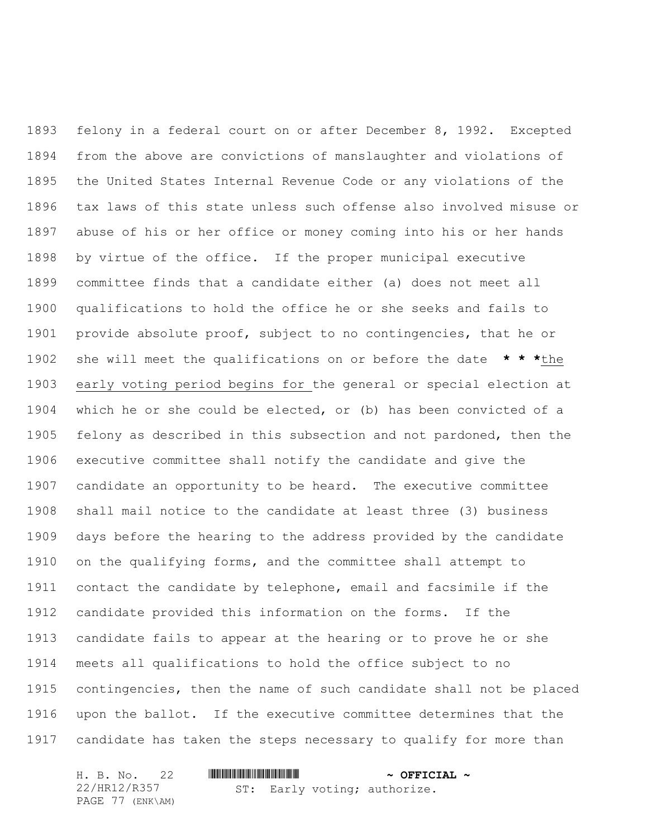felony in a federal court on or after December 8, 1992. Excepted from the above are convictions of manslaughter and violations of the United States Internal Revenue Code or any violations of the tax laws of this state unless such offense also involved misuse or abuse of his or her office or money coming into his or her hands by virtue of the office. If the proper municipal executive committee finds that a candidate either (a) does not meet all qualifications to hold the office he or she seeks and fails to provide absolute proof, subject to no contingencies, that he or she will meet the qualifications on or before the date **\* \* \***the early voting period begins for the general or special election at which he or she could be elected, or (b) has been convicted of a felony as described in this subsection and not pardoned, then the executive committee shall notify the candidate and give the candidate an opportunity to be heard. The executive committee shall mail notice to the candidate at least three (3) business days before the hearing to the address provided by the candidate on the qualifying forms, and the committee shall attempt to contact the candidate by telephone, email and facsimile if the candidate provided this information on the forms. If the candidate fails to appear at the hearing or to prove he or she meets all qualifications to hold the office subject to no contingencies, then the name of such candidate shall not be placed upon the ballot. If the executive committee determines that the candidate has taken the steps necessary to qualify for more than

| H. B. No. 22     |  |  | $\sim$ OFFICIAL $\sim$       |  |
|------------------|--|--|------------------------------|--|
| 22/HR12/R357     |  |  | ST: Early voting; authorize. |  |
| PAGE 77 (ENK\AM) |  |  |                              |  |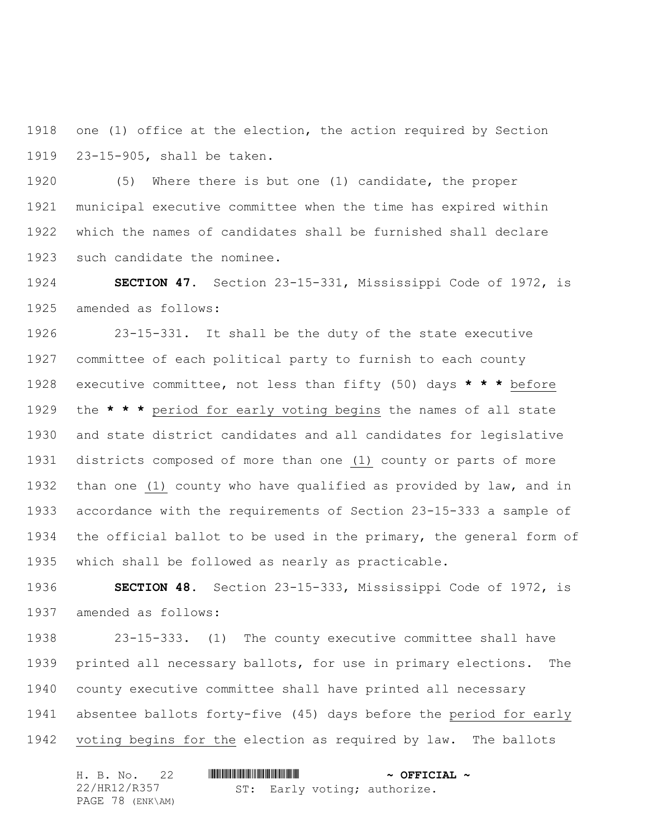one (1) office at the election, the action required by Section 23-15-905, shall be taken.

 (5) Where there is but one (1) candidate, the proper municipal executive committee when the time has expired within which the names of candidates shall be furnished shall declare such candidate the nominee.

 **SECTION 47.** Section 23-15-331, Mississippi Code of 1972, is amended as follows:

 23-15-331. It shall be the duty of the state executive committee of each political party to furnish to each county executive committee, not less than fifty (50) days **\* \* \*** before the **\* \* \*** period for early voting begins the names of all state and state district candidates and all candidates for legislative districts composed of more than one (1) county or parts of more than one (1) county who have qualified as provided by law, and in accordance with the requirements of Section 23-15-333 a sample of the official ballot to be used in the primary, the general form of which shall be followed as nearly as practicable.

 **SECTION 48.** Section 23-15-333, Mississippi Code of 1972, is amended as follows:

 23-15-333. (1) The county executive committee shall have printed all necessary ballots, for use in primary elections. The county executive committee shall have printed all necessary absentee ballots forty-five (45) days before the period for early voting begins for the election as required by law. The ballots

|              | H. B. No. 22     |  | $\sim$ OFFICIAL $\sim$       |  |
|--------------|------------------|--|------------------------------|--|
| 22/HR12/R357 |                  |  | ST: Early voting; authorize. |  |
|              | PAGE 78 (ENK\AM) |  |                              |  |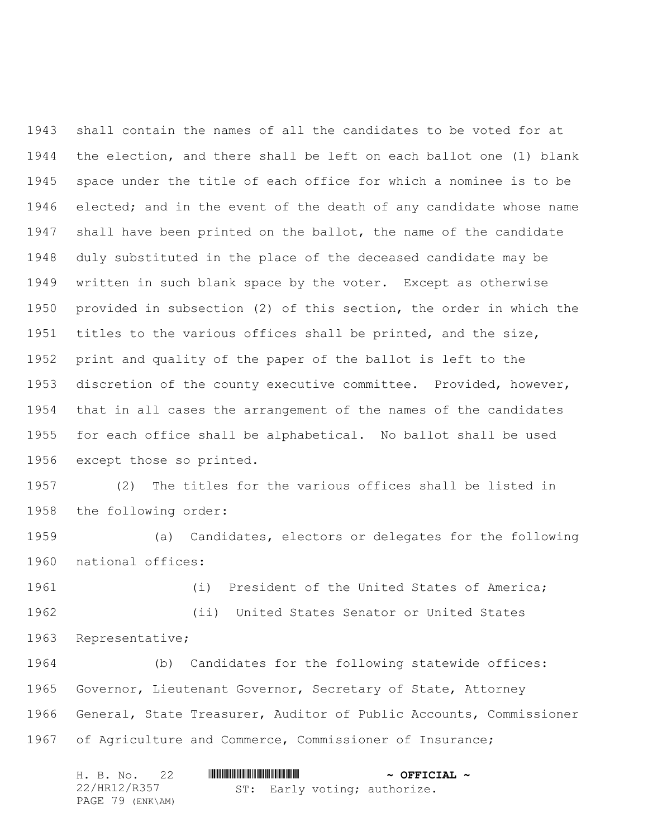shall contain the names of all the candidates to be voted for at the election, and there shall be left on each ballot one (1) blank space under the title of each office for which a nominee is to be elected; and in the event of the death of any candidate whose name shall have been printed on the ballot, the name of the candidate duly substituted in the place of the deceased candidate may be written in such blank space by the voter. Except as otherwise provided in subsection (2) of this section, the order in which the titles to the various offices shall be printed, and the size, print and quality of the paper of the ballot is left to the discretion of the county executive committee. Provided, however, that in all cases the arrangement of the names of the candidates for each office shall be alphabetical. No ballot shall be used except those so printed.

 (2) The titles for the various offices shall be listed in the following order:

 (a) Candidates, electors or delegates for the following national offices:

 (i) President of the United States of America; (ii) United States Senator or United States Representative;

 (b) Candidates for the following statewide offices: Governor, Lieutenant Governor, Secretary of State, Attorney General, State Treasurer, Auditor of Public Accounts, Commissioner of Agriculture and Commerce, Commissioner of Insurance;

|  | H. B. No. 22     |  | $\sim$ OFFICIAL $\sim$       |
|--|------------------|--|------------------------------|
|  | 22/HR12/R357     |  | ST: Early voting; authorize. |
|  | PAGE 79 (ENK\AM) |  |                              |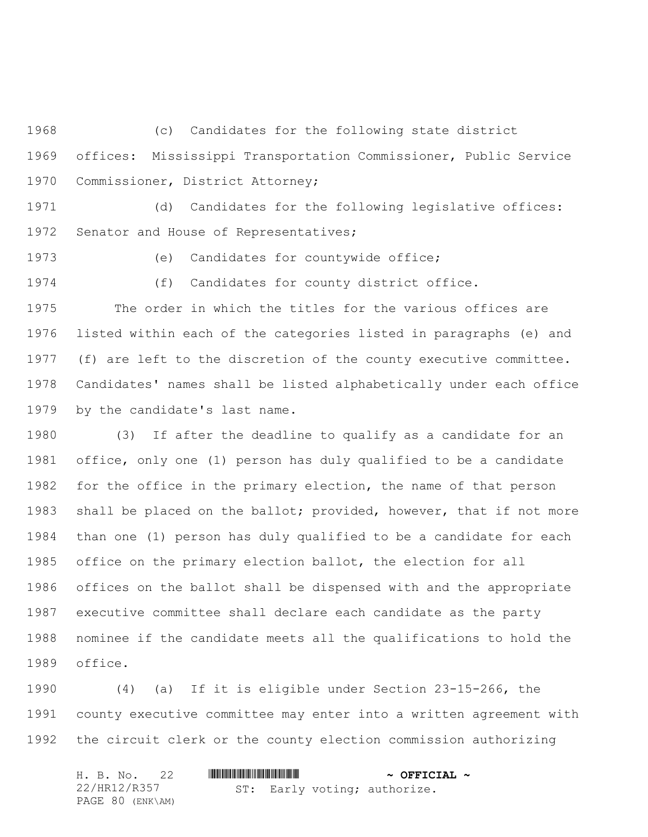(c) Candidates for the following state district offices: Mississippi Transportation Commissioner, Public Service Commissioner, District Attorney;

 (d) Candidates for the following legislative offices: Senator and House of Representatives;

(e) Candidates for countywide office;

(f) Candidates for county district office.

 The order in which the titles for the various offices are listed within each of the categories listed in paragraphs (e) and (f) are left to the discretion of the county executive committee. Candidates' names shall be listed alphabetically under each office by the candidate's last name.

 (3) If after the deadline to qualify as a candidate for an office, only one (1) person has duly qualified to be a candidate 1982 for the office in the primary election, the name of that person shall be placed on the ballot; provided, however, that if not more than one (1) person has duly qualified to be a candidate for each office on the primary election ballot, the election for all offices on the ballot shall be dispensed with and the appropriate executive committee shall declare each candidate as the party nominee if the candidate meets all the qualifications to hold the office.

 (4) (a) If it is eligible under Section 23-15-266, the county executive committee may enter into a written agreement with the circuit clerk or the county election commission authorizing

| H. B. No. 22     |  |  | $\sim$ OFFICIAL $\sim$       |  |
|------------------|--|--|------------------------------|--|
| 22/HR12/R357     |  |  | ST: Early voting; authorize. |  |
| PAGE 80 (ENK\AM) |  |  |                              |  |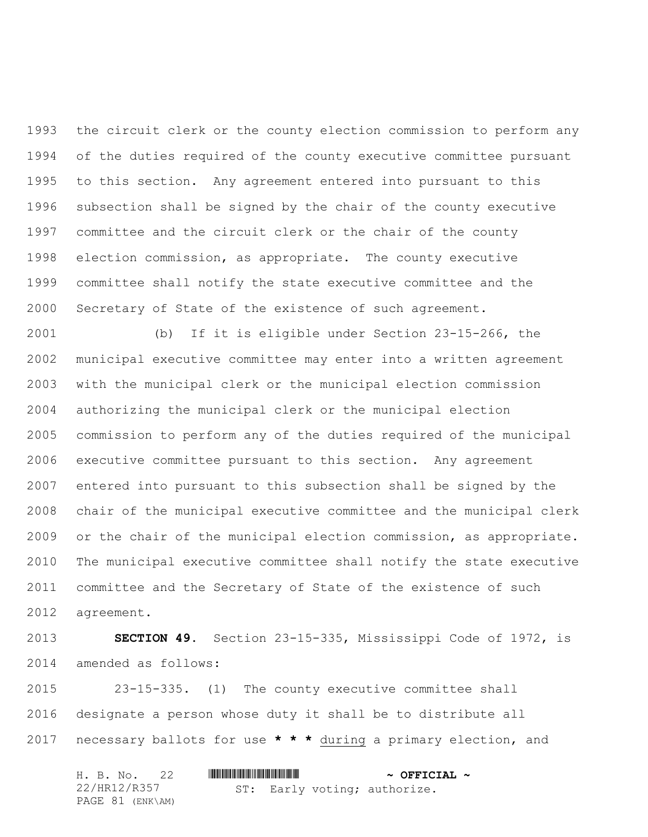the circuit clerk or the county election commission to perform any of the duties required of the county executive committee pursuant to this section. Any agreement entered into pursuant to this subsection shall be signed by the chair of the county executive committee and the circuit clerk or the chair of the county election commission, as appropriate. The county executive committee shall notify the state executive committee and the Secretary of State of the existence of such agreement.

 (b) If it is eligible under Section 23-15-266, the municipal executive committee may enter into a written agreement with the municipal clerk or the municipal election commission authorizing the municipal clerk or the municipal election commission to perform any of the duties required of the municipal executive committee pursuant to this section. Any agreement entered into pursuant to this subsection shall be signed by the chair of the municipal executive committee and the municipal clerk or the chair of the municipal election commission, as appropriate. The municipal executive committee shall notify the state executive committee and the Secretary of State of the existence of such agreement.

 **SECTION 49.** Section 23-15-335, Mississippi Code of 1972, is amended as follows:

 23-15-335. (1) The county executive committee shall designate a person whose duty it shall be to distribute all necessary ballots for use **\* \* \*** during a primary election, and

|  | H. B. No. 22     |  | $\sim$ OFFICIAL $\sim$       |  |
|--|------------------|--|------------------------------|--|
|  | 22/HR12/R357     |  | ST: Early voting; authorize. |  |
|  | PAGE 81 (ENK\AM) |  |                              |  |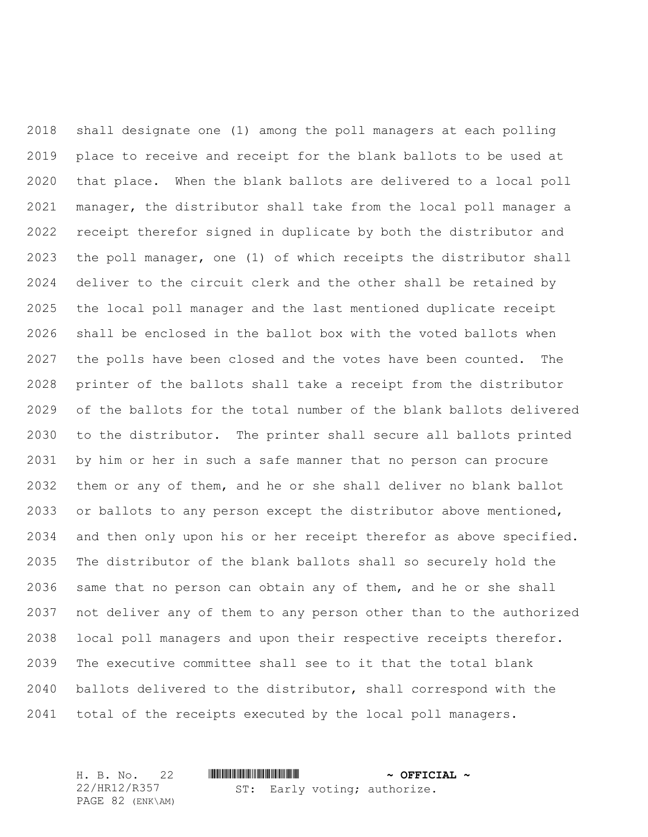shall designate one (1) among the poll managers at each polling place to receive and receipt for the blank ballots to be used at that place. When the blank ballots are delivered to a local poll manager, the distributor shall take from the local poll manager a receipt therefor signed in duplicate by both the distributor and the poll manager, one (1) of which receipts the distributor shall deliver to the circuit clerk and the other shall be retained by the local poll manager and the last mentioned duplicate receipt shall be enclosed in the ballot box with the voted ballots when the polls have been closed and the votes have been counted. The printer of the ballots shall take a receipt from the distributor of the ballots for the total number of the blank ballots delivered to the distributor. The printer shall secure all ballots printed by him or her in such a safe manner that no person can procure them or any of them, and he or she shall deliver no blank ballot or ballots to any person except the distributor above mentioned, and then only upon his or her receipt therefor as above specified. The distributor of the blank ballots shall so securely hold the same that no person can obtain any of them, and he or she shall not deliver any of them to any person other than to the authorized local poll managers and upon their respective receipts therefor. The executive committee shall see to it that the total blank ballots delivered to the distributor, shall correspond with the total of the receipts executed by the local poll managers.

H. B. No. 22 \*HR12/R357\* **~ OFFICIAL ~** 22/HR12/R357 PAGE 82 (ENK\AM) ST: Early voting; authorize.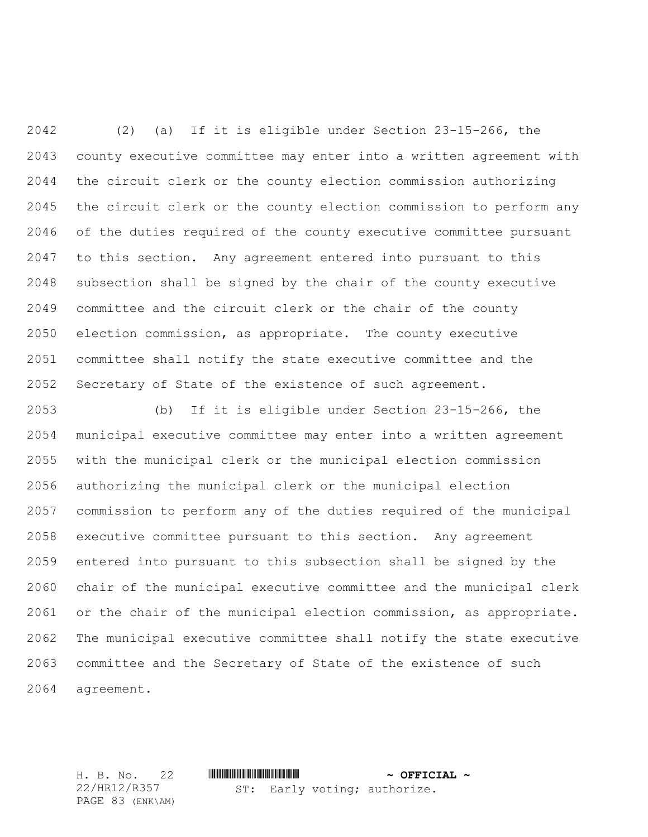(2) (a) If it is eligible under Section 23-15-266, the county executive committee may enter into a written agreement with the circuit clerk or the county election commission authorizing the circuit clerk or the county election commission to perform any of the duties required of the county executive committee pursuant to this section. Any agreement entered into pursuant to this subsection shall be signed by the chair of the county executive committee and the circuit clerk or the chair of the county election commission, as appropriate. The county executive committee shall notify the state executive committee and the Secretary of State of the existence of such agreement.

 (b) If it is eligible under Section 23-15-266, the municipal executive committee may enter into a written agreement with the municipal clerk or the municipal election commission authorizing the municipal clerk or the municipal election commission to perform any of the duties required of the municipal executive committee pursuant to this section. Any agreement entered into pursuant to this subsection shall be signed by the chair of the municipal executive committee and the municipal clerk or the chair of the municipal election commission, as appropriate. The municipal executive committee shall notify the state executive committee and the Secretary of State of the existence of such agreement.

H. B. No. 22 \*HR12/R357\* **~ OFFICIAL ~** ST: Early voting; authorize.

22/HR12/R357 PAGE 83 (ENK\AM)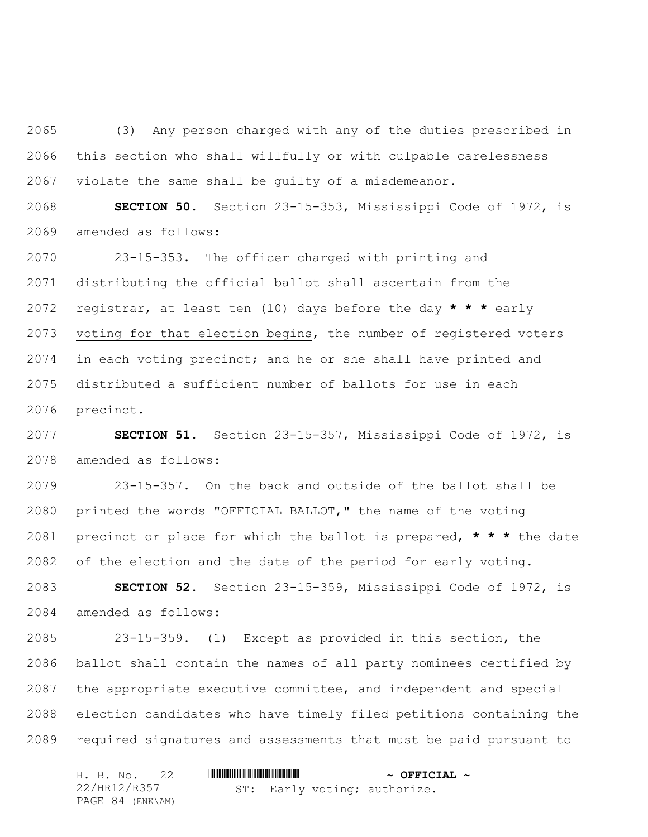(3) Any person charged with any of the duties prescribed in this section who shall willfully or with culpable carelessness violate the same shall be guilty of a misdemeanor.

 **SECTION 50.** Section 23-15-353, Mississippi Code of 1972, is amended as follows:

 23-15-353. The officer charged with printing and distributing the official ballot shall ascertain from the registrar, at least ten (10) days before the day **\* \* \*** early voting for that election begins, the number of registered voters in each voting precinct; and he or she shall have printed and distributed a sufficient number of ballots for use in each precinct.

 **SECTION 51.** Section 23-15-357, Mississippi Code of 1972, is amended as follows:

 23-15-357. On the back and outside of the ballot shall be printed the words "OFFICIAL BALLOT," the name of the voting precinct or place for which the ballot is prepared, **\* \* \*** the date of the election and the date of the period for early voting.

 **SECTION 52.** Section 23-15-359, Mississippi Code of 1972, is amended as follows:

 23-15-359. (1) Except as provided in this section, the ballot shall contain the names of all party nominees certified by the appropriate executive committee, and independent and special election candidates who have timely filed petitions containing the required signatures and assessments that must be paid pursuant to

|              |  | H. B. No. 22     |  | $\sim$ OFFICIAL $\sim$       |  |
|--------------|--|------------------|--|------------------------------|--|
| 22/HR12/R357 |  |                  |  | ST: Early voting; authorize. |  |
|              |  | PAGE 84 (ENK\AM) |  |                              |  |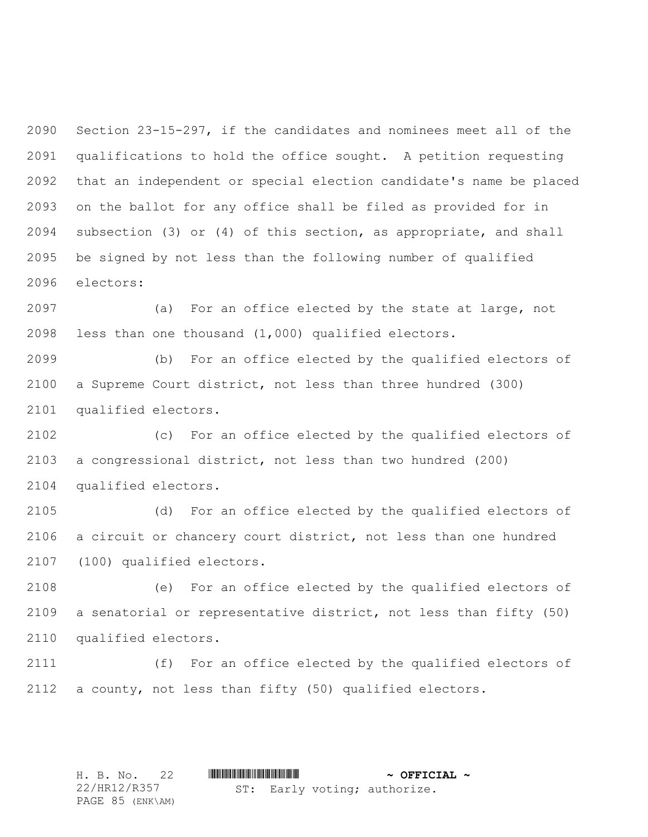Section 23-15-297, if the candidates and nominees meet all of the qualifications to hold the office sought. A petition requesting that an independent or special election candidate's name be placed on the ballot for any office shall be filed as provided for in subsection (3) or (4) of this section, as appropriate, and shall be signed by not less than the following number of qualified electors:

 (a) For an office elected by the state at large, not less than one thousand (1,000) qualified electors.

 (b) For an office elected by the qualified electors of a Supreme Court district, not less than three hundred (300) qualified electors.

 (c) For an office elected by the qualified electors of a congressional district, not less than two hundred (200) qualified electors.

 (d) For an office elected by the qualified electors of a circuit or chancery court district, not less than one hundred (100) qualified electors.

 (e) For an office elected by the qualified electors of a senatorial or representative district, not less than fifty (50) qualified electors.

 (f) For an office elected by the qualified electors of a county, not less than fifty (50) qualified electors.

H. B. No. 22 **. AND AND AN ADDED**  $\sim$  **OFFICIAL**  $\sim$ 22/HR12/R357 PAGE 85 (ENK\AM) ST: Early voting; authorize.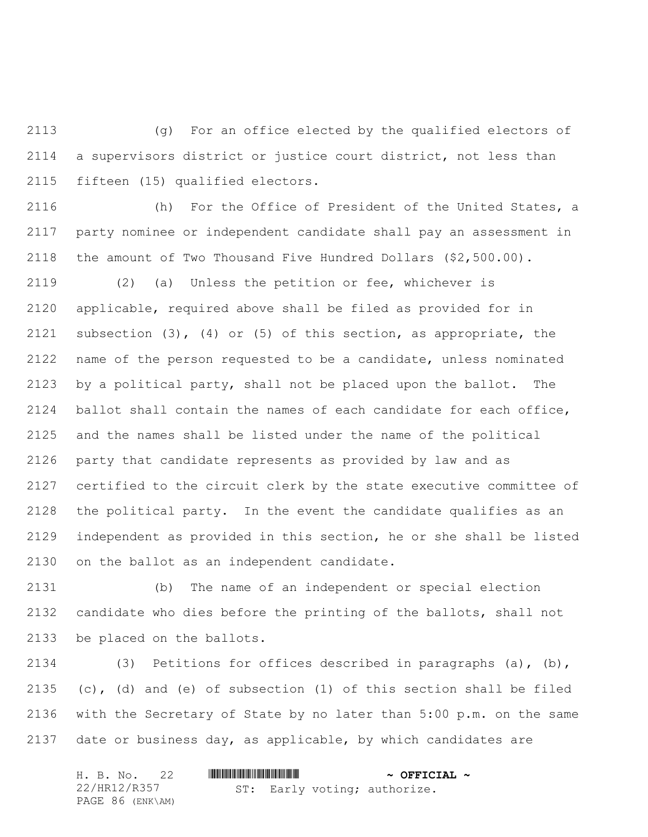(g) For an office elected by the qualified electors of a supervisors district or justice court district, not less than fifteen (15) qualified electors.

 (h) For the Office of President of the United States, a party nominee or independent candidate shall pay an assessment in the amount of Two Thousand Five Hundred Dollars (\$2,500.00).

 (2) (a) Unless the petition or fee, whichever is applicable, required above shall be filed as provided for in subsection (3), (4) or (5) of this section, as appropriate, the name of the person requested to be a candidate, unless nominated by a political party, shall not be placed upon the ballot. The ballot shall contain the names of each candidate for each office, and the names shall be listed under the name of the political party that candidate represents as provided by law and as certified to the circuit clerk by the state executive committee of the political party. In the event the candidate qualifies as an independent as provided in this section, he or she shall be listed on the ballot as an independent candidate.

 (b) The name of an independent or special election candidate who dies before the printing of the ballots, shall not be placed on the ballots.

 (3) Petitions for offices described in paragraphs (a), (b), (c), (d) and (e) of subsection (1) of this section shall be filed with the Secretary of State by no later than 5:00 p.m. on the same date or business day, as applicable, by which candidates are

| H. B. No. 22     |  | $\sim$ OFFICIAL $\sim$       |  |
|------------------|--|------------------------------|--|
| 22/HR12/R357     |  | ST: Early voting; authorize. |  |
| PAGE 86 (ENK\AM) |  |                              |  |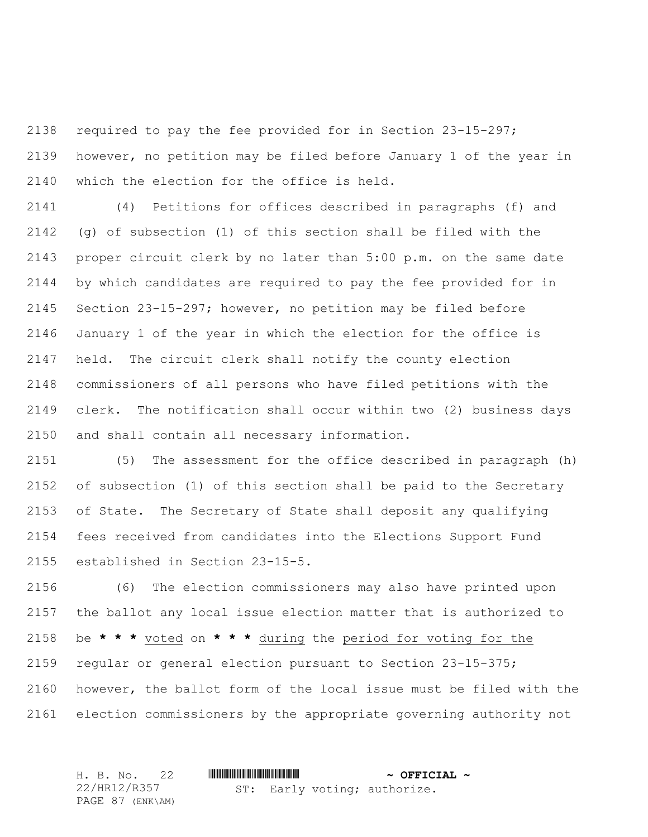required to pay the fee provided for in Section 23-15-297; however, no petition may be filed before January 1 of the year in which the election for the office is held.

 (4) Petitions for offices described in paragraphs (f) and (g) of subsection (1) of this section shall be filed with the proper circuit clerk by no later than 5:00 p.m. on the same date by which candidates are required to pay the fee provided for in Section 23-15-297; however, no petition may be filed before January 1 of the year in which the election for the office is held. The circuit clerk shall notify the county election commissioners of all persons who have filed petitions with the clerk. The notification shall occur within two (2) business days and shall contain all necessary information.

 (5) The assessment for the office described in paragraph (h) of subsection (1) of this section shall be paid to the Secretary of State. The Secretary of State shall deposit any qualifying fees received from candidates into the Elections Support Fund established in Section 23-15-5.

 (6) The election commissioners may also have printed upon the ballot any local issue election matter that is authorized to be **\* \* \*** voted on **\* \* \*** during the period for voting for the regular or general election pursuant to Section 23-15-375; however, the ballot form of the local issue must be filed with the election commissioners by the appropriate governing authority not

H. B. No. 22 \*HR12/R357\* **~ OFFICIAL ~** 22/HR12/R357 PAGE 87 (ENK\AM) ST: Early voting; authorize.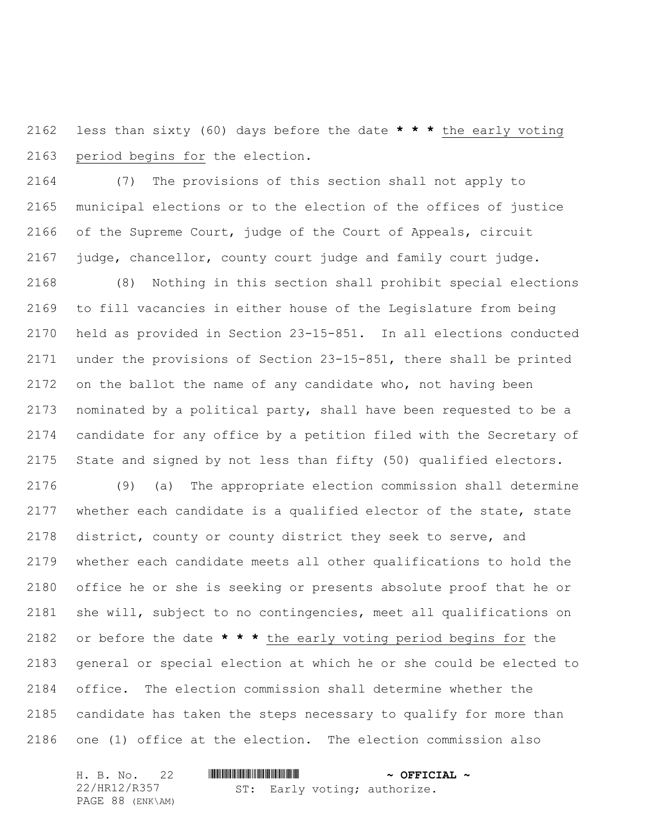less than sixty (60) days before the date **\* \* \*** the early voting period begins for the election.

 (7) The provisions of this section shall not apply to municipal elections or to the election of the offices of justice of the Supreme Court, judge of the Court of Appeals, circuit judge, chancellor, county court judge and family court judge.

 (8) Nothing in this section shall prohibit special elections to fill vacancies in either house of the Legislature from being held as provided in Section 23-15-851. In all elections conducted under the provisions of Section 23-15-851, there shall be printed on the ballot the name of any candidate who, not having been nominated by a political party, shall have been requested to be a candidate for any office by a petition filed with the Secretary of State and signed by not less than fifty (50) qualified electors.

 (9) (a) The appropriate election commission shall determine whether each candidate is a qualified elector of the state, state district, county or county district they seek to serve, and whether each candidate meets all other qualifications to hold the office he or she is seeking or presents absolute proof that he or she will, subject to no contingencies, meet all qualifications on or before the date **\* \* \*** the early voting period begins for the general or special election at which he or she could be elected to office. The election commission shall determine whether the candidate has taken the steps necessary to qualify for more than one (1) office at the election. The election commission also

| H. B. No. 22     |                              | $\sim$ OFFICIAL $\sim$ |
|------------------|------------------------------|------------------------|
| 22/HR12/R357     | ST: Early voting; authorize. |                        |
| PAGE 88 (ENK\AM) |                              |                        |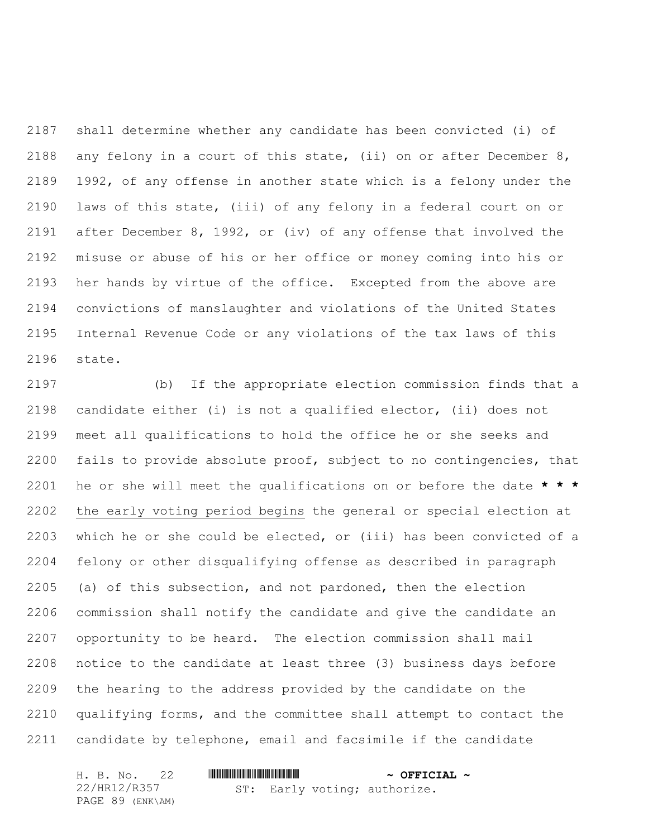shall determine whether any candidate has been convicted (i) of any felony in a court of this state, (ii) on or after December 8, 1992, of any offense in another state which is a felony under the laws of this state, (iii) of any felony in a federal court on or after December 8, 1992, or (iv) of any offense that involved the misuse or abuse of his or her office or money coming into his or her hands by virtue of the office. Excepted from the above are convictions of manslaughter and violations of the United States Internal Revenue Code or any violations of the tax laws of this state.

 (b) If the appropriate election commission finds that a candidate either (i) is not a qualified elector, (ii) does not meet all qualifications to hold the office he or she seeks and fails to provide absolute proof, subject to no contingencies, that he or she will meet the qualifications on or before the date **\* \* \*** the early voting period begins the general or special election at which he or she could be elected, or (iii) has been convicted of a felony or other disqualifying offense as described in paragraph (a) of this subsection, and not pardoned, then the election commission shall notify the candidate and give the candidate an opportunity to be heard. The election commission shall mail notice to the candidate at least three (3) business days before the hearing to the address provided by the candidate on the qualifying forms, and the committee shall attempt to contact the candidate by telephone, email and facsimile if the candidate

|  | H. B. No. 22     |  | $\sim$ OFFICIAL $\sim$ |                              |  |
|--|------------------|--|------------------------|------------------------------|--|
|  | 22/HR12/R357     |  |                        | ST: Early voting; authorize. |  |
|  | PAGE 89 (ENK\AM) |  |                        |                              |  |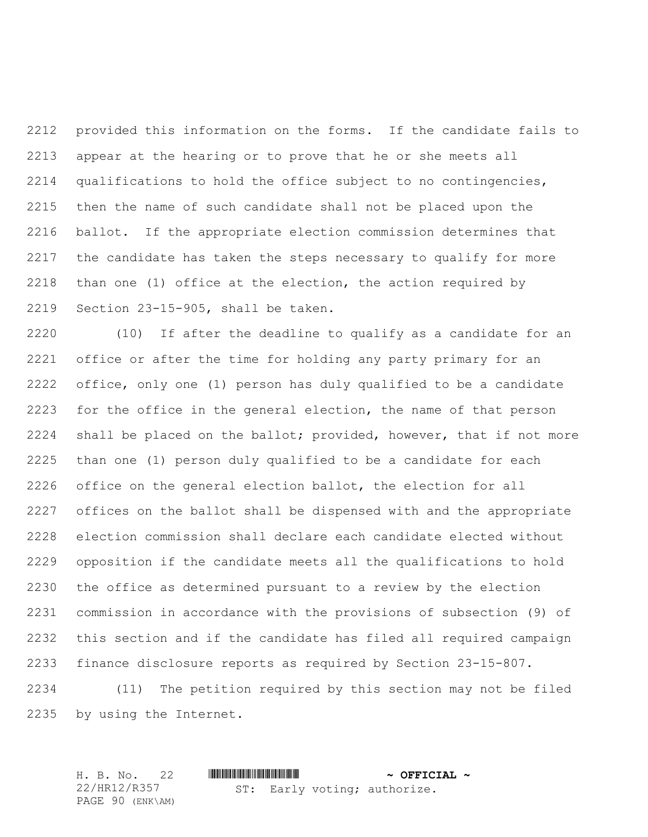provided this information on the forms. If the candidate fails to appear at the hearing or to prove that he or she meets all qualifications to hold the office subject to no contingencies, then the name of such candidate shall not be placed upon the ballot. If the appropriate election commission determines that the candidate has taken the steps necessary to qualify for more than one (1) office at the election, the action required by Section 23-15-905, shall be taken.

 (10) If after the deadline to qualify as a candidate for an office or after the time for holding any party primary for an office, only one (1) person has duly qualified to be a candidate 2223 for the office in the general election, the name of that person shall be placed on the ballot; provided, however, that if not more than one (1) person duly qualified to be a candidate for each office on the general election ballot, the election for all offices on the ballot shall be dispensed with and the appropriate election commission shall declare each candidate elected without opposition if the candidate meets all the qualifications to hold the office as determined pursuant to a review by the election commission in accordance with the provisions of subsection (9) of this section and if the candidate has filed all required campaign finance disclosure reports as required by Section 23-15-807.

 (11) The petition required by this section may not be filed by using the Internet.

H. B. No. 22 \*HR12/R357\* **~ OFFICIAL ~** 22/HR12/R357 PAGE 90 (ENK\AM) ST: Early voting; authorize.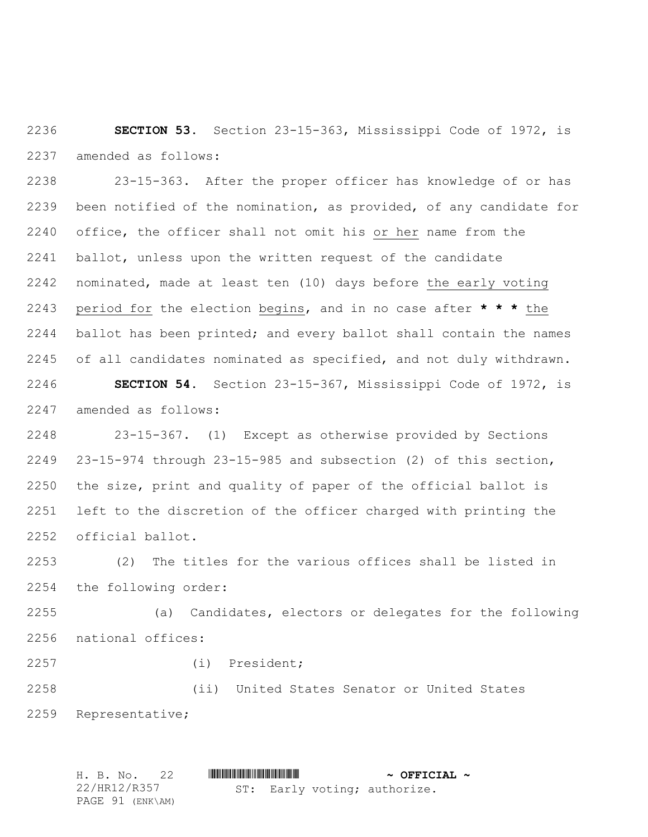**SECTION 53.** Section 23-15-363, Mississippi Code of 1972, is amended as follows:

 23-15-363. After the proper officer has knowledge of or has been notified of the nomination, as provided, of any candidate for office, the officer shall not omit his or her name from the ballot, unless upon the written request of the candidate nominated, made at least ten (10) days before the early voting period for the election begins, and in no case after **\* \* \*** the ballot has been printed; and every ballot shall contain the names of all candidates nominated as specified, and not duly withdrawn. **SECTION 54.** Section 23-15-367, Mississippi Code of 1972, is amended as follows:

 23-15-367. (1) Except as otherwise provided by Sections 23-15-974 through 23-15-985 and subsection (2) of this section, the size, print and quality of paper of the official ballot is left to the discretion of the officer charged with printing the official ballot.

 (2) The titles for the various offices shall be listed in the following order:

 (a) Candidates, electors or delegates for the following national offices:

(i) President;

 (ii) United States Senator or United States Representative;

H. B. No. 22 \*HR12/R357\* **~ OFFICIAL ~** 22/HR12/R357 PAGE 91 (ENK\AM) ST: Early voting; authorize.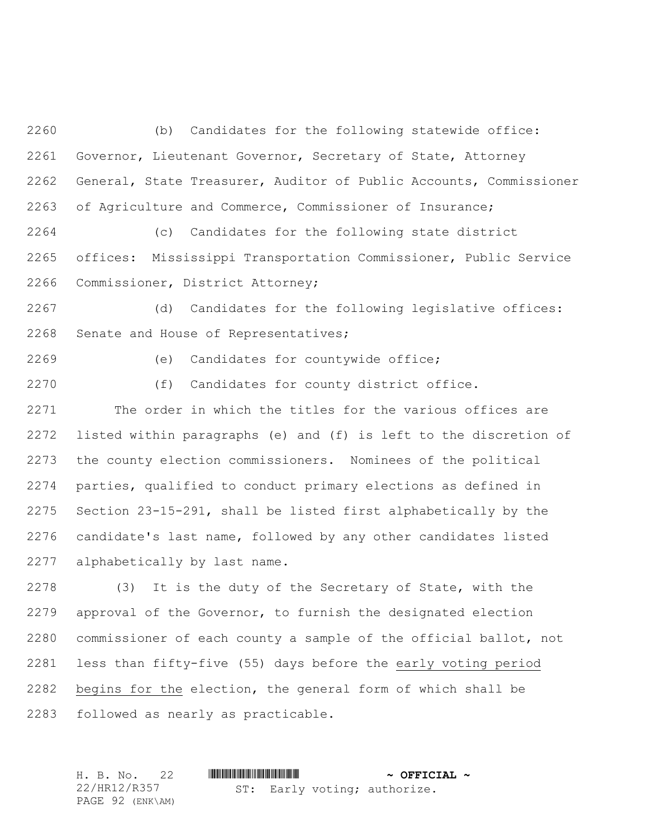(b) Candidates for the following statewide office: Governor, Lieutenant Governor, Secretary of State, Attorney General, State Treasurer, Auditor of Public Accounts, Commissioner of Agriculture and Commerce, Commissioner of Insurance;

 (c) Candidates for the following state district offices: Mississippi Transportation Commissioner, Public Service Commissioner, District Attorney;

 (d) Candidates for the following legislative offices: Senate and House of Representatives;

- (e) Candidates for countywide office;
- 

(f) Candidates for county district office.

 The order in which the titles for the various offices are listed within paragraphs (e) and (f) is left to the discretion of the county election commissioners. Nominees of the political parties, qualified to conduct primary elections as defined in Section 23-15-291, shall be listed first alphabetically by the candidate's last name, followed by any other candidates listed alphabetically by last name.

 (3) It is the duty of the Secretary of State, with the approval of the Governor, to furnish the designated election commissioner of each county a sample of the official ballot, not less than fifty-five (55) days before the early voting period begins for the election, the general form of which shall be followed as nearly as practicable.

|  | H. B. No. 22     |  |  |  | $\sim$ OFFICIAL $\sim$       |  |
|--|------------------|--|--|--|------------------------------|--|
|  | 22/HR12/R357     |  |  |  | ST: Early voting; authorize. |  |
|  | PAGE 92 (ENK\AM) |  |  |  |                              |  |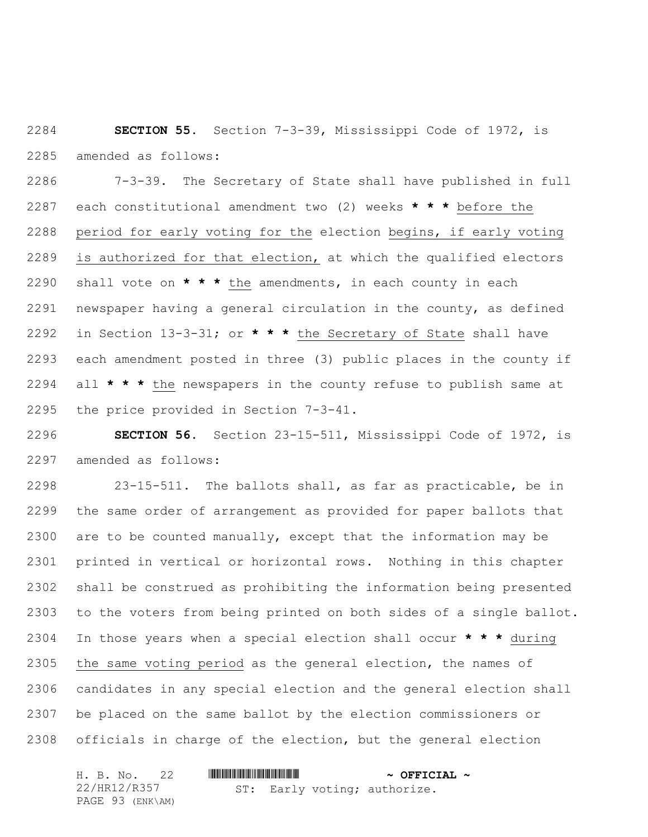**SECTION 55.** Section 7-3-39, Mississippi Code of 1972, is amended as follows:

 7-3-39. The Secretary of State shall have published in full each constitutional amendment two (2) weeks **\* \* \*** before the period for early voting for the election begins, if early voting is authorized for that election, at which the qualified electors shall vote on **\* \* \*** the amendments, in each county in each newspaper having a general circulation in the county, as defined in Section 13-3-31; or **\* \* \*** the Secretary of State shall have each amendment posted in three (3) public places in the county if all **\* \* \*** the newspapers in the county refuse to publish same at the price provided in Section 7-3-41.

 **SECTION 56.** Section 23-15-511, Mississippi Code of 1972, is amended as follows:

 23-15-511. The ballots shall, as far as practicable, be in the same order of arrangement as provided for paper ballots that are to be counted manually, except that the information may be printed in vertical or horizontal rows. Nothing in this chapter shall be construed as prohibiting the information being presented to the voters from being printed on both sides of a single ballot. In those years when a special election shall occur **\* \* \*** during the same voting period as the general election, the names of candidates in any special election and the general election shall be placed on the same ballot by the election commissioners or officials in charge of the election, but the general election

| H. B. No. 22     |  | $\sim$ OFFICIAL $\sim$ |                              |  |
|------------------|--|------------------------|------------------------------|--|
| 22/HR12/R357     |  |                        | ST: Early voting; authorize. |  |
| PAGE 93 (ENK\AM) |  |                        |                              |  |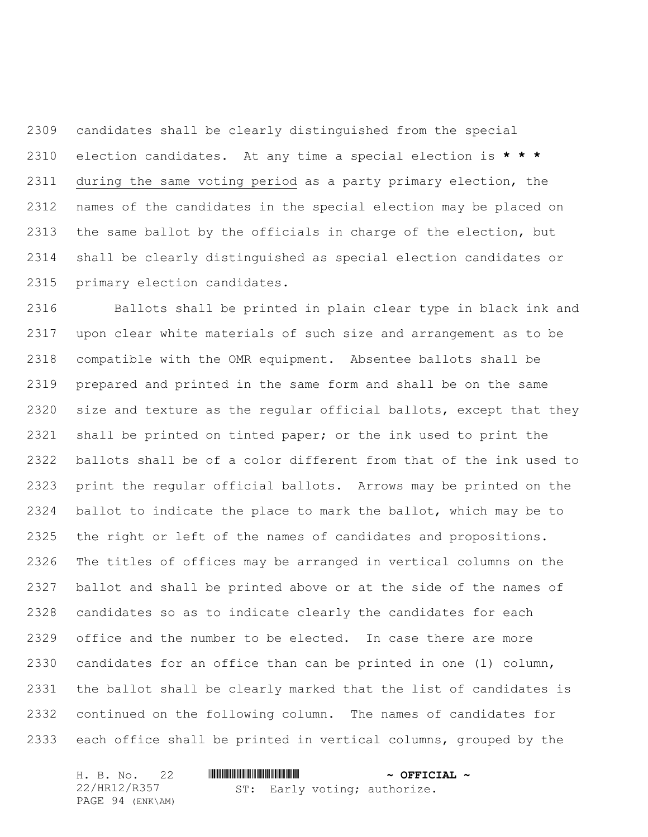candidates shall be clearly distinguished from the special election candidates. At any time a special election is **\* \* \*** during the same voting period as a party primary election, the names of the candidates in the special election may be placed on the same ballot by the officials in charge of the election, but shall be clearly distinguished as special election candidates or primary election candidates.

 Ballots shall be printed in plain clear type in black ink and upon clear white materials of such size and arrangement as to be compatible with the OMR equipment. Absentee ballots shall be prepared and printed in the same form and shall be on the same size and texture as the regular official ballots, except that they shall be printed on tinted paper; or the ink used to print the ballots shall be of a color different from that of the ink used to print the regular official ballots. Arrows may be printed on the ballot to indicate the place to mark the ballot, which may be to the right or left of the names of candidates and propositions. The titles of offices may be arranged in vertical columns on the ballot and shall be printed above or at the side of the names of candidates so as to indicate clearly the candidates for each office and the number to be elected. In case there are more candidates for an office than can be printed in one (1) column, the ballot shall be clearly marked that the list of candidates is continued on the following column. The names of candidates for each office shall be printed in vertical columns, grouped by the

| H. B. No. 22     |                              | $\sim$ OFFICIAL $\sim$ |
|------------------|------------------------------|------------------------|
| 22/HR12/R357     | ST: Early voting; authorize. |                        |
| PAGE 94 (ENK\AM) |                              |                        |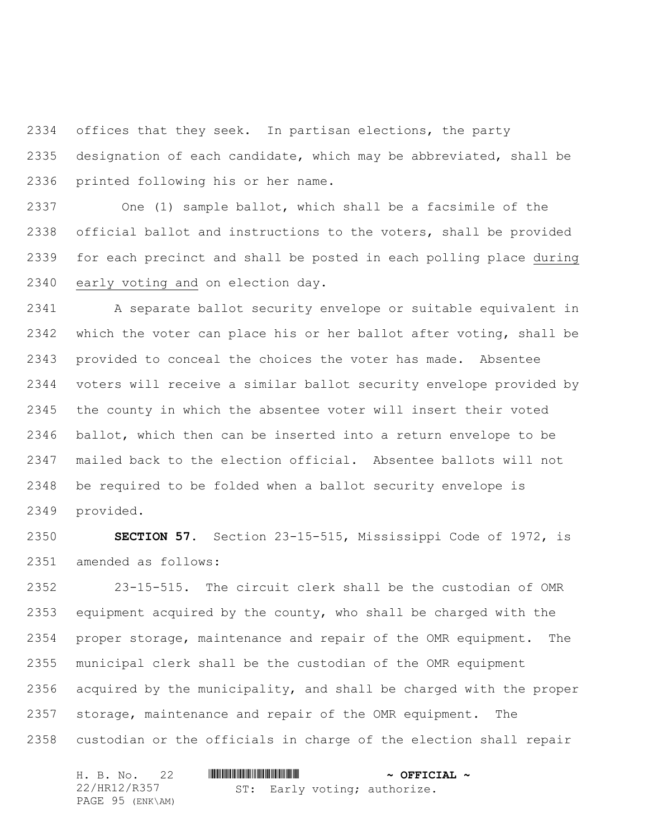offices that they seek. In partisan elections, the party designation of each candidate, which may be abbreviated, shall be printed following his or her name.

 One (1) sample ballot, which shall be a facsimile of the official ballot and instructions to the voters, shall be provided for each precinct and shall be posted in each polling place during early voting and on election day.

 A separate ballot security envelope or suitable equivalent in which the voter can place his or her ballot after voting, shall be provided to conceal the choices the voter has made. Absentee voters will receive a similar ballot security envelope provided by the county in which the absentee voter will insert their voted ballot, which then can be inserted into a return envelope to be mailed back to the election official. Absentee ballots will not be required to be folded when a ballot security envelope is provided.

 **SECTION 57.** Section 23-15-515, Mississippi Code of 1972, is amended as follows:

 23-15-515. The circuit clerk shall be the custodian of OMR equipment acquired by the county, who shall be charged with the proper storage, maintenance and repair of the OMR equipment. The municipal clerk shall be the custodian of the OMR equipment acquired by the municipality, and shall be charged with the proper storage, maintenance and repair of the OMR equipment. The custodian or the officials in charge of the election shall repair

|  | H. B. No. 22     |  |  |  | $\sim$ OFFICIAL $\sim$       |
|--|------------------|--|--|--|------------------------------|
|  | 22/HR12/R357     |  |  |  | ST: Early voting; authorize. |
|  | PAGE 95 (ENK\AM) |  |  |  |                              |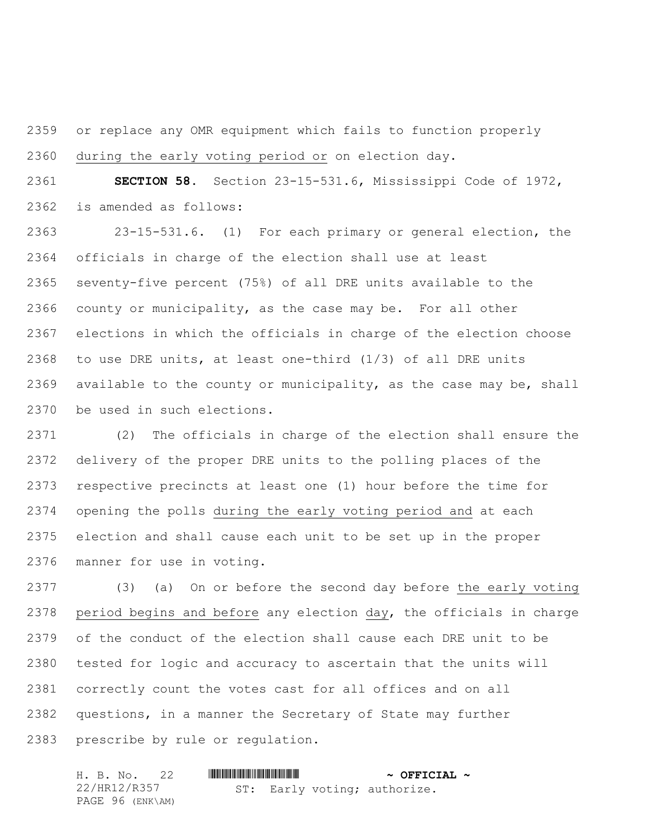or replace any OMR equipment which fails to function properly during the early voting period or on election day.

 **SECTION 58.** Section 23-15-531.6, Mississippi Code of 1972, is amended as follows:

 23-15-531.6. (1) For each primary or general election, the officials in charge of the election shall use at least seventy-five percent (75%) of all DRE units available to the county or municipality, as the case may be. For all other elections in which the officials in charge of the election choose to use DRE units, at least one-third (1/3) of all DRE units available to the county or municipality, as the case may be, shall be used in such elections.

 (2) The officials in charge of the election shall ensure the delivery of the proper DRE units to the polling places of the respective precincts at least one (1) hour before the time for opening the polls during the early voting period and at each election and shall cause each unit to be set up in the proper manner for use in voting.

 (3) (a) On or before the second day before the early voting period begins and before any election day, the officials in charge of the conduct of the election shall cause each DRE unit to be tested for logic and accuracy to ascertain that the units will correctly count the votes cast for all offices and on all questions, in a manner the Secretary of State may further prescribe by rule or regulation.

| H. B. No. 22     |  | $\sim$ OFFICIAL $\sim$ |                              |  |
|------------------|--|------------------------|------------------------------|--|
| 22/HR12/R357     |  |                        | ST: Early voting; authorize. |  |
| PAGE 96 (ENK\AM) |  |                        |                              |  |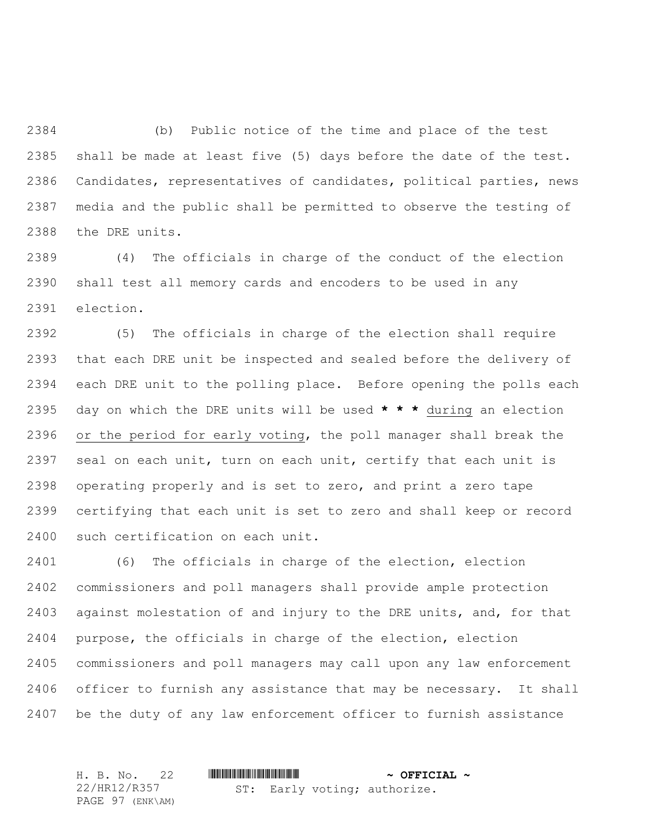(b) Public notice of the time and place of the test shall be made at least five (5) days before the date of the test. Candidates, representatives of candidates, political parties, news media and the public shall be permitted to observe the testing of the DRE units.

 (4) The officials in charge of the conduct of the election shall test all memory cards and encoders to be used in any election.

 (5) The officials in charge of the election shall require that each DRE unit be inspected and sealed before the delivery of each DRE unit to the polling place. Before opening the polls each day on which the DRE units will be used **\* \* \*** during an election 2396 or the period for early voting, the poll manager shall break the 2397 seal on each unit, turn on each unit, certify that each unit is operating properly and is set to zero, and print a zero tape certifying that each unit is set to zero and shall keep or record such certification on each unit.

 (6) The officials in charge of the election, election commissioners and poll managers shall provide ample protection against molestation of and injury to the DRE units, and, for that purpose, the officials in charge of the election, election commissioners and poll managers may call upon any law enforcement officer to furnish any assistance that may be necessary. It shall be the duty of any law enforcement officer to furnish assistance

H. B. No. 22 \*HR12/R357\* **~ OFFICIAL ~** 22/HR12/R357 PAGE 97 (ENK\AM) ST: Early voting; authorize.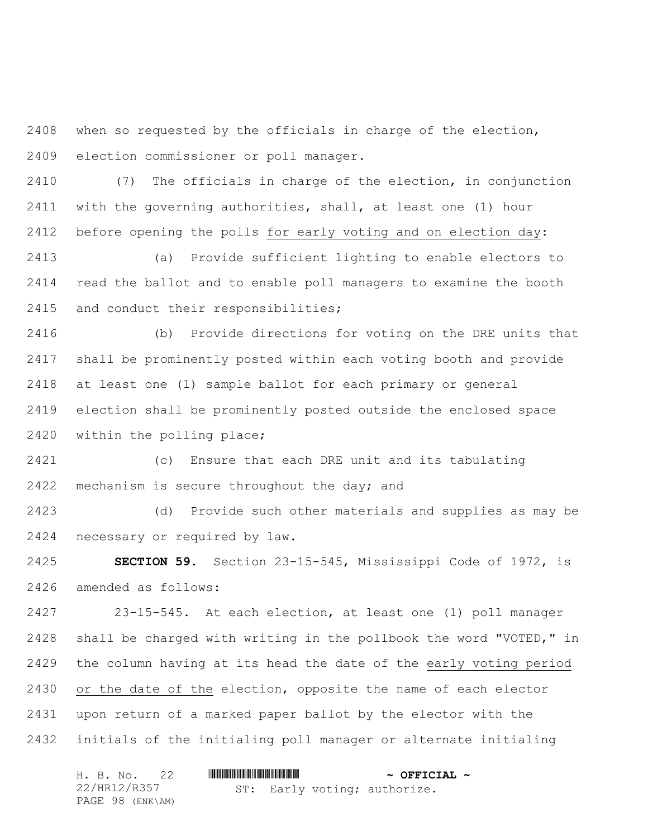when so requested by the officials in charge of the election, election commissioner or poll manager.

 (7) The officials in charge of the election, in conjunction with the governing authorities, shall, at least one (1) hour before opening the polls for early voting and on election day:

 (a) Provide sufficient lighting to enable electors to read the ballot and to enable poll managers to examine the booth and conduct their responsibilities;

 (b) Provide directions for voting on the DRE units that shall be prominently posted within each voting booth and provide at least one (1) sample ballot for each primary or general election shall be prominently posted outside the enclosed space within the polling place;

 (c) Ensure that each DRE unit and its tabulating 2422 mechanism is secure throughout the day; and

 (d) Provide such other materials and supplies as may be necessary or required by law.

 **SECTION 59.** Section 23-15-545, Mississippi Code of 1972, is amended as follows:

 23-15-545. At each election, at least one (1) poll manager shall be charged with writing in the pollbook the word "VOTED," in the column having at its head the date of the early voting period or the date of the election, opposite the name of each elector upon return of a marked paper ballot by the elector with the initials of the initialing poll manager or alternate initialing

| H. B. No. 22     |  |  |  |  | $\sim$ OFFICIAL $\sim$       |  |
|------------------|--|--|--|--|------------------------------|--|
| 22/HR12/R357     |  |  |  |  | ST: Early voting; authorize. |  |
| PAGE 98 (ENK\AM) |  |  |  |  |                              |  |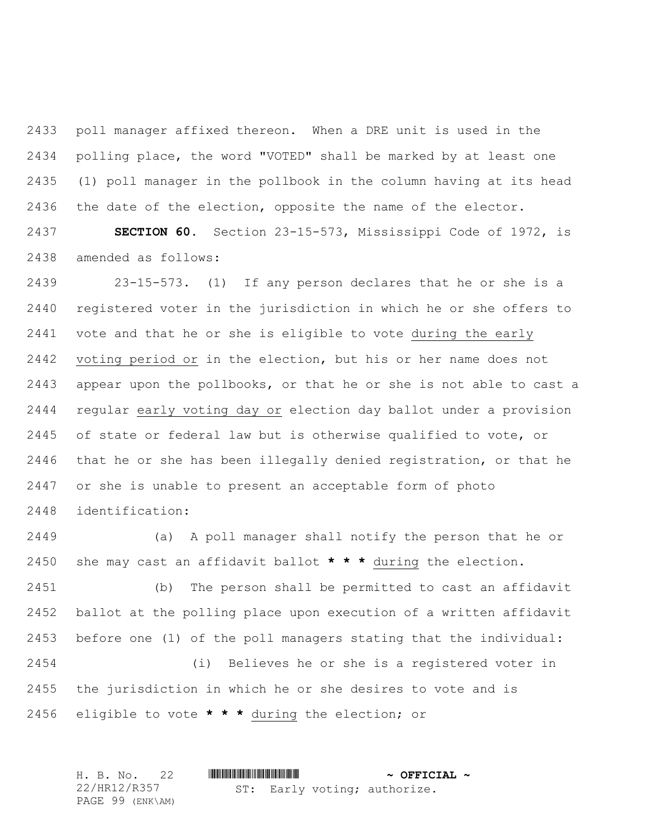poll manager affixed thereon. When a DRE unit is used in the polling place, the word "VOTED" shall be marked by at least one (1) poll manager in the pollbook in the column having at its head the date of the election, opposite the name of the elector.

 **SECTION 60.** Section 23-15-573, Mississippi Code of 1972, is amended as follows:

 23-15-573. (1) If any person declares that he or she is a registered voter in the jurisdiction in which he or she offers to vote and that he or she is eligible to vote during the early voting period or in the election, but his or her name does not appear upon the pollbooks, or that he or she is not able to cast a regular early voting day or election day ballot under a provision of state or federal law but is otherwise qualified to vote, or that he or she has been illegally denied registration, or that he or she is unable to present an acceptable form of photo identification:

 (a) A poll manager shall notify the person that he or she may cast an affidavit ballot **\* \* \*** during the election.

 (b) The person shall be permitted to cast an affidavit ballot at the polling place upon execution of a written affidavit before one (1) of the poll managers stating that the individual: (i) Believes he or she is a registered voter in the jurisdiction in which he or she desires to vote and is

eligible to vote **\* \* \*** during the election; or

| H. B. No. 22     |                              | $\sim$ OFFICIAL $\sim$ |
|------------------|------------------------------|------------------------|
| 22/HR12/R357     | ST: Early voting; authorize. |                        |
| PAGE 99 (ENK\AM) |                              |                        |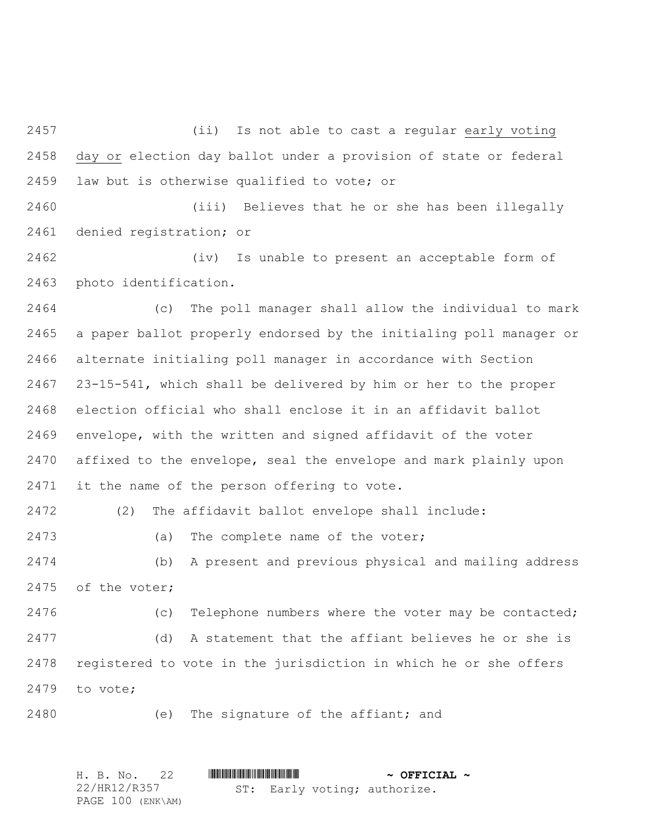(ii) Is not able to cast a regular early voting day or election day ballot under a provision of state or federal law but is otherwise qualified to vote; or

 (iii) Believes that he or she has been illegally denied registration; or

 (iv) Is unable to present an acceptable form of photo identification.

 (c) The poll manager shall allow the individual to mark a paper ballot properly endorsed by the initialing poll manager or alternate initialing poll manager in accordance with Section 23-15-541, which shall be delivered by him or her to the proper election official who shall enclose it in an affidavit ballot envelope, with the written and signed affidavit of the voter affixed to the envelope, seal the envelope and mark plainly upon it the name of the person offering to vote.

(2) The affidavit ballot envelope shall include:

(a) The complete name of the voter;

 (b) A present and previous physical and mailing address of the voter;

 (c) Telephone numbers where the voter may be contacted; (d) A statement that the affiant believes he or she is registered to vote in the jurisdiction in which he or she offers to vote;

(e) The signature of the affiant; and

H. B. No. 22 \*HR12/R357\* **~ OFFICIAL ~** 22/HR12/R357 PAGE 100 (ENK\AM) ST: Early voting; authorize.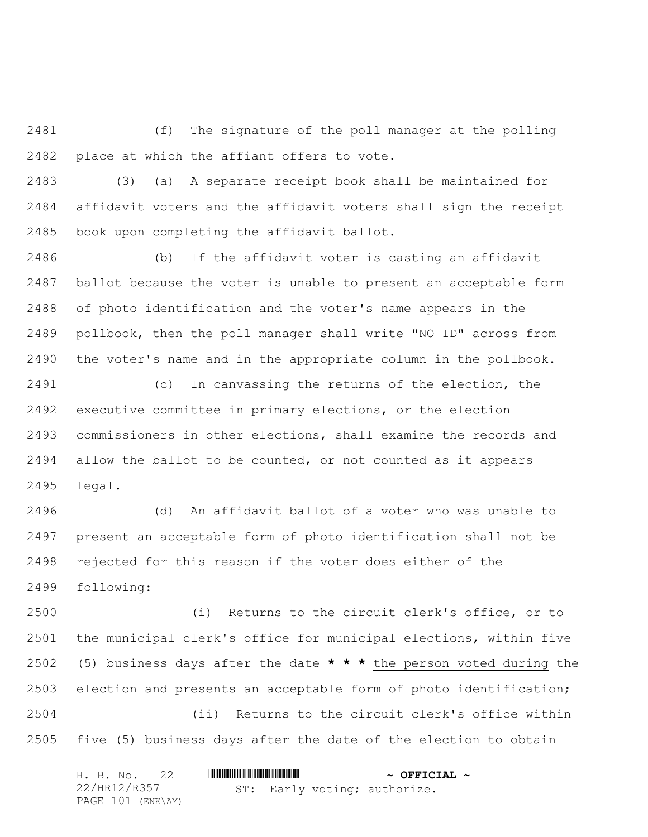(f) The signature of the poll manager at the polling place at which the affiant offers to vote.

 (3) (a) A separate receipt book shall be maintained for affidavit voters and the affidavit voters shall sign the receipt book upon completing the affidavit ballot.

 (b) If the affidavit voter is casting an affidavit ballot because the voter is unable to present an acceptable form of photo identification and the voter's name appears in the pollbook, then the poll manager shall write "NO ID" across from the voter's name and in the appropriate column in the pollbook.

 (c) In canvassing the returns of the election, the executive committee in primary elections, or the election commissioners in other elections, shall examine the records and allow the ballot to be counted, or not counted as it appears legal.

 (d) An affidavit ballot of a voter who was unable to present an acceptable form of photo identification shall not be rejected for this reason if the voter does either of the following:

 (i) Returns to the circuit clerk's office, or to the municipal clerk's office for municipal elections, within five (5) business days after the date **\* \* \*** the person voted during the election and presents an acceptable form of photo identification; (ii) Returns to the circuit clerk's office within five (5) business days after the date of the election to obtain

| H. B. No. 22      |                              | $\sim$ OFFICIAL $\sim$ |
|-------------------|------------------------------|------------------------|
| 22/HR12/R357      | ST: Early voting; authorize. |                        |
| PAGE 101 (ENK\AM) |                              |                        |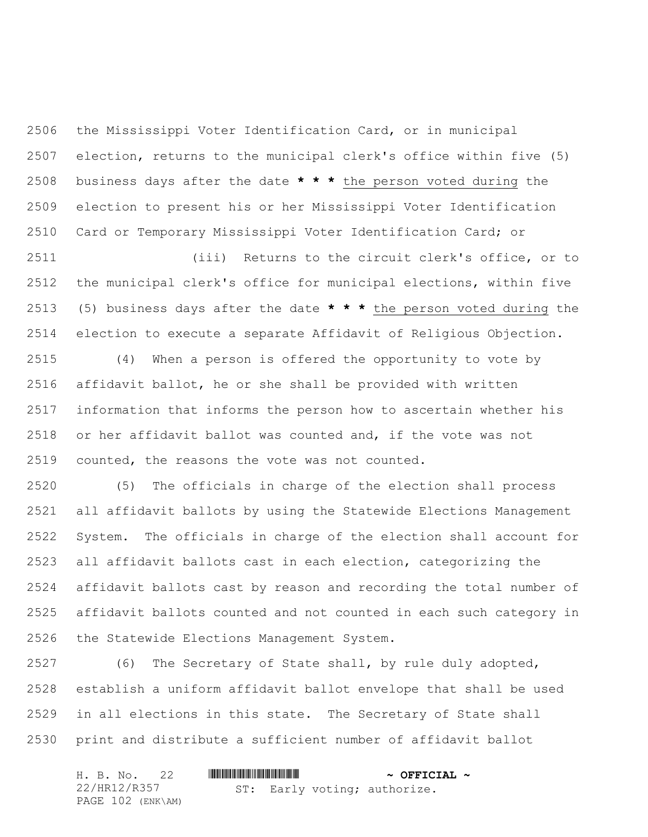the Mississippi Voter Identification Card, or in municipal election, returns to the municipal clerk's office within five (5) business days after the date **\* \* \*** the person voted during the election to present his or her Mississippi Voter Identification Card or Temporary Mississippi Voter Identification Card; or

 (iii) Returns to the circuit clerk's office, or to the municipal clerk's office for municipal elections, within five (5) business days after the date **\* \* \*** the person voted during the election to execute a separate Affidavit of Religious Objection.

 (4) When a person is offered the opportunity to vote by affidavit ballot, he or she shall be provided with written information that informs the person how to ascertain whether his or her affidavit ballot was counted and, if the vote was not counted, the reasons the vote was not counted.

 (5) The officials in charge of the election shall process all affidavit ballots by using the Statewide Elections Management System. The officials in charge of the election shall account for all affidavit ballots cast in each election, categorizing the affidavit ballots cast by reason and recording the total number of affidavit ballots counted and not counted in each such category in the Statewide Elections Management System.

 (6) The Secretary of State shall, by rule duly adopted, establish a uniform affidavit ballot envelope that shall be used in all elections in this state. The Secretary of State shall print and distribute a sufficient number of affidavit ballot

| H. B. No. 22      |                              | $\sim$ OFFICIAL $\sim$ |
|-------------------|------------------------------|------------------------|
| 22/HR12/R357      | ST: Early voting; authorize. |                        |
| PAGE 102 (ENK\AM) |                              |                        |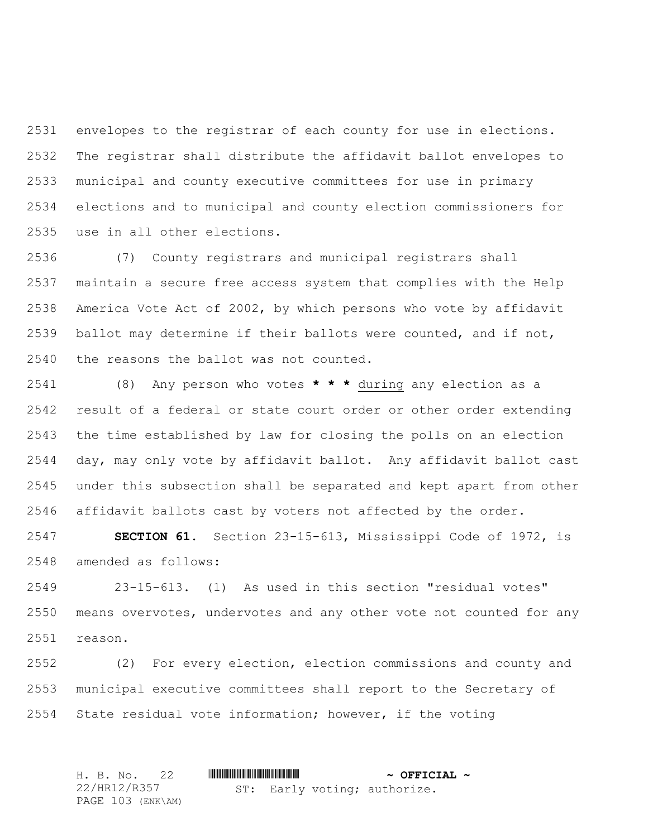envelopes to the registrar of each county for use in elections. The registrar shall distribute the affidavit ballot envelopes to municipal and county executive committees for use in primary elections and to municipal and county election commissioners for use in all other elections.

 (7) County registrars and municipal registrars shall maintain a secure free access system that complies with the Help America Vote Act of 2002, by which persons who vote by affidavit ballot may determine if their ballots were counted, and if not, the reasons the ballot was not counted.

 (8) Any person who votes **\* \* \*** during any election as a result of a federal or state court order or other order extending the time established by law for closing the polls on an election day, may only vote by affidavit ballot. Any affidavit ballot cast under this subsection shall be separated and kept apart from other affidavit ballots cast by voters not affected by the order.

 **SECTION 61.** Section 23-15-613, Mississippi Code of 1972, is amended as follows:

 23-15-613. (1) As used in this section "residual votes" means overvotes, undervotes and any other vote not counted for any reason.

 (2) For every election, election commissions and county and municipal executive committees shall report to the Secretary of State residual vote information; however, if the voting

H. B. No. 22 **. AND AND AN ADDED**  $\sim$  **OFFICIAL**  $\sim$ 22/HR12/R357 PAGE 103 (ENK\AM) ST: Early voting; authorize.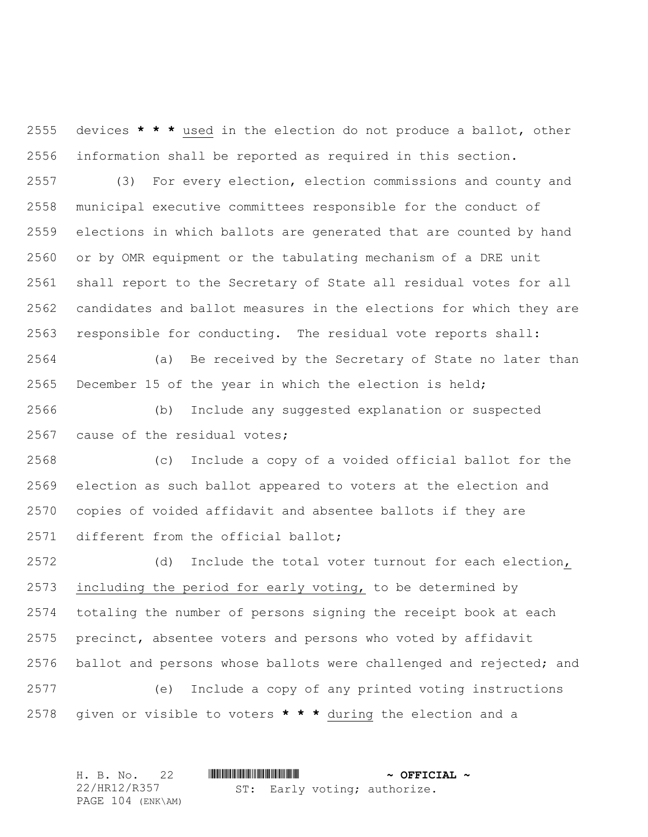devices **\* \* \*** used in the election do not produce a ballot, other information shall be reported as required in this section.

 (3) For every election, election commissions and county and municipal executive committees responsible for the conduct of elections in which ballots are generated that are counted by hand or by OMR equipment or the tabulating mechanism of a DRE unit shall report to the Secretary of State all residual votes for all candidates and ballot measures in the elections for which they are responsible for conducting. The residual vote reports shall:

 (a) Be received by the Secretary of State no later than December 15 of the year in which the election is held;

 (b) Include any suggested explanation or suspected cause of the residual votes;

 (c) Include a copy of a voided official ballot for the election as such ballot appeared to voters at the election and copies of voided affidavit and absentee ballots if they are different from the official ballot;

 (d) Include the total voter turnout for each election, including the period for early voting, to be determined by totaling the number of persons signing the receipt book at each precinct, absentee voters and persons who voted by affidavit ballot and persons whose ballots were challenged and rejected; and (e) Include a copy of any printed voting instructions

given or visible to voters **\* \* \*** during the election and a

| H. B. No. 22      |                              | $\sim$ OFFICIAL $\sim$ |
|-------------------|------------------------------|------------------------|
| 22/HR12/R357      | ST: Early voting; authorize. |                        |
| PAGE 104 (ENK\AM) |                              |                        |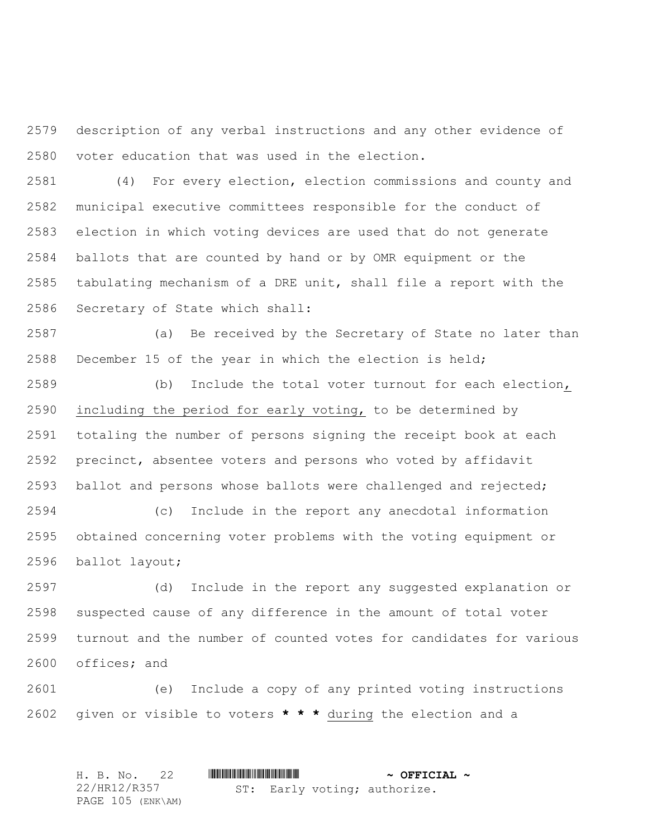description of any verbal instructions and any other evidence of voter education that was used in the election.

 (4) For every election, election commissions and county and municipal executive committees responsible for the conduct of election in which voting devices are used that do not generate ballots that are counted by hand or by OMR equipment or the tabulating mechanism of a DRE unit, shall file a report with the Secretary of State which shall:

 (a) Be received by the Secretary of State no later than December 15 of the year in which the election is held;

 (b) Include the total voter turnout for each election, including the period for early voting, to be determined by totaling the number of persons signing the receipt book at each precinct, absentee voters and persons who voted by affidavit ballot and persons whose ballots were challenged and rejected;

 (c) Include in the report any anecdotal information obtained concerning voter problems with the voting equipment or ballot layout;

 (d) Include in the report any suggested explanation or suspected cause of any difference in the amount of total voter turnout and the number of counted votes for candidates for various offices; and

 (e) Include a copy of any printed voting instructions given or visible to voters **\* \* \*** during the election and a

|  |              | H. B. No. 22      |  |  |  | $\sim$ OFFICIAL $\sim$       |  |
|--|--------------|-------------------|--|--|--|------------------------------|--|
|  | 22/HR12/R357 |                   |  |  |  | ST: Early voting; authorize. |  |
|  |              | PAGE 105 (ENK\AM) |  |  |  |                              |  |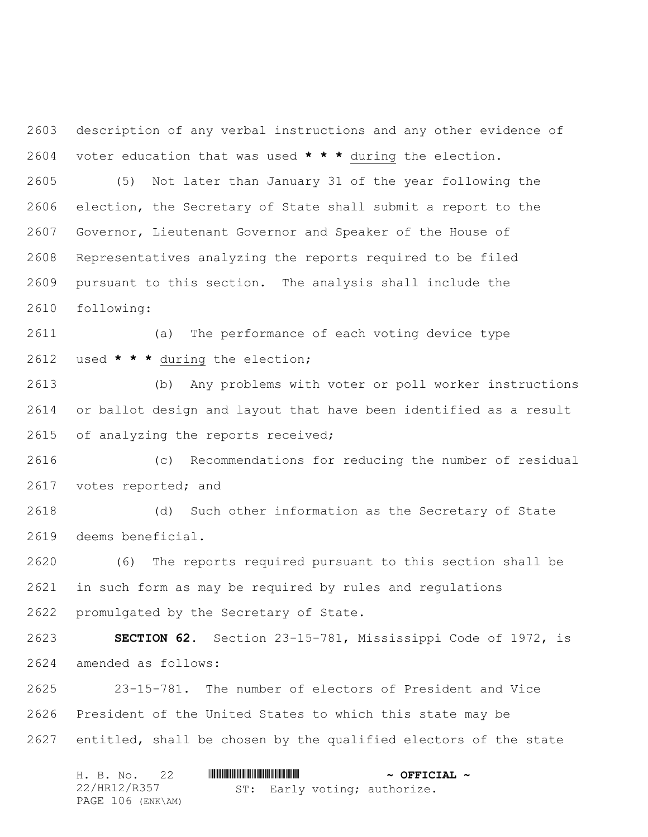description of any verbal instructions and any other evidence of voter education that was used **\* \* \*** during the election.

 (5) Not later than January 31 of the year following the election, the Secretary of State shall submit a report to the Governor, Lieutenant Governor and Speaker of the House of Representatives analyzing the reports required to be filed pursuant to this section. The analysis shall include the following:

 (a) The performance of each voting device type used **\* \* \*** during the election;

 (b) Any problems with voter or poll worker instructions or ballot design and layout that have been identified as a result of analyzing the reports received;

 (c) Recommendations for reducing the number of residual 2617 votes reported; and

 (d) Such other information as the Secretary of State deems beneficial.

 (6) The reports required pursuant to this section shall be in such form as may be required by rules and regulations promulgated by the Secretary of State.

 **SECTION 62.** Section 23-15-781, Mississippi Code of 1972, is amended as follows:

 23-15-781. The number of electors of President and Vice President of the United States to which this state may be entitled, shall be chosen by the qualified electors of the state

| H. B. No. 22      |  |  |  |  | $\sim$ OFFICIAL $\sim$       |  |
|-------------------|--|--|--|--|------------------------------|--|
| 22/HR12/R357      |  |  |  |  | ST: Early voting; authorize. |  |
| PAGE 106 (ENK\AM) |  |  |  |  |                              |  |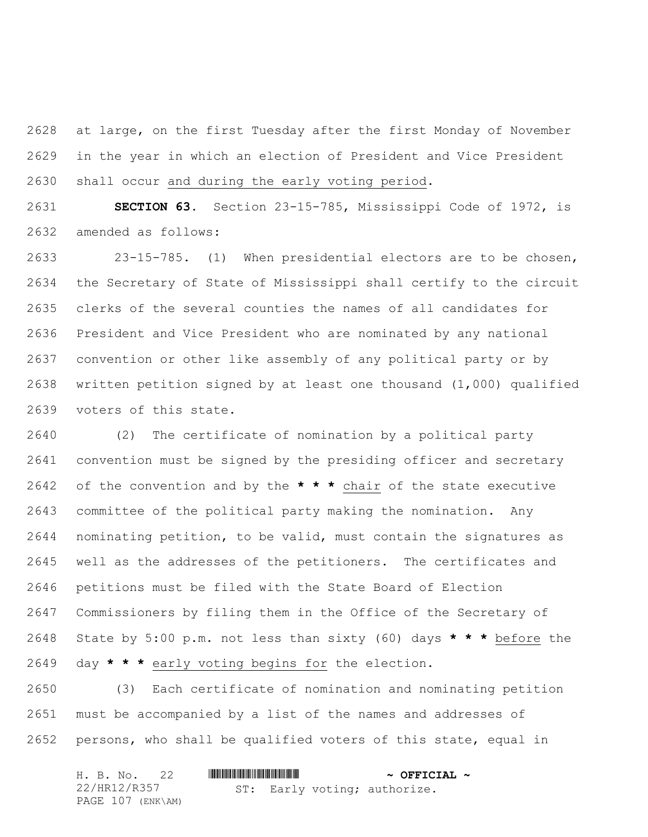at large, on the first Tuesday after the first Monday of November in the year in which an election of President and Vice President shall occur and during the early voting period.

 **SECTION 63.** Section 23-15-785, Mississippi Code of 1972, is amended as follows:

 23-15-785. (1) When presidential electors are to be chosen, the Secretary of State of Mississippi shall certify to the circuit clerks of the several counties the names of all candidates for President and Vice President who are nominated by any national convention or other like assembly of any political party or by written petition signed by at least one thousand (1,000) qualified voters of this state.

 (2) The certificate of nomination by a political party convention must be signed by the presiding officer and secretary of the convention and by the **\* \* \*** chair of the state executive committee of the political party making the nomination. Any nominating petition, to be valid, must contain the signatures as well as the addresses of the petitioners. The certificates and petitions must be filed with the State Board of Election Commissioners by filing them in the Office of the Secretary of State by 5:00 p.m. not less than sixty (60) days **\* \* \*** before the day **\* \* \*** early voting begins for the election.

 (3) Each certificate of nomination and nominating petition must be accompanied by a list of the names and addresses of persons, who shall be qualified voters of this state, equal in

| H. B. No. 22      |  |  |  |  | $\sim$ OFFICIAL $\sim$       |  |
|-------------------|--|--|--|--|------------------------------|--|
| 22/HR12/R357      |  |  |  |  | ST: Early voting; authorize. |  |
| PAGE 107 (ENK\AM) |  |  |  |  |                              |  |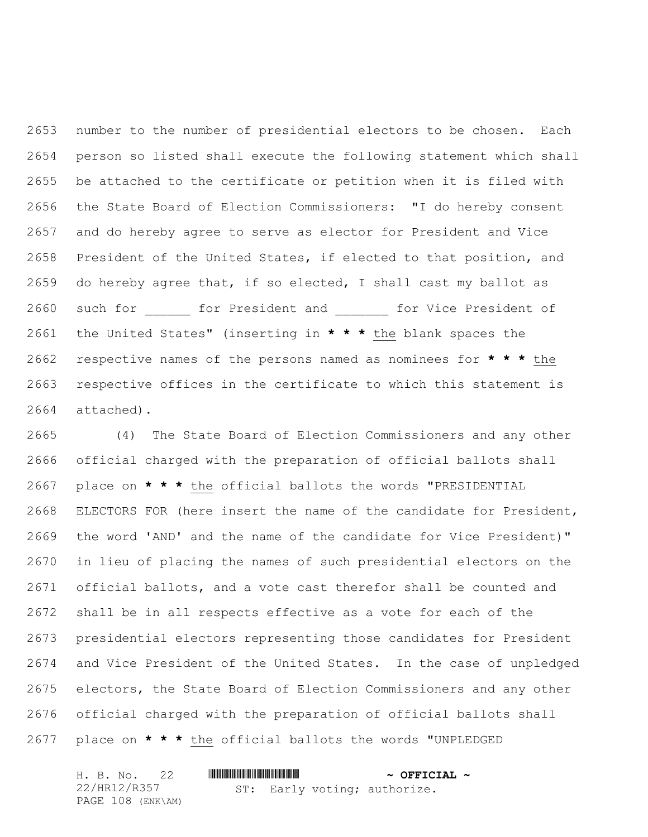number to the number of presidential electors to be chosen. Each person so listed shall execute the following statement which shall be attached to the certificate or petition when it is filed with the State Board of Election Commissioners: "I do hereby consent and do hereby agree to serve as elector for President and Vice President of the United States, if elected to that position, and do hereby agree that, if so elected, I shall cast my ballot as 2660 such for tor President and it for Vice President of the United States" (inserting in **\* \* \*** the blank spaces the respective names of the persons named as nominees for **\* \* \*** the respective offices in the certificate to which this statement is attached).

 (4) The State Board of Election Commissioners and any other official charged with the preparation of official ballots shall place on **\* \* \*** the official ballots the words "PRESIDENTIAL ELECTORS FOR (here insert the name of the candidate for President, the word 'AND' and the name of the candidate for Vice President)" in lieu of placing the names of such presidential electors on the official ballots, and a vote cast therefor shall be counted and shall be in all respects effective as a vote for each of the presidential electors representing those candidates for President and Vice President of the United States. In the case of unpledged electors, the State Board of Election Commissioners and any other official charged with the preparation of official ballots shall place on **\* \* \*** the official ballots the words "UNPLEDGED

| H. B. No.         |                              | $\sim$ OFFICIAL $\sim$ |
|-------------------|------------------------------|------------------------|
| 22/HR12/R357      | ST: Early voting; authorize. |                        |
| PAGE 108 (ENK\AM) |                              |                        |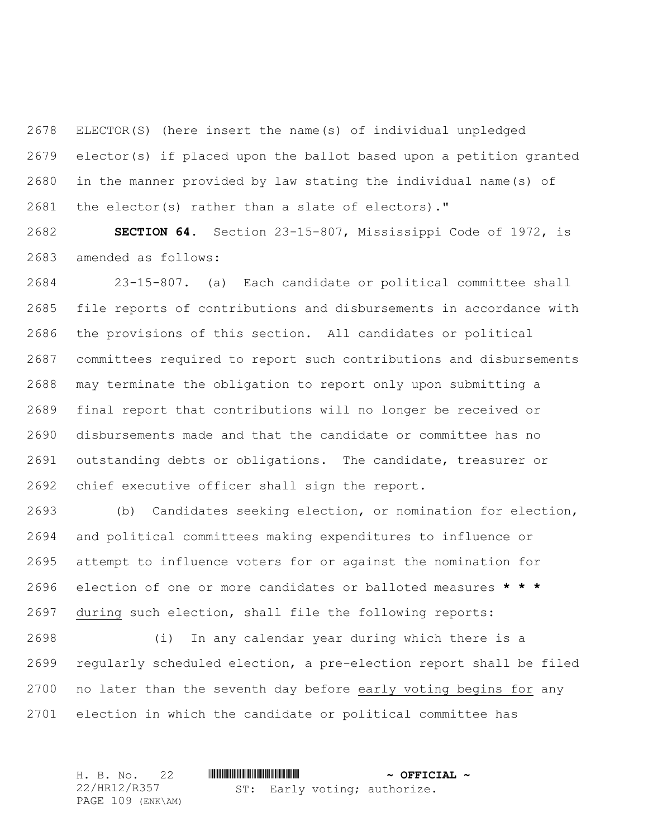ELECTOR(S) (here insert the name(s) of individual unpledged elector(s) if placed upon the ballot based upon a petition granted in the manner provided by law stating the individual name(s) of the elector(s) rather than a slate of electors)."

 **SECTION 64.** Section 23-15-807, Mississippi Code of 1972, is amended as follows:

 23-15-807. (a) Each candidate or political committee shall file reports of contributions and disbursements in accordance with the provisions of this section. All candidates or political committees required to report such contributions and disbursements may terminate the obligation to report only upon submitting a final report that contributions will no longer be received or disbursements made and that the candidate or committee has no outstanding debts or obligations. The candidate, treasurer or chief executive officer shall sign the report.

 (b) Candidates seeking election, or nomination for election, and political committees making expenditures to influence or attempt to influence voters for or against the nomination for election of one or more candidates or balloted measures **\* \* \*** during such election, shall file the following reports:

 (i) In any calendar year during which there is a regularly scheduled election, a pre-election report shall be filed no later than the seventh day before early voting begins for any election in which the candidate or political committee has

H. B. No. 22 \*HR12/R357\* **~ OFFICIAL ~** 22/HR12/R357 PAGE 109 (ENK\AM) ST: Early voting; authorize.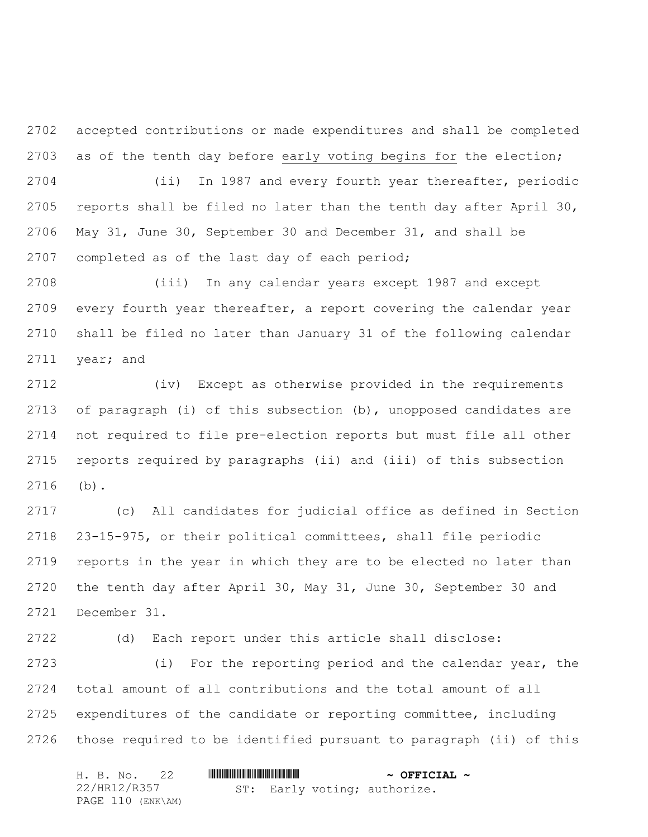accepted contributions or made expenditures and shall be completed as of the tenth day before early voting begins for the election;

 (ii) In 1987 and every fourth year thereafter, periodic reports shall be filed no later than the tenth day after April 30, May 31, June 30, September 30 and December 31, and shall be completed as of the last day of each period;

 (iii) In any calendar years except 1987 and except every fourth year thereafter, a report covering the calendar year shall be filed no later than January 31 of the following calendar year; and

 (iv) Except as otherwise provided in the requirements of paragraph (i) of this subsection (b), unopposed candidates are not required to file pre-election reports but must file all other reports required by paragraphs (ii) and (iii) of this subsection (b).

 (c) All candidates for judicial office as defined in Section 23-15-975, or their political committees, shall file periodic reports in the year in which they are to be elected no later than the tenth day after April 30, May 31, June 30, September 30 and December 31.

 (d) Each report under this article shall disclose: (i) For the reporting period and the calendar year, the total amount of all contributions and the total amount of all expenditures of the candidate or reporting committee, including those required to be identified pursuant to paragraph (ii) of this

| H. B. No. 22      |                              | $\sim$ OFFICIAL $\sim$ |
|-------------------|------------------------------|------------------------|
| 22/HR12/R357      | ST: Early voting; authorize. |                        |
| PAGE 110 (ENK\AM) |                              |                        |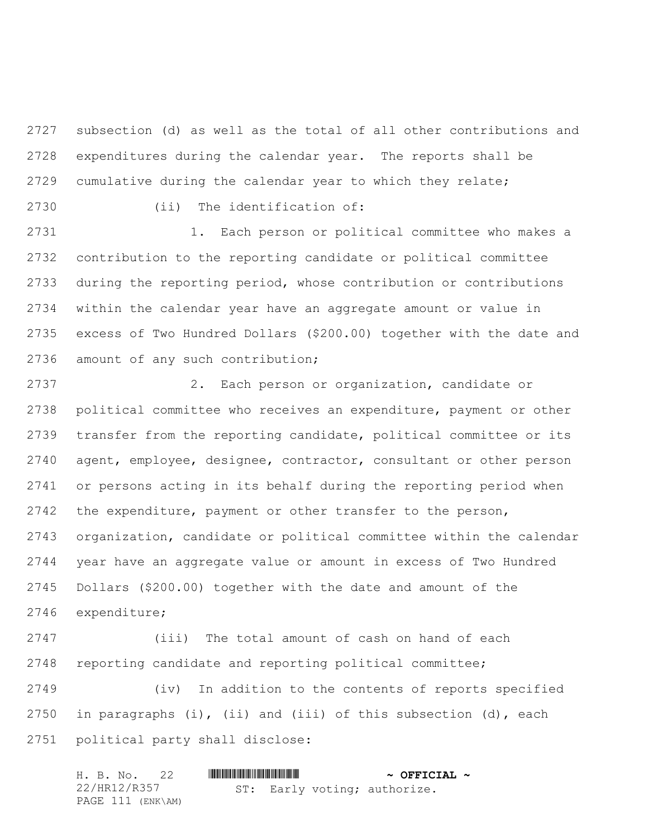subsection (d) as well as the total of all other contributions and expenditures during the calendar year. The reports shall be cumulative during the calendar year to which they relate;

(ii) The identification of:

2731 1. Each person or political committee who makes a contribution to the reporting candidate or political committee during the reporting period, whose contribution or contributions within the calendar year have an aggregate amount or value in excess of Two Hundred Dollars (\$200.00) together with the date and amount of any such contribution;

 2. Each person or organization, candidate or political committee who receives an expenditure, payment or other transfer from the reporting candidate, political committee or its agent, employee, designee, contractor, consultant or other person or persons acting in its behalf during the reporting period when the expenditure, payment or other transfer to the person, organization, candidate or political committee within the calendar year have an aggregate value or amount in excess of Two Hundred Dollars (\$200.00) together with the date and amount of the expenditure;

 (iii) The total amount of cash on hand of each reporting candidate and reporting political committee;

 (iv) In addition to the contents of reports specified in paragraphs (i), (ii) and (iii) of this subsection (d), each political party shall disclose:

| H. B. No. 22      |                              | $\sim$ OFFICIAL $\sim$ |
|-------------------|------------------------------|------------------------|
| 22/HR12/R357      | ST: Early voting; authorize. |                        |
| PAGE 111 (ENK\AM) |                              |                        |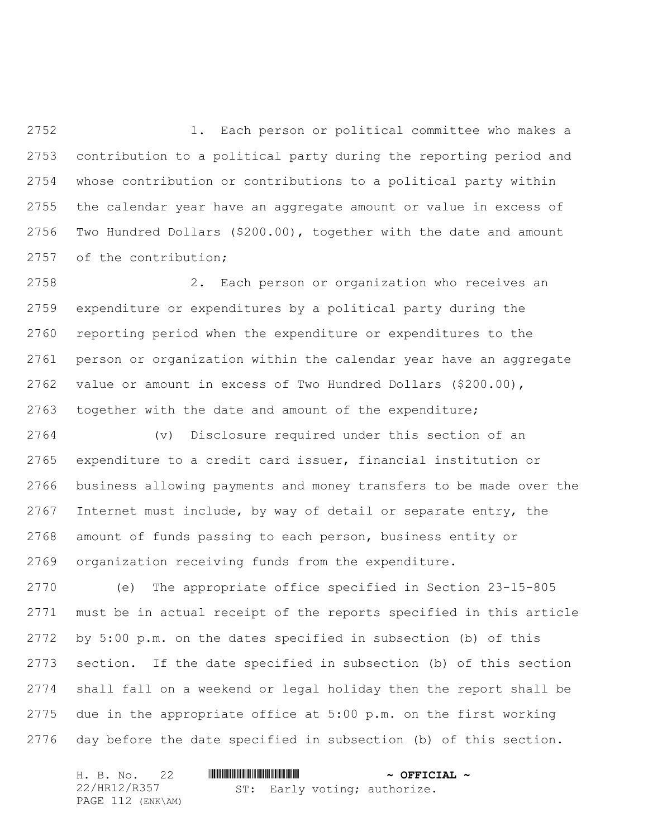1. Each person or political committee who makes a contribution to a political party during the reporting period and whose contribution or contributions to a political party within the calendar year have an aggregate amount or value in excess of Two Hundred Dollars (\$200.00), together with the date and amount 2757 of the contribution;

 2. Each person or organization who receives an expenditure or expenditures by a political party during the reporting period when the expenditure or expenditures to the person or organization within the calendar year have an aggregate value or amount in excess of Two Hundred Dollars (\$200.00), together with the date and amount of the expenditure;

 (v) Disclosure required under this section of an expenditure to a credit card issuer, financial institution or business allowing payments and money transfers to be made over the Internet must include, by way of detail or separate entry, the amount of funds passing to each person, business entity or organization receiving funds from the expenditure.

 (e) The appropriate office specified in Section 23-15-805 must be in actual receipt of the reports specified in this article by 5:00 p.m. on the dates specified in subsection (b) of this section. If the date specified in subsection (b) of this section shall fall on a weekend or legal holiday then the report shall be due in the appropriate office at 5:00 p.m. on the first working day before the date specified in subsection (b) of this section.

| H. B. No. 22      |                              | $\sim$ OFFICIAL $\sim$ |
|-------------------|------------------------------|------------------------|
| 22/HR12/R357      | ST: Early voting; authorize. |                        |
| PAGE 112 (ENK\AM) |                              |                        |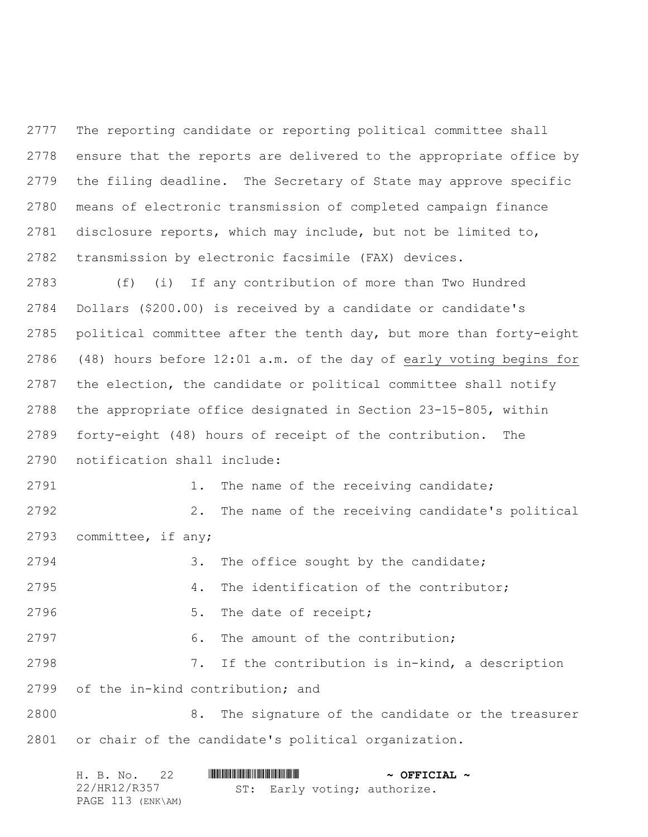The reporting candidate or reporting political committee shall ensure that the reports are delivered to the appropriate office by the filing deadline. The Secretary of State may approve specific means of electronic transmission of completed campaign finance disclosure reports, which may include, but not be limited to, transmission by electronic facsimile (FAX) devices.

 (f) (i) If any contribution of more than Two Hundred Dollars (\$200.00) is received by a candidate or candidate's political committee after the tenth day, but more than forty-eight (48) hours before 12:01 a.m. of the day of early voting begins for the election, the candidate or political committee shall notify the appropriate office designated in Section 23-15-805, within forty-eight (48) hours of receipt of the contribution. The notification shall include:

2791 1. The name of the receiving candidate; 2. The name of the receiving candidate's political committee, if any;

 3. The office sought by the candidate; 4. The identification of the contributor; 2796 5. The date of receipt; 2797 6. The amount of the contribution; 7. If the contribution is in-kind, a description of the in-kind contribution; and 8. The signature of the candidate or the treasurer or chair of the candidate's political organization.

| H. B. No. 22      |  |  |  | $\sim$ OFFICIAL $\sim$       |  |
|-------------------|--|--|--|------------------------------|--|
| 22/HR12/R357      |  |  |  | ST: Early voting; authorize. |  |
| PAGE 113 (ENK\AM) |  |  |  |                              |  |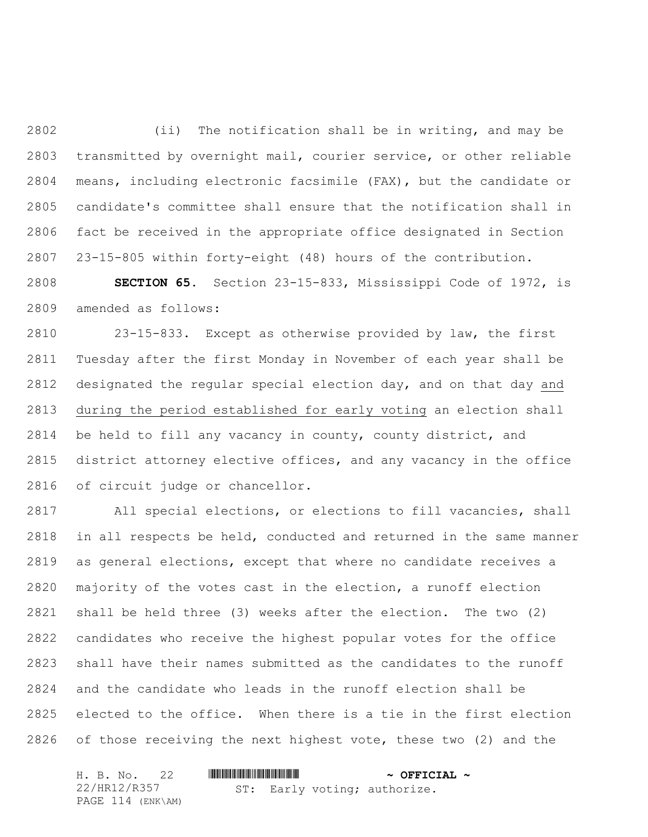(ii) The notification shall be in writing, and may be transmitted by overnight mail, courier service, or other reliable means, including electronic facsimile (FAX), but the candidate or candidate's committee shall ensure that the notification shall in fact be received in the appropriate office designated in Section 23-15-805 within forty-eight (48) hours of the contribution.

 **SECTION 65.** Section 23-15-833, Mississippi Code of 1972, is amended as follows:

 23-15-833. Except as otherwise provided by law, the first Tuesday after the first Monday in November of each year shall be designated the regular special election day, and on that day and during the period established for early voting an election shall be held to fill any vacancy in county, county district, and district attorney elective offices, and any vacancy in the office of circuit judge or chancellor.

 All special elections, or elections to fill vacancies, shall in all respects be held, conducted and returned in the same manner as general elections, except that where no candidate receives a majority of the votes cast in the election, a runoff election shall be held three (3) weeks after the election. The two (2) candidates who receive the highest popular votes for the office shall have their names submitted as the candidates to the runoff and the candidate who leads in the runoff election shall be elected to the office. When there is a tie in the first election of those receiving the next highest vote, these two (2) and the

| H. B. No. 22      |                              | $\sim$ OFFICIAL $\sim$ |
|-------------------|------------------------------|------------------------|
| 22/HR12/R357      | ST: Early voting; authorize. |                        |
| PAGE 114 (ENK\AM) |                              |                        |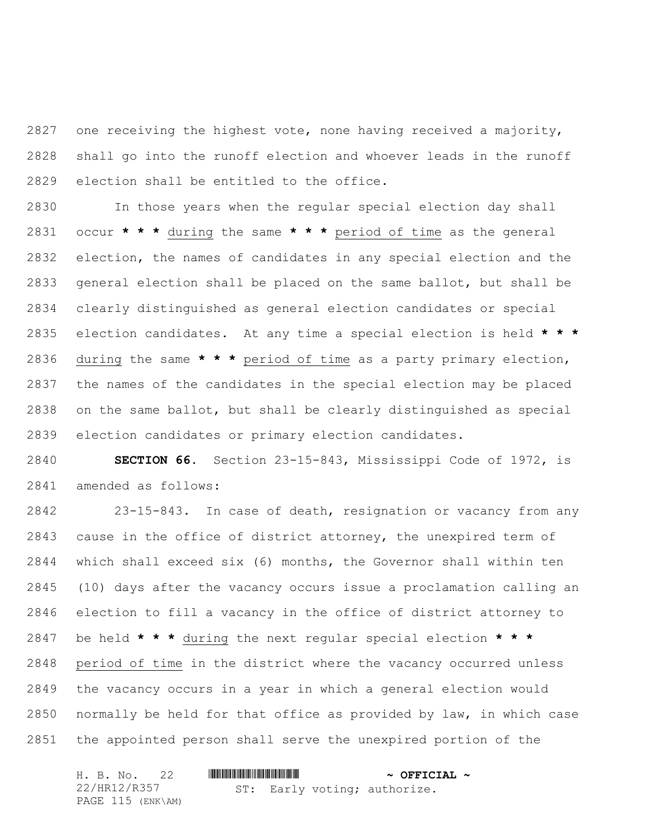one receiving the highest vote, none having received a majority, shall go into the runoff election and whoever leads in the runoff election shall be entitled to the office.

 In those years when the regular special election day shall occur **\* \* \*** during the same **\* \* \*** period of time as the general election, the names of candidates in any special election and the general election shall be placed on the same ballot, but shall be clearly distinguished as general election candidates or special election candidates. At any time a special election is held **\* \* \*** during the same **\* \* \*** period of time as a party primary election, the names of the candidates in the special election may be placed on the same ballot, but shall be clearly distinguished as special election candidates or primary election candidates.

 **SECTION 66.** Section 23-15-843, Mississippi Code of 1972, is amended as follows:

 23-15-843. In case of death, resignation or vacancy from any cause in the office of district attorney, the unexpired term of which shall exceed six (6) months, the Governor shall within ten (10) days after the vacancy occurs issue a proclamation calling an election to fill a vacancy in the office of district attorney to be held **\* \* \*** during the next regular special election **\* \* \*** period of time in the district where the vacancy occurred unless the vacancy occurs in a year in which a general election would normally be held for that office as provided by law, in which case the appointed person shall serve the unexpired portion of the

| H. B. No. 22      |  |  |  |  | $\sim$ OFFICIAL $\sim$       |  |
|-------------------|--|--|--|--|------------------------------|--|
| 22/HR12/R357      |  |  |  |  | ST: Early voting; authorize. |  |
| PAGE 115 (ENK\AM) |  |  |  |  |                              |  |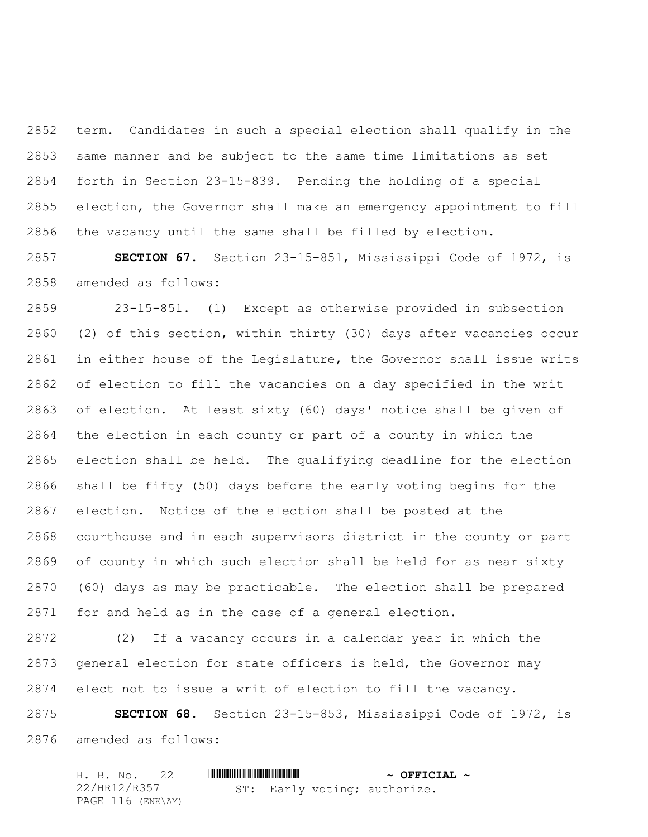term. Candidates in such a special election shall qualify in the same manner and be subject to the same time limitations as set forth in Section 23-15-839. Pending the holding of a special election, the Governor shall make an emergency appointment to fill the vacancy until the same shall be filled by election.

 **SECTION 67.** Section 23-15-851, Mississippi Code of 1972, is amended as follows:

 23-15-851. (1) Except as otherwise provided in subsection (2) of this section, within thirty (30) days after vacancies occur in either house of the Legislature, the Governor shall issue writs of election to fill the vacancies on a day specified in the writ of election. At least sixty (60) days' notice shall be given of the election in each county or part of a county in which the election shall be held. The qualifying deadline for the election shall be fifty (50) days before the early voting begins for the election. Notice of the election shall be posted at the courthouse and in each supervisors district in the county or part of county in which such election shall be held for as near sixty (60) days as may be practicable. The election shall be prepared for and held as in the case of a general election.

 (2) If a vacancy occurs in a calendar year in which the general election for state officers is held, the Governor may elect not to issue a writ of election to fill the vacancy.

 **SECTION 68.** Section 23-15-853, Mississippi Code of 1972, is amended as follows:

|  | H. B. No. 22 |                   |  |  |  | $\sim$ OFFICIAL $\sim$       |  |
|--|--------------|-------------------|--|--|--|------------------------------|--|
|  | 22/HR12/R357 |                   |  |  |  | ST: Early voting; authorize. |  |
|  |              | PAGE 116 (ENK\AM) |  |  |  |                              |  |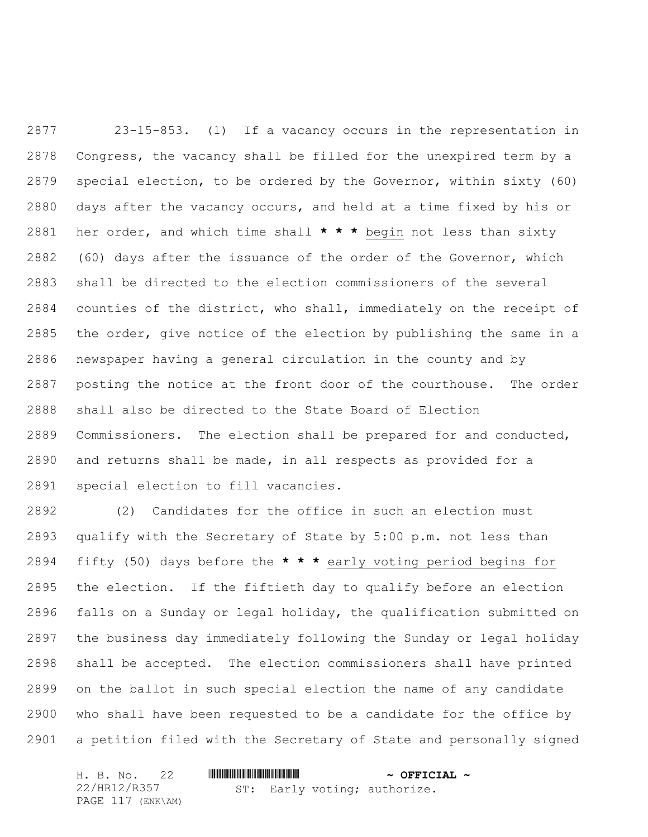23-15-853. (1) If a vacancy occurs in the representation in Congress, the vacancy shall be filled for the unexpired term by a special election, to be ordered by the Governor, within sixty (60) days after the vacancy occurs, and held at a time fixed by his or her order, and which time shall **\* \* \*** begin not less than sixty (60) days after the issuance of the order of the Governor, which shall be directed to the election commissioners of the several counties of the district, who shall, immediately on the receipt of the order, give notice of the election by publishing the same in a newspaper having a general circulation in the county and by posting the notice at the front door of the courthouse. The order shall also be directed to the State Board of Election Commissioners. The election shall be prepared for and conducted, and returns shall be made, in all respects as provided for a special election to fill vacancies.

 (2) Candidates for the office in such an election must qualify with the Secretary of State by 5:00 p.m. not less than fifty (50) days before the **\* \* \*** early voting period begins for the election. If the fiftieth day to qualify before an election falls on a Sunday or legal holiday, the qualification submitted on the business day immediately following the Sunday or legal holiday shall be accepted. The election commissioners shall have printed on the ballot in such special election the name of any candidate who shall have been requested to be a candidate for the office by a petition filed with the Secretary of State and personally signed

| H. B. No. 22      |                              | $\sim$ OFFICIAL $\sim$ |
|-------------------|------------------------------|------------------------|
| 22/HR12/R357      | ST: Early voting; authorize. |                        |
| PAGE 117 (ENK\AM) |                              |                        |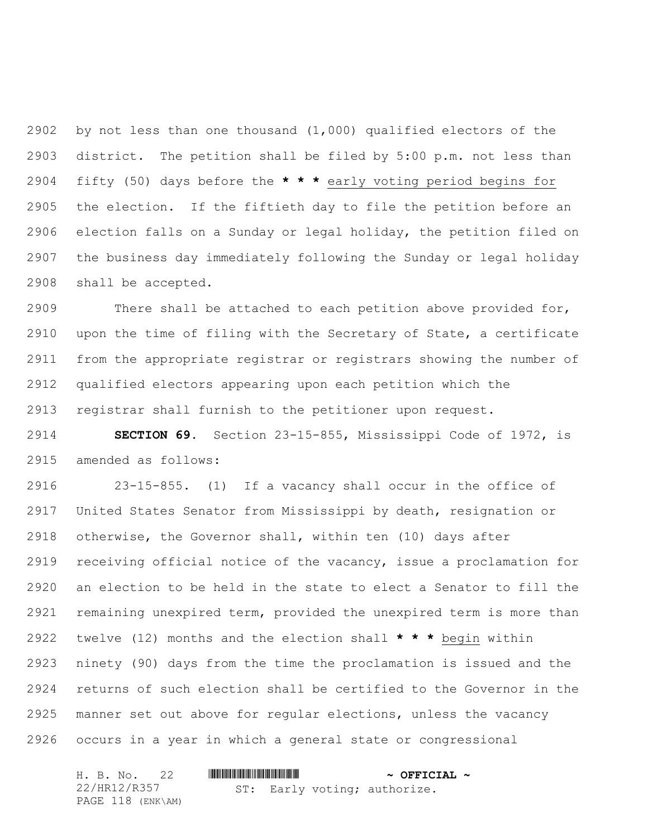by not less than one thousand (1,000) qualified electors of the district. The petition shall be filed by 5:00 p.m. not less than fifty (50) days before the **\* \* \*** early voting period begins for the election. If the fiftieth day to file the petition before an election falls on a Sunday or legal holiday, the petition filed on the business day immediately following the Sunday or legal holiday shall be accepted.

 There shall be attached to each petition above provided for, upon the time of filing with the Secretary of State, a certificate from the appropriate registrar or registrars showing the number of qualified electors appearing upon each petition which the registrar shall furnish to the petitioner upon request.

 **SECTION 69.** Section 23-15-855, Mississippi Code of 1972, is amended as follows:

 23-15-855. (1) If a vacancy shall occur in the office of United States Senator from Mississippi by death, resignation or otherwise, the Governor shall, within ten (10) days after receiving official notice of the vacancy, issue a proclamation for an election to be held in the state to elect a Senator to fill the remaining unexpired term, provided the unexpired term is more than twelve (12) months and the election shall **\* \* \*** begin within ninety (90) days from the time the proclamation is issued and the returns of such election shall be certified to the Governor in the manner set out above for regular elections, unless the vacancy occurs in a year in which a general state or congressional

| H. B. No. 22      |                              | $\sim$ OFFICIAL $\sim$ |
|-------------------|------------------------------|------------------------|
| 22/HR12/R357      | ST: Early voting; authorize. |                        |
| PAGE 118 (ENK\AM) |                              |                        |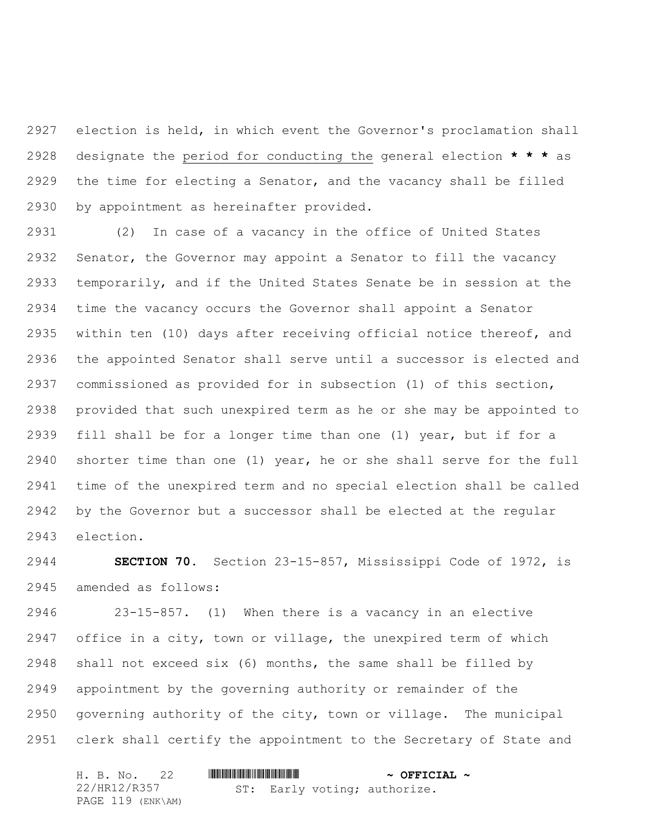election is held, in which event the Governor's proclamation shall designate the period for conducting the general election **\* \* \*** as the time for electing a Senator, and the vacancy shall be filled by appointment as hereinafter provided.

 (2) In case of a vacancy in the office of United States Senator, the Governor may appoint a Senator to fill the vacancy temporarily, and if the United States Senate be in session at the time the vacancy occurs the Governor shall appoint a Senator within ten (10) days after receiving official notice thereof, and the appointed Senator shall serve until a successor is elected and commissioned as provided for in subsection (1) of this section, provided that such unexpired term as he or she may be appointed to fill shall be for a longer time than one (1) year, but if for a shorter time than one (1) year, he or she shall serve for the full time of the unexpired term and no special election shall be called by the Governor but a successor shall be elected at the regular election.

 **SECTION 70.** Section 23-15-857, Mississippi Code of 1972, is amended as follows:

 23-15-857. (1) When there is a vacancy in an elective office in a city, town or village, the unexpired term of which shall not exceed six (6) months, the same shall be filled by appointment by the governing authority or remainder of the governing authority of the city, town or village. The municipal clerk shall certify the appointment to the Secretary of State and

|  | H. B. No. 22 |                   |  |  |  | $\sim$ OFFICIAL $\sim$       |  |
|--|--------------|-------------------|--|--|--|------------------------------|--|
|  | 22/HR12/R357 |                   |  |  |  | ST: Early voting; authorize. |  |
|  |              | PAGE 119 (ENK\AM) |  |  |  |                              |  |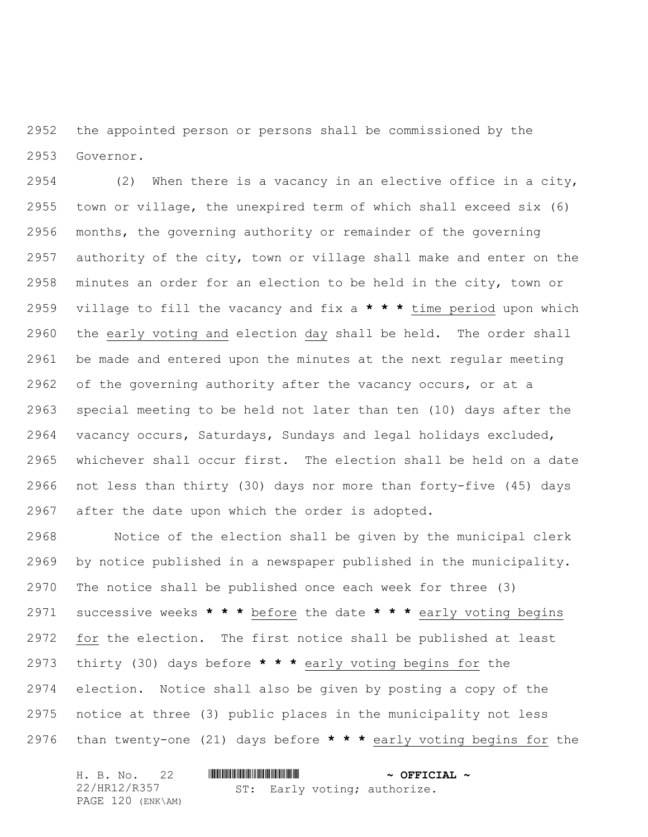the appointed person or persons shall be commissioned by the Governor.

 (2) When there is a vacancy in an elective office in a city, town or village, the unexpired term of which shall exceed six (6) months, the governing authority or remainder of the governing authority of the city, town or village shall make and enter on the minutes an order for an election to be held in the city, town or village to fill the vacancy and fix a **\* \* \*** time period upon which the early voting and election day shall be held. The order shall be made and entered upon the minutes at the next regular meeting of the governing authority after the vacancy occurs, or at a special meeting to be held not later than ten (10) days after the vacancy occurs, Saturdays, Sundays and legal holidays excluded, whichever shall occur first. The election shall be held on a date not less than thirty (30) days nor more than forty-five (45) days after the date upon which the order is adopted.

 Notice of the election shall be given by the municipal clerk by notice published in a newspaper published in the municipality. The notice shall be published once each week for three (3) successive weeks **\* \* \*** before the date **\* \* \*** early voting begins for the election. The first notice shall be published at least thirty (30) days before **\* \* \*** early voting begins for the election. Notice shall also be given by posting a copy of the notice at three (3) public places in the municipality not less than twenty-one (21) days before **\* \* \*** early voting begins for the

| H. B. No. 22      |                              | $\sim$ OFFICIAL $\sim$ |
|-------------------|------------------------------|------------------------|
| 22/HR12/R357      | ST: Early voting; authorize. |                        |
| PAGE 120 (ENK\AM) |                              |                        |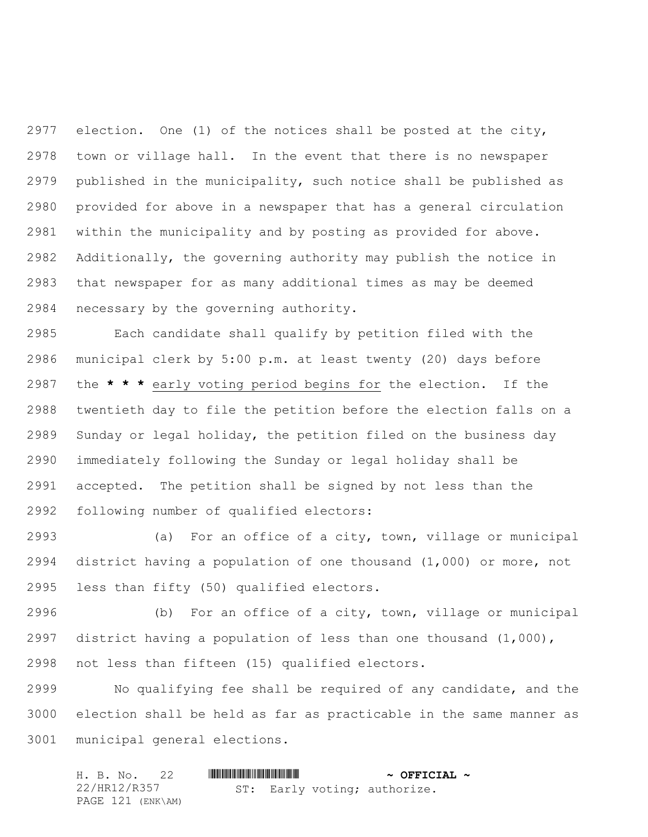election. One (1) of the notices shall be posted at the city, town or village hall. In the event that there is no newspaper published in the municipality, such notice shall be published as provided for above in a newspaper that has a general circulation within the municipality and by posting as provided for above. Additionally, the governing authority may publish the notice in that newspaper for as many additional times as may be deemed necessary by the governing authority.

 Each candidate shall qualify by petition filed with the municipal clerk by 5:00 p.m. at least twenty (20) days before the **\* \* \*** early voting period begins for the election. If the twentieth day to file the petition before the election falls on a Sunday or legal holiday, the petition filed on the business day immediately following the Sunday or legal holiday shall be accepted. The petition shall be signed by not less than the following number of qualified electors:

 (a) For an office of a city, town, village or municipal district having a population of one thousand (1,000) or more, not less than fifty (50) qualified electors.

 (b) For an office of a city, town, village or municipal district having a population of less than one thousand (1,000), not less than fifteen (15) qualified electors.

 No qualifying fee shall be required of any candidate, and the election shall be held as far as practicable in the same manner as municipal general elections.

| H. B. No. 22      |                              | $\sim$ OFFICIAL $\sim$ |
|-------------------|------------------------------|------------------------|
| 22/HR12/R357      | ST: Early voting; authorize. |                        |
| PAGE 121 (ENK\AM) |                              |                        |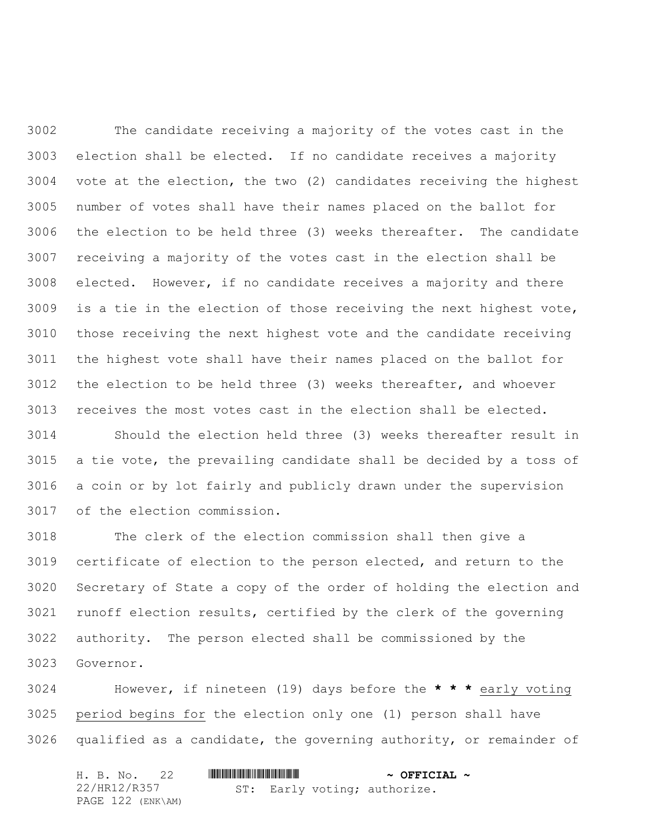The candidate receiving a majority of the votes cast in the election shall be elected. If no candidate receives a majority vote at the election, the two (2) candidates receiving the highest number of votes shall have their names placed on the ballot for the election to be held three (3) weeks thereafter. The candidate receiving a majority of the votes cast in the election shall be elected. However, if no candidate receives a majority and there is a tie in the election of those receiving the next highest vote, those receiving the next highest vote and the candidate receiving the highest vote shall have their names placed on the ballot for the election to be held three (3) weeks thereafter, and whoever receives the most votes cast in the election shall be elected.

 Should the election held three (3) weeks thereafter result in a tie vote, the prevailing candidate shall be decided by a toss of a coin or by lot fairly and publicly drawn under the supervision of the election commission.

 The clerk of the election commission shall then give a certificate of election to the person elected, and return to the Secretary of State a copy of the order of holding the election and runoff election results, certified by the clerk of the governing authority. The person elected shall be commissioned by the Governor.

 However, if nineteen (19) days before the **\* \* \*** early voting period begins for the election only one (1) person shall have qualified as a candidate, the governing authority, or remainder of

|  |              | H. B. No. 22      |  | $\sim$ OFFICIAL $\sim$ |                              |  |
|--|--------------|-------------------|--|------------------------|------------------------------|--|
|  | 22/HR12/R357 |                   |  |                        | ST: Early voting; authorize. |  |
|  |              | PAGE 122 (ENK\AM) |  |                        |                              |  |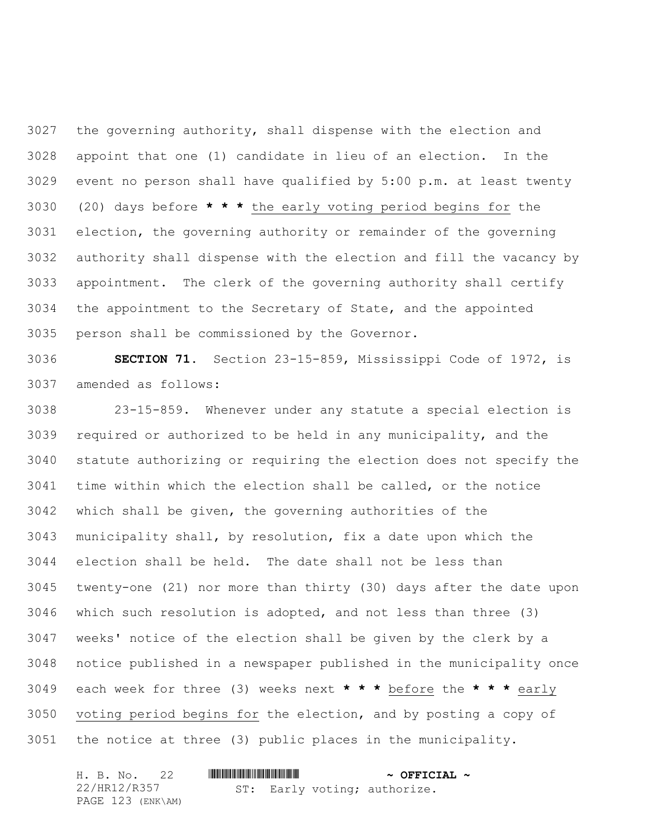the governing authority, shall dispense with the election and appoint that one (1) candidate in lieu of an election. In the event no person shall have qualified by 5:00 p.m. at least twenty (20) days before **\* \* \*** the early voting period begins for the election, the governing authority or remainder of the governing authority shall dispense with the election and fill the vacancy by appointment. The clerk of the governing authority shall certify the appointment to the Secretary of State, and the appointed person shall be commissioned by the Governor.

 **SECTION 71.** Section 23-15-859, Mississippi Code of 1972, is amended as follows:

 23-15-859. Whenever under any statute a special election is required or authorized to be held in any municipality, and the statute authorizing or requiring the election does not specify the time within which the election shall be called, or the notice which shall be given, the governing authorities of the municipality shall, by resolution, fix a date upon which the election shall be held. The date shall not be less than twenty-one (21) nor more than thirty (30) days after the date upon which such resolution is adopted, and not less than three (3) weeks' notice of the election shall be given by the clerk by a notice published in a newspaper published in the municipality once each week for three (3) weeks next **\* \* \*** before the **\* \* \*** early voting period begins for the election, and by posting a copy of the notice at three (3) public places in the municipality.

|              | H. B. No. 22      |  | $\sim$ OFFICIAL $\sim$ |                              |  |
|--------------|-------------------|--|------------------------|------------------------------|--|
| 22/HR12/R357 |                   |  |                        | ST: Early voting; authorize. |  |
|              | PAGE 123 (ENK\AM) |  |                        |                              |  |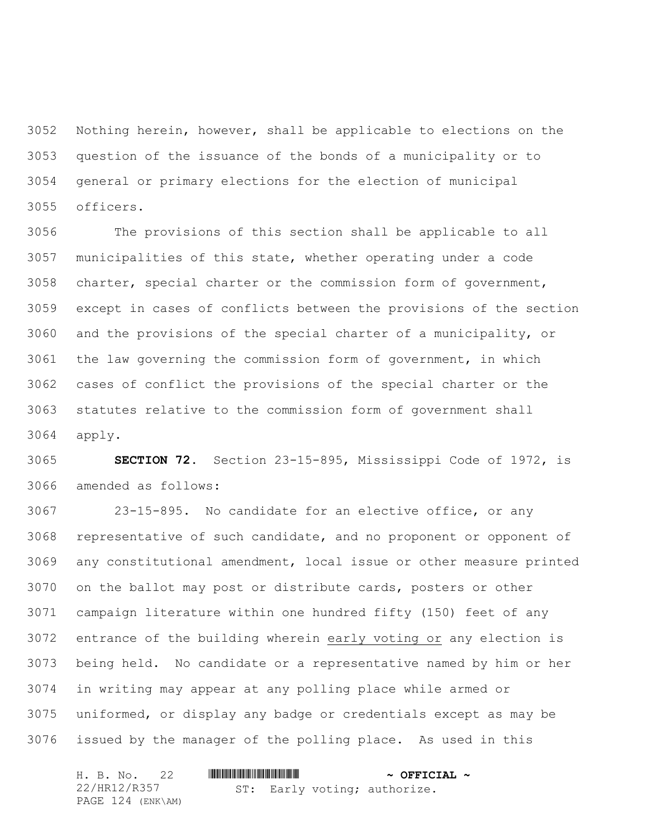Nothing herein, however, shall be applicable to elections on the question of the issuance of the bonds of a municipality or to general or primary elections for the election of municipal officers.

 The provisions of this section shall be applicable to all municipalities of this state, whether operating under a code charter, special charter or the commission form of government, except in cases of conflicts between the provisions of the section and the provisions of the special charter of a municipality, or the law governing the commission form of government, in which cases of conflict the provisions of the special charter or the statutes relative to the commission form of government shall apply.

 **SECTION 72.** Section 23-15-895, Mississippi Code of 1972, is amended as follows:

 23-15-895. No candidate for an elective office, or any representative of such candidate, and no proponent or opponent of any constitutional amendment, local issue or other measure printed on the ballot may post or distribute cards, posters or other campaign literature within one hundred fifty (150) feet of any entrance of the building wherein early voting or any election is being held. No candidate or a representative named by him or her in writing may appear at any polling place while armed or uniformed, or display any badge or credentials except as may be issued by the manager of the polling place. As used in this

| H. B. No. 22      |                              | $\sim$ OFFICIAL $\sim$ |
|-------------------|------------------------------|------------------------|
| 22/HR12/R357      | ST: Early voting; authorize. |                        |
| PAGE 124 (ENK\AM) |                              |                        |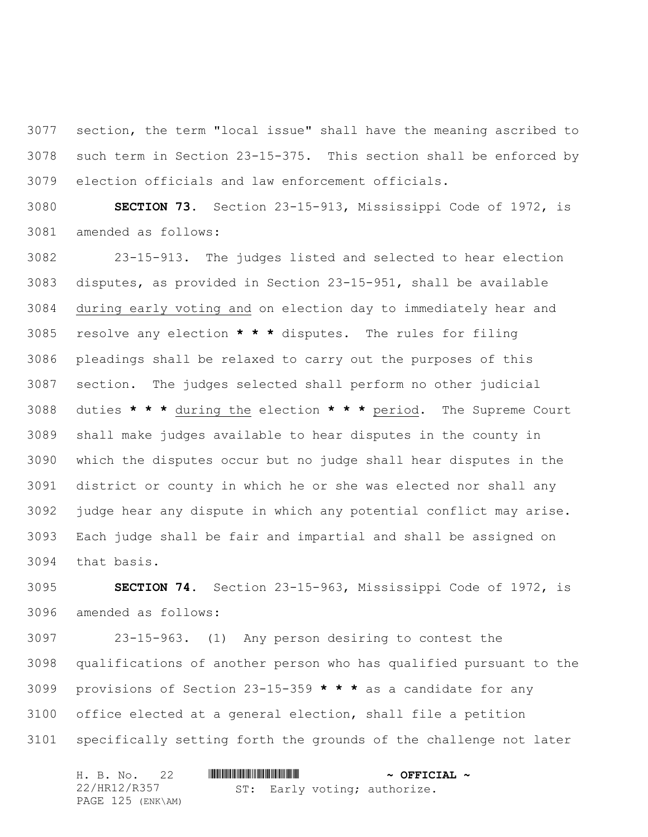section, the term "local issue" shall have the meaning ascribed to such term in Section 23-15-375. This section shall be enforced by election officials and law enforcement officials.

 **SECTION 73.** Section 23-15-913, Mississippi Code of 1972, is amended as follows:

 23-15-913. The judges listed and selected to hear election disputes, as provided in Section 23-15-951, shall be available during early voting and on election day to immediately hear and resolve any election **\* \* \*** disputes. The rules for filing pleadings shall be relaxed to carry out the purposes of this section. The judges selected shall perform no other judicial duties **\* \* \*** during the election **\* \* \*** period. The Supreme Court shall make judges available to hear disputes in the county in which the disputes occur but no judge shall hear disputes in the district or county in which he or she was elected nor shall any judge hear any dispute in which any potential conflict may arise. Each judge shall be fair and impartial and shall be assigned on that basis.

 **SECTION 74.** Section 23-15-963, Mississippi Code of 1972, is amended as follows:

 23-15-963. (1) Any person desiring to contest the qualifications of another person who has qualified pursuant to the provisions of Section 23-15-359 **\* \* \*** as a candidate for any office elected at a general election, shall file a petition specifically setting forth the grounds of the challenge not later

|              |  | H. B. No. 22      |  | $\sim$ OFFICIAL $\sim$ |                              |  |
|--------------|--|-------------------|--|------------------------|------------------------------|--|
| 22/HR12/R357 |  |                   |  |                        | ST: Early voting; authorize. |  |
|              |  | PAGE 125 (ENK\AM) |  |                        |                              |  |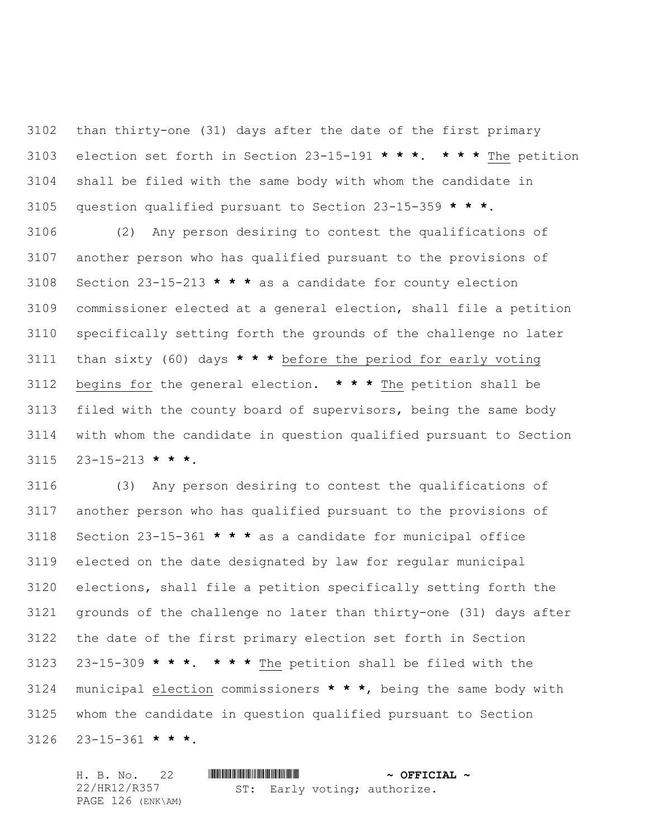than thirty-one (31) days after the date of the first primary election set forth in Section 23-15-191 **\* \* \***. **\* \* \*** The petition shall be filed with the same body with whom the candidate in question qualified pursuant to Section 23-15-359 **\* \* \***.

 (2) Any person desiring to contest the qualifications of another person who has qualified pursuant to the provisions of Section 23-15-213 **\* \* \*** as a candidate for county election commissioner elected at a general election, shall file a petition specifically setting forth the grounds of the challenge no later than sixty (60) days **\* \* \*** before the period for early voting begins for the general election. **\* \* \*** The petition shall be filed with the county board of supervisors, being the same body with whom the candidate in question qualified pursuant to Section 23-15-213 **\* \* \***.

 (3) Any person desiring to contest the qualifications of another person who has qualified pursuant to the provisions of Section 23-15-361 **\* \* \*** as a candidate for municipal office elected on the date designated by law for regular municipal elections, shall file a petition specifically setting forth the grounds of the challenge no later than thirty-one (31) days after the date of the first primary election set forth in Section 23-15-309 **\* \* \***. **\* \* \*** The petition shall be filed with the municipal election commissioners **\* \* \***, being the same body with whom the candidate in question qualified pursuant to Section 23-15-361 **\* \* \***.

H. B. No. 22 \*HR12/R357\* **~ OFFICIAL ~** 22/HR12/R357 PAGE 126 (ENK\AM) ST: Early voting; authorize.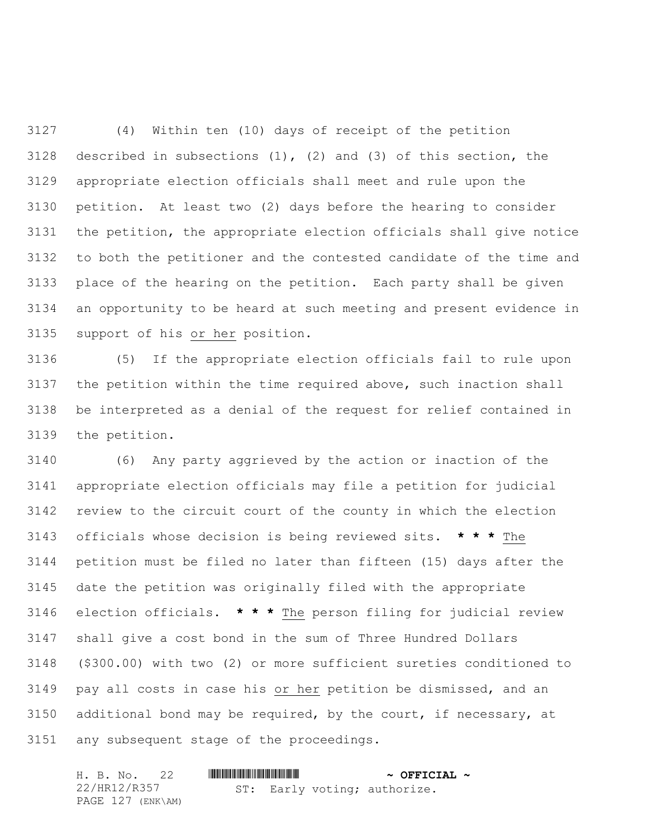(4) Within ten (10) days of receipt of the petition described in subsections (1), (2) and (3) of this section, the appropriate election officials shall meet and rule upon the petition. At least two (2) days before the hearing to consider the petition, the appropriate election officials shall give notice to both the petitioner and the contested candidate of the time and place of the hearing on the petition. Each party shall be given an opportunity to be heard at such meeting and present evidence in support of his or her position.

 (5) If the appropriate election officials fail to rule upon the petition within the time required above, such inaction shall be interpreted as a denial of the request for relief contained in the petition.

 (6) Any party aggrieved by the action or inaction of the appropriate election officials may file a petition for judicial review to the circuit court of the county in which the election officials whose decision is being reviewed sits. **\* \* \*** The petition must be filed no later than fifteen (15) days after the date the petition was originally filed with the appropriate election officials. **\* \* \*** The person filing for judicial review shall give a cost bond in the sum of Three Hundred Dollars (\$300.00) with two (2) or more sufficient sureties conditioned to pay all costs in case his or her petition be dismissed, and an additional bond may be required, by the court, if necessary, at any subsequent stage of the proceedings.

| H. B. No. 22      |                              | $\sim$ OFFICIAL $\sim$ |
|-------------------|------------------------------|------------------------|
| 22/HR12/R357      | ST: Early voting; authorize. |                        |
| PAGE 127 (ENK\AM) |                              |                        |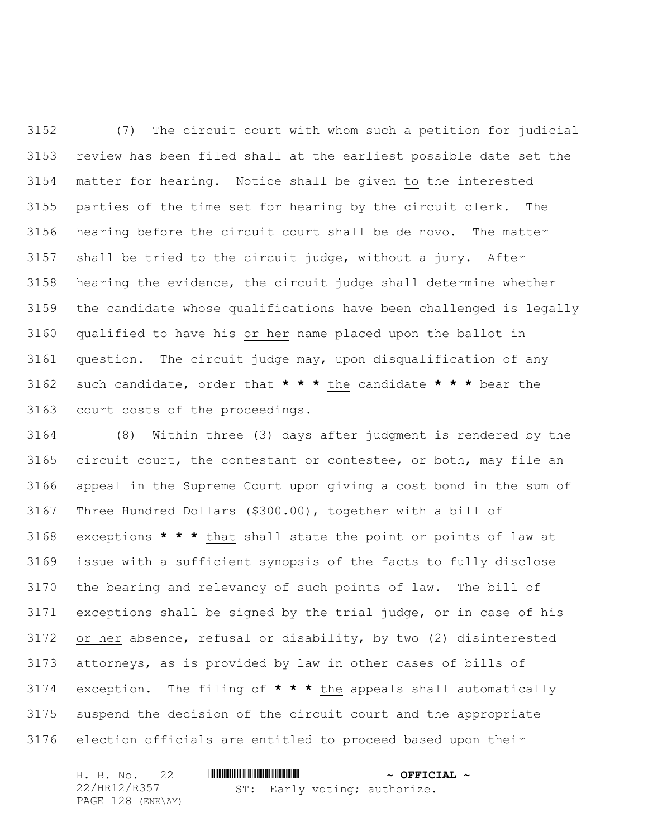(7) The circuit court with whom such a petition for judicial review has been filed shall at the earliest possible date set the matter for hearing. Notice shall be given to the interested parties of the time set for hearing by the circuit clerk. The hearing before the circuit court shall be de novo. The matter shall be tried to the circuit judge, without a jury. After hearing the evidence, the circuit judge shall determine whether the candidate whose qualifications have been challenged is legally qualified to have his or her name placed upon the ballot in question. The circuit judge may, upon disqualification of any such candidate, order that **\* \* \*** the candidate **\* \* \*** bear the court costs of the proceedings.

 (8) Within three (3) days after judgment is rendered by the circuit court, the contestant or contestee, or both, may file an appeal in the Supreme Court upon giving a cost bond in the sum of Three Hundred Dollars (\$300.00), together with a bill of exceptions **\* \* \*** that shall state the point or points of law at issue with a sufficient synopsis of the facts to fully disclose the bearing and relevancy of such points of law. The bill of exceptions shall be signed by the trial judge, or in case of his or her absence, refusal or disability, by two (2) disinterested attorneys, as is provided by law in other cases of bills of exception. The filing of **\* \* \*** the appeals shall automatically suspend the decision of the circuit court and the appropriate election officials are entitled to proceed based upon their

H. B. No. 22 \*HR12/R357\* **~ OFFICIAL ~** 22/HR12/R357 PAGE 128 (ENK\AM) ST: Early voting; authorize.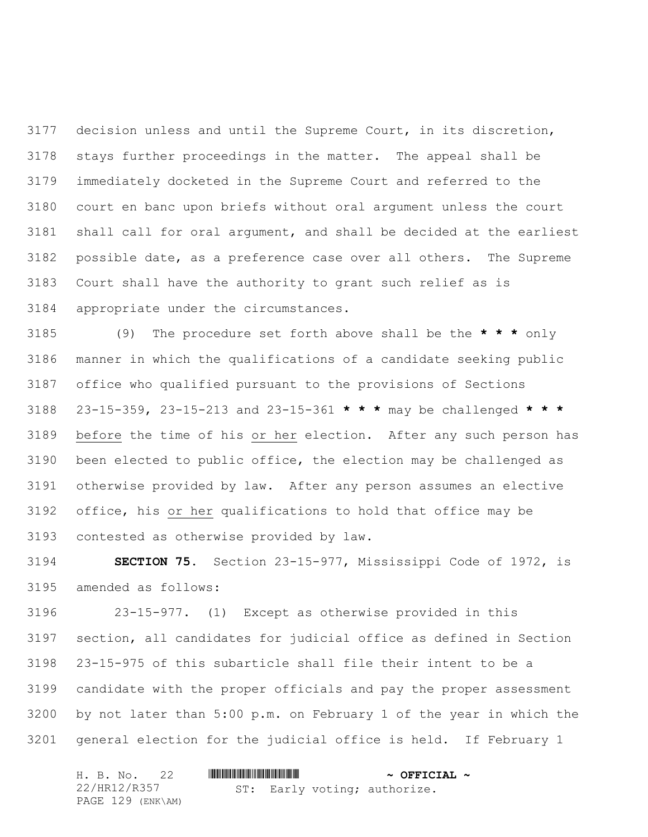decision unless and until the Supreme Court, in its discretion, stays further proceedings in the matter. The appeal shall be immediately docketed in the Supreme Court and referred to the court en banc upon briefs without oral argument unless the court shall call for oral argument, and shall be decided at the earliest possible date, as a preference case over all others. The Supreme Court shall have the authority to grant such relief as is appropriate under the circumstances.

 (9) The procedure set forth above shall be the **\* \* \*** only manner in which the qualifications of a candidate seeking public office who qualified pursuant to the provisions of Sections 23-15-359, 23-15-213 and 23-15-361 **\* \* \*** may be challenged **\* \* \*** before the time of his or her election. After any such person has been elected to public office, the election may be challenged as otherwise provided by law. After any person assumes an elective office, his or her qualifications to hold that office may be contested as otherwise provided by law.

 **SECTION 75.** Section 23-15-977, Mississippi Code of 1972, is amended as follows:

 23-15-977. (1) Except as otherwise provided in this section, all candidates for judicial office as defined in Section 23-15-975 of this subarticle shall file their intent to be a candidate with the proper officials and pay the proper assessment by not later than 5:00 p.m. on February 1 of the year in which the general election for the judicial office is held. If February 1

|  | H. B. No. 22      |  |  | $\sim$ OFFICIAL $\sim$ |                              |  |
|--|-------------------|--|--|------------------------|------------------------------|--|
|  | 22/HR12/R357      |  |  |                        | ST: Early voting; authorize. |  |
|  | PAGE 129 (ENK\AM) |  |  |                        |                              |  |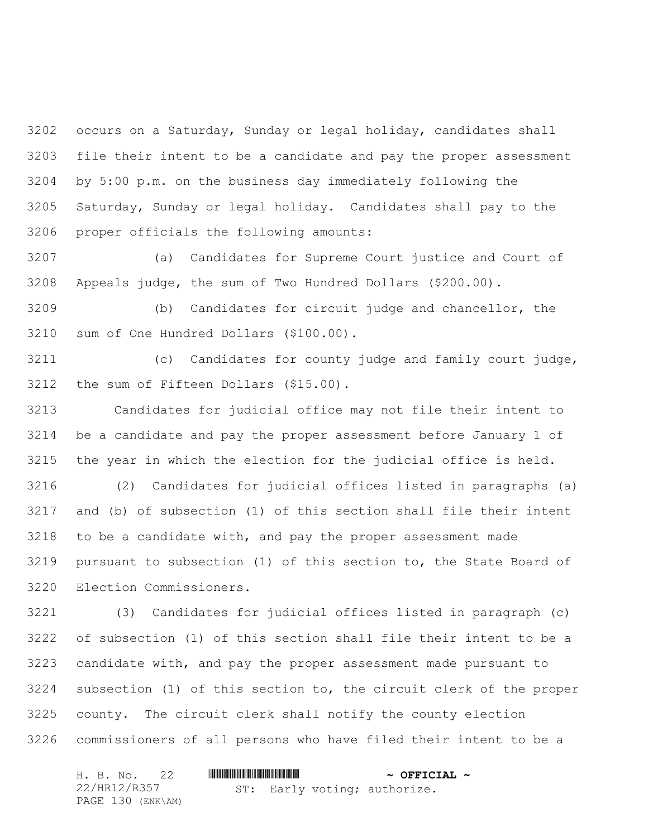occurs on a Saturday, Sunday or legal holiday, candidates shall file their intent to be a candidate and pay the proper assessment by 5:00 p.m. on the business day immediately following the Saturday, Sunday or legal holiday. Candidates shall pay to the proper officials the following amounts:

 (a) Candidates for Supreme Court justice and Court of Appeals judge, the sum of Two Hundred Dollars (\$200.00).

 (b) Candidates for circuit judge and chancellor, the sum of One Hundred Dollars (\$100.00).

 (c) Candidates for county judge and family court judge, the sum of Fifteen Dollars (\$15.00).

 Candidates for judicial office may not file their intent to be a candidate and pay the proper assessment before January 1 of the year in which the election for the judicial office is held.

 (2) Candidates for judicial offices listed in paragraphs (a) and (b) of subsection (1) of this section shall file their intent to be a candidate with, and pay the proper assessment made pursuant to subsection (1) of this section to, the State Board of Election Commissioners.

 (3) Candidates for judicial offices listed in paragraph (c) of subsection (1) of this section shall file their intent to be a candidate with, and pay the proper assessment made pursuant to subsection (1) of this section to, the circuit clerk of the proper county. The circuit clerk shall notify the county election commissioners of all persons who have filed their intent to be a

| H. B. No. 22      |                              | $\sim$ OFFICIAL $\sim$ |
|-------------------|------------------------------|------------------------|
| 22/HR12/R357      | ST: Early voting; authorize. |                        |
| PAGE 130 (ENK\AM) |                              |                        |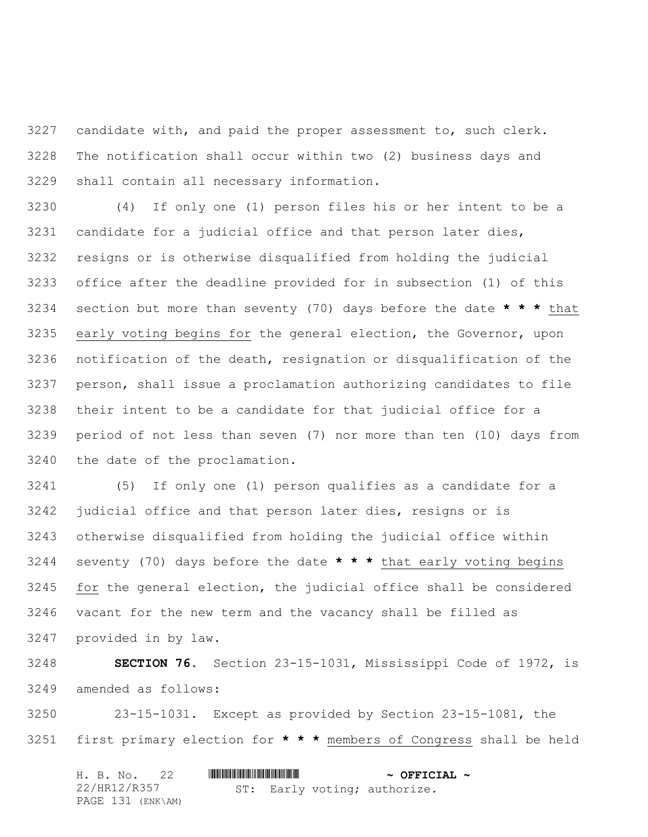candidate with, and paid the proper assessment to, such clerk. The notification shall occur within two (2) business days and shall contain all necessary information.

 (4) If only one (1) person files his or her intent to be a candidate for a judicial office and that person later dies, resigns or is otherwise disqualified from holding the judicial office after the deadline provided for in subsection (1) of this section but more than seventy (70) days before the date **\* \* \*** that early voting begins for the general election, the Governor, upon notification of the death, resignation or disqualification of the person, shall issue a proclamation authorizing candidates to file their intent to be a candidate for that judicial office for a period of not less than seven (7) nor more than ten (10) days from the date of the proclamation.

 (5) If only one (1) person qualifies as a candidate for a judicial office and that person later dies, resigns or is otherwise disqualified from holding the judicial office within seventy (70) days before the date **\* \* \*** that early voting begins 3245 for the general election, the judicial office shall be considered vacant for the new term and the vacancy shall be filled as provided in by law.

 **SECTION 76.** Section 23-15-1031, Mississippi Code of 1972, is amended as follows:

 23-15-1031. Except as provided by Section 23-15-1081, the first primary election for **\* \* \*** members of Congress shall be held

| H. B. No. 22      |  | $\sim$ OFFICIAL $\sim$ |                              |  |
|-------------------|--|------------------------|------------------------------|--|
| 22/HR12/R357      |  |                        | ST: Early voting; authorize. |  |
| PAGE 131 (ENK\AM) |  |                        |                              |  |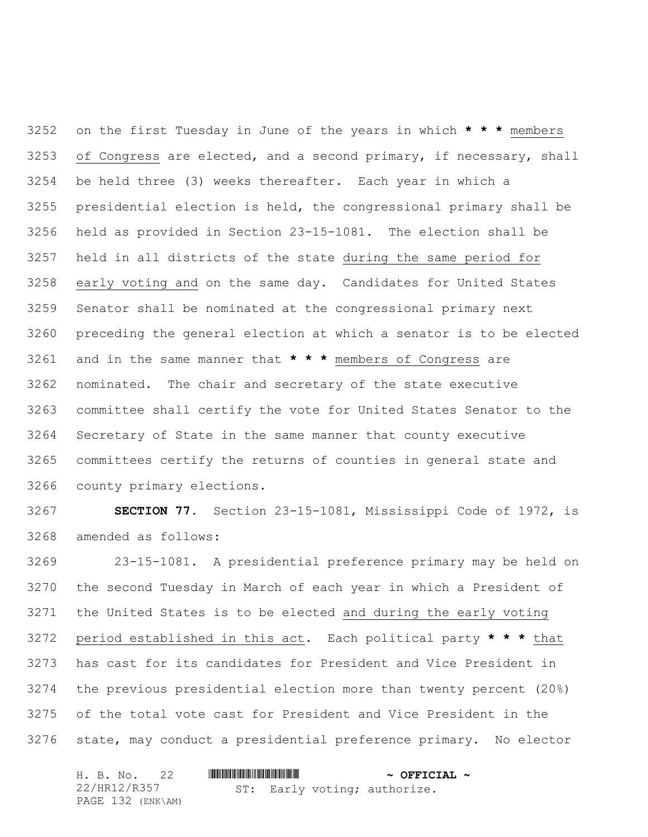on the first Tuesday in June of the years in which **\* \* \*** members of Congress are elected, and a second primary, if necessary, shall be held three (3) weeks thereafter. Each year in which a presidential election is held, the congressional primary shall be held as provided in Section 23-15-1081. The election shall be held in all districts of the state during the same period for early voting and on the same day. Candidates for United States Senator shall be nominated at the congressional primary next preceding the general election at which a senator is to be elected and in the same manner that **\* \* \*** members of Congress are nominated. The chair and secretary of the state executive committee shall certify the vote for United States Senator to the Secretary of State in the same manner that county executive committees certify the returns of counties in general state and county primary elections.

 **SECTION 77.** Section 23-15-1081, Mississippi Code of 1972, is amended as follows:

 23-15-1081. A presidential preference primary may be held on the second Tuesday in March of each year in which a President of the United States is to be elected and during the early voting period established in this act. Each political party **\* \* \*** that has cast for its candidates for President and Vice President in the previous presidential election more than twenty percent (20%) of the total vote cast for President and Vice President in the state, may conduct a presidential preference primary. No elector

| H. B. No. 22      |                              | $\sim$ OFFICIAL $\sim$ |
|-------------------|------------------------------|------------------------|
| 22/HR12/R357      | ST: Early voting; authorize. |                        |
| PAGE 132 (ENK\AM) |                              |                        |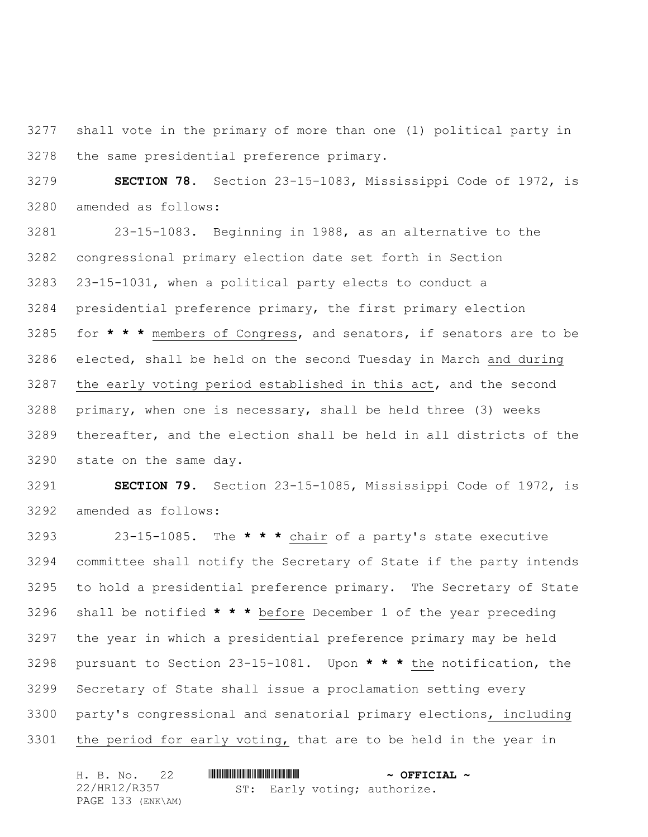shall vote in the primary of more than one (1) political party in the same presidential preference primary.

 **SECTION 78.** Section 23-15-1083, Mississippi Code of 1972, is amended as follows:

 23-15-1083. Beginning in 1988, as an alternative to the congressional primary election date set forth in Section 23-15-1031, when a political party elects to conduct a presidential preference primary, the first primary election for **\* \* \*** members of Congress, and senators, if senators are to be elected, shall be held on the second Tuesday in March and during the early voting period established in this act, and the second primary, when one is necessary, shall be held three (3) weeks thereafter, and the election shall be held in all districts of the state on the same day.

 **SECTION 79.** Section 23-15-1085, Mississippi Code of 1972, is amended as follows:

 23-15-1085. The **\* \* \*** chair of a party's state executive committee shall notify the Secretary of State if the party intends to hold a presidential preference primary. The Secretary of State shall be notified **\* \* \*** before December 1 of the year preceding the year in which a presidential preference primary may be held pursuant to Section 23-15-1081. Upon **\* \* \*** the notification, the Secretary of State shall issue a proclamation setting every party's congressional and senatorial primary elections, including the period for early voting, that are to be held in the year in

|  | H. B. No. 22      |  | $\sim$ OFFICIAL $\sim$ |                              |  |
|--|-------------------|--|------------------------|------------------------------|--|
|  | 22/HR12/R357      |  |                        | ST: Early voting; authorize. |  |
|  | PAGE 133 (ENK\AM) |  |                        |                              |  |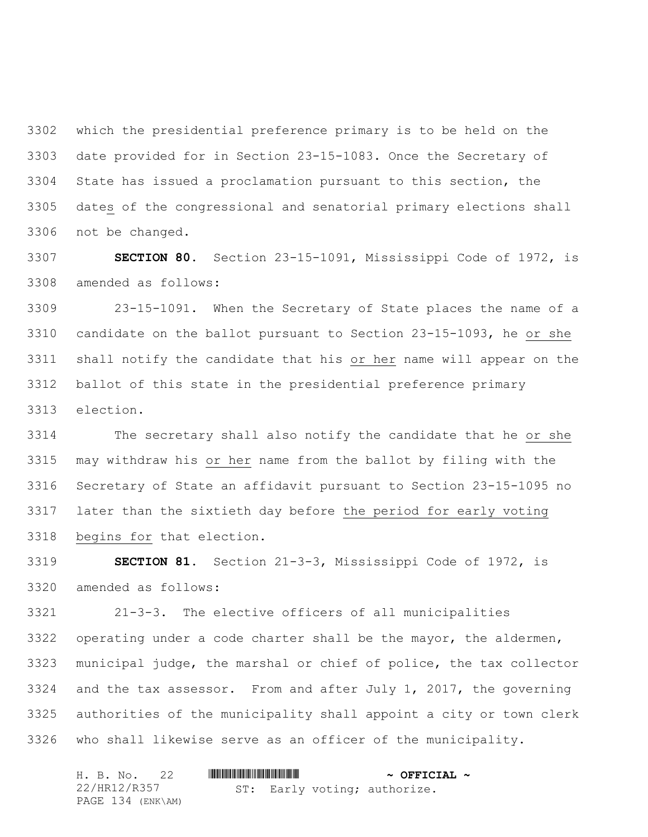which the presidential preference primary is to be held on the date provided for in Section 23-15-1083. Once the Secretary of State has issued a proclamation pursuant to this section, the dates of the congressional and senatorial primary elections shall not be changed.

 **SECTION 80.** Section 23-15-1091, Mississippi Code of 1972, is amended as follows:

 23-15-1091. When the Secretary of State places the name of a candidate on the ballot pursuant to Section 23-15-1093, he or she shall notify the candidate that his or her name will appear on the ballot of this state in the presidential preference primary election.

 The secretary shall also notify the candidate that he or she may withdraw his or her name from the ballot by filing with the Secretary of State an affidavit pursuant to Section 23-15-1095 no later than the sixtieth day before the period for early voting begins for that election.

 **SECTION 81.** Section 21-3-3, Mississippi Code of 1972, is amended as follows:

 21-3-3. The elective officers of all municipalities operating under a code charter shall be the mayor, the aldermen, municipal judge, the marshal or chief of police, the tax collector and the tax assessor. From and after July 1, 2017, the governing authorities of the municipality shall appoint a city or town clerk who shall likewise serve as an officer of the municipality.

| H. B. No. 22      |                              | $\sim$ OFFICIAL $\sim$ |
|-------------------|------------------------------|------------------------|
| 22/HR12/R357      | ST: Early voting; authorize. |                        |
| PAGE 134 (ENK\AM) |                              |                        |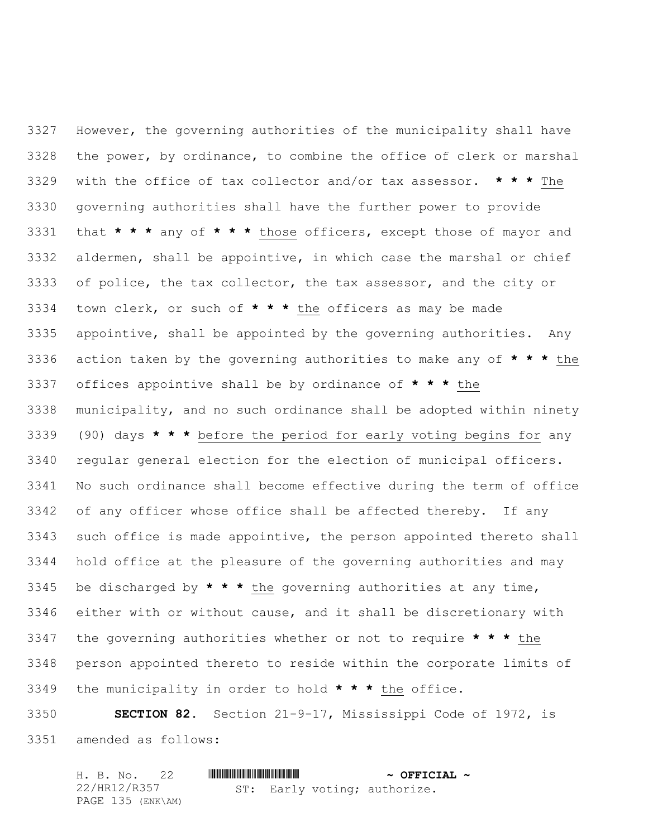However, the governing authorities of the municipality shall have the power, by ordinance, to combine the office of clerk or marshal with the office of tax collector and/or tax assessor. **\* \* \*** The governing authorities shall have the further power to provide that **\* \* \*** any of **\* \* \*** those officers, except those of mayor and aldermen, shall be appointive, in which case the marshal or chief of police, the tax collector, the tax assessor, and the city or town clerk, or such of **\* \* \*** the officers as may be made appointive, shall be appointed by the governing authorities. Any action taken by the governing authorities to make any of **\* \* \*** the offices appointive shall be by ordinance of **\* \* \*** the municipality, and no such ordinance shall be adopted within ninety (90) days **\* \* \*** before the period for early voting begins for any regular general election for the election of municipal officers. No such ordinance shall become effective during the term of office of any officer whose office shall be affected thereby. If any such office is made appointive, the person appointed thereto shall hold office at the pleasure of the governing authorities and may be discharged by **\* \* \*** the governing authorities at any time, either with or without cause, and it shall be discretionary with the governing authorities whether or not to require **\* \* \*** the person appointed thereto to reside within the corporate limits of the municipality in order to hold **\* \* \*** the office.

 **SECTION 82.** Section 21-9-17, Mississippi Code of 1972, is amended as follows:

| H. B. No. 22      |                              | $\sim$ OFFICIAL $\sim$ |
|-------------------|------------------------------|------------------------|
| 22/HR12/R357      | ST: Early voting; authorize. |                        |
| PAGE 135 (ENK\AM) |                              |                        |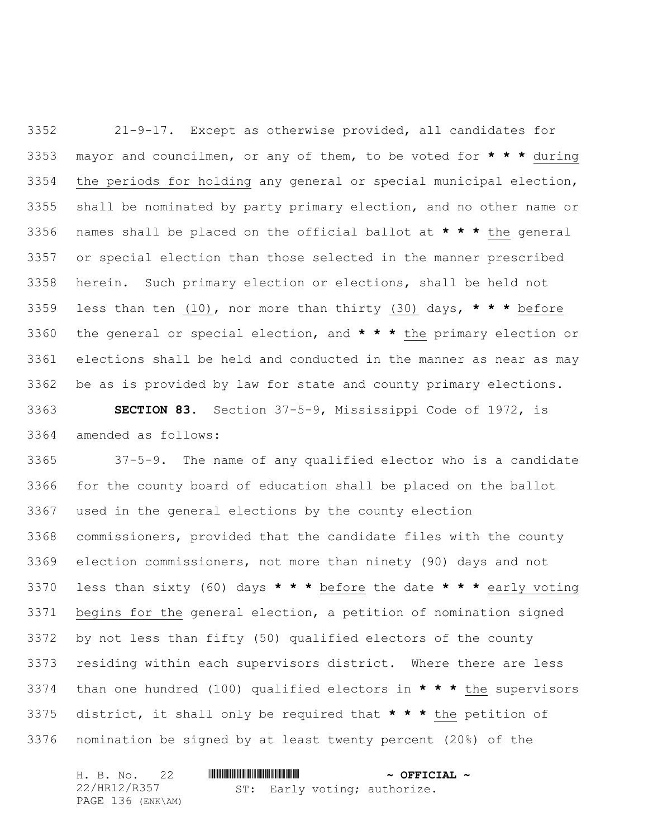21-9-17. Except as otherwise provided, all candidates for mayor and councilmen, or any of them, to be voted for **\* \* \*** during the periods for holding any general or special municipal election, shall be nominated by party primary election, and no other name or names shall be placed on the official ballot at **\* \* \*** the general or special election than those selected in the manner prescribed herein. Such primary election or elections, shall be held not less than ten (10), nor more than thirty (30) days, **\* \* \*** before the general or special election, and **\* \* \*** the primary election or elections shall be held and conducted in the manner as near as may be as is provided by law for state and county primary elections.

 **SECTION 83.** Section 37-5-9, Mississippi Code of 1972, is amended as follows:

 37-5-9. The name of any qualified elector who is a candidate for the county board of education shall be placed on the ballot used in the general elections by the county election commissioners, provided that the candidate files with the county election commissioners, not more than ninety (90) days and not less than sixty (60) days **\* \* \*** before the date **\* \* \*** early voting begins for the general election, a petition of nomination signed by not less than fifty (50) qualified electors of the county residing within each supervisors district. Where there are less than one hundred (100) qualified electors in **\* \* \*** the supervisors district, it shall only be required that **\* \* \*** the petition of nomination be signed by at least twenty percent (20%) of the

| H. B. No. 22      |  | $\sim$ OFFICIAL $\sim$ |                              |  |
|-------------------|--|------------------------|------------------------------|--|
| 22/HR12/R357      |  |                        | ST: Early voting; authorize. |  |
| PAGE 136 (ENK\AM) |  |                        |                              |  |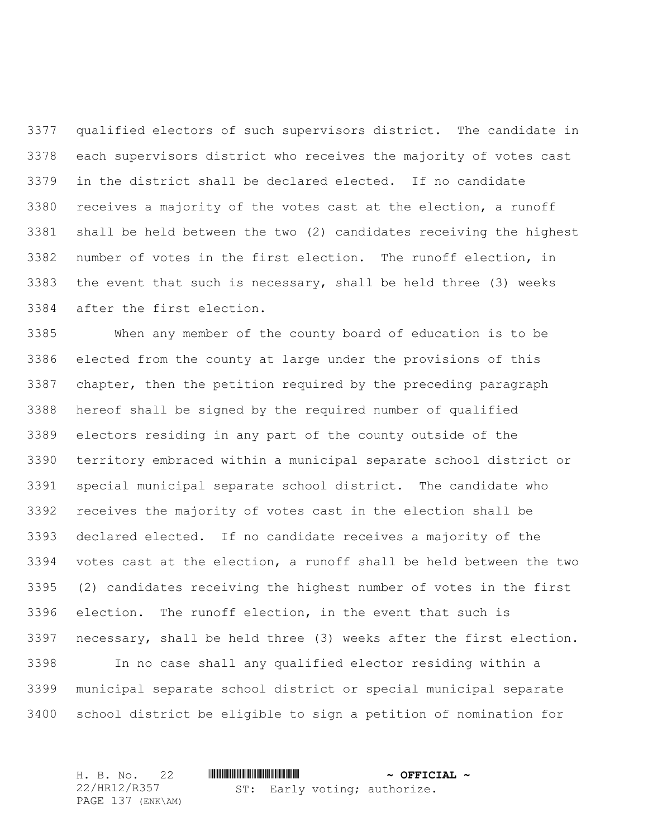qualified electors of such supervisors district. The candidate in each supervisors district who receives the majority of votes cast in the district shall be declared elected. If no candidate receives a majority of the votes cast at the election, a runoff shall be held between the two (2) candidates receiving the highest number of votes in the first election. The runoff election, in the event that such is necessary, shall be held three (3) weeks after the first election.

 When any member of the county board of education is to be elected from the county at large under the provisions of this chapter, then the petition required by the preceding paragraph hereof shall be signed by the required number of qualified electors residing in any part of the county outside of the territory embraced within a municipal separate school district or special municipal separate school district. The candidate who receives the majority of votes cast in the election shall be declared elected. If no candidate receives a majority of the votes cast at the election, a runoff shall be held between the two (2) candidates receiving the highest number of votes in the first election. The runoff election, in the event that such is necessary, shall be held three (3) weeks after the first election. In no case shall any qualified elector residing within a

 municipal separate school district or special municipal separate school district be eligible to sign a petition of nomination for

H. B. No. 22 \*HR12/R357\* **~ OFFICIAL ~** 22/HR12/R357 PAGE 137 (ENK\AM) ST: Early voting; authorize.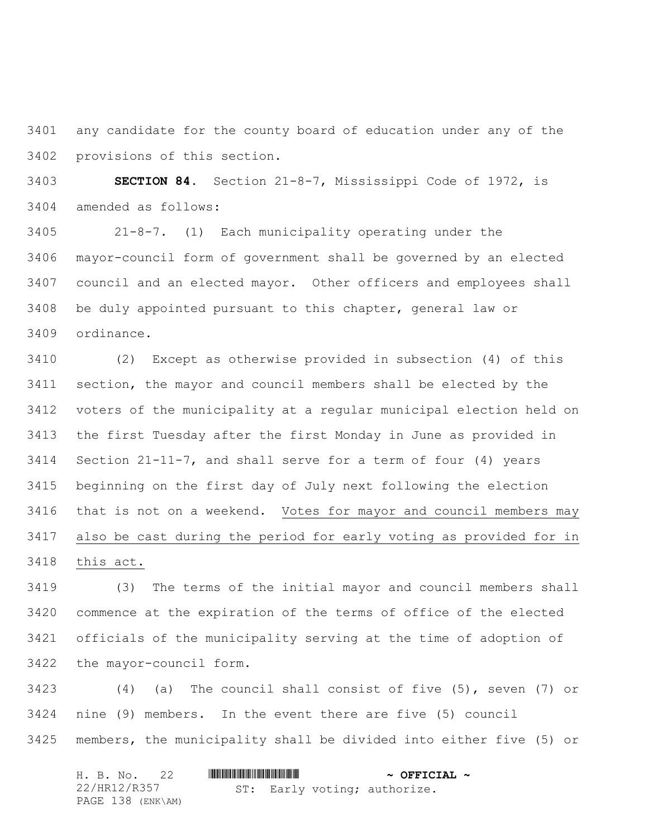any candidate for the county board of education under any of the provisions of this section.

 **SECTION 84.** Section 21-8-7, Mississippi Code of 1972, is amended as follows:

 21-8-7. (1) Each municipality operating under the mayor-council form of government shall be governed by an elected council and an elected mayor. Other officers and employees shall be duly appointed pursuant to this chapter, general law or ordinance.

 (2) Except as otherwise provided in subsection (4) of this section, the mayor and council members shall be elected by the voters of the municipality at a regular municipal election held on the first Tuesday after the first Monday in June as provided in Section 21-11-7, and shall serve for a term of four (4) years beginning on the first day of July next following the election that is not on a weekend. Votes for mayor and council members may also be cast during the period for early voting as provided for in this act.

 (3) The terms of the initial mayor and council members shall commence at the expiration of the terms of office of the elected officials of the municipality serving at the time of adoption of the mayor-council form.

 (4) (a) The council shall consist of five (5), seven (7) or nine (9) members. In the event there are five (5) council members, the municipality shall be divided into either five (5) or

|  | H. B. No. 22      |  |  |  | $\sim$ OFFICIAL $\sim$ |                              |  |
|--|-------------------|--|--|--|------------------------|------------------------------|--|
|  | 22/HR12/R357      |  |  |  |                        | ST: Early voting; authorize. |  |
|  | PAGE 138 (ENK\AM) |  |  |  |                        |                              |  |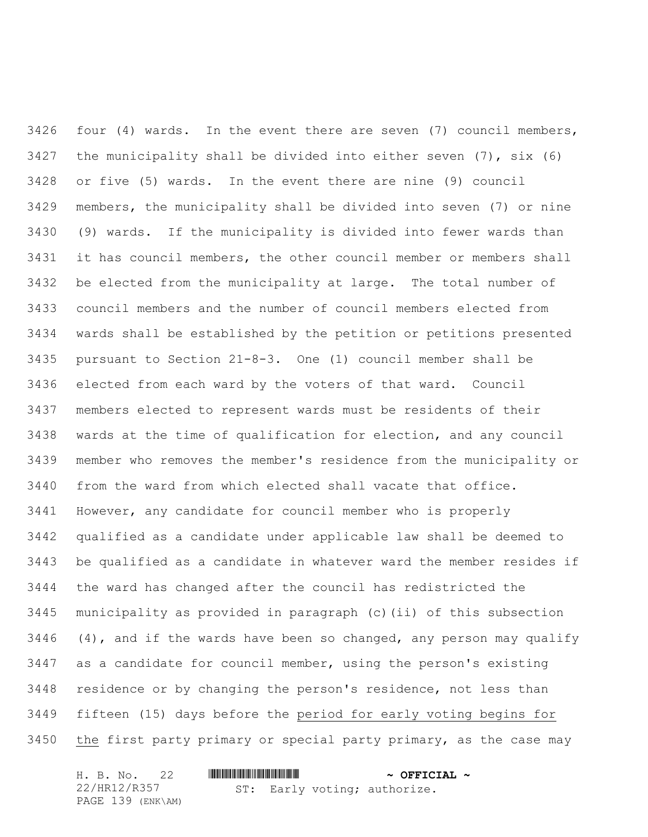four (4) wards. In the event there are seven (7) council members, 3427 the municipality shall be divided into either seven  $(7)$ , six  $(6)$  or five (5) wards. In the event there are nine (9) council members, the municipality shall be divided into seven (7) or nine (9) wards. If the municipality is divided into fewer wards than it has council members, the other council member or members shall be elected from the municipality at large. The total number of council members and the number of council members elected from wards shall be established by the petition or petitions presented pursuant to Section 21-8-3. One (1) council member shall be elected from each ward by the voters of that ward. Council members elected to represent wards must be residents of their wards at the time of qualification for election, and any council member who removes the member's residence from the municipality or from the ward from which elected shall vacate that office. However, any candidate for council member who is properly qualified as a candidate under applicable law shall be deemed to be qualified as a candidate in whatever ward the member resides if the ward has changed after the council has redistricted the municipality as provided in paragraph (c)(ii) of this subsection  $(4)$ , and if the wards have been so changed, any person may qualify as a candidate for council member, using the person's existing residence or by changing the person's residence, not less than fifteen (15) days before the period for early voting begins for the first party primary or special party primary, as the case may

| H. B. No. 22      |  |  |  | $\sim$ OFFICIAL $\sim$       |  |
|-------------------|--|--|--|------------------------------|--|
| 22/HR12/R357      |  |  |  | ST: Early voting; authorize. |  |
| PAGE 139 (ENK\AM) |  |  |  |                              |  |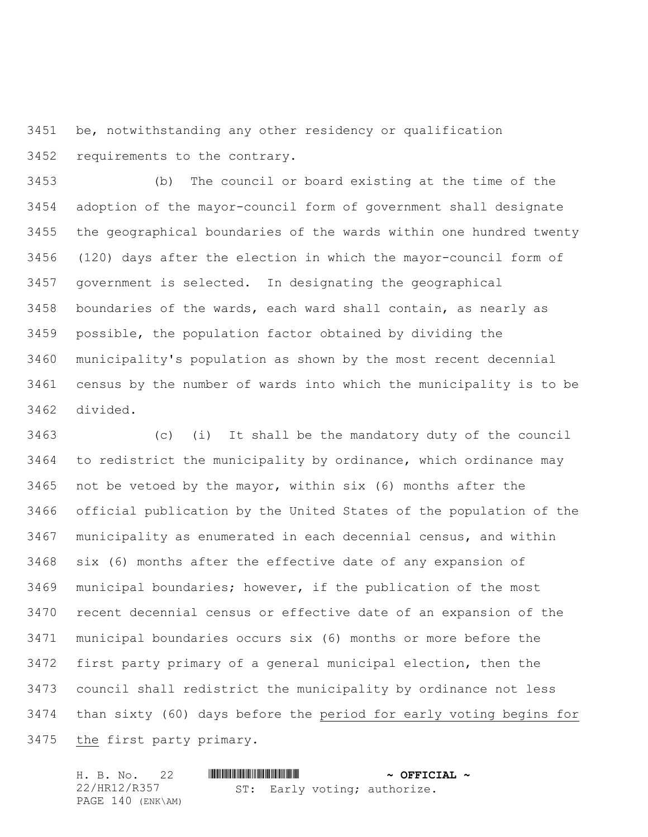be, notwithstanding any other residency or qualification requirements to the contrary.

 (b) The council or board existing at the time of the adoption of the mayor-council form of government shall designate the geographical boundaries of the wards within one hundred twenty (120) days after the election in which the mayor-council form of government is selected. In designating the geographical boundaries of the wards, each ward shall contain, as nearly as possible, the population factor obtained by dividing the municipality's population as shown by the most recent decennial census by the number of wards into which the municipality is to be divided.

 (c) (i) It shall be the mandatory duty of the council to redistrict the municipality by ordinance, which ordinance may not be vetoed by the mayor, within six (6) months after the official publication by the United States of the population of the municipality as enumerated in each decennial census, and within six (6) months after the effective date of any expansion of municipal boundaries; however, if the publication of the most recent decennial census or effective date of an expansion of the municipal boundaries occurs six (6) months or more before the first party primary of a general municipal election, then the council shall redistrict the municipality by ordinance not less than sixty (60) days before the period for early voting begins for the first party primary.

|  |              | H. B. No. 22      |  |  |  | $\sim$ OFFICIAL $\sim$       |  |
|--|--------------|-------------------|--|--|--|------------------------------|--|
|  | 22/HR12/R357 |                   |  |  |  | ST: Early voting; authorize. |  |
|  |              | PAGE 140 (ENK\AM) |  |  |  |                              |  |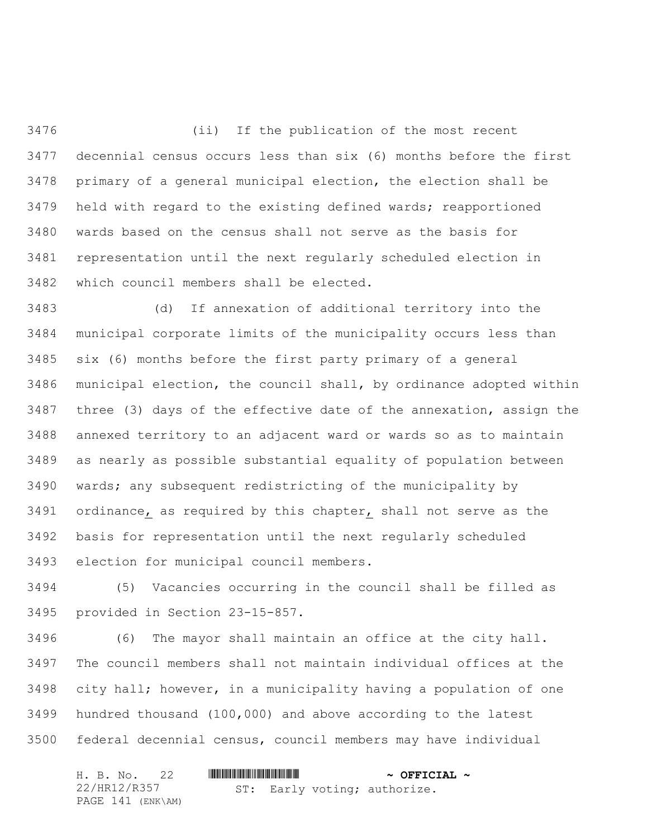(ii) If the publication of the most recent decennial census occurs less than six (6) months before the first primary of a general municipal election, the election shall be held with regard to the existing defined wards; reapportioned wards based on the census shall not serve as the basis for representation until the next regularly scheduled election in which council members shall be elected.

 (d) If annexation of additional territory into the municipal corporate limits of the municipality occurs less than six (6) months before the first party primary of a general municipal election, the council shall, by ordinance adopted within three (3) days of the effective date of the annexation, assign the annexed territory to an adjacent ward or wards so as to maintain as nearly as possible substantial equality of population between wards; any subsequent redistricting of the municipality by ordinance, as required by this chapter, shall not serve as the basis for representation until the next regularly scheduled election for municipal council members.

 (5) Vacancies occurring in the council shall be filled as provided in Section 23-15-857.

 (6) The mayor shall maintain an office at the city hall. The council members shall not maintain individual offices at the city hall; however, in a municipality having a population of one hundred thousand (100,000) and above according to the latest federal decennial census, council members may have individual

| H. B. No. 22      |                              | $\sim$ OFFICIAL $\sim$ |
|-------------------|------------------------------|------------------------|
| 22/HR12/R357      | ST: Early voting; authorize. |                        |
| PAGE 141 (ENK\AM) |                              |                        |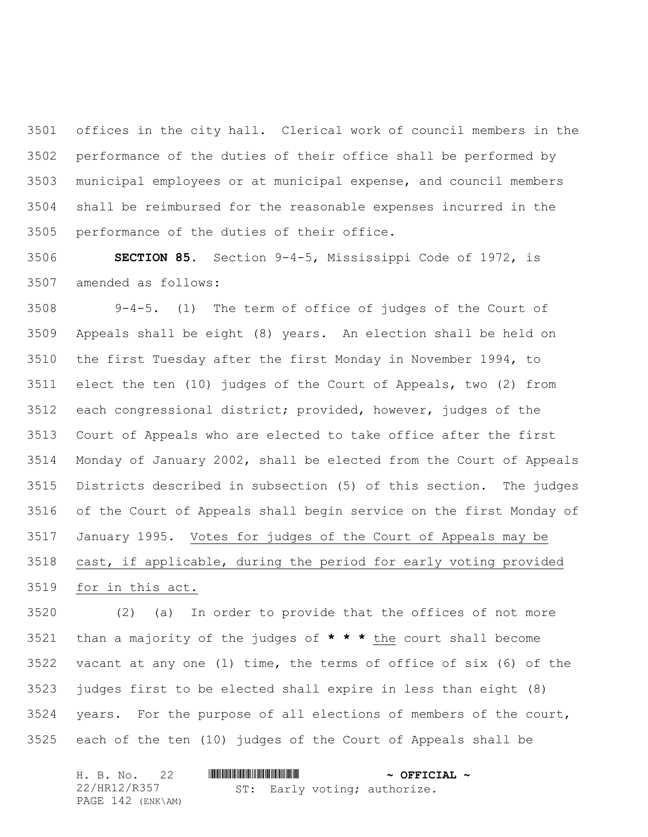offices in the city hall. Clerical work of council members in the performance of the duties of their office shall be performed by municipal employees or at municipal expense, and council members shall be reimbursed for the reasonable expenses incurred in the performance of the duties of their office.

 **SECTION 85.** Section 9-4-5, Mississippi Code of 1972, is amended as follows:

 9-4-5. (1) The term of office of judges of the Court of Appeals shall be eight (8) years. An election shall be held on the first Tuesday after the first Monday in November 1994, to elect the ten (10) judges of the Court of Appeals, two (2) from each congressional district; provided, however, judges of the Court of Appeals who are elected to take office after the first Monday of January 2002, shall be elected from the Court of Appeals Districts described in subsection (5) of this section. The judges of the Court of Appeals shall begin service on the first Monday of January 1995. Votes for judges of the Court of Appeals may be cast, if applicable, during the period for early voting provided for in this act.

 (2) (a) In order to provide that the offices of not more than a majority of the judges of **\* \* \*** the court shall become vacant at any one (1) time, the terms of office of six (6) of the judges first to be elected shall expire in less than eight (8) years. For the purpose of all elections of members of the court, each of the ten (10) judges of the Court of Appeals shall be

| H. B. No. 22      |                              | $\sim$ OFFICIAL $\sim$ |
|-------------------|------------------------------|------------------------|
| 22/HR12/R357      | ST: Early voting; authorize. |                        |
| PAGE 142 (ENK\AM) |                              |                        |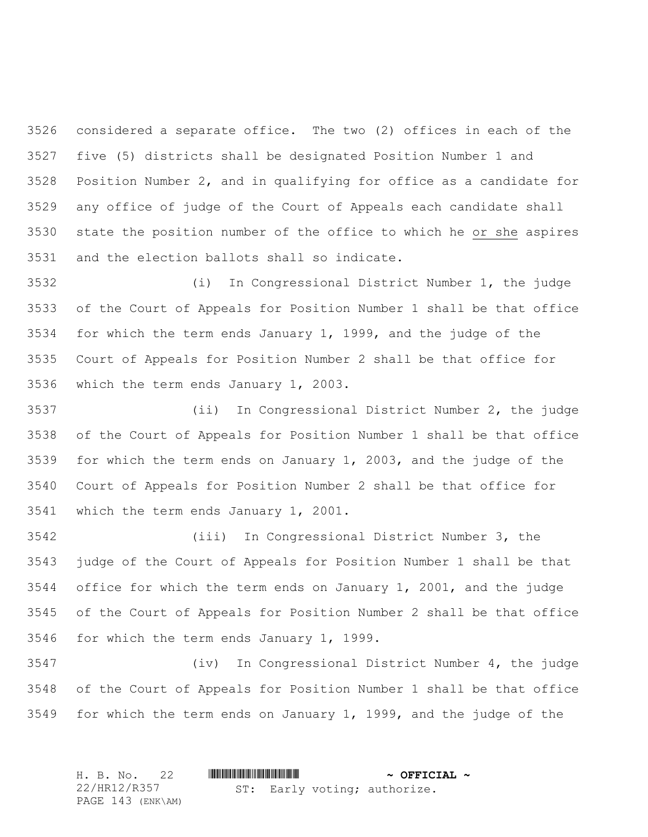considered a separate office. The two (2) offices in each of the five (5) districts shall be designated Position Number 1 and Position Number 2, and in qualifying for office as a candidate for any office of judge of the Court of Appeals each candidate shall state the position number of the office to which he or she aspires and the election ballots shall so indicate.

 (i) In Congressional District Number 1, the judge of the Court of Appeals for Position Number 1 shall be that office for which the term ends January 1, 1999, and the judge of the Court of Appeals for Position Number 2 shall be that office for which the term ends January 1, 2003.

 (ii) In Congressional District Number 2, the judge of the Court of Appeals for Position Number 1 shall be that office for which the term ends on January 1, 2003, and the judge of the Court of Appeals for Position Number 2 shall be that office for which the term ends January 1, 2001.

 (iii) In Congressional District Number 3, the judge of the Court of Appeals for Position Number 1 shall be that office for which the term ends on January 1, 2001, and the judge of the Court of Appeals for Position Number 2 shall be that office for which the term ends January 1, 1999.

 (iv) In Congressional District Number 4, the judge of the Court of Appeals for Position Number 1 shall be that office for which the term ends on January 1, 1999, and the judge of the

H. B. No. 22 **. AND ASSEMBLE A FRICIAL ~** 22/HR12/R357 PAGE 143 (ENK\AM) ST: Early voting; authorize.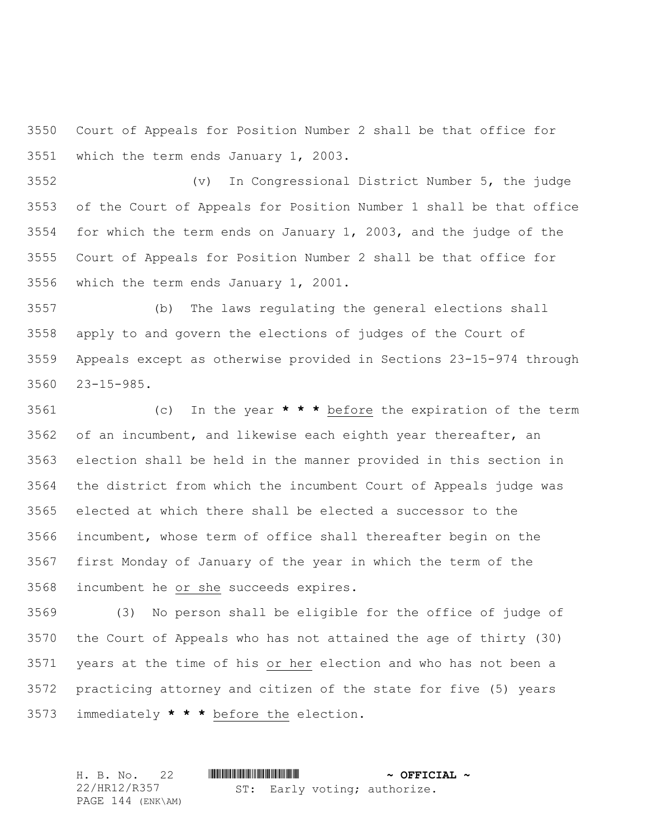Court of Appeals for Position Number 2 shall be that office for which the term ends January 1, 2003.

 (v) In Congressional District Number 5, the judge of the Court of Appeals for Position Number 1 shall be that office for which the term ends on January 1, 2003, and the judge of the Court of Appeals for Position Number 2 shall be that office for which the term ends January 1, 2001.

 (b) The laws regulating the general elections shall apply to and govern the elections of judges of the Court of Appeals except as otherwise provided in Sections 23-15-974 through 23-15-985.

 (c) In the year **\* \* \*** before the expiration of the term of an incumbent, and likewise each eighth year thereafter, an election shall be held in the manner provided in this section in the district from which the incumbent Court of Appeals judge was elected at which there shall be elected a successor to the incumbent, whose term of office shall thereafter begin on the first Monday of January of the year in which the term of the incumbent he or she succeeds expires.

 (3) No person shall be eligible for the office of judge of the Court of Appeals who has not attained the age of thirty (30) years at the time of his or her election and who has not been a practicing attorney and citizen of the state for five (5) years immediately **\* \* \*** before the election.

H. B. No. 22 **. AND AND AN ADDED**  $\sim$  **OFFICIAL**  $\sim$ 22/HR12/R357 PAGE 144 (ENK\AM) ST: Early voting; authorize.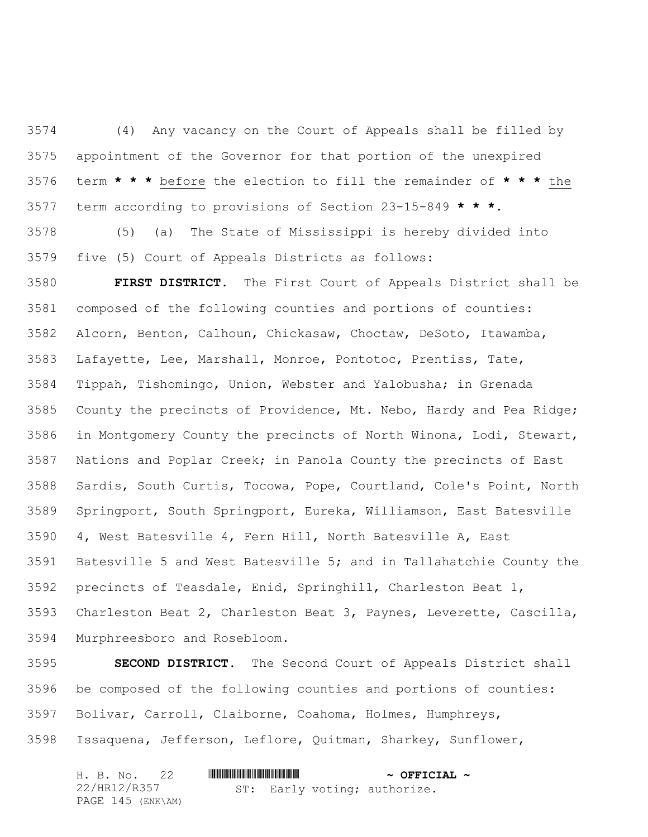(4) Any vacancy on the Court of Appeals shall be filled by appointment of the Governor for that portion of the unexpired term **\* \* \*** before the election to fill the remainder of **\* \* \*** the term according to provisions of Section 23-15-849 **\* \* \***.

 (5) (a) The State of Mississippi is hereby divided into five (5) Court of Appeals Districts as follows:

 **FIRST DISTRICT.** The First Court of Appeals District shall be composed of the following counties and portions of counties: Alcorn, Benton, Calhoun, Chickasaw, Choctaw, DeSoto, Itawamba, Lafayette, Lee, Marshall, Monroe, Pontotoc, Prentiss, Tate, Tippah, Tishomingo, Union, Webster and Yalobusha; in Grenada County the precincts of Providence, Mt. Nebo, Hardy and Pea Ridge; in Montgomery County the precincts of North Winona, Lodi, Stewart, Nations and Poplar Creek; in Panola County the precincts of East Sardis, South Curtis, Tocowa, Pope, Courtland, Cole's Point, North Springport, South Springport, Eureka, Williamson, East Batesville 4, West Batesville 4, Fern Hill, North Batesville A, East Batesville 5 and West Batesville 5; and in Tallahatchie County the precincts of Teasdale, Enid, Springhill, Charleston Beat 1, Charleston Beat 2, Charleston Beat 3, Paynes, Leverette, Cascilla, Murphreesboro and Rosebloom.

 **SECOND DISTRICT.** The Second Court of Appeals District shall be composed of the following counties and portions of counties: Bolivar, Carroll, Claiborne, Coahoma, Holmes, Humphreys, Issaquena, Jefferson, Leflore, Quitman, Sharkey, Sunflower,

| H. B. No. 22      |                              | $\sim$ OFFICIAL $\sim$ |
|-------------------|------------------------------|------------------------|
| 22/HR12/R357      | ST: Early voting; authorize. |                        |
| PAGE 145 (ENK\AM) |                              |                        |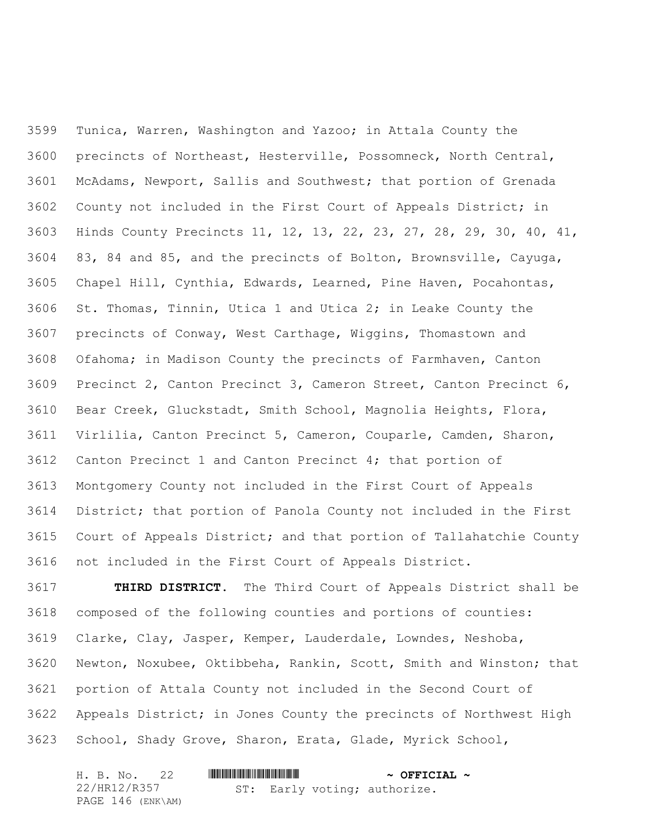Tunica, Warren, Washington and Yazoo; in Attala County the precincts of Northeast, Hesterville, Possomneck, North Central, McAdams, Newport, Sallis and Southwest; that portion of Grenada County not included in the First Court of Appeals District; in Hinds County Precincts 11, 12, 13, 22, 23, 27, 28, 29, 30, 40, 41, 83, 84 and 85, and the precincts of Bolton, Brownsville, Cayuga, Chapel Hill, Cynthia, Edwards, Learned, Pine Haven, Pocahontas, St. Thomas, Tinnin, Utica 1 and Utica 2; in Leake County the precincts of Conway, West Carthage, Wiggins, Thomastown and Ofahoma; in Madison County the precincts of Farmhaven, Canton Precinct 2, Canton Precinct 3, Cameron Street, Canton Precinct 6, Bear Creek, Gluckstadt, Smith School, Magnolia Heights, Flora, Virlilia, Canton Precinct 5, Cameron, Couparle, Camden, Sharon, Canton Precinct 1 and Canton Precinct 4; that portion of Montgomery County not included in the First Court of Appeals District; that portion of Panola County not included in the First Court of Appeals District; and that portion of Tallahatchie County not included in the First Court of Appeals District.

 **THIRD DISTRICT.** The Third Court of Appeals District shall be composed of the following counties and portions of counties: Clarke, Clay, Jasper, Kemper, Lauderdale, Lowndes, Neshoba, Newton, Noxubee, Oktibbeha, Rankin, Scott, Smith and Winston; that portion of Attala County not included in the Second Court of Appeals District; in Jones County the precincts of Northwest High School, Shady Grove, Sharon, Erata, Glade, Myrick School,

| H. B. No. 22      |                              | $\sim$ OFFICIAL $\sim$ |
|-------------------|------------------------------|------------------------|
| 22/HR12/R357      | ST: Early voting; authorize. |                        |
| PAGE 146 (ENK\AM) |                              |                        |